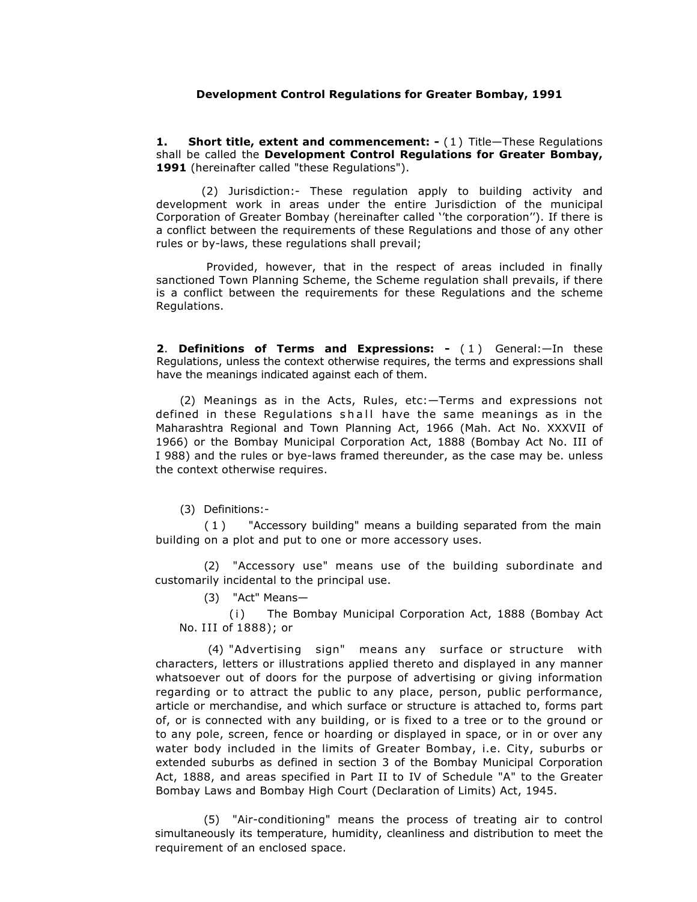## **Development Control Regulations for Greater Bombay, 1991**

**1.** Short title, extent and commencement: - (1) Title—These Regulations shall be called the **Development Control Regulations for Greater Bombay,**  1991 (hereinafter called "these Regulations").

(2) Jurisdiction:- These regulation apply to building activity and development work in areas under the entire Jurisdiction of the municipal Corporation of Greater Bombay (hereinafter called ''the corporation''). If there is a conflict between the requirements of these Regulations and those of any other rules or by-laws, these regulations shall prevail;

 Provided, however, that in the respect of areas included in finally sanctioned Town Planning Scheme, the Scheme regulation shall prevails, if there is a conflict between the requirements for these Regulations and the scheme Regulations.

**2**. **Definitions of Terms and Expressions: -** ( 1 ) General:—In these Regulations, unless the context otherwise requires, the terms and expressions shall have the meanings indicated against each of them.

(2) Meanings as in the Acts, Rules, etc:—Terms and expressions not defined in these Regulations shall have the same meanings as in the Maharashtra Regional and Town Planning Act, 1966 (Mah. Act No. XXXVII of 1966) or the Bombay Municipal Corporation Act, 1888 (Bombay Act No. III of I 988) and the rules or bye-laws framed thereunder, as the case may be. unless the context otherwise requires.

(3) Definitions:-

( 1 ) "Accessory building" means a building separated from the main building on a plot and put to one or more accessory uses.

(2) "Accessory use" means use of the building subordinate and customarily incidental to the principal use.

(3) "Act" Means—

(i) The Bombay Municipal Corporation Act, 1888 (Bombay Act No. III of 1888); or

 (4) "Advertising sign" means any surface or structure with characters, letters or illustrations applied thereto and displayed in any manner whatsoever out of doors for the purpose of advertising or giving information regarding or to attract the public to any place, person, public performance, article or merchandise, and which surface or structure is attached to, forms part of, or is connected with any building, or is fixed to a tree or to the ground or to any pole, screen, fence or hoarding or displayed in space, or in or over any water body included in the limits of Greater Bombay, i.e. City, suburbs or extended suburbs as defined in section 3 of the Bombay Municipal Corporation Act, 1888, and areas specified in Part II to IV of Schedule "A" to the Greater Bombay Laws and Bombay High Court (Declaration of Limits) Act, 1945.

(5) "Air-conditioning" means the process of treating air to control simultaneously its temperature, humidity, cleanliness and distribution to meet the requirement of an enclosed space.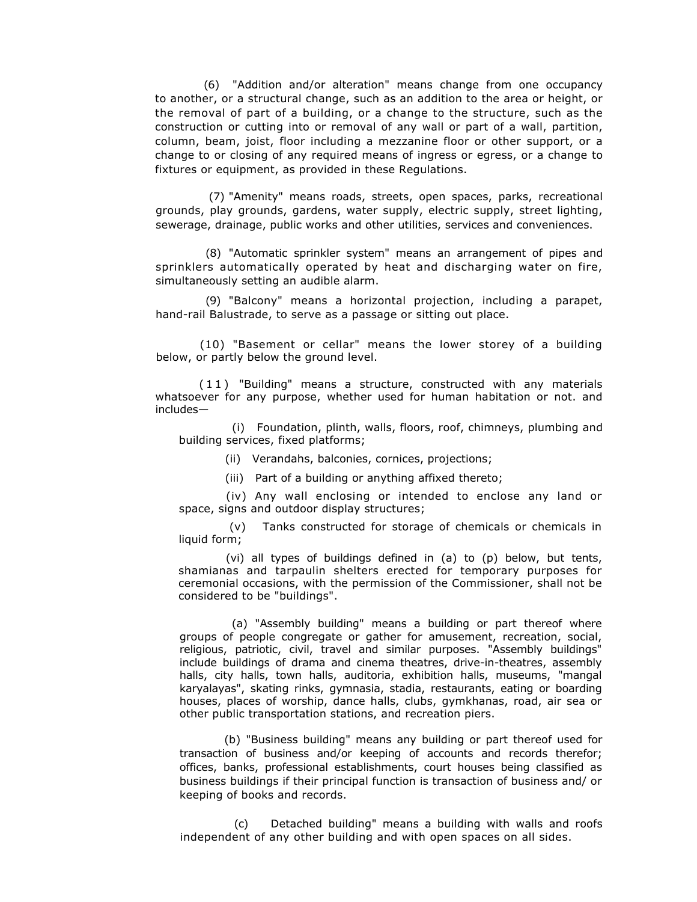(6) "Addition and/or alteration" means change from one occupancy to another, or a structural change, such as an addition to the area or height, or the removal of part of a building, or a change to the structure, such as the construction or cutting into or removal of any wall or part of a wall, partition, column, beam, joist, floor including a mezzanine floor or other support, or a change to or closing of any required means of ingress or egress, or a change to fixtures or equipment, as provided in these Regulations.

 (7) "Amenity" means roads, streets, open spaces, parks, recreational grounds, play grounds, gardens, water supply, electric supply, street lighting, sewerage, drainage, public works and other utilities, services and conveniences.

(8) "Automatic sprinkler system" means an arrangement of pipes and sprinklers automatically operated by heat and discharging water on fire, simultaneously setting an audible alarm.

(9) "Balcony" means a horizontal projection, including a parapet, hand-rail Balustrade, to serve as a passage or sitting out place.

(10) "Basement or cellar" means the lower storey of a building below, or partly below the ground level.

( 1 1 ) "Building" means a structure, constructed with any materials whatsoever for any purpose, whether used for human habitation or not. and includes—

(i) Foundation, plinth, walls, floors, roof, chimneys, plumbing and building services, fixed platforms;

(ii) Verandahs, balconies, cornices, projections;

(iii) Part of a building or anything affixed thereto;

(iv) Any wall enclosing or intended to enclose any land or space, signs and outdoor display structures;

(v) Tanks constructed for storage of chemicals or chemicals in liquid form;

(vi) all types of buildings defined in (a) to (p) below, but tents, shamianas and tarpaulin shelters erected for temporary purposes for ceremonial occasions, with the permission of the Commissioner, shall not be considered to be "buildings".

 (a) "Assembly building" means a building or part thereof where groups of people congregate or gather for amusement, recreation, social, religious, patriotic, civil, travel and similar purposes. "Assembly buildings" include buildings of drama and cinema theatres, drive-in-theatres, assembly halls, city halls, town halls, auditoria, exhibition halls, museums, "mangal karyalayas", skating rinks, gymnasia, stadia, restaurants, eating or boarding houses, places of worship, dance halls, clubs, gymkhanas, road, air sea or other public transportation stations, and recreation piers.

(b) "Business building" means any building or part thereof used for transaction of business and/or keeping of accounts and records therefor; offices, banks, professional establishments, court houses being classified as business buildings if their principal function is transaction of business and/ or keeping of books and records.

 (c) Detached building" means a building with walls and roofs independent of any other building and with open spaces on all sides.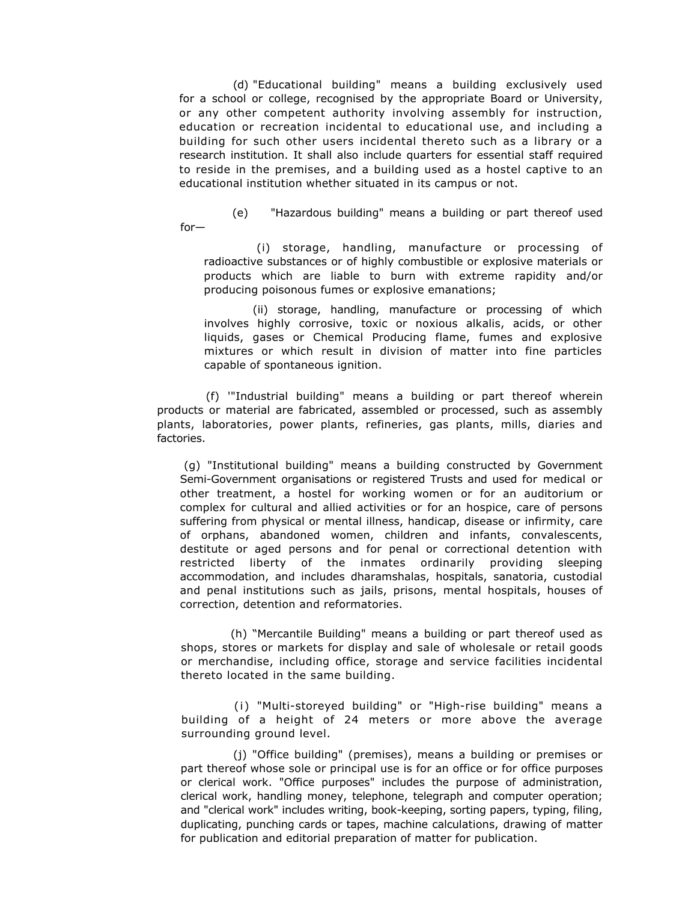(d) "Educational building" means a building exclusively used for a school or college, recognised by the appropriate Board or University, or any other competent authority involving assembly for instruction, education or recreation incidental to educational use, and including a building for such other users incidental thereto such as a library or a research institution. It shall also include quarters for essential staff required to reside in the premises, and a building used as a hostel captive to an educational institution whether situated in its campus or not.

 (e) "Hazardous building" means a building or part thereof used for—

(i) storage, handling, manufacture or processing of radioactive substances or of highly combustible or explosive materials or products which are liable to burn with extreme rapidity and/or producing poisonous fumes or explosive emanations;

(ii) storage, handling, manufacture or processing of which involves highly corrosive, toxic or noxious alkalis, acids, or other liquids, gases or Chemical Producing flame, fumes and explosive mixtures or which result in division of matter into fine particles capable of spontaneous ignition.

(f) '"Industrial building" means a building or part thereof wherein products or material are fabricated, assembled or processed, such as assembly plants, laboratories, power plants, refineries, gas plants, mills, diaries and factories.

 (g) "Institutional building" means a building constructed by Government Semi-Government organisations or registered Trusts and used for medical or other treatment, a hostel for working women or for an auditorium or complex for cultural and allied activities or for an hospice, care of persons suffering from physical or mental illness, handicap, disease or infirmity, care of orphans, abandoned women, children and infants, convalescents, destitute or aged persons and for penal or correctional detention with restricted liberty of the inmates ordinarily providing sleeping accommodation, and includes dharamshalas, hospitals, sanatoria, custodial and penal institutions such as jails, prisons, mental hospitals, houses of correction, detention and reformatories.

(h) "Mercantile Building" means a building or part thereof used as shops, stores or markets for display and sale of wholesale or retail goods or merchandise, including office, storage and service facilities incidental thereto located in the same building.

(i) "Multi-storeyed building" or "High-rise building" means a building of a height of 24 meters or more above the average surrounding ground level.

(j) "Office building" (premises), means a building or premises or part thereof whose sole or principal use is for an office or for office purposes or clerical work. "Office purposes" includes the purpose of administration, clerical work, handling money, telephone, telegraph and computer operation; and "clerical work" includes writing, book-keeping, sorting papers, typing, filing, duplicating, punching cards or tapes, machine calculations, drawing of matter for publication and editorial preparation of matter for publication.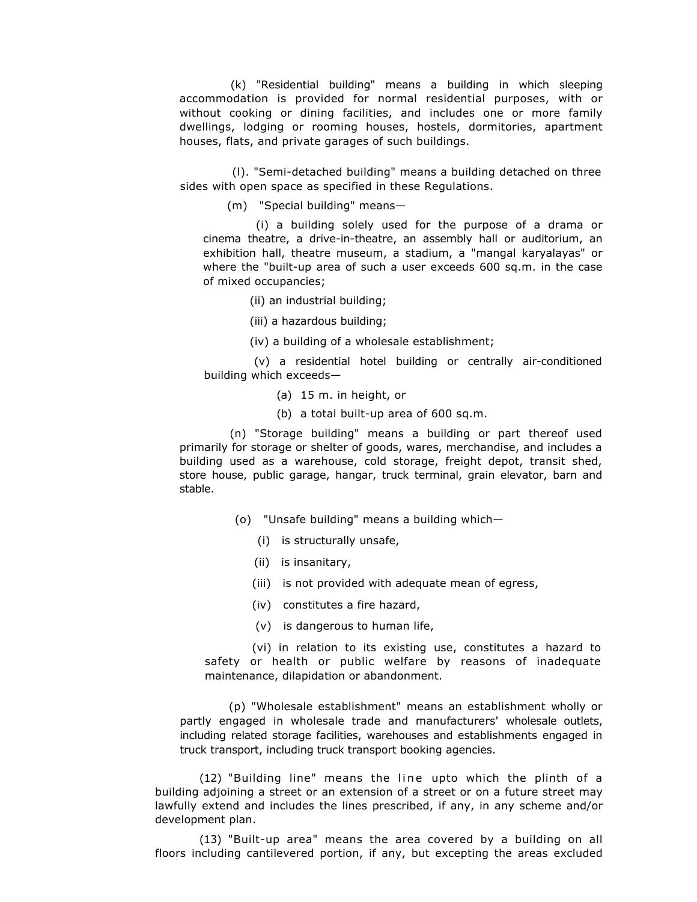(k) "Residential building" means a building in which sleeping accommodation is provided for normal residential purposes, with or without cooking or dining facilities, and includes one or more family dwellings, lodging or rooming houses, hostels, dormitories, apartment houses, flats, and private garages of such buildings.

(l). "Semi-detached building" means a building detached on three sides with open space as specified in these Regulations.

(m) "Special building" means—

(i) a building solely used for the purpose of a drama or cinema theatre, a drive-in-theatre, an assembly hall or auditorium, an exhibition hall, theatre museum, a stadium, a "mangal karyalayas" or where the "built-up area of such a user exceeds 600 sq.m. in the case of mixed occupancies;

(ii) an industrial building;

(iii) a hazardous building;

(iv) a building of a wholesale establishment;

(v) a residential hotel building or centrally air-conditioned building which exceeds—

(a) 15 m. in height, or

(b) a total built-up area of 600 sq.m.

(n) "Storage building" means a building or part thereof used primarily for storage or shelter of goods, wares, merchandise, and includes a building used as a warehouse, cold storage, freight depot, transit shed, store house, public garage, hangar, truck terminal, grain elevator, barn and stable.

- (o) "Unsafe building" means a building which—
	- (i) is structurally unsafe,
	- (ii) is insanitary,
	- (iii) is not provided with adequate mean of egress,
	- (iv) constitutes a fire hazard,
	- (v) is dangerous to human life,

(vi) in relation to its existing use, constitutes a hazard to safety or health or public welfare by reasons of inadequate maintenance, dilapidation or abandonment.

(p) "Wholesale establishment" means an establishment wholly or partly engaged in wholesale trade and manufacturers' wholesale outlets, including related storage facilities, warehouses and establishments engaged in truck transport, including truck transport booking agencies.

(12) "Building line" means the line upto which the plinth of a building adjoining a street or an extension of a street or on a future street may lawfully extend and includes the lines prescribed, if any, in any scheme and/or development plan.

(13) "Built-up area" means the area covered by a building on all floors including cantilevered portion, if any, but excepting the areas excluded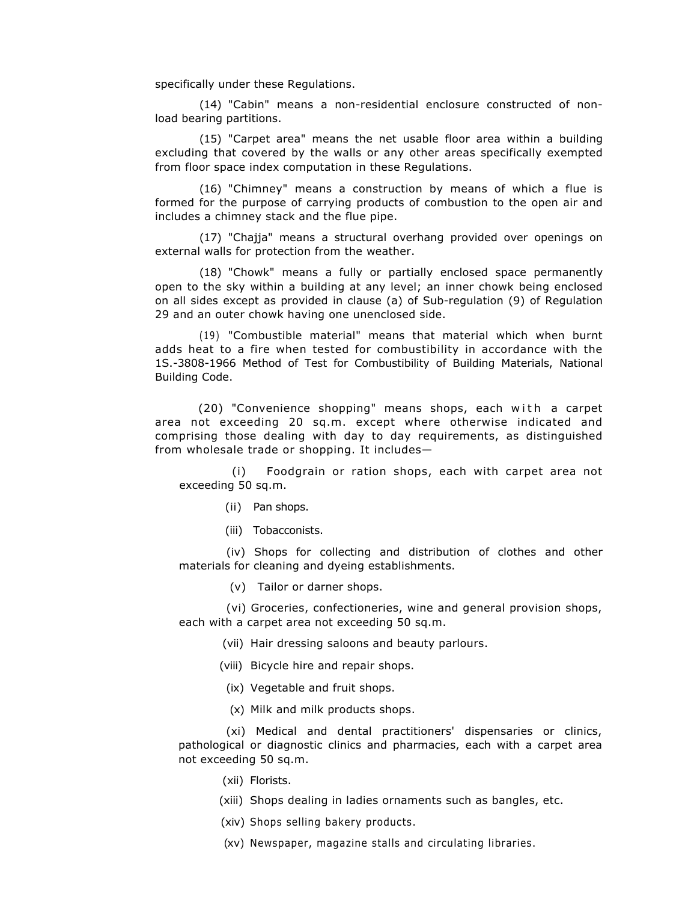specifically under these Regulations.

(14) "Cabin" means a non-residential enclosure constructed of nonload bearing partitions.

(15) "Carpet area" means the net usable floor area within a building excluding that covered by the walls or any other areas specifically exempted from floor space index computation in these Regulations.

(16) "Chimney" means a construction by means of which a flue is formed for the purpose of carrying products of combustion to the open air and includes a chimney stack and the flue pipe.

(17) "Chajja" means a structural overhang provided over openings on external walls for protection from the weather.

(18) "Chowk" means a fully or partially enclosed space permanently open to the sky within a building at any level; an inner chowk being enclosed on all sides except as provided in clause (a) of Sub-regulation (9) of Regulation 29 and an outer chowk having one unenclosed side.

(19) "Combustible material" means that material which when burnt adds heat to a fire when tested for combustibility in accordance with the 1S.-3808-1966 Method of Test for Combustibility of Building Materials, National Building Code.

(20) "Convenience shopping" means shops, each with a carpet area not exceeding 20 sq.m. except where otherwise indicated and comprising those dealing with day to day requirements, as distinguished from wholesale trade or shopping. It includes—

(i) Foodgrain or ration shops, each with carpet area not exceeding 50 sq.m.

- (ii) Pan shops.
- (iii) Tobacconists.

(iv) Shops for collecting and distribution of clothes and other materials for cleaning and dyeing establishments.

(v) Tailor or darner shops.

(vi) Groceries, confectioneries, wine and general provision shops, each with a carpet area not exceeding 50 sq.m.

(vii) Hair dressing saloons and beauty parlours.

- (viii) Bicycle hire and repair shops.
- (ix) Vegetable and fruit shops.
- (x) Milk and milk products shops.

(xi) Medical and dental practitioners' dispensaries or clinics, pathological or diagnostic clinics and pharmacies, each with a carpet area not exceeding 50 sq.m.

- (xii) Florists.
- (xiii) Shops dealing in ladies ornaments such as bangles, etc.
- (xiv) Shops selling bakery products.
- (xv) Newspaper, magazine stalls and circulating libraries.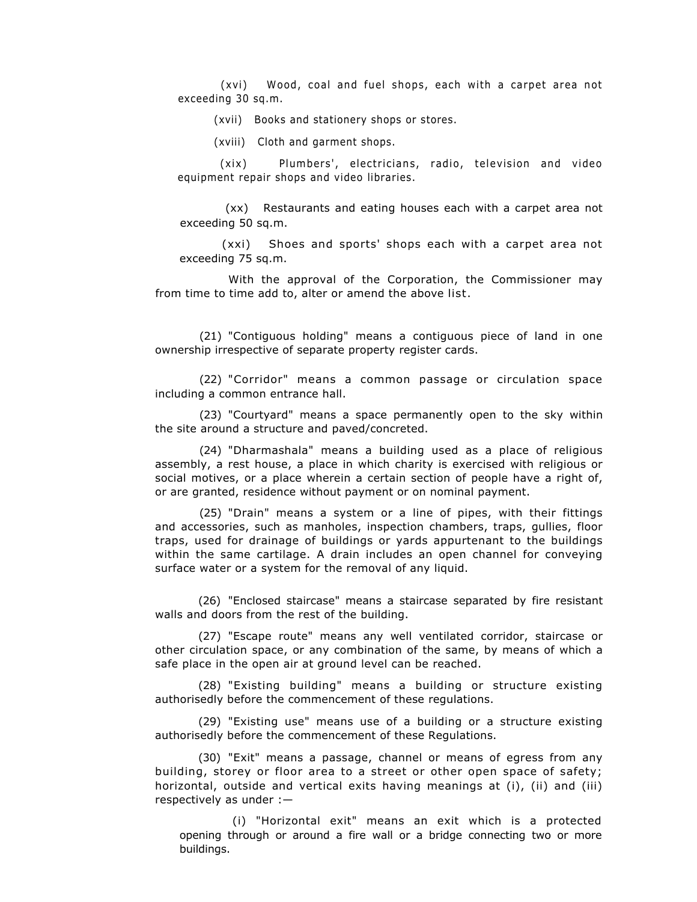(xvi) Wood, coal and fuel shops, each with a carpet area not exceeding 30 sq.m.

(xvii) Books and stationery shops or stores.

(xviii) Cloth and garment shops.

(xix) Plumbers', electricians, radio, television and video equipment repair shops and video libraries.

(xx) Restaurants and eating houses each with a carpet area not exceeding 50 sq.m.

(xxi) Shoes and sports' shops each with a carpet area not exceeding 75 sq.m.

With the approval of the Corporation, the Commissioner may from time to time add to, alter or amend the above list.

(21) "Contiguous holding" means a contiguous piece of land in one ownership irrespective of separate property register cards.

(22) "Corridor" means a common passage or circulation space including a common entrance hall.

(23) "Courtyard" means a space permanently open to the sky within the site around a structure and paved/concreted.

(24) "Dharmashala" means a building used as a place of religious assembly, a rest house, a place in which charity is exercised with religious or social motives, or a place wherein a certain section of people have a right of, or are granted, residence without payment or on nominal payment.

(25) "Drain" means a system or a line of pipes, with their fittings and accessories, such as manholes, inspection chambers, traps, gullies, floor traps, used for drainage of buildings or yards appurtenant to the buildings within the same cartilage. A drain includes an open channel for conveying surface water or a system for the removal of any liquid.

(26) "Enclosed staircase" means a staircase separated by fire resistant walls and doors from the rest of the building.

(27) "Escape route" means any well ventilated corridor, staircase or other circulation space, or any combination of the same, by means of which a safe place in the open air at ground level can be reached.

(28) "Existing building" means a building or structure existing authorisedly before the commencement of these regulations.

(29) "Existing use" means use of a building or a structure existing authorisedly before the commencement of these Regulations.

(30) "Exit" means a passage, channel or means of egress from any building, storey or floor area to a street or other open space of safety; horizontal, outside and vertical exits having meanings at (i), (ii) and (iii) respectively as under :—

(i) "Horizontal exit" means an exit which is a protected opening through or around a fire wall or a bridge connecting two or more buildings.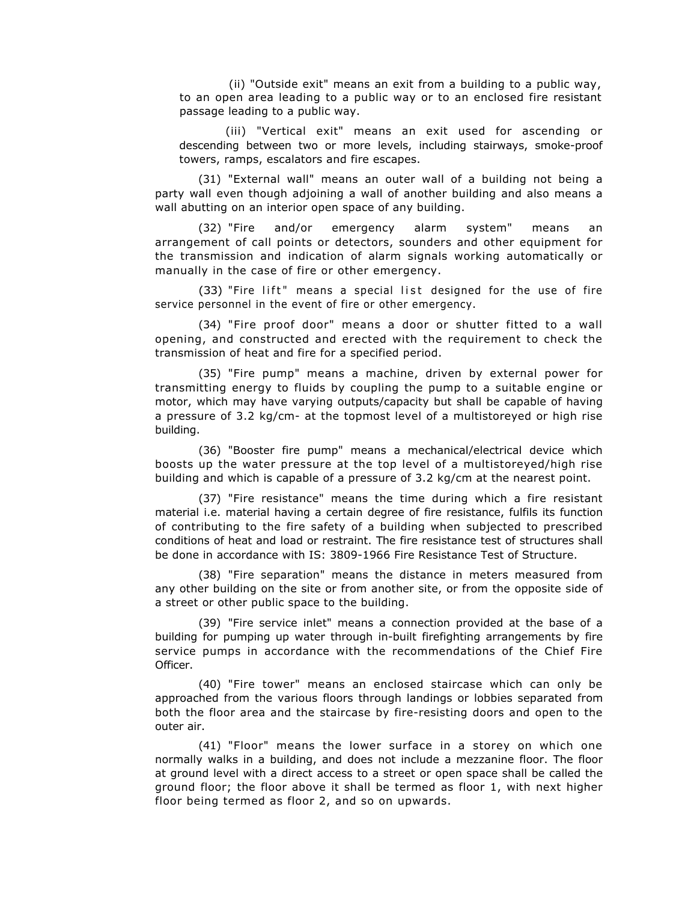(ii) "Outside exit" means an exit from a building to a public way, to an open area leading to a public way or to an enclosed fire resistant passage leading to a public way.

(iii) "Vertical exit" means an exit used for ascending or descending between two or more levels, including stairways, smoke-proof towers, ramps, escalators and fire escapes.

(31) "External wall" means an outer wall of a building not being a party wall even though adjoining a wall of another building and also means a wall abutting on an interior open space of any building.

(32) "Fire and/or emergency alarm system" means an arrangement of call points or detectors, sounders and other equipment for the transmission and indication of alarm signals working automatically or manually in the case of fire or other emergency.

(33) "Fire lift" means a special list designed for the use of fire service personnel in the event of fire or other emergency.

(34) "Fire proof door" means a door or shutter fitted to a wall opening, and constructed and erected with the requirement to check the transmission of heat and fire for a specified period.

(35) "Fire pump" means a machine, driven by external power for transmitting energy to fluids by coupling the pump to a suitable engine or motor, which may have varying outputs/capacity but shall be capable of having a pressure of 3.2 kg/cm- at the topmost level of a multistoreyed or high rise building.

(36) "Booster fire pump" means a mechanical/electrical device which boosts up the water pressure at the top level of a multistoreyed/high rise building and which is capable of a pressure of 3.2 kg/cm at the nearest point.

(37) "Fire resistance" means the time during which a fire resistant material i.e. material having a certain degree of fire resistance, fulfils its function of contributing to the fire safety of a building when subjected to prescribed conditions of heat and load or restraint. The fire resistance test of structures shall be done in accordance with IS: 3809-1966 Fire Resistance Test of Structure.

(38) "Fire separation" means the distance in meters measured from any other building on the site or from another site, or from the opposite side of a street or other public space to the building.

(39) "Fire service inlet" means a connection provided at the base of a building for pumping up water through in-built firefighting arrangements by fire service pumps in accordance with the recommendations of the Chief Fire Officer.

(40) "Fire tower" means an enclosed staircase which can only be approached from the various floors through landings or lobbies separated from both the floor area and the staircase by fire-resisting doors and open to the outer air.

(41) "Floor" means the lower surface in a storey on which one normally walks in a building, and does not include a mezzanine floor. The floor at ground level with a direct access to a street or open space shall be called the ground floor; the floor above it shall be termed as floor 1, with next higher floor being termed as floor 2, and so on upwards.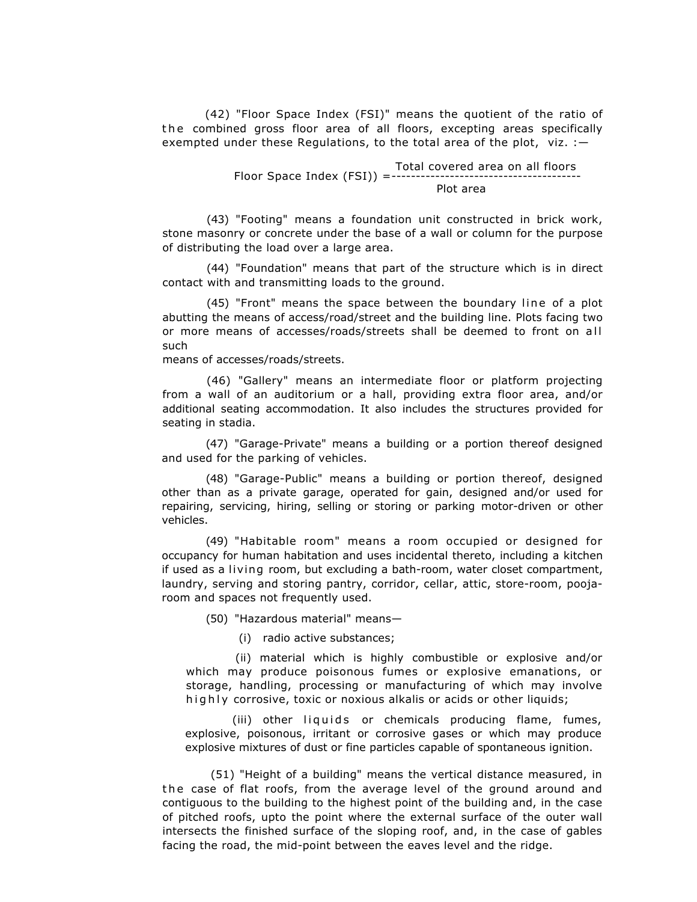(42) "Floor Space Index (FSI)" means the quotient of the ratio of the combined gross floor area of all floors, excepting areas specifically exempted under these Regulations, to the total area of the plot, viz.  $:$  -

> Total covered area on all floors Floor Space Index (FSI)) =--------------------------------------- Plot area

(43) "Footing" means a foundation unit constructed in brick work, stone masonry or concrete under the base of a wall or column for the purpose of distributing the load over a large area.

(44) "Foundation" means that part of the structure which is in direct contact with and transmitting loads to the ground.

(45) "Front" means the space between the boundary line of a plot abutting the means of access/road/street and the building line. Plots facing two or more means of accesses/roads/streets shall be deemed to front on all such

means of accesses/roads/streets.

(46) "Gallery" means an intermediate floor or platform projecting from a wall of an auditorium or a hall, providing extra floor area, and/or additional seating accommodation. It also includes the structures provided for seating in stadia.

(47) "Garage-Private" means a building or a portion thereof designed and used for the parking of vehicles.

(48) "Garage-Public" means a building or portion thereof, designed other than as a private garage, operated for gain, designed and/or used for repairing, servicing, hiring, selling or storing or parking motor-driven or other vehicles.

(49) "Habitable room" means a room occupied or designed for occupancy for human habitation and uses incidental thereto, including a kitchen if used as a living room, but excluding a bath-room, water closet compartment, laundry, serving and storing pantry, corridor, cellar, attic, store-room, poojaroom and spaces not frequently used.

(50) "Hazardous material" means—

(i) radio active substances;

(ii) material which is highly combustible or explosive and/or which may produce poisonous fumes or explosive emanations, or storage, handling, processing or manufacturing of which may involve highly corrosive, toxic or noxious alkalis or acids or other liquids;

(iii) other liquids or chemicals producing flame, fumes, explosive, poisonous, irritant or corrosive gases or which may produce explosive mixtures of dust or fine particles capable of spontaneous ignition.

 (51) "Height of a building" means the vertical distance measured, in the case of flat roofs, from the average level of the ground around and contiguous to the building to the highest point of the building and, in the case of pitched roofs, upto the point where the external surface of the outer wall intersects the finished surface of the sloping roof, and, in the case of gables facing the road, the mid-point between the eaves level and the ridge.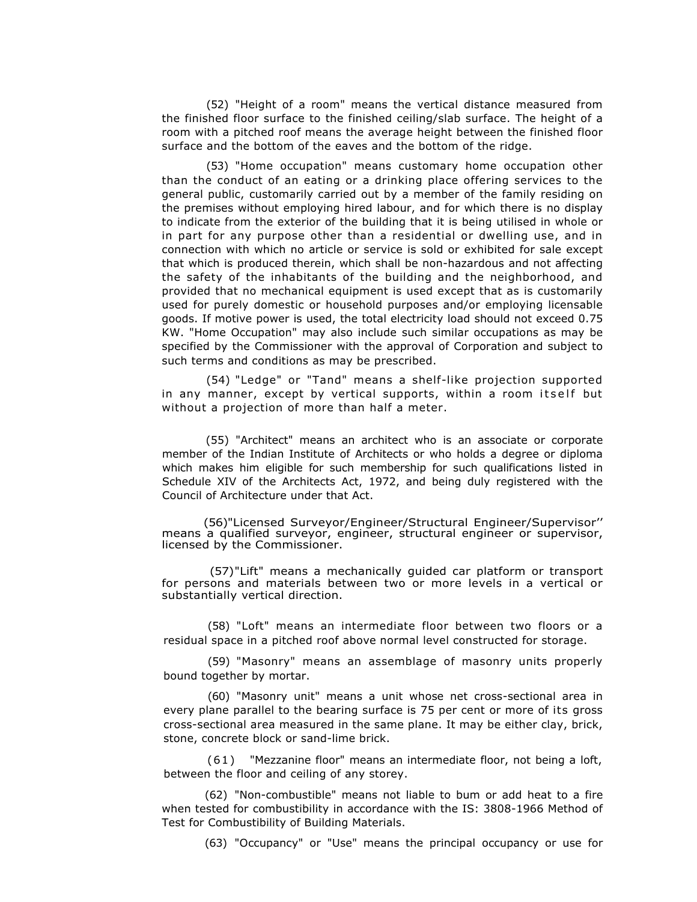(52) "Height of a room" means the vertical distance measured from the finished floor surface to the finished ceiling/slab surface. The height of a room with a pitched roof means the average height between the finished floor surface and the bottom of the eaves and the bottom of the ridge.

(53) "Home occupation" means customary home occupation other than the conduct of an eating or a drinking place offering services to the general public, customarily carried out by a member of the family residing on the premises without employing hired labour, and for which there is no display to indicate from the exterior of the building that it is being utilised in whole or in part for any purpose other than a residential or dwelling use, and in connection with which no article or service is sold or exhibited for sale except that which is produced therein, which shall be non-hazardous and not affecting the safety of the inhabitants of the building and the neighborhood, and provided that no mechanical equipment is used except that as is customarily used for purely domestic or household purposes and/or employing licensable goods. If motive power is used, the total electricity load should not exceed 0.75 KW. "Home Occupation" may also include such similar occupations as may be specified by the Commissioner with the approval of Corporation and subject to such terms and conditions as may be prescribed.

(54) "Ledge" or "Tand" means a shelf-like projection supported in any manner, except by vertical supports, within a room itself but without a projection of more than half a meter.

(55) "Architect" means an architect who is an associate or corporate member of the Indian Institute of Architects or who holds a degree or diploma which makes him eligible for such membership for such qualifications listed in Schedule XIV of the Architects Act, 1972, and being duly registered with the Council of Architecture under that Act.

 (56)"Licensed Surveyor/Engineer/Structural Engineer/Supervisor'' means a qualified surveyor, engineer, structural engineer or supervisor, licensed by the Commissioner.

 (57)"Lift" means a mechanically guided car platform or transport for persons and materials between two or more levels in a vertical or substantially vertical direction.

(58) "Loft" means an intermediate floor between two floors or a residual space in a pitched roof above normal level constructed for storage.

(59) "Masonry" means an assemblage of masonry units properly bound together by mortar.

(60) "Masonry unit" means a unit whose net cross-sectional area in every plane parallel to the bearing surface is 75 per cent or more of its gross cross-sectional area measured in the same plane. It may be either clay, brick, stone, concrete block or sand-lime brick.

(6 1 ) "Mezzanine floor" means an intermediate floor, not being a loft, between the floor and ceiling of any storey.

(62) "Non-combustible" means not liable to bum or add heat to a fire when tested for combustibility in accordance with the IS: 3808-1966 Method of Test for Combustibility of Building Materials.

(63) "Occupancy" or "Use" means the principal occupancy or use for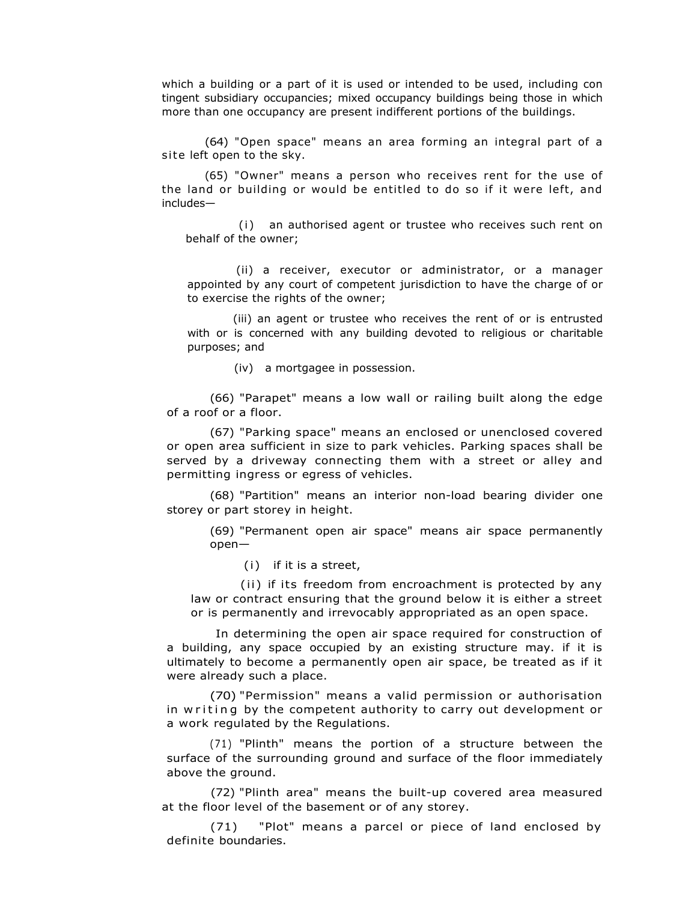which a building or a part of it is used or intended to be used, including con tingent subsidiary occupancies; mixed occupancy buildings being those in which more than one occupancy are present indifferent portions of the buildings.

(64) "Open space" means an area forming an integral part of a site left open to the sky.

(65) "Owner" means a person who receives rent for the use of the land or building or would be entitled to do so if it were left, and includes—

(i) an authorised agent or trustee who receives such rent on behalf of the owner;

(ii) a receiver, executor or administrator, or a manager appointed by any court of competent jurisdiction to have the charge of or to exercise the rights of the owner;

(iii) an agent or trustee who receives the rent of or is entrusted with or is concerned with any building devoted to religious or charitable purposes; and

(iv) a mortgagee in possession.

(66) "Parapet" means a low wall or railing built along the edge of a roof or a floor.

(67) "Parking space" means an enclosed or unenclosed covered or open area sufficient in size to park vehicles. Parking spaces shall be served by a driveway connecting them with a street or alley and permitting ingress or egress of vehicles.

(68) "Partition" means an interior non-load bearing divider one storey or part storey in height.

(69) "Permanent open air space" means air space permanently open—

(i) if it is a street,

(ii) if its freedom from encroachment is protected by any law or contract ensuring that the ground below it is either a street or is permanently and irrevocably appropriated as an open space.

In determining the open air space required for construction of a building, any space occupied by an existing structure may. if it is ultimately to become a permanently open air space, be treated as if it were already such a place.

(70) "Permission" means a valid permission or authorisation in w riting by the competent authority to carry out development or a work regulated by the Regulations.

(71) "Plinth" means the portion of a structure between the surface of the surrounding ground and surface of the floor immediately above the ground.

(72) "Plinth area" means the built-up covered area measured at the floor level of the basement or of any storey.

(71) "Plot" means a parcel or piece of land enclosed by definite boundaries.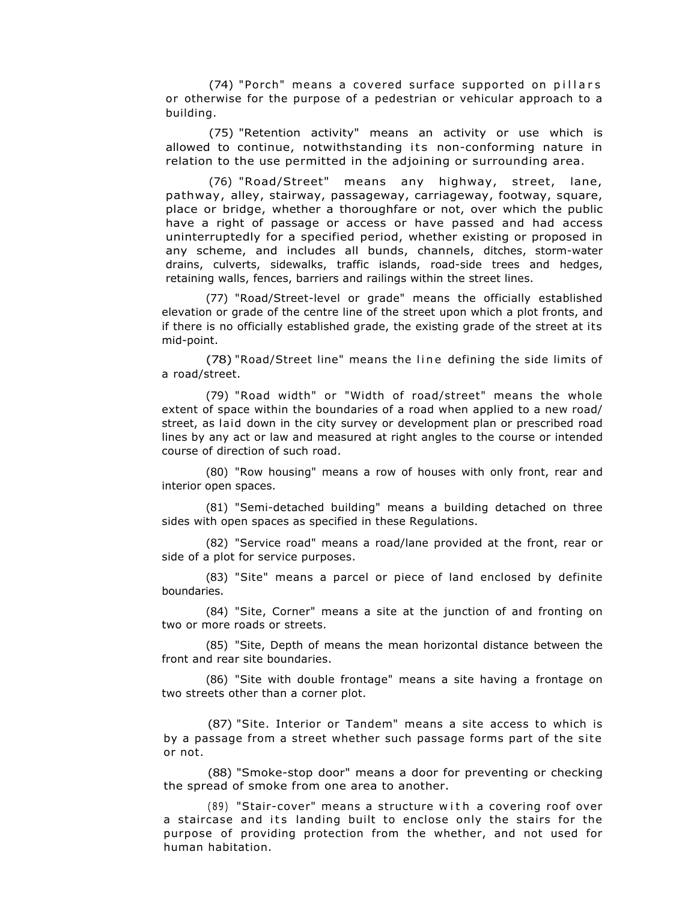(74) "Porch" means a covered surface supported on pillars or otherwise for the purpose of a pedestrian or vehicular approach to a building.

(75) "Retention activity" means an activity or use which is allowed to continue, notwithstanding its non-conforming nature in relation to the use permitted in the adjoining or surrounding area.

(76) "Road/Street" means any highway, street, lane, pathway, alley, stairway, passageway, carriageway, footway, square, place or bridge, whether a thoroughfare or not, over which the public have a right of passage or access or have passed and had access uninterruptedly for a specified period, whether existing or proposed in any scheme, and includes all bunds, channels, ditches, storm-water drains, culverts, sidewalks, traffic islands, road-side trees and hedges, retaining walls, fences, barriers and railings within the street lines.

(77) "Road/Street-level or grade" means the officially established elevation or grade of the centre line of the street upon which a plot fronts, and if there is no officially established grade, the existing grade of the street at its mid-point.

(78) "Road/Street line" means the line defining the side limits of a road/street.

(79) "Road width" or "Width of road/street" means the whole extent of space within the boundaries of a road when applied to a new road/ street, as laid down in the city survey or development plan or prescribed road lines by any act or law and measured at right angles to the course or intended course of direction of such road.

(80) "Row housing" means a row of houses with only front, rear and interior open spaces.

(81) "Semi-detached building" means a building detached on three sides with open spaces as specified in these Regulations.

(82) "Service road" means a road/lane provided at the front, rear or side of a plot for service purposes.

(83) "Site" means a parcel or piece of land enclosed by definite boundaries.

(84) "Site, Corner" means a site at the junction of and fronting on two or more roads or streets.

(85) "Site, Depth of means the mean horizontal distance between the front and rear site boundaries.

(86) "Site with double frontage" means a site having a frontage on two streets other than a corner plot.

(87) "Site. Interior or Tandem" means a site access to which is by a passage from a street whether such passage forms part of the site or not.

(88) "Smoke-stop door" means a door for preventing or checking the spread of smoke from one area to another.

 $(89)$  "Stair-cover" means a structure with a covering roof over a staircase and its landing built to enclose only the stairs for the purpose of providing protection from the whether, and not used for human habitation.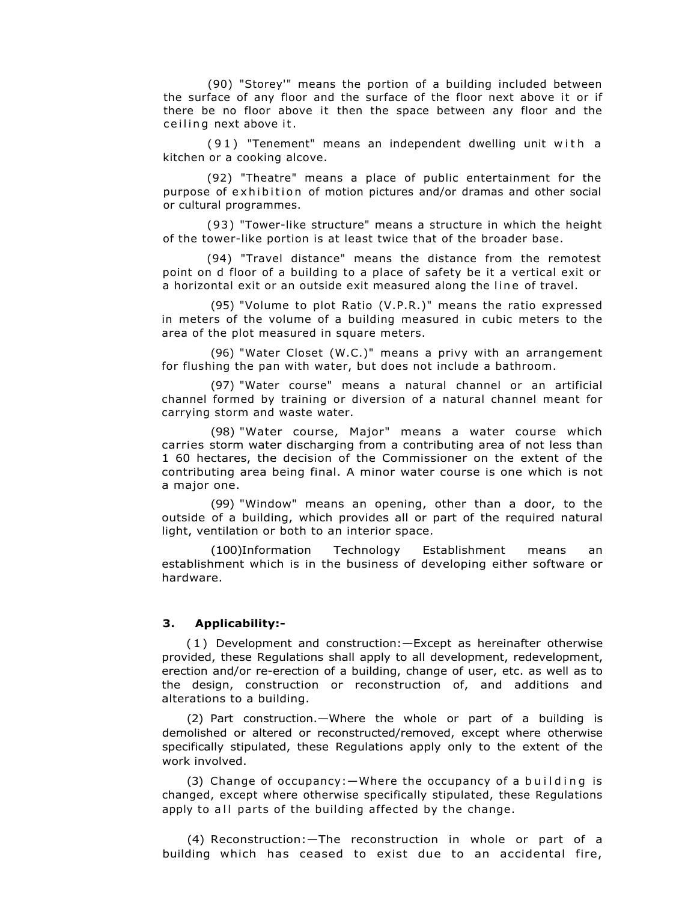(90) "Storey'" means the portion of a building included between the surface of any floor and the surface of the floor next above it or if there be no floor above it then the space between any floor and the ceiling next above it.

(91) "Tenement" means an independent dwelling unit with a kitchen or a cooking alcove.

(92) "Theatre" means a place of public entertainment for the purpose of exhibition of motion pictures and/or dramas and other social or cultural programmes.

(93 ) "Tower-like structure" means a structure in which the height of the tower-like portion is at least twice that of the broader base.

(94) "Travel distance" means the distance from the remotest point on d floor of a building to a place of safety be it a vertical exit or a horizontal exit or an outside exit measured along the line of travel.

(95) "Volume to plot Ratio (V.P.R.)" means the ratio expressed in meters of the volume of a building measured in cubic meters to the area of the plot measured in square meters.

(96) "Water Closet (W.C.)" means a privy with an arrangement for flushing the pan with water, but does not include a bathroom.

(97) "Water course" means a natural channel or an artificial channel formed by training or diversion of a natural channel meant for carrying storm and waste water.

(98) "Water course, Major" means a water course which carries storm water discharging from a contributing area of not less than 1 60 hectares, the decision of the Commissioner on the extent of the contributing area being final. A minor water course is one which is not a major one.

(99) "Window" means an opening, other than a door, to the outside of a building, which provides all or part of the required natural light, ventilation or both to an interior space.

(100)Information Technology Establishment means an establishment which is in the business of developing either software or hardware.

## **3. Applicability:-**

( 1 ) Development and construction:—Except as hereinafter otherwise provided, these Regulations shall apply to all development, redevelopment, erection and/or re-erection of a building, change of user, etc. as well as to the design, construction or reconstruction of, and additions and alterations to a building.

(2) Part construction.—Where the whole or part of a building is demolished or altered or reconstructed/removed, except where otherwise specifically stipulated, these Regulations apply only to the extent of the work involved.

(3) Change of occupancy:  $-W$ here the occupancy of a building is changed, except where otherwise specifically stipulated, these Regulations apply to all parts of the building affected by the change.

(4) Reconstruction:—The reconstruction in whole or part of a building which has ceased to exist due to an accidental fire,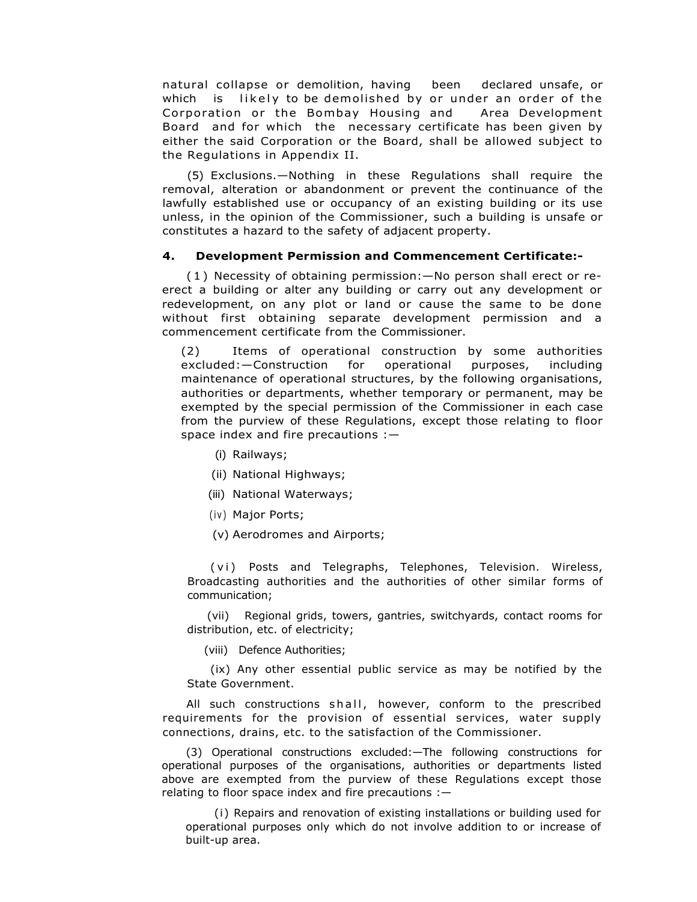natural collapse or demolition, having been declared unsafe, or which is likely to be demolished by or under an order of the Corporation or the Bombay Housing and Area Development Board and for which the necessary certificate has been given by either the said Corporation or the Board, shall be allowed subject to the Regulations in Appendix II.

(5) Exclusions.—Nothing in these Regulations shall require the removal, alteration or abandonment or prevent the continuance of the lawfully established use or occupancy of an existing building or its use unless, in the opinion of the Commissioner, such a building is unsafe or constitutes a hazard to the safety of adjacent property.

## **4. Development Permission and Commencement Certificate:-**

( 1 ) Necessity of obtaining permission:—No person shall erect or reerect a building or alter any building or carry out any development or redevelopment, on any plot or land or cause the same to be done without first obtaining separate development permission and a commencement certificate from the Commissioner.

(2) Items of operational construction by some authorities excluded:—Construction for operational purposes, including maintenance of operational structures, by the following organisations, authorities or departments, whether temporary or permanent, may be exempted by the special permission of the Commissioner in each case from the purview of these Regulations, except those relating to floor space index and fire precautions :—

- (i) Railways;
- (ii) National Highways;
- (iii) National Waterways;
- (iv) Major Ports;
- (v) Aerodromes and Airports;

(vi) Posts and Telegraphs, Telephones, Television. Wireless, Broadcasting authorities and the authorities of other similar forms of communication;

(vii) Regional grids, towers, gantries, switchyards, contact rooms for distribution, etc. of electricity;

(viii) Defence Authorities;

(ix) Any other essential public service as may be notified by the State Government.

All such constructions shall, however, conform to the prescribed requirements for the provision of essential services, water supply connections, drains, etc. to the satisfaction of the Commissioner.

(3) Operational constructions excluded:—The following constructions for operational purposes of the organisations, authorities or departments listed above are exempted from the purview of these Regulations except those relating to floor space index and fire precautions :—

(i) Repairs and renovation of existing installations or building used for operational purposes only which do not involve addition to or increase of built-up area.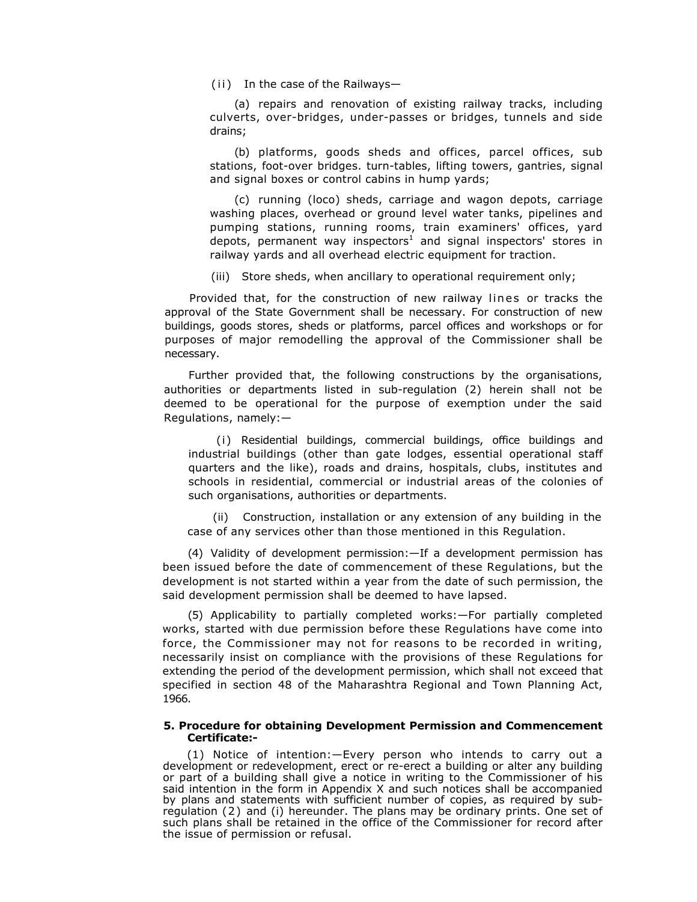$(i)$  In the case of the Railways-

(a) repairs and renovation of existing railway tracks, including culverts, over-bridges, under-passes or bridges, tunnels and side drains;

(b) platforms, goods sheds and offices, parcel offices, sub stations, foot-over bridges. turn-tables, lifting towers, gantries, signal and signal boxes or control cabins in hump yards;

(c) running (loco) sheds, carriage and wagon depots, carriage washing places, overhead or ground level water tanks, pipelines and pumping stations, running rooms, train examiners' offices, yard depots, permanent way inspectors<sup>1</sup> and signal inspectors' stores in railway yards and all overhead electric equipment for traction.

(iii) Store sheds, when ancillary to operational requirement only;

Provided that, for the construction of new railway lines or tracks the approval of the State Government shall be necessary. For construction of new buildings, goods stores, sheds or platforms, parcel offices and workshops or for purposes of major remodelling the approval of the Commissioner shall be necessary.

Further provided that, the following constructions by the organisations, authorities or departments listed in sub-regulation (2) herein shall not be deemed to be operational for the purpose of exemption under the said Regulations, namely:—

(i) Residential buildings, commercial buildings, office buildings and industrial buildings (other than gate lodges, essential operational staff quarters and the like), roads and drains, hospitals, clubs, institutes and schools in residential, commercial or industrial areas of the colonies of such organisations, authorities or departments.

(ii) Construction, installation or any extension of any building in the case of any services other than those mentioned in this Regulation.

(4) Validity of development permission:—If a development permission has been issued before the date of commencement of these Regulations, but the development is not started within a year from the date of such permission, the said development permission shall be deemed to have lapsed.

(5) Applicability to partially completed works:—For partially completed works, started with due permission before these Regulations have come into force, the Commissioner may not for reasons to be recorded in writing, necessarily insist on compliance with the provisions of these Regulations for extending the period of the development permission, which shall not exceed that specified in section 48 of the Maharashtra Regional and Town Planning Act, 1966.

### **5. Procedure for obtaining Development Permission and Commencement Certificate:-**

(1) Notice of intention:—Every person who intends to carry out a development or redevelopment, erect or re-erect a building or alter any building or part of a building shall give a notice in writing to the Commissioner of his said intention in the form in Appendix X and such notices shall be accompanied by plans and statements with sufficient number of copies, as required by subregulation (2) and (i) hereunder. The plans may be ordinary prints. One set of such plans shall be retained in the office of the Commissioner for record after the issue of permission or refusal.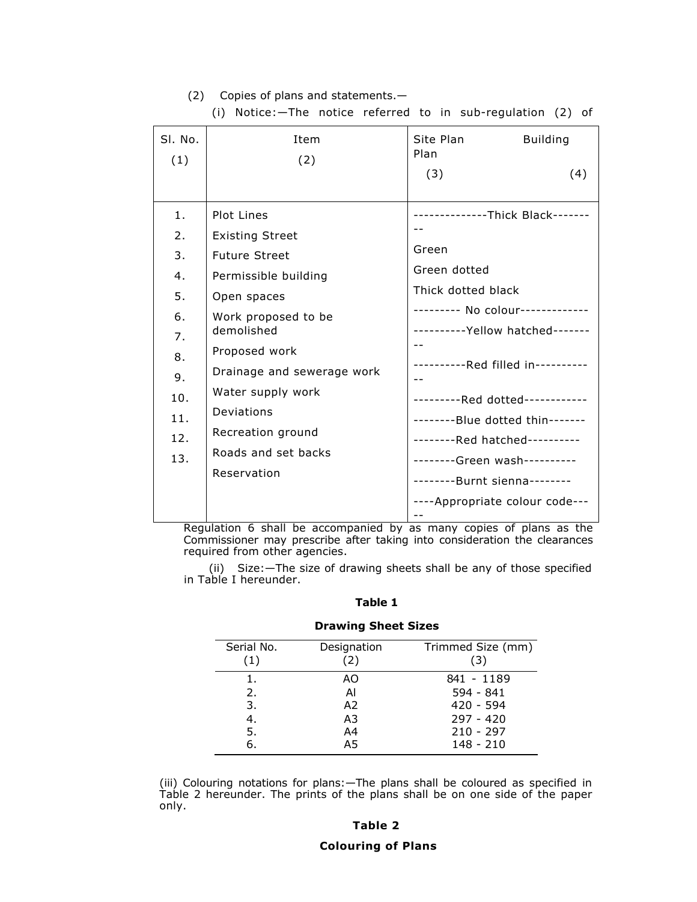# (2) Copies of plans and statements.—

| SI. No.<br>(1)                                                                 | Item<br>(2)                                                                                                                                                                                                                                                                           | Site Plan<br><b>Building</b><br>Plan<br>(3)<br>(4)                                                                                                                                                                                                                                                                                                                   |
|--------------------------------------------------------------------------------|---------------------------------------------------------------------------------------------------------------------------------------------------------------------------------------------------------------------------------------------------------------------------------------|----------------------------------------------------------------------------------------------------------------------------------------------------------------------------------------------------------------------------------------------------------------------------------------------------------------------------------------------------------------------|
| 1.<br>2.<br>3.<br>4.<br>5.<br>6.<br>7.<br>8.<br>9.<br>10.<br>11.<br>12.<br>13. | Plot Lines<br><b>Existing Street</b><br><b>Future Street</b><br>Permissible building<br>Open spaces<br>Work proposed to be<br>demolished<br>Proposed work<br>Drainage and sewerage work<br>Water supply work<br>Deviations<br>Recreation ground<br>Roads and set backs<br>Reservation | Green<br>Green dotted<br>Thick dotted black<br>---------    No colour-------------<br>---------- Yellow hatched-------<br>----------Red filled in----------<br>---------Red dotted------------<br>--------Blue dotted thin-------<br>--------Red hatched----------<br>--------Green wash----------<br>--------Burnt sienna--------<br>----Appropriate colour code--- |
|                                                                                |                                                                                                                                                                                                                                                                                       |                                                                                                                                                                                                                                                                                                                                                                      |

(i) Notice:—The notice referred to in sub-regulation (2) of

Regulation 6 shall be accompanied by as many copies of plans as the Commissioner may prescribe after taking into consideration the clearances required from other agencies.

(ii) Size:—The size of drawing sheets shall be any of those specified in Table I hereunder.

## **Table 1**

# **Drawing Sheet Sizes**

| Serial No.<br>(1) | Designation<br>(2) | Trimmed Size (mm)<br>(3) |
|-------------------|--------------------|--------------------------|
| 1.                | AΟ                 | 841 - 1189               |
| 2.                | Al                 | $594 - 841$              |
| 3.                | A2                 | $420 - 594$              |
| 4.                | A3                 | $797 - 420$              |
| 5.                | A4                 | $210 - 297$              |
| 6.                | A5                 | $148 - 210$              |

(iii) Colouring notations for plans:—The plans shall be coloured as specified in Table 2 hereunder. The prints of the plans shall be on one side of the paper only.

## **Table 2**

## **Colouring of Plans**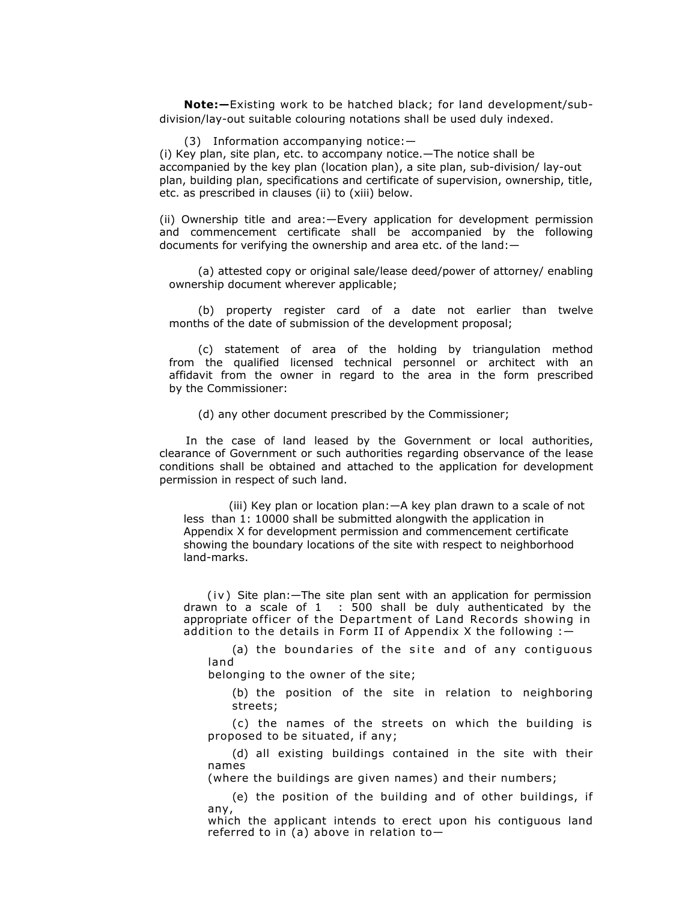**Note:—**Existing work to be hatched black; for land development/subdivision/lay-out suitable colouring notations shall be used duly indexed.

(3) Information accompanying notice:—

(i) Key plan, site plan, etc. to accompany notice.—The notice shall be accompanied by the key plan (location plan), a site plan, sub-division/ lay-out plan, building plan, specifications and certificate of supervision, ownership, title, etc. as prescribed in clauses (ii) to (xiii) below.

(ii) Ownership title and area:—Every application for development permission and commencement certificate shall be accompanied by the following documents for verifying the ownership and area etc. of the land:—

(a) attested copy or original sale/lease deed/power of attorney/ enabling ownership document wherever applicable;

(b) property register card of a date not earlier than twelve months of the date of submission of the development proposal;

(c) statement of area of the holding by triangulation method from the qualified licensed technical personnel or architect with an affidavit from the owner in regard to the area in the form prescribed by the Commissioner:

(d) any other document prescribed by the Commissioner;

 In the case of land leased by the Government or local authorities, clearance of Government or such authorities regarding observance of the lease conditions shall be obtained and attached to the application for development permission in respect of such land.

 (iii) Key plan or location plan:—A key plan drawn to a scale of not less than 1: 10000 shall be submitted alongwith the application in Appendix X for development permission and commencement certificate showing the boundary locations of the site with respect to neighborhood land-marks.

 $(iv)$  Site plan: $-$ The site plan sent with an application for permission drawn to a scale of 1 : 500 shall be duly authenticated by the appropriate officer of the Department of Land Records showing in addition to the details in Form II of Appendix X the following  $:$   $-$ 

(a) the boundaries of the site and of any contiguous land

belonging to the owner of the site;

(b) the position of the site in relation to neighboring streets;

(c) the names of the streets on which the building is proposed to be situated, if any;

(d) all existing buildings contained in the site with their names

(where the buildings are given names) and their numbers;

(e) the position of the building and of other buildings, if any,

which the applicant intends to erect upon his contiguous land referred to in (a) above in relation to—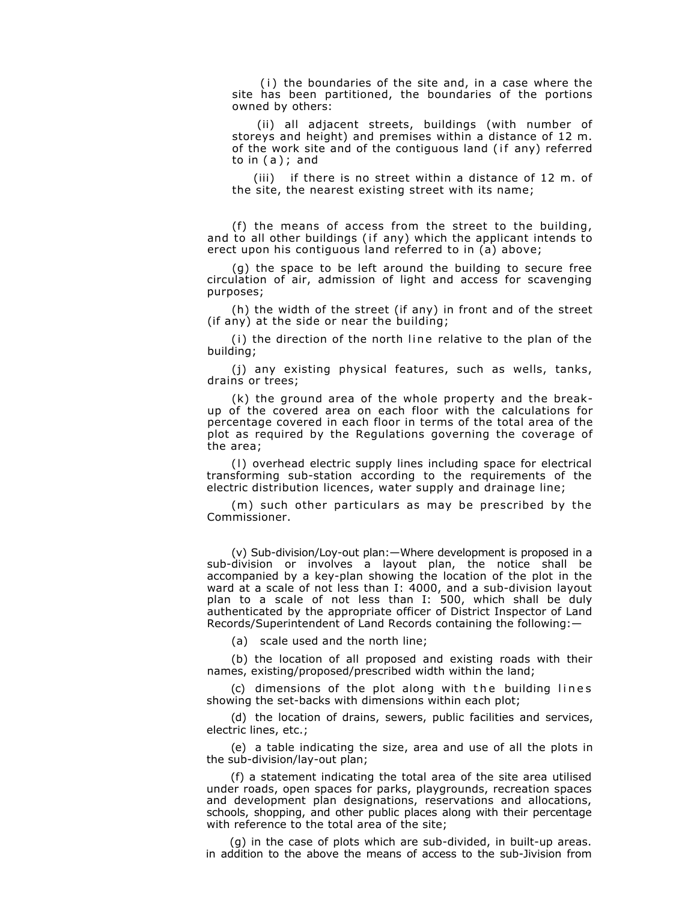(i) the boundaries of the site and, in a case where the site has been partitioned, the boundaries of the portions owned by others:

(ii) all adjacent streets, buildings (with number of storeys and height) and premises within a distance of 12 m. of the work site and of the contiguous land (if any) referred to in ( a ) ; and

(iii) if there is no street within a distance of 12 m. of the site, the nearest existing street with its name;

(f) the means of access from the street to the building, and to all other buildings (if any) which the applicant intends to erect upon his contiguous land referred to in (a) above;

(g) the space to be left around the building to secure free circulation of air, admission of light and access for scavenging purposes;

(h) the width of the street (if any) in front and of the street (if any) at the side or near the building;

 $(i)$  the direction of the north line relative to the plan of the building;

(j) any existing physical features, such as wells, tanks, drains or trees;

(k) the ground area of the whole property and the breakup of the covered area on each floor with the calculations for percentage covered in each floor in terms of the total area of the plot as required by the Regulations governing the coverage of the area;

(I) overhead electric supply lines including space for electrical transforming sub-station according to the requirements of the electric distribution licences, water supply and drainage line;

(m) such other particulars as may be prescribed by the Commissioner.

(v) Sub-division/Loy-out plan:—Where development is proposed in a sub-division or involves a layout plan, the notice shall be accompanied by a key-plan showing the location of the plot in the ward at a scale of not less than I: 4000, and a sub-division layout plan to a scale of not less than I: 500, which shall be duly authenticated by the appropriate officer of District Inspector of Land Records/Superintendent of Land Records containing the following:—

(a) scale used and the north line;

(b) the location of all proposed and existing roads with their names, existing/proposed/prescribed width within the land;

 $(c)$  dimensions of the plot along with the building lines showing the set-backs with dimensions within each plot;

(d) the location of drains, sewers, public facilities and services, electric lines, etc.;

(e) a table indicating the size, area and use of all the plots in the sub-division/lay-out plan;

(f) a statement indicating the total area of the site area utilised under roads, open spaces for parks, playgrounds, recreation spaces and development plan designations, reservations and allocations, schools, shopping, and other public places along with their percentage with reference to the total area of the site;

(g) in the case of plots which are sub-divided, in built-up areas. in addition to the above the means of access to the sub-Jivision from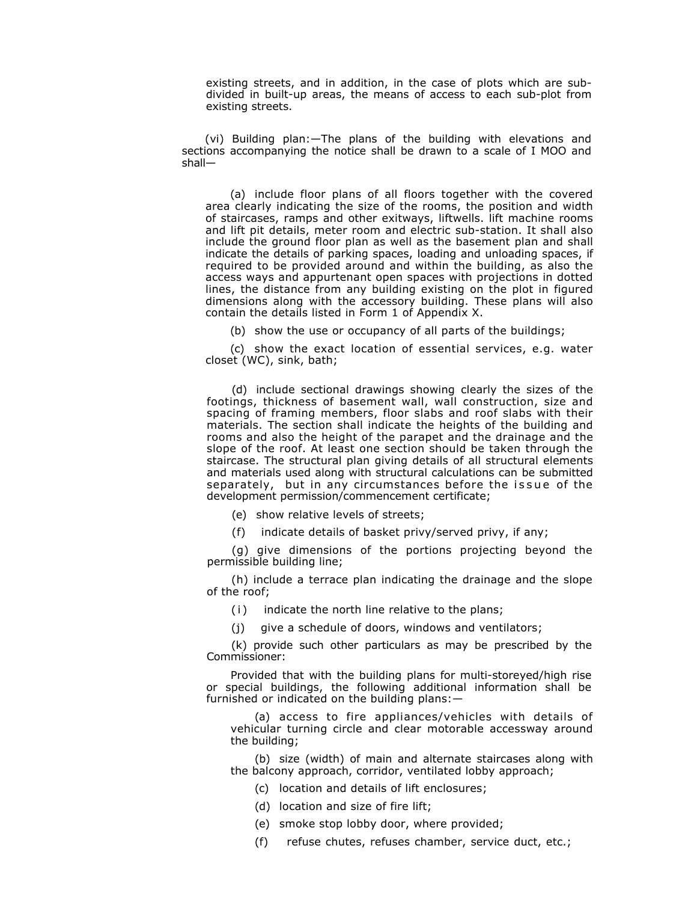existing streets, and in addition, in the case of plots which are subdivided in built-up areas, the means of access to each sub-plot from existing streets.

(vi) Building plan:—The plans of the building with elevations and sections accompanying the notice shall be drawn to a scale of I MOO and shall—

(a) include floor plans of all floors together with the covered area clearly indicating the size of the rooms, the position and width of staircases, ramps and other exitways, liftwells. lift machine rooms and lift pit details, meter room and electric sub-station. It shall also include the ground floor plan as well as the basement plan and shall indicate the details of parking spaces, loading and unloading spaces, if required to be provided around and within the building, as also the access ways and appurtenant open spaces with projections in dotted lines, the distance from any building existing on the plot in figured dimensions along with the accessory building. These plans will also contain the details listed in Form 1 of Appendix X.

(b) show the use or occupancy of all parts of the buildings;

(c) show the exact location of essential services, e.g. water closet (WC), sink, bath;

(d) include sectional drawings showing clearly the sizes of the footings, thickness of basement wall, wall construction, size and spacing of framing members, floor slabs and roof slabs with their materials. The section shall indicate the heights of the building and rooms and also the height of the parapet and the drainage and the slope of the roof. At least one section should be taken through the staircase. The structural plan giving details of all structural elements and materials used along with structural calculations can be submitted separately, but in any circumstances before the issue of the development permission/commencement certificate;

(e) show relative levels of streets;

(f) indicate details of basket privy/served privy, if any;

(g) give dimensions of the portions projecting beyond the permissible building line;

(h) include a terrace plan indicating the drainage and the slope of the roof;

(i) indicate the north line relative to the plans;

(j) give a schedule of doors, windows and ventilators;

(k) provide such other particulars as may be prescribed by the Commissioner:

Provided that with the building plans for multi-storeyed/high rise or special buildings, the following additional information shall be furnished or indicated on the building plans:—

(a) access to fire appliances/vehicles with details of vehicular turning circle and clear motorable accessway around the building;

(b) size (width) of main and alternate staircases along with the balcony approach, corridor, ventilated lobby approach;

(c) location and details of lift enclosures;

(d) location and size of fire lift;

(e) smoke stop lobby door, where provided;

(f) refuse chutes, refuses chamber, service duct, etc.;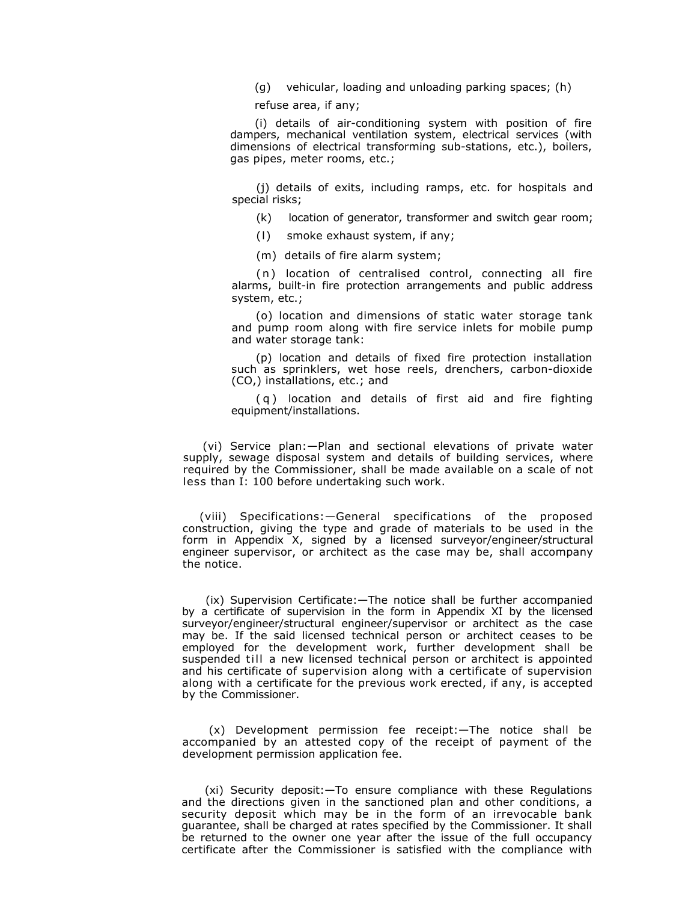(g) vehicular, loading and unloading parking spaces; (h)

refuse area, if any;

(i) details of air-conditioning system with position of fire dampers, mechanical ventilation system, electrical services (with dimensions of electrical transforming sub-stations, etc.), boilers, gas pipes, meter rooms, etc.;

(j) details of exits, including ramps, etc. for hospitals and special risks;

(k) location of generator, transformer and switch gear room;

(l) smoke exhaust system, if any;

(m) details of fire alarm system;

(n) location of centralised control, connecting all fire alarms, built-in fire protection arrangements and public address system, etc.;

(o) location and dimensions of static water storage tank and pump room along with fire service inlets for mobile pump and water storage tank:

(p) location and details of fixed fire protection installation such as sprinklers, wet hose reels, drenchers, carbon-dioxide (CO,) installations, etc.; and

( q ) location and details of first aid and fire fighting equipment/installations.

(vi) Service plan:—Plan and sectional elevations of private water supply, sewage disposal system and details of building services, where required by the Commissioner, shall be made available on a scale of not less than I: 100 before undertaking such work.

(viii) Specifications:—General specifications of the proposed construction, giving the type and grade of materials to be used in the form in Appendix X, signed by a licensed surveyor/engineer/structural engineer supervisor, or architect as the case may be, shall accompany the notice.

(ix) Supervision Certificate:—The notice shall be further accompanied by a certificate of supervision in the form in Appendix XI by the licensed surveyor/engineer/structural engineer/supervisor or architect as the case may be. If the said licensed technical person or architect ceases to be employed for the development work, further development shall be suspended till a new licensed technical person or architect is appointed and his certificate of supervision along with a certificate of supervision along with a certificate for the previous work erected, if any, is accepted by the Commissioner.

(x) Development permission fee receipt:—The notice shall be accompanied by an attested copy of the receipt of payment of the development permission application fee.

(xi) Security deposit:—To ensure compliance with these Regulations and the directions given in the sanctioned plan and other conditions, a security deposit which may be in the form of an irrevocable bank guarantee, shall be charged at rates specified by the Commissioner. It shall be returned to the owner one year after the issue of the full occupancy certificate after the Commissioner is satisfied with the compliance with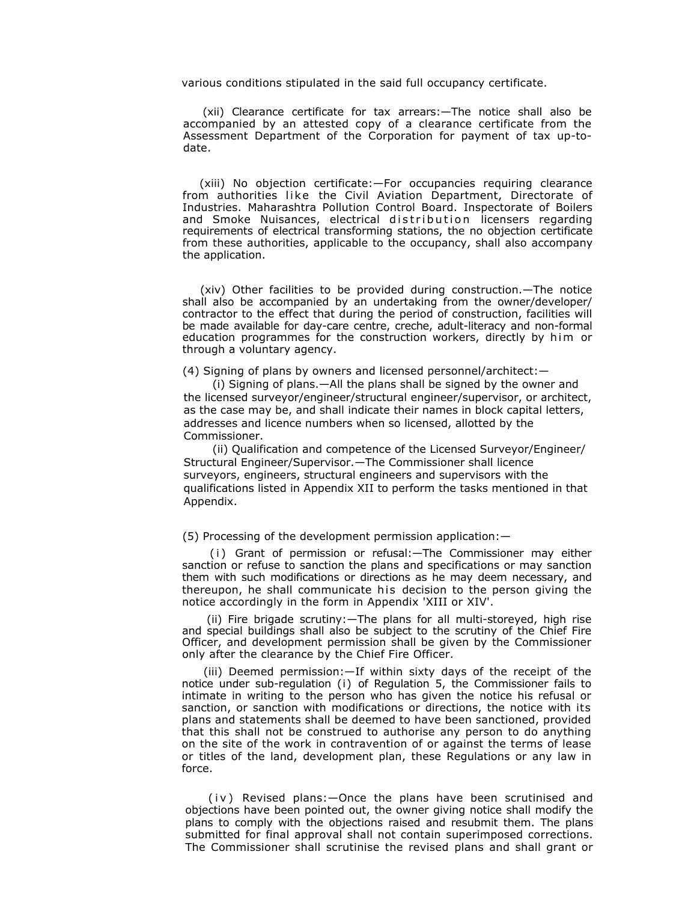various conditions stipulated in the said full occupancy certificate.

(xii) Clearance certificate for tax arrears:—The notice shall also be accompanied by an attested copy of a clearance certificate from the Assessment Department of the Corporation for payment of tax up-todate.

(xiii) No objection certificate:—For occupancies requiring clearance from authorities like the Civil Aviation Department, Directorate of Industries. Maharashtra Pollution Control Board. Inspectorate of Boilers and Smoke Nuisances, electrical distribution licensers regarding requirements of electrical transforming stations, the no objection certificate from these authorities, applicable to the occupancy, shall also accompany the application.

(xiv) Other facilities to be provided during construction.—The notice shall also be accompanied by an undertaking from the owner/developer/ contractor to the effect that during the period of construction, facilities will be made available for day-care centre, creche, adult-literacy and non-formal education programmes for the construction workers, directly by him or through a voluntary agency.

(4) Signing of plans by owners and licensed personnel/architect:—

(i) Signing of plans.—All the plans shall be signed by the owner and the licensed surveyor/engineer/structural engineer/supervisor, or architect, as the case may be, and shall indicate their names in block capital letters, addresses and licence numbers when so licensed, allotted by the Commissioner.

(ii) Qualification and competence of the Licensed Surveyor/Engineer/ Structural Engineer/Supervisor.—The Commissioner shall licence surveyors, engineers, structural engineers and supervisors with the qualifications listed in Appendix XII to perform the tasks mentioned in that Appendix.

(5) Processing of the development permission application:—

(i) Grant of permission or refusal: - The Commissioner may either sanction or refuse to sanction the plans and specifications or may sanction them with such modifications or directions as he may deem necessary, and thereupon, he shall communicate his decision to the person giving the notice accordingly in the form in Appendix 'XIII or XIV'.

(ii) Fire brigade scrutiny:—The plans for all multi-storeyed, high rise and special buildings shall also be subject to the scrutiny of the Chief Fire Officer, and development permission shall be given by the Commissioner only after the clearance by the Chief Fire Officer.

(iii) Deemed permission:—If within sixty days of the receipt of the notice under sub-regulation (i) of Regulation 5, the Commissioner fails to intimate in writing to the person who has given the notice his refusal or sanction, or sanction with modifications or directions, the notice with its plans and statements shall be deemed to have been sanctioned, provided that this shall not be construed to authorise any person to do anything on the site of the work in contravention of or against the terms of lease or titles of the land, development plan, these Regulations or any law in force.

(iv) Revised plans: - Once the plans have been scrutinised and objections have been pointed out, the owner giving notice shall modify the plans to comply with the objections raised and resubmit them. The plans submitted for final approval shall not contain superimposed corrections. The Commissioner shall scrutinise the revised plans and shall grant or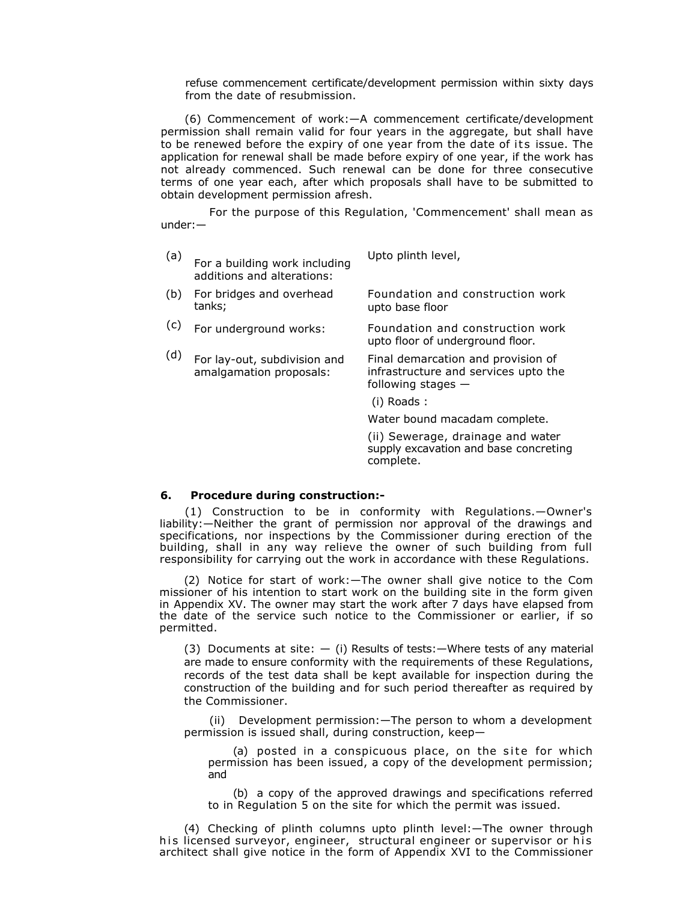refuse commencement certificate/development permission within sixty days from the date of resubmission.

(6) Commencement of work:—A commencement certificate/development permission shall remain valid for four years in the aggregate, but shall have to be renewed before the expiry of one year from the date of its issue. The application for renewal shall be made before expiry of one year, if the work has not already commenced. Such renewal can be done for three consecutive terms of one year each, after which proposals shall have to be submitted to obtain development permission afresh.

For the purpose of this Regulation, 'Commencement' shall mean as under:—

| (a) | For a building work including<br>additions and alterations: | Upto plinth level,                      |
|-----|-------------------------------------------------------------|-----------------------------------------|
| (h) | For bridges and overhead                                    | <b>EQUIDATION and construction work</b> |

- (b) For bridges and overhead tanks; Foundation and construction work upto base floor
- (c) For underground works: Foundation and construction work upto floor of underground floor.
- (d) For lay-out, subdivision and amalgamation proposals: Final demarcation and provision of infrastructure and services upto the following stages —
	- (i) Roads :

Water bound macadam complete.

(ii) Sewerage, drainage and water supply excavation and base concreting complete.

### **6. Procedure during construction:-**

(1) Construction to be in conformity with Regulations.—Owner's liability:—Neither the grant of permission nor approval of the drawings and specifications, nor inspections by the Commissioner during erection of the building, shall in any way relieve the owner of such building from full responsibility for carrying out the work in accordance with these Regulations.

(2) Notice for start of work:—The owner shall give notice to the Com missioner of his intention to start work on the building site in the form given in Appendix XV. The owner may start the work after 7 days have elapsed from the date of the service such notice to the Commissioner or earlier, if so permitted.

(3) Documents at site:  $-$  (i) Results of tests: - Where tests of any material are made to ensure conformity with the requirements of these Regulations, records of the test data shall be kept available for inspection during the construction of the building and for such period thereafter as required by the Commissioner.

(ii) Development permission:—The person to whom a development permission is issued shall, during construction, keep—

(a) posted in a conspicuous place, on the site for which permission has been issued, a copy of the development permission; and

(b) a copy of the approved drawings and specifications referred to in Regulation 5 on the site for which the permit was issued.

(4) Checking of plinth columns upto plinth level:—The owner through his licensed surveyor, engineer, structural engineer or supervisor or his architect shall give notice in the form of Appendix XVI to the Commissioner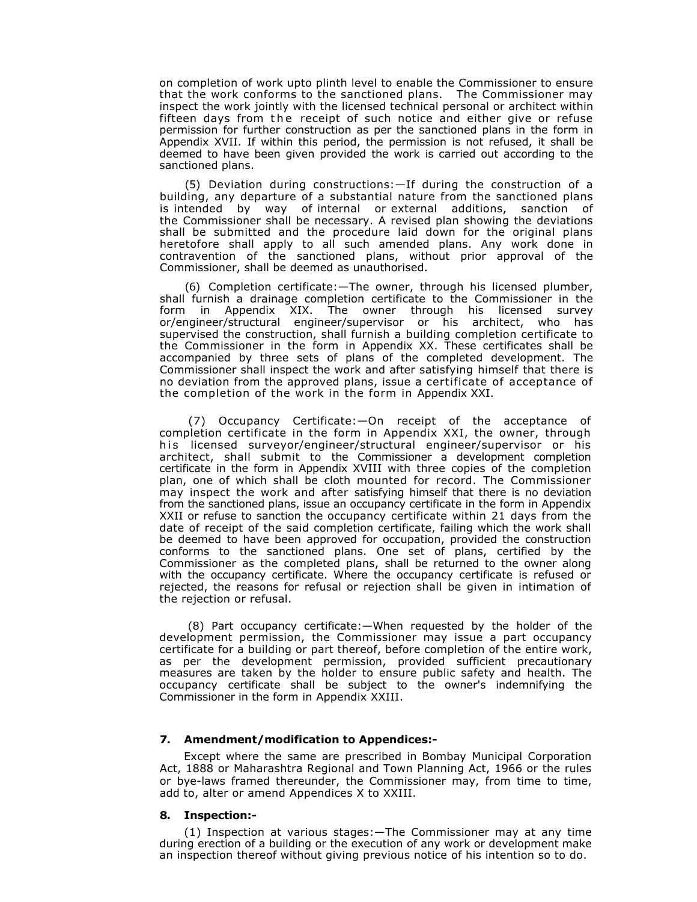on completion of work upto plinth level to enable the Commissioner to ensure that the work conforms to the sanctioned plans. The Commissioner may inspect the work jointly with the licensed technical personal or architect within fifteen days from the receipt of such notice and either give or refuse permission for further construction as per the sanctioned plans in the form in Appendix XVII. If within this period, the permission is not refused, it shall be deemed to have been given provided the work is carried out according to the sanctioned plans.

(5) Deviation during constructions:—If during the construction of a building, any departure of a substantial nature from the sanctioned plans is intended by way of internal or external additions, sanction of the Commissioner shall be necessary. A revised plan showing the deviations shall be submitted and the procedure laid down for the original plans heretofore shall apply to all such amended plans. Any work done in contravention of the sanctioned plans, without prior approval of the Commissioner, shall be deemed as unauthorised.

(6) Completion certificate:—The owner, through his licensed plumber, shall furnish a drainage completion certificate to the Commissioner in the form in Appendix XIX. The owner through his licensed survey or/engineer/structural engineer/supervisor or his architect, who has supervised the construction, shall furnish a building completion certificate to the Commissioner in the form in Appendix XX. These certificates shall be accompanied by three sets of plans of the completed development. The Commissioner shall inspect the work and after satisfying himself that there is no deviation from the approved plans, issue a certificate of acceptance of the completion of the work in the form in Appendix XXI.

 (7) Occupancy Certificate:—On receipt of the acceptance of completion certificate in the form in Appendix XXI, the owner, through his licensed surveyor/engineer/structural engineer/supervisor or his architect, shall submit to the Commissioner a development completion certificate in the form in Appendix XVIII with three copies of the completion plan, one of which shall be cloth mounted for record. The Commissioner may inspect the work and after satisfying himself that there is no deviation from the sanctioned plans, issue an occupancy certificate in the form in Appendix XXII or refuse to sanction the occupancy certificate within 21 days from the date of receipt of the said completion certificate, failing which the work shall be deemed to have been approved for occupation, provided the construction conforms to the sanctioned plans. One set of plans, certified by the Commissioner as the completed plans, shall be returned to the owner along with the occupancy certificate. Where the occupancy certificate is refused or rejected, the reasons for refusal or rejection shall be given in intimation of the rejection or refusal.

(8) Part occupancy certificate:—When requested by the holder of the development permission, the Commissioner may issue a part occupancy certificate for a building or part thereof, before completion of the entire work, as per the development permission, provided sufficient precautionary measures are taken by the holder to ensure public safety and health. The occupancy certificate shall be subject to the owner's indemnifying the Commissioner in the form in Appendix XXIII.

# **7. Amendment/modification to Appendices:-**

Except where the same are prescribed in Bombay Municipal Corporation Act, 1888 or Maharashtra Regional and Town Planning Act, 1966 or the rules or bye-laws framed thereunder, the Commissioner may, from time to time, add to, alter or amend Appendices X to XXIII.

### **8. Inspection:-**

(1) Inspection at various stages:—The Commissioner may at any time during erection of a building or the execution of any work or development make an inspection thereof without giving previous notice of his intention so to do.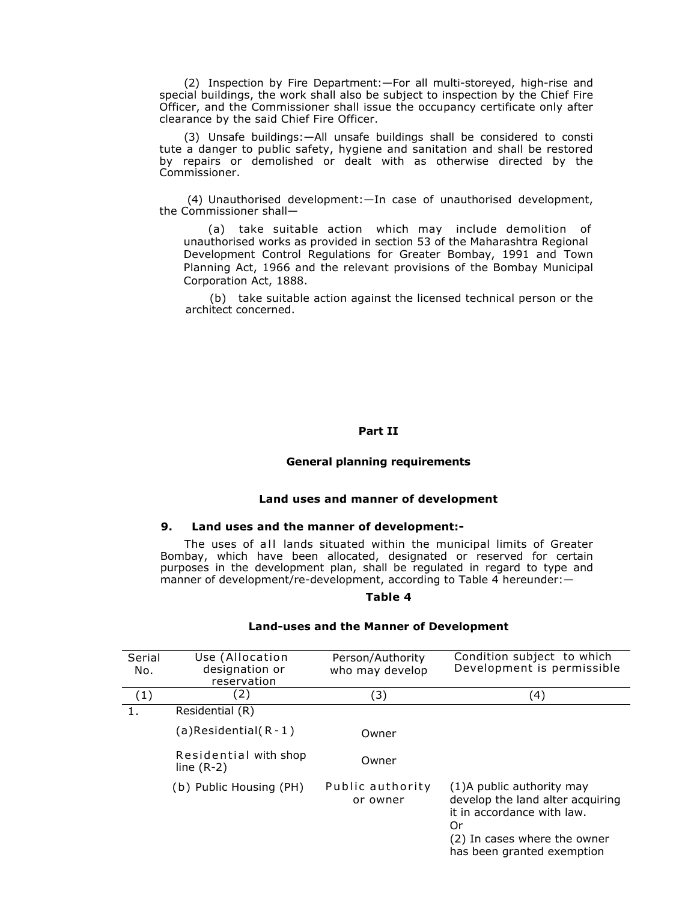(2) Inspection by Fire Department:—For all multi-storeyed, high-rise and special buildings, the work shall also be subject to inspection by the Chief Fire Officer, and the Commissioner shall issue the occupancy certificate only after clearance by the said Chief Fire Officer.

(3) Unsafe buildings:—All unsafe buildings shall be considered to consti tute a danger to public safety, hygiene and sanitation and shall be restored by repairs or demolished or dealt with as otherwise directed by the Commissioner.

 (4) Unauthorised development:—In case of unauthorised development, the Commissioner shall-

(a) take suitable action which may include demolition of unauthorised works as provided in section 53 of the Maharashtra Regional Development Control Regulations for Greater Bombay, 1991 and Town Planning Act, 1966 and the relevant provisions of the Bombay Municipal Corporation Act, 1888.

(b) take suitable action against the licensed technical person or the architect concerned.

### **Part II**

### **General planning requirements**

#### **Land uses and manner of development**

### **9. Land uses and the manner of development:-**

The uses of all lands situated within the municipal limits of Greater Bombay, which have been allocated, designated or reserved for certain purposes in the development plan, shall be regulated in regard to type and manner of development/re-development, according to Table 4 hereunder:—

### **Table 4**

| Serial<br>No. | Use (Allocation<br>designation or<br>reservation | Person/Authority<br>who may develop | Condition subject to which<br>Development is permissible                                                                                                         |
|---------------|--------------------------------------------------|-------------------------------------|------------------------------------------------------------------------------------------------------------------------------------------------------------------|
| (1)           | (2)                                              | (3)                                 | (4)                                                                                                                                                              |
| 1.            | Residential (R)                                  |                                     |                                                                                                                                                                  |
|               | $(a)$ Residential $(R - 1)$                      | Owner                               |                                                                                                                                                                  |
|               | Residential with shop<br>line $(R-2)$            | Owner                               |                                                                                                                                                                  |
|               | (b) Public Housing (PH)                          | Public authority<br>or owner        | (1) A public authority may<br>develop the land alter acquiring<br>it in accordance with law.<br>Or<br>(2) In cases where the owner<br>has been granted exemption |

### **Land-uses and the Manner of Development**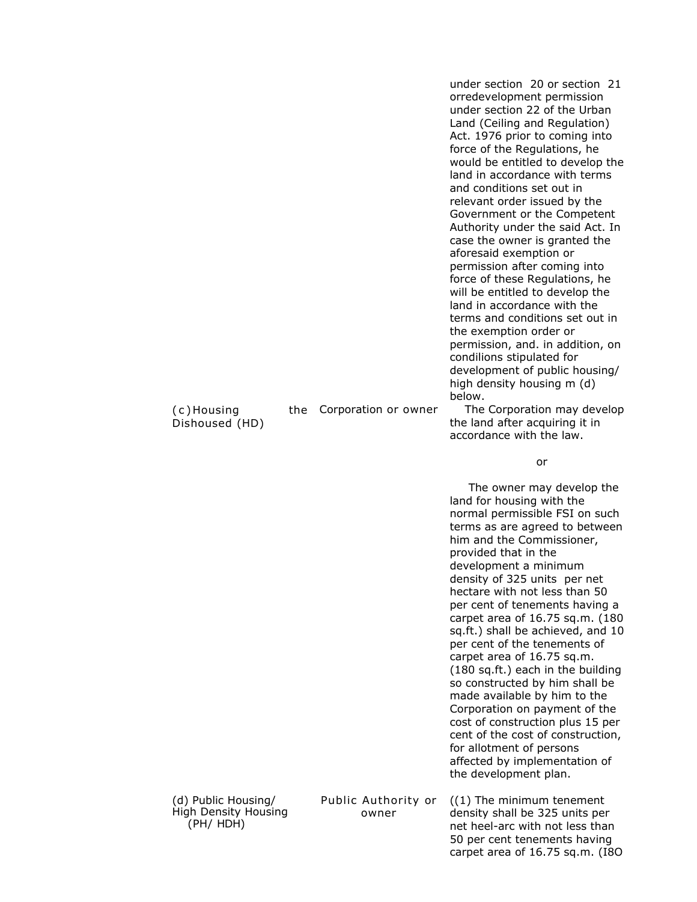| (c)Housing<br>Dishoused (HD)                | the | Corporation or owner                | under section 20 or section 21<br>orredevelopment permission<br>under section 22 of the Urban<br>Land (Ceiling and Regulation)<br>Act. 1976 prior to coming into<br>force of the Regulations, he<br>would be entitled to develop the<br>land in accordance with terms<br>and conditions set out in<br>relevant order issued by the<br>Government or the Competent<br>Authority under the said Act. In<br>case the owner is granted the<br>aforesaid exemption or<br>permission after coming into<br>force of these Regulations, he<br>will be entitled to develop the<br>land in accordance with the<br>terms and conditions set out in<br>the exemption order or<br>permission, and. in addition, on<br>condilions stipulated for<br>development of public housing/<br>high density housing m (d)<br>below.<br>The Corporation may develop<br>the land after acquiring it in<br>accordance with the law. |
|---------------------------------------------|-----|-------------------------------------|-----------------------------------------------------------------------------------------------------------------------------------------------------------------------------------------------------------------------------------------------------------------------------------------------------------------------------------------------------------------------------------------------------------------------------------------------------------------------------------------------------------------------------------------------------------------------------------------------------------------------------------------------------------------------------------------------------------------------------------------------------------------------------------------------------------------------------------------------------------------------------------------------------------|
|                                             |     |                                     | or                                                                                                                                                                                                                                                                                                                                                                                                                                                                                                                                                                                                                                                                                                                                                                                                                                                                                                        |
|                                             |     |                                     | The owner may develop the<br>land for housing with the<br>normal permissible FSI on such<br>terms as are agreed to between<br>him and the Commissioner,<br>provided that in the<br>development a minimum<br>density of 325 units per net<br>hectare with not less than 50<br>per cent of tenements having a<br>carpet area of 16.75 sq.m. (180<br>sq.ft.) shall be achieved, and 10<br>per cent of the tenements of<br>carpet area of 16.75 sq.m.<br>(180 sq.ft.) each in the building<br>so constructed by him shall be<br>made available by him to the<br>Corporation on payment of the<br>cost of construction plus 15 per<br>cent of the cost of construction,<br>for allotment of persons<br>affected by implementation of<br>the development plan.                                                                                                                                                  |
| (d) Public Housing/<br>High Density Housing |     | Public Authority or<br><b>OWDAr</b> | $(1)$ The minimum tenement<br>density shall he 325 units ner                                                                                                                                                                                                                                                                                                                                                                                                                                                                                                                                                                                                                                                                                                                                                                                                                                              |

High Density Housing (PH/ HDH)

owner

density shall be 325 units per net heel-arc with not less than 50 per cent tenements having carpet area of 16.75 sq.m. (I8O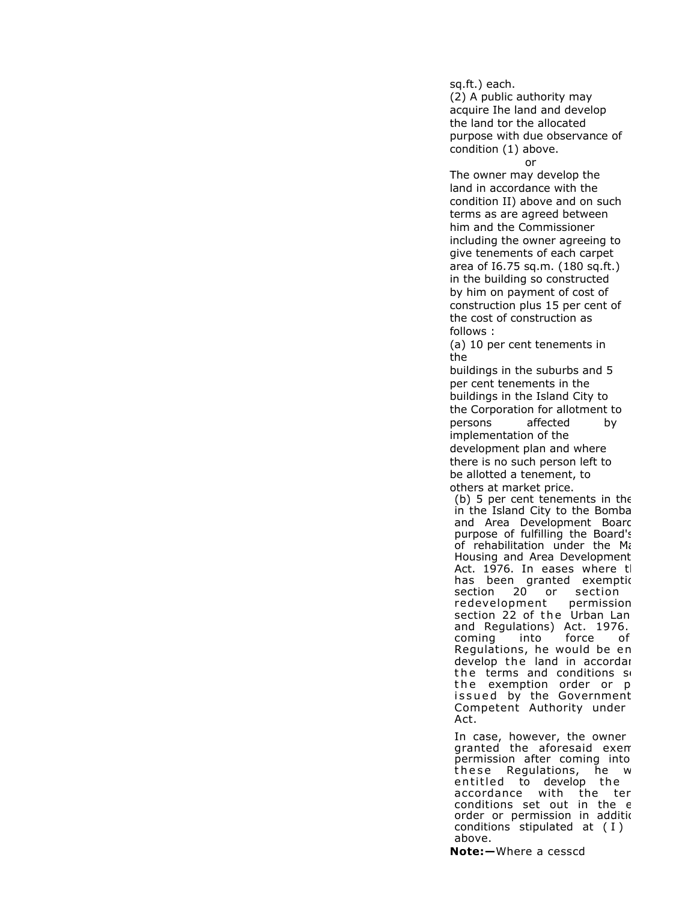sq.ft.) each.

(2) A public authority may acquire Ihe land and develop the land tor the allocated purpose with due observance of condition (1) above.

#### or

The owner may develop the land in accordance with the condition II) above and on such terms as are agreed between him and the Commissioner including the owner agreeing to give tenements of each carpet area of I6.75 sq.m. (180 sq.ft.) in the building so constructed by him on payment of cost of construction plus 15 per cent of the cost of construction as follows :

(a) 10 per cent tenements in the

buildings in the suburbs and 5 per cent tenements in the buildings in the Island City to the Corporation for allotment to persons affected by implementation of the development plan and where there is no such person left to be allotted a tenement, to others at market price.

(b) 5 per cent tenements in the in the Island City to the Bomba and Area Development Board purpose of fulfilling the Board's of rehabilitation under the Ma Housing and Area Development Act. 1976. In eases where the has been granted exemptic section 20 or section redevelopment permission section 22 of the Urban Lan and Regulations) Act. 1976. coming into force of Regulations, he would be en develop the land in accordar the terms and conditions so the exemption order or p issued by the Government Competent Authority under Act.

In case, however, the owner granted the aforesaid exem permission after coming into these Regulations, he w entitled to develop the accordance with the ter conditions set out in the e order or permission in addition conditions stipulated at ( I ) above.

**Note:—**Where a cesscd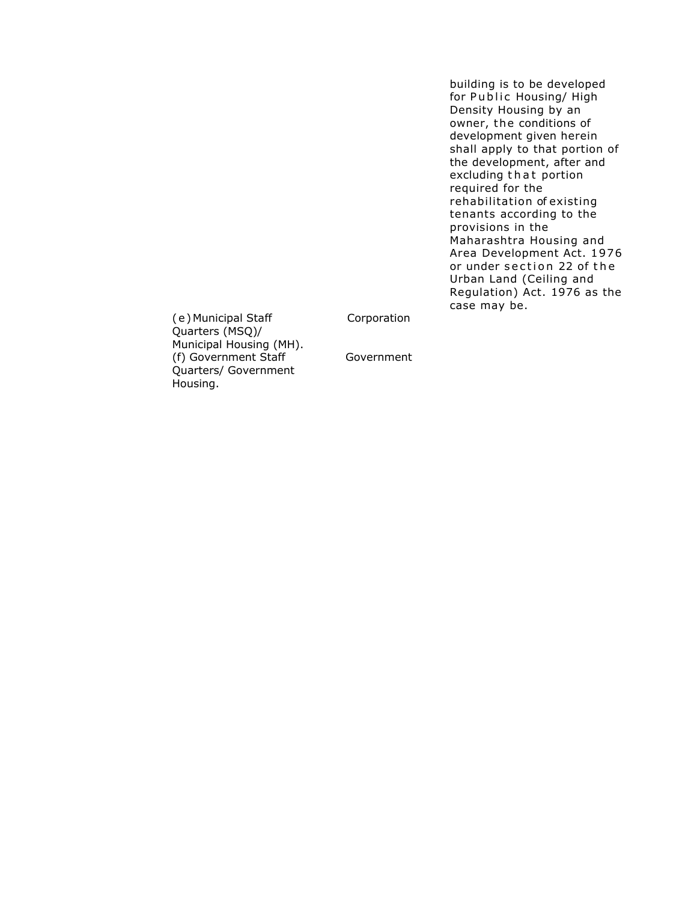building is to be developed for Public Housing/ High Density Housing by an owner, the conditions of development given herein shall apply to that portion of the development, after and excluding that portion required for the rehabilitation of existing tenants according to the provisions in the Maharashtra Housing and Area Development Act. 1976 or under section 22 of the Urban Land (Ceiling and Regulation) Act. 1976 as the case may be.

Corporation

 ( e )Municipal Staff Quarters (MSQ)/ Municipal Housing (MH). (f) Government Staff Quarters/ Government Housing.

Government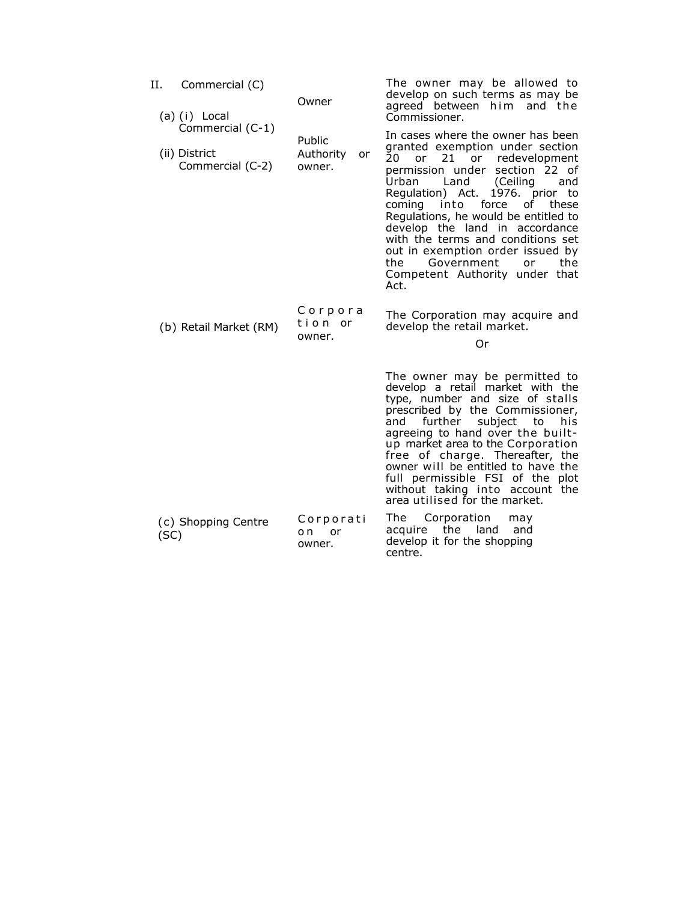| Н.   | Commercial (C)<br>(a) (i) Local                       | Owner                               | The owner may be allowed to<br>develop on such terms as may be<br>agreed between him and the<br>Commissioner.                                                                                                                                                                                                                                                                                                                                                                          |
|------|-------------------------------------------------------|-------------------------------------|----------------------------------------------------------------------------------------------------------------------------------------------------------------------------------------------------------------------------------------------------------------------------------------------------------------------------------------------------------------------------------------------------------------------------------------------------------------------------------------|
|      | Commercial (C-1)<br>(ii) District<br>Commercial (C-2) | Public<br>Authority<br>or<br>owner. | In cases where the owner has been<br>granted exemption under section<br>20<br>21 or redevelopment<br>or<br>section 22 of<br>permission under<br>Land<br>Urban<br>(Ceiling<br>and<br>1976. prior to<br>Regulation) Act.<br>coming into force<br>of these<br>Regulations, he would be entitled to<br>develop the land in accordance<br>with the terms and conditions set<br>out in exemption order issued by<br>the<br>Government<br>the<br>or<br>Competent Authority under that<br>Act. |
|      | (b) Retail Market (RM)                                | Corpora<br>tion or<br>owner.        | The Corporation may acquire and<br>develop the retail market.<br>Or                                                                                                                                                                                                                                                                                                                                                                                                                    |
|      |                                                       |                                     | The owner may be permitted to<br>develop a retail market with the<br>type, number and size of stalls<br>prescribed by the Commissioner,<br>further<br>subject<br>to<br>and<br>his<br>agreeing to hand over the built-<br>up market area to the Corporation<br>free of charge. Thereafter, the<br>owner will be entitled to have the<br>full permissible FSI of the plot<br>without taking into account the<br>area utilised for the market.                                            |
| (SC) | (c) Shopping Centre                                   | Corporati<br>o n<br>or<br>owner.    | The Corporation<br>may<br>acquire the<br>land<br>and<br>develop it for the shopping<br>centre.                                                                                                                                                                                                                                                                                                                                                                                         |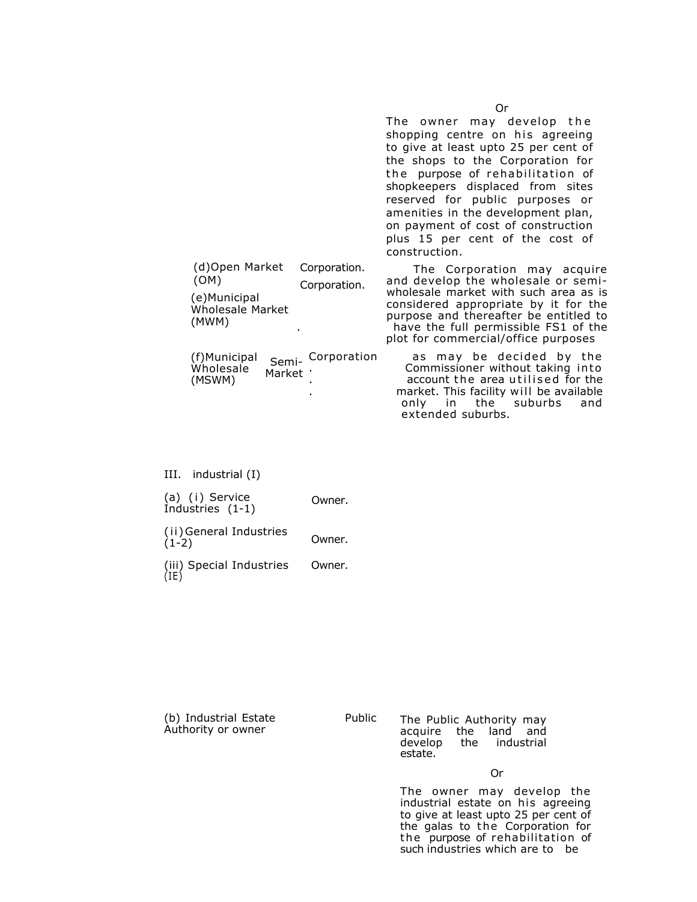|                                                                            |                              | The owner may develop the<br>shopping centre on his agreeing<br>to give at least upto 25 per cent of<br>the shops to the Corporation for<br>the purpose of rehabilitation of<br>shopkeepers displaced from sites<br>reserved for public purposes or<br>amenities in the development plan,<br>on payment of cost of construction<br>plus 15 per cent of the cost of<br>construction. |
|----------------------------------------------------------------------------|------------------------------|-------------------------------------------------------------------------------------------------------------------------------------------------------------------------------------------------------------------------------------------------------------------------------------------------------------------------------------------------------------------------------------|
| (d)Open Market<br>(OM)<br>(e)Municipal<br><b>Wholesale Market</b><br>(MWM) | Corporation.<br>Corporation. | The Corporation may acquire<br>and develop the wholesale or semi-<br>wholesale market with such area as is<br>considered appropriate by it for the<br>purpose and thereafter be entitled to<br>have the full permissible FS1 of the<br>plot for commercial/office purposes                                                                                                          |

| Wholesale<br>(MSWM) | Market ' | (f)Municipal <sub>Semi-</sub> Corporation | as may be decided by the<br>Commissioner without taking into<br>account the area utilised for the |  |
|---------------------|----------|-------------------------------------------|---------------------------------------------------------------------------------------------------|--|
|                     |          |                                           |                                                                                                   |  |
|                     |          |                                           | market. This facility will be available                                                           |  |
|                     |          |                                           | only in the suburbs and                                                                           |  |
|                     |          |                                           | extended suburbs.                                                                                 |  |

| III. | industrial (I) |  |
|------|----------------|--|
|      |                |  |

| (a) (i) Service<br>Industries (1-1) | Owner. |
|-------------------------------------|--------|
| (ii) General Industries<br>$(1-2)$  | Owner. |

(iii) Special Industries (IE) Owner.

| (b) Industrial Estate |  |
|-----------------------|--|
| Authority or owner    |  |

Public The Public Authority may acquire the land and develop the industrial estate.

Or

The owner may develop the industrial estate on his agreeing to give at least upto 25 per cent of the galas to the Corporation for the purpose of rehabilitation of such industries which are to be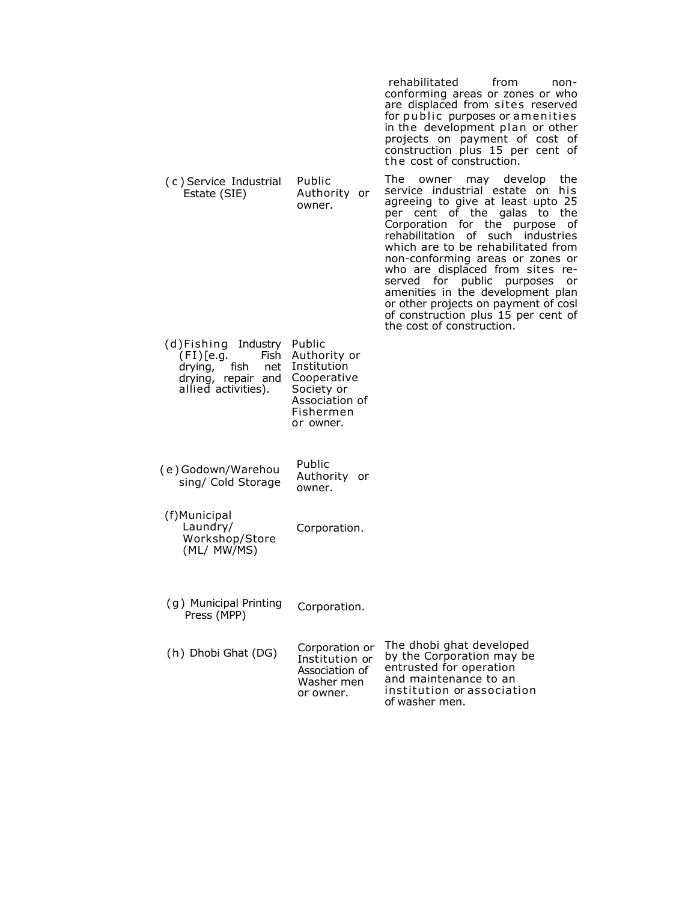|                                                                                                                         |                                                                                                      | rehabilitated<br>from<br>non-<br>conforming areas or zones or who<br>are displaced from sites reserved<br>for public purposes or amenities<br>in the development plan or other<br>projects on payment of cost of<br>construction plus 15 per cent of<br>the cost of construction.                                                                                                                                                                                                                                     |
|-------------------------------------------------------------------------------------------------------------------------|------------------------------------------------------------------------------------------------------|-----------------------------------------------------------------------------------------------------------------------------------------------------------------------------------------------------------------------------------------------------------------------------------------------------------------------------------------------------------------------------------------------------------------------------------------------------------------------------------------------------------------------|
| (c) Service Industrial<br>Estate (SIE)                                                                                  | Public<br>Authority or<br>owner.                                                                     | The owner may develop<br>the<br>service industrial estate on<br>his<br>agreeing to give at least upto 25<br>per cent of the galas to the<br>Corporation for the purpose<br>of<br>rehabilitation of such industries<br>which are to be rehabilitated from<br>non-conforming areas or zones or<br>who are displaced from sites re-<br>served for public purposes<br>or<br>amenities in the development plan<br>or other projects on payment of cosl<br>of construction plus 15 per cent of<br>the cost of construction. |
| (d)Fishing Industry Public<br>(FI)[e.g.<br>Fish<br>drying,<br>fish.<br>net<br>drying, repair and<br>allied activities). | Authority or<br>Institution<br>Cooperative<br>Society or<br>Association of<br>Fishermen<br>or owner. |                                                                                                                                                                                                                                                                                                                                                                                                                                                                                                                       |
| (e)Godown/Warehou<br>sing/ Cold Storage                                                                                 | Public<br>Authority or<br>owner.                                                                     |                                                                                                                                                                                                                                                                                                                                                                                                                                                                                                                       |
| (f)Municipal<br>Laundry/<br>Workshop/Store<br>(ML/ MW/MS)                                                               | Corporation.                                                                                         |                                                                                                                                                                                                                                                                                                                                                                                                                                                                                                                       |
| (g) Municipal Printing<br>Press (MPP)                                                                                   | Corporation.                                                                                         |                                                                                                                                                                                                                                                                                                                                                                                                                                                                                                                       |
| (h) Dhobi Ghat (DG)                                                                                                     | Corporation or<br>Institution or<br>Association of<br>Washer men<br>or owner.                        | The dhobi ghat developed<br>by the Corporation may be<br>entrusted for operation<br>and maintenance to an<br>institution or association<br>of washer men.                                                                                                                                                                                                                                                                                                                                                             |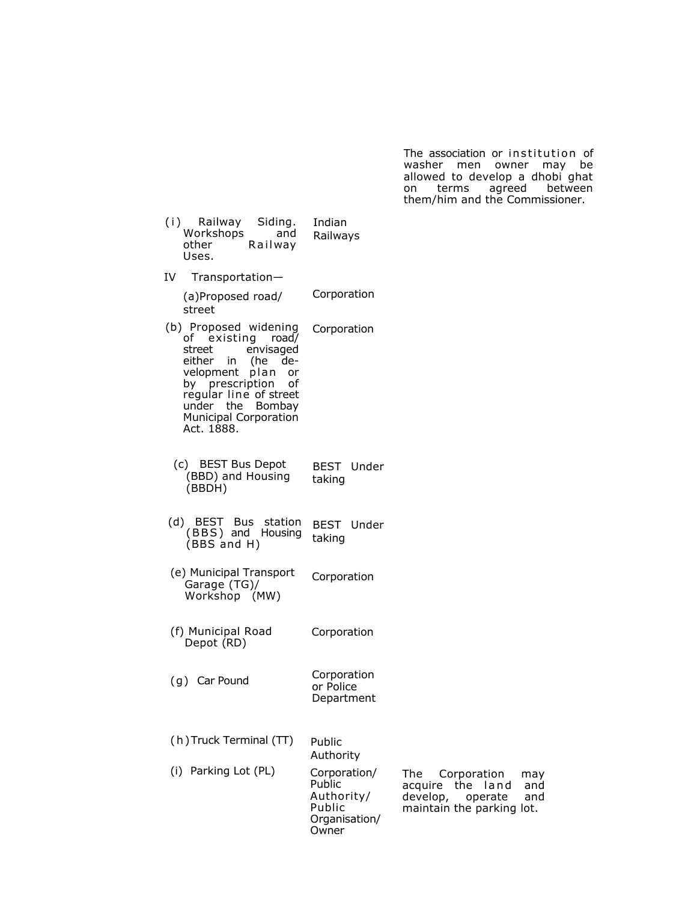The association or institution of washer men owner may be allowed to develop a dhobi ghat on terms agreed between them/him and the Commissioner.

| (i) Railway Siding.<br>Workshops<br>and<br>other<br>Railway<br>Uses.                                                                                                                                                                | Indian<br>Railways                             |                                                                                                                       |
|-------------------------------------------------------------------------------------------------------------------------------------------------------------------------------------------------------------------------------------|------------------------------------------------|-----------------------------------------------------------------------------------------------------------------------|
| IV<br>Transportation-                                                                                                                                                                                                               |                                                |                                                                                                                       |
| (a)Proposed road/<br>street                                                                                                                                                                                                         | Corporation                                    |                                                                                                                       |
| (b) Proposed widening<br>of existing road/<br>street<br>envisaged<br>either in (he de-<br>velopment plan<br>or<br>by prescription<br>οf<br>regular line of street<br>under the Bombay<br><b>Municipal Corporation</b><br>Act. 1888. | Corporation                                    |                                                                                                                       |
| (c) BEST Bus Depot<br>(BBD) and Housing<br>(BBDH)                                                                                                                                                                                   | <b>BEST</b> Under<br>taking                    |                                                                                                                       |
| (d) BEST Bus station<br>(BBS) and Housing<br>(BBS and H)                                                                                                                                                                            | BEST Under<br>taking                           |                                                                                                                       |
| (e) Municipal Transport<br>Garage (TG)/<br>Workshop (MW)                                                                                                                                                                            | Corporation                                    |                                                                                                                       |
| (f) Municipal Road<br>Depot (RD)                                                                                                                                                                                                    | Corporation                                    |                                                                                                                       |
| (g) Car Pound                                                                                                                                                                                                                       | Corporation<br>or Police<br>Department         |                                                                                                                       |
| (h) Truck Terminal (TT)                                                                                                                                                                                                             | Public<br>Authority                            |                                                                                                                       |
| (i) Parking Lot (PL)                                                                                                                                                                                                                | Corporation/<br>Public<br>Authority/<br>Public | The<br>Corporation<br>may<br>the<br>land<br>acquire<br>and<br>develop,<br>operate<br>and<br>maintain the parking lot. |

Organisation/ **Owner**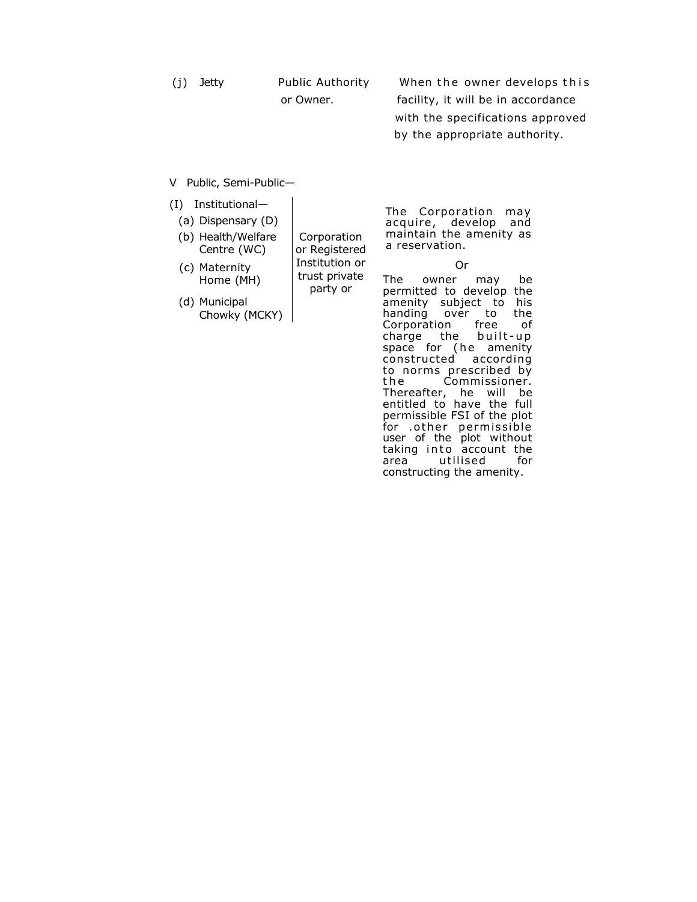| (i) | Jetty | <b>Public Authority</b> | When the owner develops this       |
|-----|-------|-------------------------|------------------------------------|
|     |       | or Owner.               | facility, it will be in accordance |
|     |       |                         | with the specifications approved   |
|     |       |                         | by the appropriate authority.      |

V Public, Semi-Public—

| (I)<br>Institutional- |  |
|-----------------------|--|
|-----------------------|--|

(c) Maternity Home (MH)

(a) Dispensary (D)

(b) Health/Welfare Centre (WC)

or Registered Institution or trust private party or

Corporation

(d) Municipal Chowky (MCKY) The Corporation may acquire, develop and maintain the amenity as a reservation.

Or

The owner may be permitted to develop the amenity subject to his<br>handing over to the handing over to<br>Corporation free Corporation free of charge the built-up space for (he amenity constructed according to norms prescribed by<br>the Commissioner. Commissioner. Thereafter, he will be entitled to have the full permissible FSI of the plot for .o ther permissible user of the plot without taking into account the area<sup> utilised</sup> for constructing the amenity.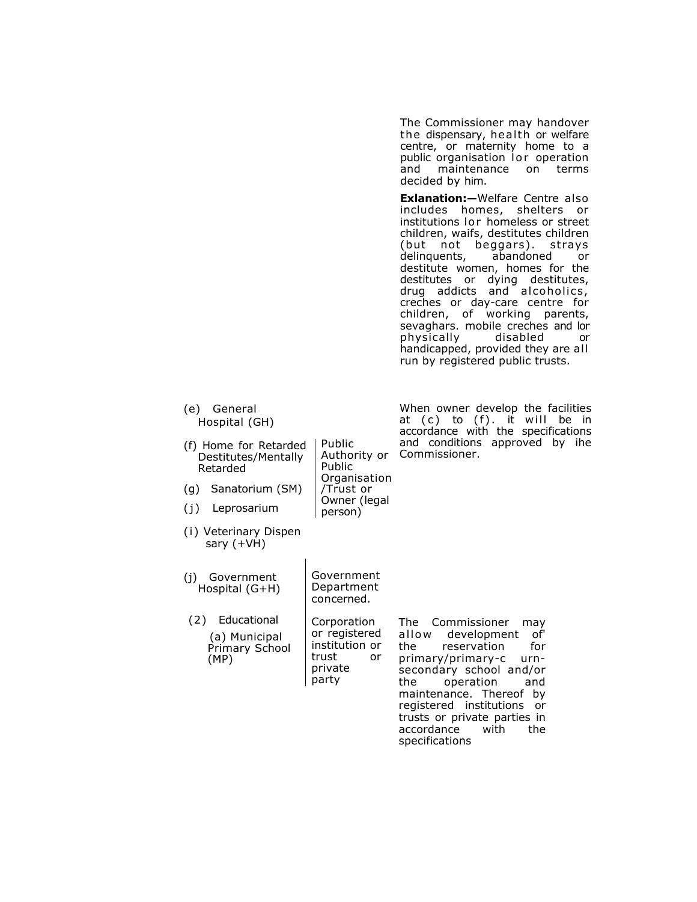|                                                                                                                                                                                      |                                                                                          | The Commissioner may handover<br>the dispensary, health or welfare<br>centre, or maternity home to a<br>public organisation lor operation<br>maintenance<br>and<br>terms<br>on.<br>decided by him.                                                                                                                                                                                                                                                                                                                                                       |
|--------------------------------------------------------------------------------------------------------------------------------------------------------------------------------------|------------------------------------------------------------------------------------------|----------------------------------------------------------------------------------------------------------------------------------------------------------------------------------------------------------------------------------------------------------------------------------------------------------------------------------------------------------------------------------------------------------------------------------------------------------------------------------------------------------------------------------------------------------|
|                                                                                                                                                                                      |                                                                                          | <b>Exlanation:</b> -Welfare Centre also<br>includes homes, shelters<br>or<br>institutions lor homeless or street<br>children, waifs, destitutes children<br>(but not beggars).<br>strays<br>delinquents,<br>abandoned<br>or<br>destitute women, homes for the<br>dying destitutes,<br>destitutes or<br>drug addicts and alcoholics,<br>creches or day-care centre for<br>children, of working<br>parents,<br>sevaghars. mobile creches and lor<br>disabled<br>physically<br>or<br>handicapped, provided they are all<br>run by registered public trusts. |
| General<br>(e)<br>Hospital (GH)<br>(f) Home for Retarded<br>Destitutes/Mentally<br>Retarded<br>(g)<br>Sanatorium (SM)<br>(j)<br>Leprosarium<br>(i) Veterinary Dispen<br>sary $(+VH)$ | Public<br>Authority or<br>Public<br>Organisation<br>/Trust or<br>Owner (legal<br>person) | When owner develop the facilities<br>at (c) to (f). it will be in<br>accordance with the specifications<br>and conditions approved by ihe<br>Commissioner.                                                                                                                                                                                                                                                                                                                                                                                               |
| (i)<br>Government<br>Hospital $(G+H)$                                                                                                                                                | Government<br>Department<br>concerned.                                                   |                                                                                                                                                                                                                                                                                                                                                                                                                                                                                                                                                          |
| (2)<br>Educational<br>(a) Municipal<br>Primary School<br>(MP)                                                                                                                        | Corporation<br>or registered<br>institution or<br>trust<br>or<br>private<br>party        | The<br>Commissioner<br>may<br>allow<br>development<br>of'<br>for<br>the<br>reservation<br>primary/primary-c<br>urn-<br>secondary school and/or<br>the<br>operation<br>and<br>maintenance. Thereof by<br>registered institutions<br>or<br>trusts or private parties in<br>accordance<br>the<br>with<br>specifications                                                                                                                                                                                                                                     |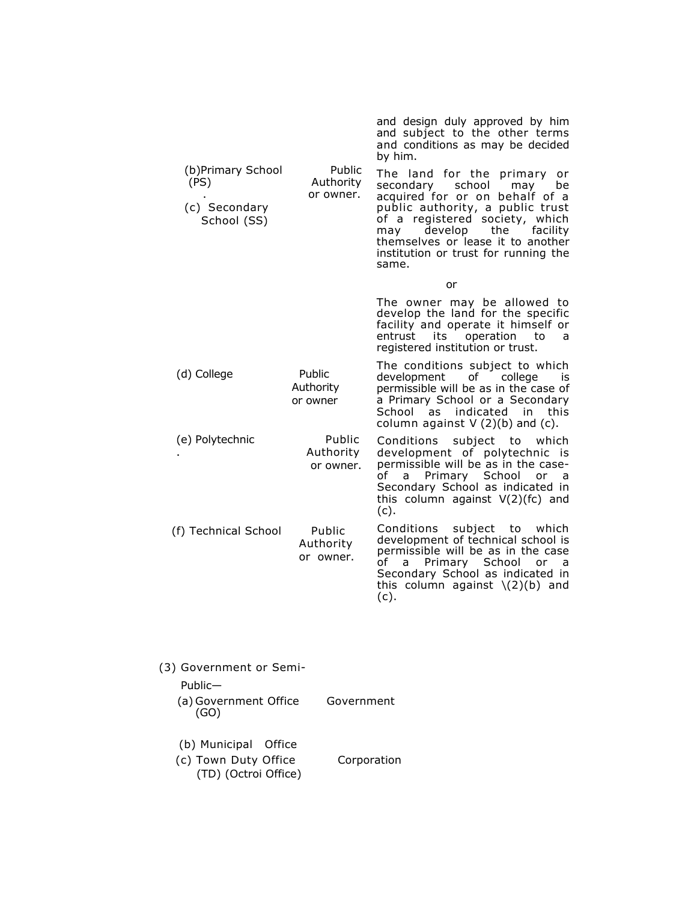|                                                           |                                  | and design duly approved by him<br>and subject to the other terms<br>and conditions as may be decided<br>by him.                                                                                                                                                                                      |
|-----------------------------------------------------------|----------------------------------|-------------------------------------------------------------------------------------------------------------------------------------------------------------------------------------------------------------------------------------------------------------------------------------------------------|
| (b)Primary School<br>(PS)<br>(c) Secondary<br>School (SS) | Public<br>Authority<br>or owner. | The land for the primary<br>or<br>secondary<br>school<br>may<br>be<br>acquired for or on behalf of a<br>public authority, a public trust<br>of a registered society, which<br>develop<br>the<br>facility<br>may<br>themselves or lease it to another<br>institution or trust for running the<br>same. |
|                                                           |                                  | or                                                                                                                                                                                                                                                                                                    |
|                                                           |                                  | The owner may be allowed to<br>develop the land for the specific<br>facility and operate it himself or<br>entrust<br>its<br>operation<br>to<br>a<br>registered institution or trust.                                                                                                                  |
| (d) College                                               | Public<br>Authority<br>or owner  | The conditions subject to which<br>development of<br>college<br>is<br>permissible will be as in the case of<br>a Primary School or a Secondary<br>indicated in<br>School as<br>this<br>column against $V(2)(b)$ and (c).                                                                              |
| (e) Polytechnic                                           | Public<br>Authority<br>or owner. | Conditions subject to<br>which<br>development of polytechnic is<br>permissible will be as in the case-<br>Primary School<br>of<br>or<br>a<br>a<br>Secondary School as indicated in<br>this column against $V(2)(fc)$ and<br>(c).                                                                      |
| (f) Technical School                                      | Public<br>Authority<br>or owner. | Conditions subject to<br>which<br>development of technical school is<br>permissible will be as in the case<br>of a<br>Primary School<br>or<br>a<br>Secondary School as indicated in<br>this column against $\(2)(b)$ and<br>(c).                                                                      |
|                                                           |                                  |                                                                                                                                                                                                                                                                                                       |

| (3) Government or Semi-                                              |             |
|----------------------------------------------------------------------|-------------|
| $P$ ublic—                                                           |             |
| (a) Government Office<br>(GO)                                        | Government  |
| (b) Municipal Office<br>(c) Town Duty Office<br>(TD) (Octroi Office) | Corporation |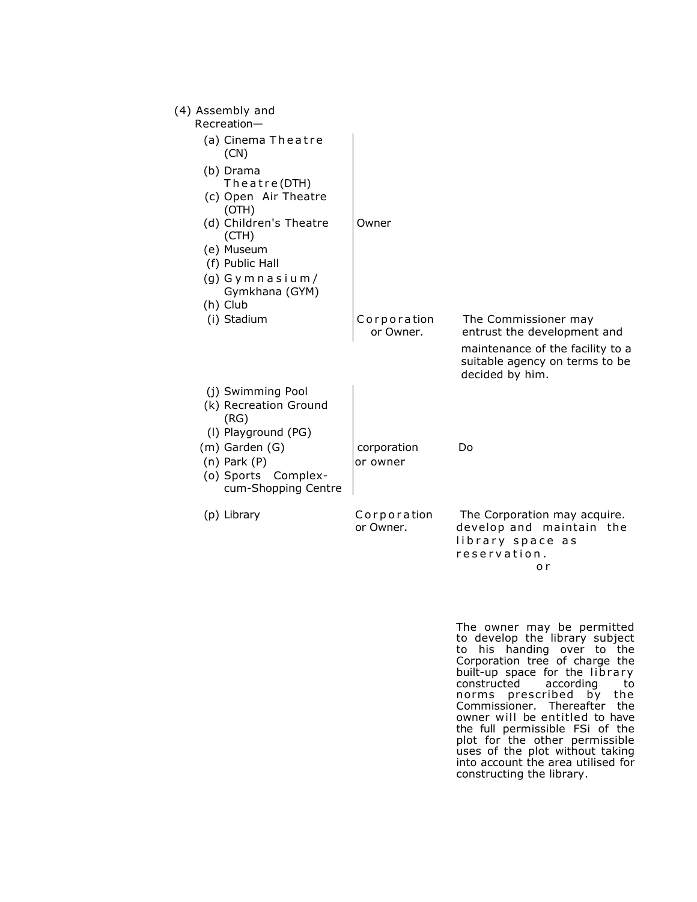| (4) Assembly and<br>Recreation-                                                  |                          |                                                                                                                                              |
|----------------------------------------------------------------------------------|--------------------------|----------------------------------------------------------------------------------------------------------------------------------------------|
| (a) Cinema Theatre<br>(CN)                                                       |                          |                                                                                                                                              |
| (b) Drama<br>Theatre(DTH)<br>(c) Open Air Theatre<br>(OTH)                       |                          |                                                                                                                                              |
| (d) Children's Theatre<br>(CH)                                                   | Owner                    |                                                                                                                                              |
| (e) Museum<br>(f) Public Hall                                                    |                          |                                                                                                                                              |
| $(g)$ Gymnasium/<br>Gymkhana (GYM)<br>(h) Club                                   |                          |                                                                                                                                              |
| (i) Stadium                                                                      | Corporation<br>or Owner. | The Commissioner may<br>entrust the development and<br>maintenance of the facility to a<br>suitable agency on terms to be<br>decided by him. |
| (j) Swimming Pool<br>(k) Recreation Ground<br>(RG)<br>(I) Playground (PG)        |                          |                                                                                                                                              |
| (m) Garden (G)<br>$(n)$ Park $(P)$<br>(o) Sports Complex-<br>cum-Shopping Centre | corporation<br>or owner  | Do                                                                                                                                           |
| (p) Library                                                                      | Corporation<br>or Owner. | The Corporation may acquire.<br>develop and maintain the<br>library space as<br>reservation.<br>o r                                          |

The owner may be permitted to develop the library subject to his handing over to the Corporation tree of charge the built-up space for the library constructed according to norms prescribed by the Commissioner. Thereafter the owner will be entitled to have the full permissible FSi of the plot for the other permissible uses of the plot without taking into account the area utilised for constructing the library.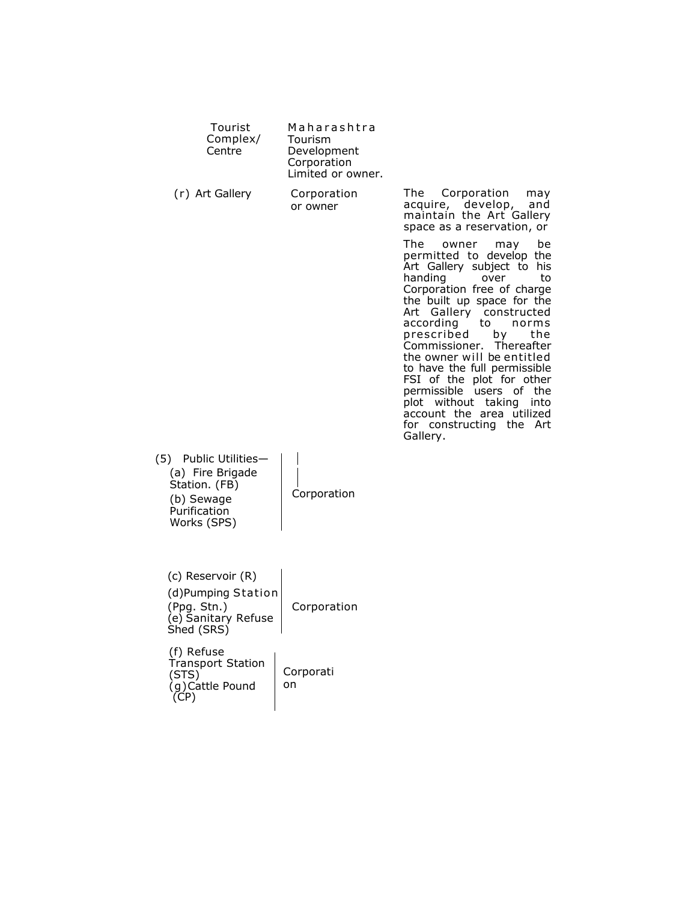| Tourist<br>Complex/<br>Centre                                                                              | Maharashtra<br>Tourism<br>Development<br>Corporation<br>Limited or owner. |                                                                                                                                                                                                                                                                                                                                                                                                                                                                                                                                                                                                                                            |
|------------------------------------------------------------------------------------------------------------|---------------------------------------------------------------------------|--------------------------------------------------------------------------------------------------------------------------------------------------------------------------------------------------------------------------------------------------------------------------------------------------------------------------------------------------------------------------------------------------------------------------------------------------------------------------------------------------------------------------------------------------------------------------------------------------------------------------------------------|
| (r) Art Gallery                                                                                            | Corporation<br>or owner                                                   | Corporation<br>The<br>may<br>acquire, develop,<br>and<br>maintain the Art Gallery<br>space as a reservation, or<br>The<br>owner<br>be<br>may<br>permitted to develop the<br>Art Gallery subject to his<br>handing<br>over<br>to<br>Corporation free of charge<br>the built up space for the<br>Art Gallery constructed<br>according<br>to<br>norms<br>prescribed<br>the<br>bγ<br>Commissioner. Thereafter<br>the owner will be entitled<br>to have the full permissible<br>FSI of the plot for other<br>permissible users<br>of the<br>plot without taking<br>into<br>account the area utilized<br>for constructing the<br>Art<br>Gallery. |
| Public Utilities-<br>(5)<br>(a) Fire Brigade<br>Station. (FB)<br>(b) Sewage<br>Purification<br>Works (SPS) | Corporation                                                               |                                                                                                                                                                                                                                                                                                                                                                                                                                                                                                                                                                                                                                            |
| (c) Reservoir (R)<br>(d)Pumping Station<br>(Ppg. Stn.)<br>(e) Sanitary Refuse<br>Shed (SRS)                | Corporation                                                               |                                                                                                                                                                                                                                                                                                                                                                                                                                                                                                                                                                                                                                            |
| (f) Refuse<br><b>Transport Station</b><br>(STS)<br>(g)Cattle Pound<br>(CP)                                 | Corporati<br>on                                                           |                                                                                                                                                                                                                                                                                                                                                                                                                                                                                                                                                                                                                                            |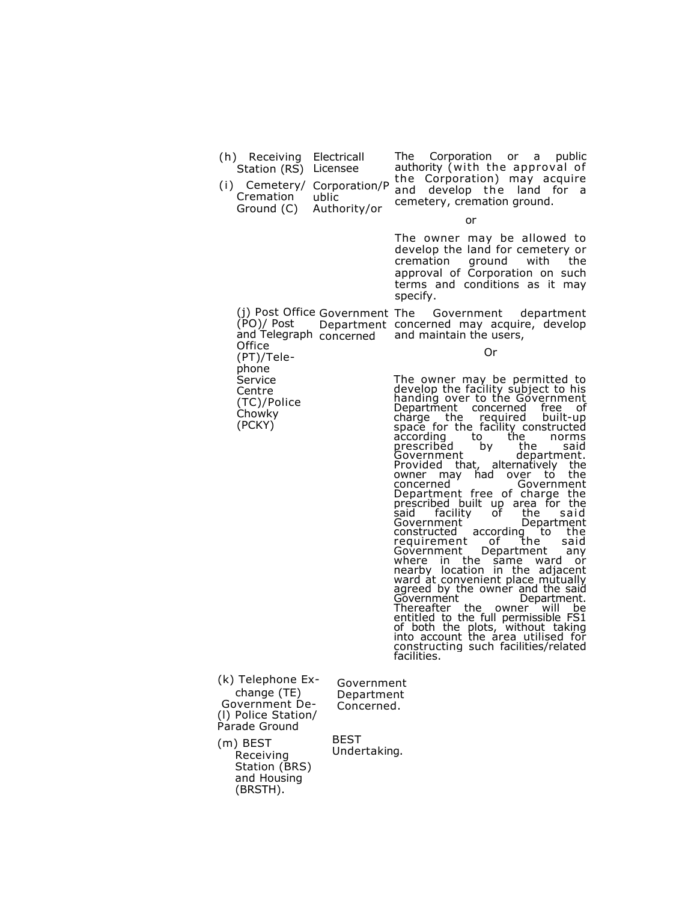(h) Receiving Electricall Station (RS) Licensee

> (PT)/Telephone Service Centre (TC)/Police Chowky (PCKY)

(i) Cemetery/ Corporation/P Cremation Ground (C) Authority/or ublic

The Corporation or a public authority (with the approval of the Corporation) may acquire and develop the land for a cemetery, cremation ground.

or

The owner may be allowed to develop the land for cemetery or cremation ground with the approval of Corporation on such terms and conditions as it may specify.

(j) Post Office Government The Government department (PO)/ Post and Telegraph concerned Office Department concerned may acquire, develop and maintain the users,

Or

The owner may be permitted to develop the facility subject to his handing over to the Government Department concerned free of charge the required built-up space for the facility constructed according to the norms prescribed by the said Government department. Provided that, alternatively the owner may had over to the concerned Government Department free of charge the prescribed built up area for the said facility of the said Government<br>constructed according to the constructed according to the requirement of the said Government Department any where in the same ward or nearby location in the adjacent ward at convenient place mutually agreed by the owner and the said<br>Government<br>Department. Government Department. Thereafter the owner will be entitled to the full permissible FS1 of both the plots, without taking into account the area utilised for constructing such facilities/related facilities.

(k) Telephone Exchange (TE) Government De- (l) Police Station/ Parade Ground

Government Department Concerned.

(m) BEST Receiving Station (BRS) and Housing (BRSTH).

BEST Undertaking.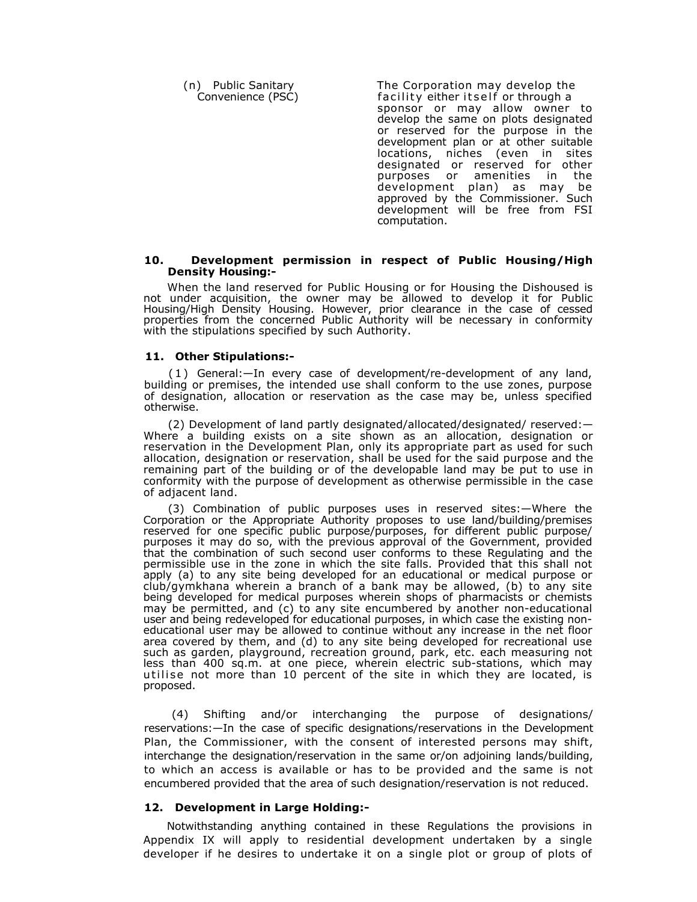(n) Public Sanitary The Corporation may develop the Convenience (PSC) facility either itself or through a sponsor or may allow owner to develop the same on plots designated or reserved for the purpose in the development plan or at other suitable locations, niches (even in sites designated or reserved for other<br>purposes or amenities in the amenities in the development plan) as may be approved by the Commissioner. Such development will be free from FSI computation.

#### **10. Development permission in respect of Public Housing/High Density Housing:-**

When the land reserved for Public Housing or for Housing the Dishoused is not under acquisition, the owner may be allowed to develop it for Public Housing/High Density Housing. However, prior clearance in the case of cessed properties from the concerned Public Authority will be necessary in conformity with the stipulations specified by such Authority.

#### **11. Other Stipulations:-**

( 1 ) General:—In every case of development/re-development of any land, building or premises, the intended use shall conform to the use zones, purpose of designation, allocation or reservation as the case may be, unless specified otherwise.

(2) Development of land partly designated/allocated/designated/ reserved:— Where a building exists on a site shown as an allocation, designation or reservation in the Development Plan, only its appropriate part as used for such allocation, designation or reservation, shall be used for the said purpose and the remaining part of the building or of the developable land may be put to use in conformity with the purpose of development as otherwise permissible in the case of adjacent land.

(3) Combination of public purposes uses in reserved sites:—Where the Corporation or the Appropriate Authority proposes to use land/building/premises reserved for one specific public purpose/purposes, for different public purpose/ purposes it may do so, with the previous approval of the Government, provided that the combination of such second user conforms to these Regulating and the permissible use in the zone in which the site falls. Provided that this shall not apply (a) to any site being developed for an educational or medical purpose or club/gymkhana wherein a branch of a bank may be allowed, (b) to any site being developed for medical purposes wherein shops of pharmacists or chemists may be permitted, and (c) to any site encumbered by another non-educational user and being redeveloped for educational purposes, in which case the existing noneducational user may be allowed to continue without any increase in the net floor area covered by them, and (d) to any site being developed for recreational use such as garden, playground, recreation ground, park, etc. each measuring not less than 400 sq.m. at one piece, wherein electric sub-stations, which may utilise not more than 10 percent of the site in which they are located, is proposed.

 (4) Shifting and/or interchanging the purpose of designations/ reservations:—In the case of specific designations/reservations in the Development Plan, the Commissioner, with the consent of interested persons may shift, interchange the designation/reservation in the same or/on adjoining lands/building, to which an access is available or has to be provided and the same is not encumbered provided that the area of such designation/reservation is not reduced.

#### **12. Development in Large Holding:-**

Notwithstanding anything contained in these Regulations the provisions in Appendix IX will apply to residential development undertaken by a single developer if he desires to undertake it on a single plot or group of plots of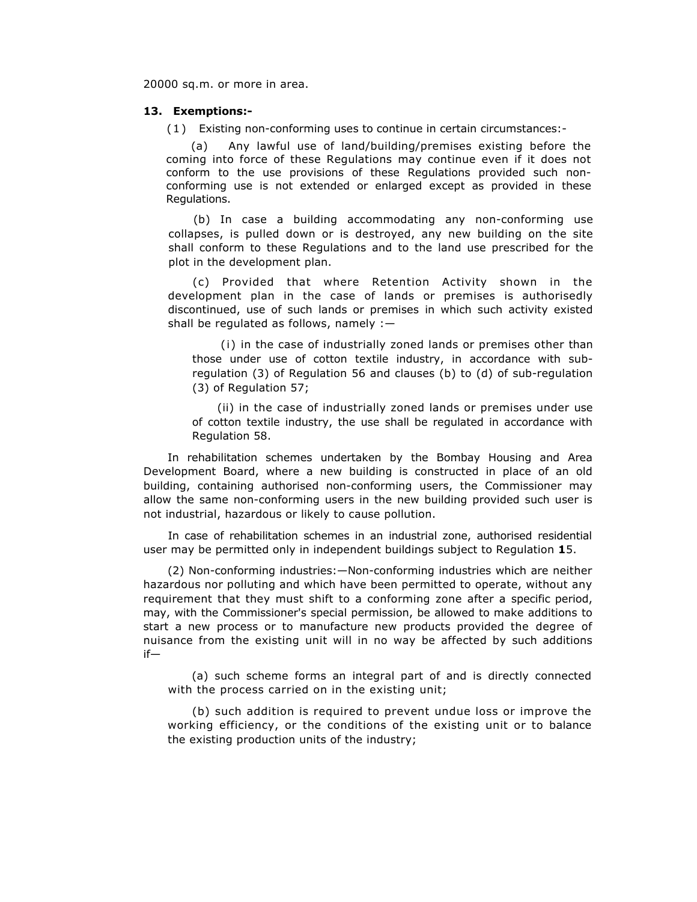20000 sq.m. or more in area.

#### **13. Exemptions:-**

( 1 ) Existing non-conforming uses to continue in certain circumstances:-

(a) Any lawful use of land/building/premises existing before the coming into force of these Regulations may continue even if it does not conform to the use provisions of these Regulations provided such nonconforming use is not extended or enlarged except as provided in these Regulations.

(b) In case a building accommodating any non-conforming use collapses, is pulled down or is destroyed, any new building on the site shall conform to these Regulations and to the land use prescribed for the plot in the development plan.

(c) Provided that where Retention Activity shown in the development plan in the case of lands or premises is authorisedly discontinued, use of such lands or premises in which such activity existed shall be regulated as follows, namely :—

(i) in the case of industrially zoned lands or premises other than those under use of cotton textile industry, in accordance with subregulation (3) of Regulation 56 and clauses (b) to (d) of sub-regulation (3) of Regulation 57;

(ii) in the case of industrially zoned lands or premises under use of cotton textile industry, the use shall be regulated in accordance with Regulation 58.

In rehabilitation schemes undertaken by the Bombay Housing and Area Development Board, where a new building is constructed in place of an old building, containing authorised non-conforming users, the Commissioner may allow the same non-conforming users in the new building provided such user is not industrial, hazardous or likely to cause pollution.

In case of rehabilitation schemes in an industrial zone, authorised residential user may be permitted only in independent buildings subject to Regulation **1**5.

(2) Non-conforming industries:—Non-conforming industries which are neither hazardous nor polluting and which have been permitted to operate, without any requirement that they must shift to a conforming zone after a specific period, may, with the Commissioner's special permission, be allowed to make additions to start a new process or to manufacture new products provided the degree of nuisance from the existing unit will in no way be affected by such additions if—

(a) such scheme forms an integral part of and is directly connected with the process carried on in the existing unit;

(b) such addition is required to prevent undue loss or improve the working efficiency, or the conditions of the existing unit or to balance the existing production units of the industry;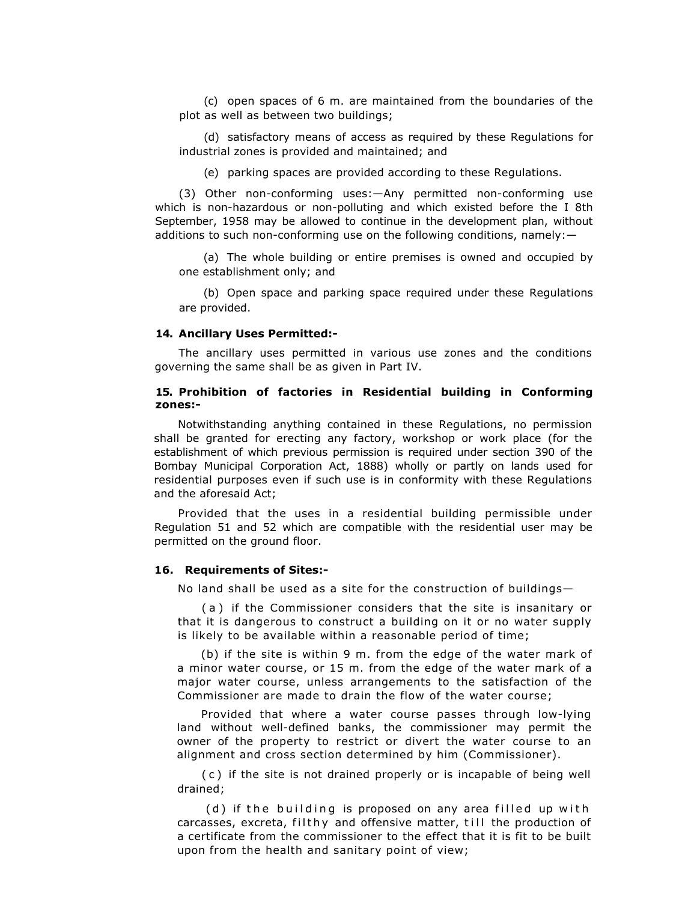(c) open spaces of 6 m. are maintained from the boundaries of the plot as well as between two buildings;

(d) satisfactory means of access as required by these Regulations for industrial zones is provided and maintained; and

(e) parking spaces are provided according to these Regulations.

(3) Other non-conforming uses:—Any permitted non-conforming use which is non-hazardous or non-polluting and which existed before the I 8th September, 1958 may be allowed to continue in the development plan, without additions to such non-conforming use on the following conditions, namely:—

(a) The whole building or entire premises is owned and occupied by one establishment only; and

(b) Open space and parking space required under these Regulations are provided.

#### **14. Ancillary Uses Permitted:-**

The ancillary uses permitted in various use zones and the conditions governing the same shall be as given in Part IV.

## **15. Prohibition of factories in Residential building in Conforming zones:-**

Notwithstanding anything contained in these Regulations, no permission shall be granted for erecting any factory, workshop or work place (for the establishment of which previous permission is required under section 390 of the Bombay Municipal Corporation Act, 1888) wholly or partly on lands used for residential purposes even if such use is in conformity with these Regulations and the aforesaid Act;

Provided that the uses in a residential building permissible under Regulation 51 and 52 which are compatible with the residential user may be permitted on the ground floor.

## **16. Requirements of Sites:-**

No land shall be used as a site for the construction of buildings—

( a ) if the Commissioner considers that the site is insanitary or that it is dangerous to construct a building on it or no water supply is likely to be available within a reasonable period of time;

(b) if the site is within 9 m. from the edge of the water mark of a minor water course, or 15 m. from the edge of the water mark of a major water course, unless arrangements to the satisfaction of the Commissioner are made to drain the flow of the water course;

Provided that where a water course passes through low-lying land without well-defined banks, the commissioner may permit the owner of the property to restrict or divert the water course to an alignment and cross section determined by him (Commissioner).

( c ) if the site is not drained properly or is incapable of being well drained;

(d) if the building is proposed on any area filled up with carcasses, excreta, filthy and offensive matter, till the production of a certificate from the commissioner to the effect that it is fit to be built upon from the health and sanitary point of view;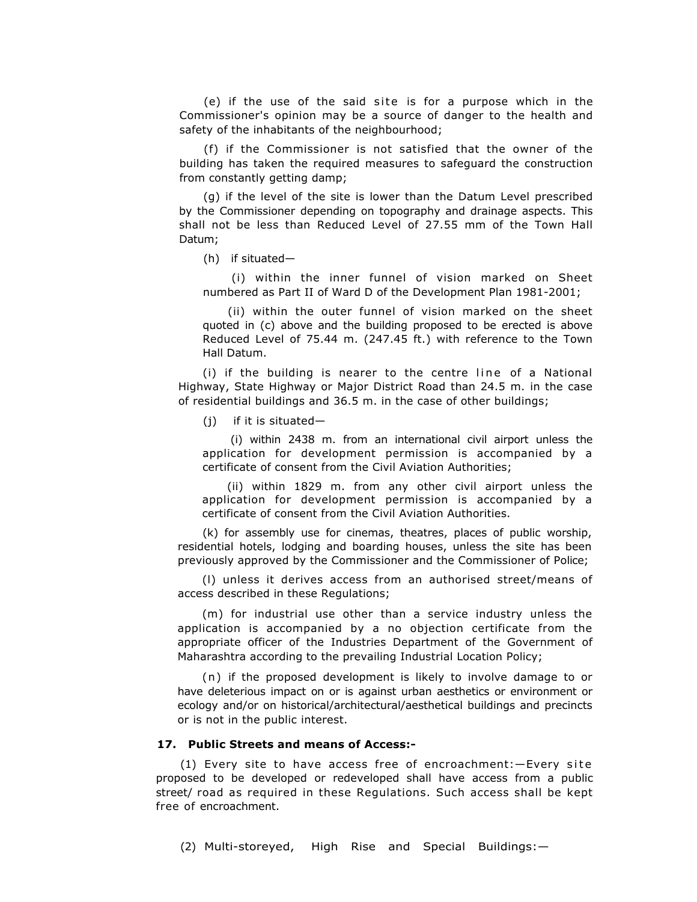$(e)$  if the use of the said site is for a purpose which in the Commissioner's opinion may be a source of danger to the health and safety of the inhabitants of the neighbourhood;

(f) if the Commissioner is not satisfied that the owner of the building has taken the required measures to safeguard the construction from constantly getting damp;

(g) if the level of the site is lower than the Datum Level prescribed by the Commissioner depending on topography and drainage aspects. This shall not be less than Reduced Level of 27.55 mm of the Town Hall Datum;

(h) if situated—

(i) within the inner funnel of vision marked on Sheet numbered as Part II of Ward D of the Development Plan 1981-2001;

(ii) within the outer funnel of vision marked on the sheet quoted in (c) above and the building proposed to be erected is above Reduced Level of 75.44 m. (247.45 ft.) with reference to the Town Hall Datum.

 $(i)$  if the building is nearer to the centre line of a National Highway, State Highway or Major District Road than 24.5 m. in the case of residential buildings and 36.5 m. in the case of other buildings;

(j) if it is situated—

(i) within 2438 m. from an international civil airport unless the application for development permission is accompanied by a certificate of consent from the Civil Aviation Authorities;

(ii) within 1829 m. from any other civil airport unless the application for development permission is accompanied by a certificate of consent from the Civil Aviation Authorities.

(k) for assembly use for cinemas, theatres, places of public worship, residential hotels, lodging and boarding houses, unless the site has been previously approved by the Commissioner and the Commissioner of Police;

(l) unless it derives access from an authorised street/means of access described in these Regulations;

(m) for industrial use other than a service industry unless the application is accompanied by a no objection certificate from the appropriate officer of the Industries Department of the Government of Maharashtra according to the prevailing Industrial Location Policy;

(n) if the proposed development is likely to involve damage to or have deleterious impact on or is against urban aesthetics or environment or ecology and/or on historical/architectural/aesthetical buildings and precincts or is not in the public interest.

## **17. Public Streets and means of Access:-**

(1) Every site to have access free of encroachment:—Every si te proposed to be developed or redeveloped shall have access from a public street/ road as required in these Regulations. Such access shall be kept free of encroachment.

(2) Multi-storeyed, High Rise and Special Buildings:—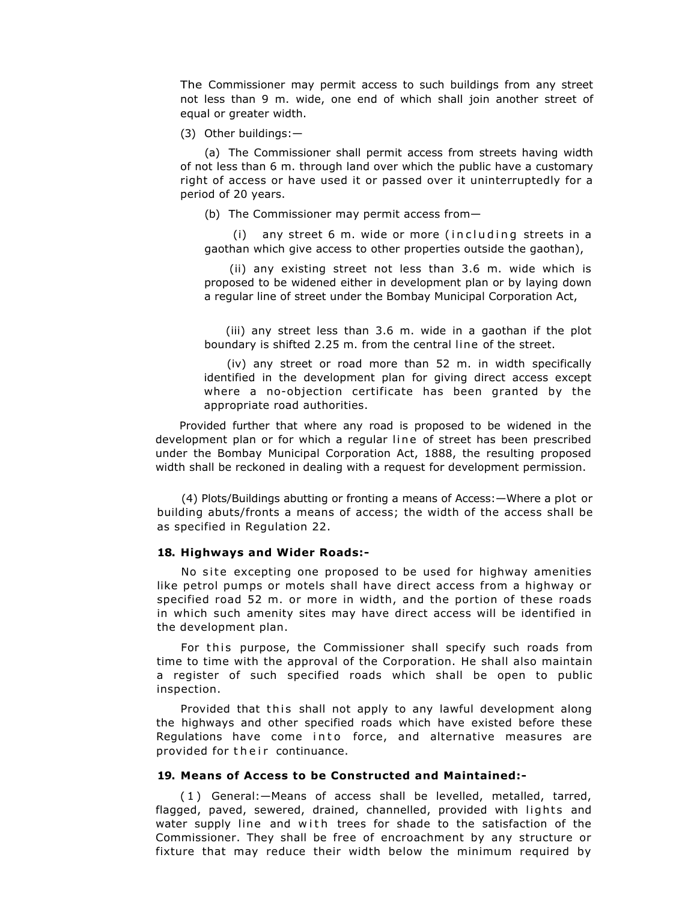The Commissioner may permit access to such buildings from any street not less than 9 m. wide, one end of which shall join another street of equal or greater width.

(3) Other buildings:—

(a) The Commissioner shall permit access from streets having width of not less than 6 m. through land over which the public have a customary right of access or have used it or passed over it uninterruptedly for a period of 20 years.

(b) The Commissioner may permit access from—

 $(i)$  any street 6 m. wide or more (including streets in a gaothan which give access to other properties outside the gaothan),

(ii) any existing street not less than 3.6 m. wide which is proposed to be widened either in development plan or by laying down a regular line of street under the Bombay Municipal Corporation Act,

(iii) any street less than 3.6 m. wide in a gaothan if the plot boundary is shifted 2.25 m. from the central line of the street.

(iv) any street or road more than 52 m. in width specifically identified in the development plan for giving direct access except where a no-objection certificate has been granted by the appropriate road authorities.

Provided further that where any road is proposed to be widened in the development plan or for which a regular line of street has been prescribed under the Bombay Municipal Corporation Act, 1888, the resulting proposed width shall be reckoned in dealing with a request for development permission.

(4) Plots/Buildings abutting or fronting a means of Access:—Where a plot or building abuts/fronts a means of access; the width of the access shall be as specified in Regulation 22.

## **18. Highways and Wider Roads:-**

No site excepting one proposed to be used for highway amenities like petrol pumps or motels shall have direct access from a highway or specified road 52 m. or more in width, and the portion of these roads in which such amenity sites may have direct access will be identified in the development plan.

For this purpose, the Commissioner shall specify such roads from time to time with the approval of the Corporation. He shall also maintain a register of such specified roads which shall be open to public inspection.

Provided that this shall not apply to any lawful development along the highways and other specified roads which have existed before these Regulations have come into force, and alternative measures are provided for their continuance.

#### **19. Means of Access to be Constructed and Maintained:-**

( 1 ) General:—Means of access shall be levelled, metalled, tarred, flagged, paved, sewered, drained, channelled, provided with lights and water supply line and with trees for shade to the satisfaction of the Commissioner. They shall be free of encroachment by any structure or fixture that may reduce their width below the minimum required by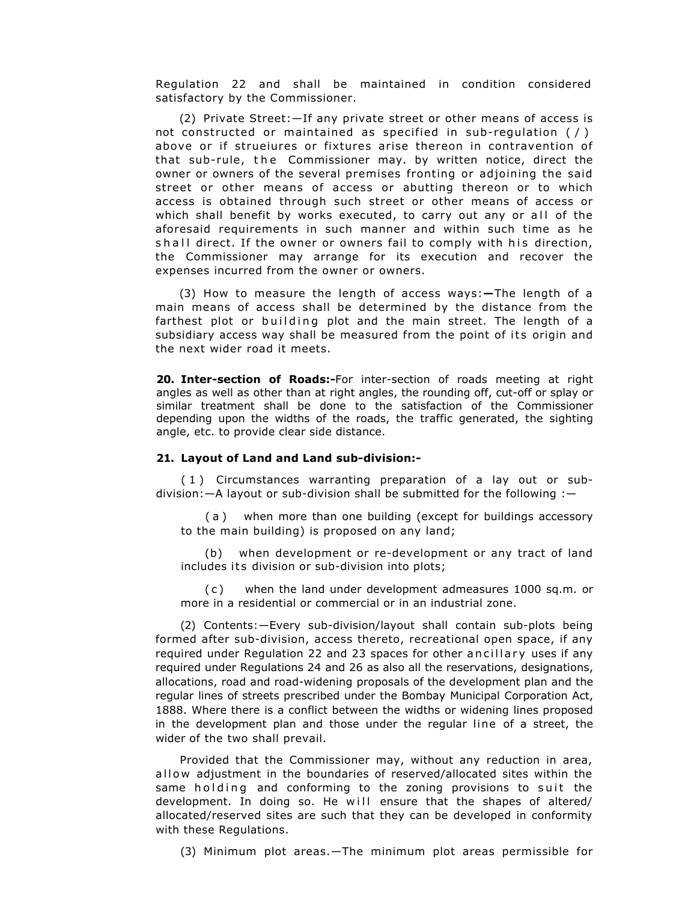Regulation 22 and shall be maintained in condition considered satisfactory by the Commissioner.

(2) Private Street:—If any private street or other means of access is not constructed or maintained as specified in sub-regulation ( / ) above or if strueiures or fixtures arise thereon in contravention of that sub-rule, the Commissioner may. by written notice, direct the owner or owners of the several premises fronting or adjoining the said street or other means of access or abutting thereon or to which access is obtained through such street or other means of access or which shall benefit by works executed, to carry out any or all of the aforesaid requirements in such manner and within such time as he shall direct. If the owner or owners fail to comply with his direction, the Commissioner may arrange for its execution and recover the expenses incurred from the owner or owners.

(3) How to measure the length of access ways:**—**The length of a main means of access shall be determined by the distance from the farthest plot or building plot and the main street. The length of a subsidiary access way shall be measured from the point of its origin and the next wider road it meets.

**20. Inter-section of Roads:-**For inter-section of roads meeting at right angles as well as other than at right angles, the rounding off, cut-off or splay or similar treatment shall be done to the satisfaction of the Commissioner depending upon the widths of the roads, the traffic generated, the sighting angle, etc. to provide clear side distance.

## **21. Layout of Land and Land sub-division:-**

( 1 ) Circumstances warranting preparation of a lay out or subdivision:—A layout or sub-division shall be submitted for the following :—

( a ) when more than one building (except for buildings accessory to the main building) is proposed on any land;

(b) when development or re-development or any tract of land includes its division or sub-division into plots;

( c ) when the land under development admeasures 1000 sq.m. or more in a residential or commercial or in an industrial zone.

(2) Contents:—Every sub-division/layout shall contain sub-plots being formed after sub-division, access thereto, recreational open space, if any required under Regulation 22 and 23 spaces for other ancillary uses if any required under Regulations 24 and 26 as also all the reservations, designations, allocations, road and road-widening proposals of the development plan and the regular lines of streets prescribed under the Bombay Municipal Corporation Act, 1888. Where there is a conflict between the widths or widening lines proposed in the development plan and those under the regular line of a street, the wider of the two shall prevail.

Provided that the Commissioner may, without any reduction in area, allow adjustment in the boundaries of reserved/allocated sites within the same holding and conforming to the zoning provisions to suit the development. In doing so. He will ensure that the shapes of altered/ allocated/reserved sites are such that they can be developed in conformity with these Regulations.

(3) Minimum plot areas.—The minimum plot areas permissible for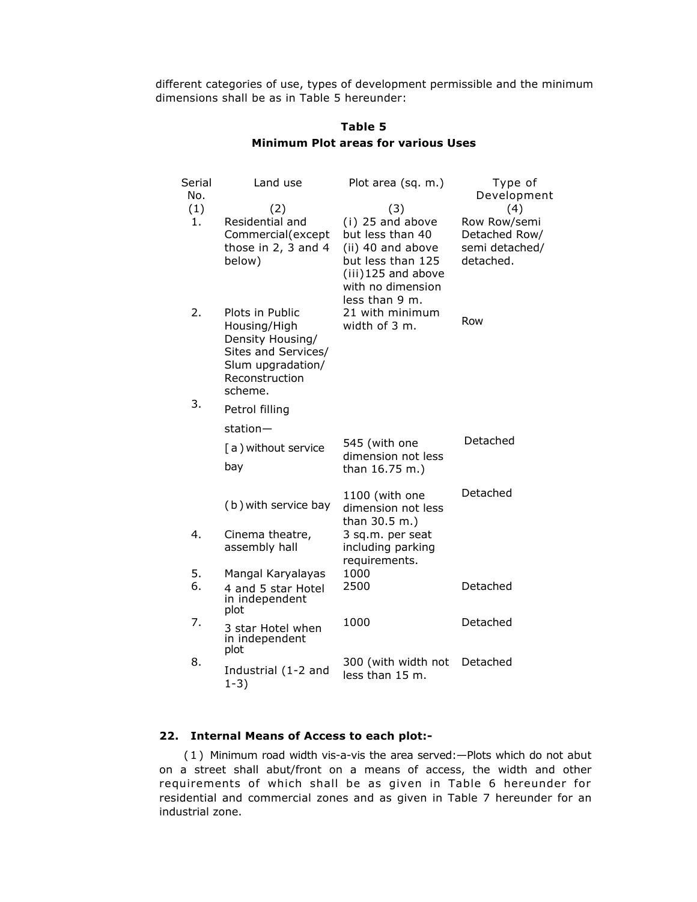different categories of use, types of development permissible and the minimum dimensions shall be as in Table 5 hereunder:

| Serial<br>No.<br>(1)<br>1. | Land use<br>(2)<br>Residential and<br>Commercial(except<br>those in 2, 3 and 4<br>below)                                     | Plot area (sq. m.)<br>(3)<br>(i) 25 and above<br>but less than 40<br>(ii) 40 and above<br>but less than 125<br>(iii) 125 and above<br>with no dimension | Type of<br>Development<br>(4)<br>Row Row/semi<br>Detached Row/<br>semi detached/<br>detached. |
|----------------------------|------------------------------------------------------------------------------------------------------------------------------|---------------------------------------------------------------------------------------------------------------------------------------------------------|-----------------------------------------------------------------------------------------------|
| 2.                         | Plots in Public<br>Housing/High<br>Density Housing/<br>Sites and Services/<br>Slum upgradation/<br>Reconstruction<br>scheme. | less than 9 m.<br>21 with minimum<br>width of 3 m.                                                                                                      | Row                                                                                           |
| 3.                         | Petrol filling                                                                                                               |                                                                                                                                                         |                                                                                               |
|                            | $station -$                                                                                                                  | 545 (with one                                                                                                                                           | Detached                                                                                      |
|                            | [a ) without service<br>bay                                                                                                  | dimension not less<br>than 16.75 m.)                                                                                                                    |                                                                                               |
|                            | (b) with service bay                                                                                                         | 1100 (with one<br>dimension not less<br>than 30.5 m.)                                                                                                   | Detached                                                                                      |
| 4.                         | Cinema theatre,<br>assembly hall                                                                                             | 3 sq.m. per seat<br>including parking<br>requirements.                                                                                                  |                                                                                               |
| 5.<br>6.                   | Mangal Karyalayas<br>4 and 5 star Hotel<br>in independent<br>plot                                                            | 1000<br>2500                                                                                                                                            | Detached                                                                                      |
| 7.                         | 3 star Hotel when<br>in independent<br>plot                                                                                  | 1000                                                                                                                                                    | Detached                                                                                      |
| 8.                         | Industrial (1-2 and<br>$1-3)$                                                                                                | 300 (with width not<br>less than 15 m.                                                                                                                  | Detached                                                                                      |

## **Table 5 Minimum Plot areas for various Uses**

## **22. Internal Means of Access to each plot:-**

( 1 ) Minimum road width vis-a-vis the area served:—Plots which do not abut on a street shall abut/front on a means of access, the width and other requirements of which shall be as given in Table 6 hereunder for residential and commercial zones and as given in Table 7 hereunder for an industrial zone.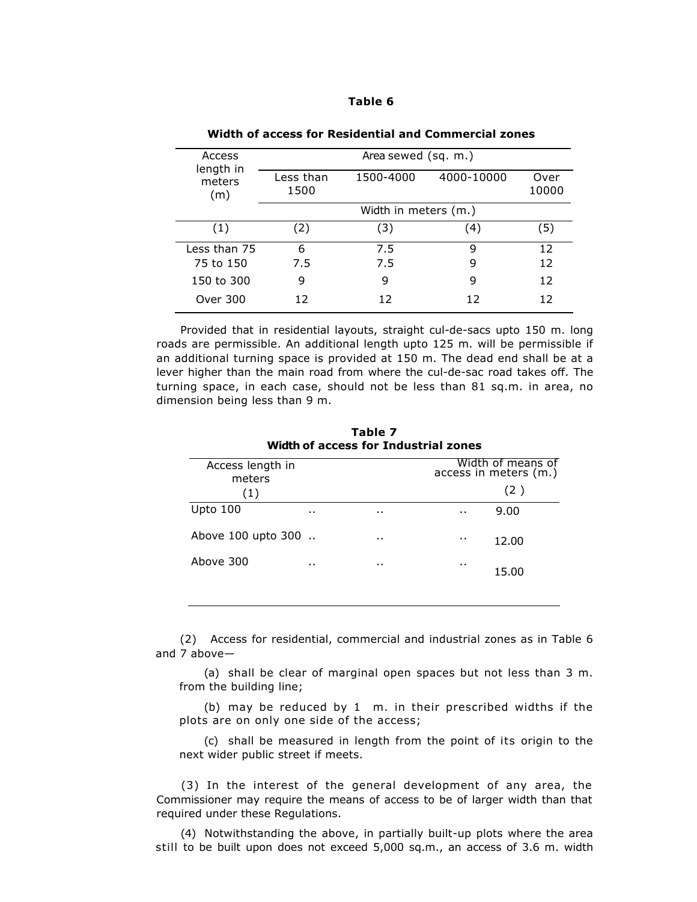| ш | Π<br>ш |  |  |
|---|--------|--|--|
|---|--------|--|--|

| Access                     |                      | Area sewed (sq. m.) |            |                 |  |
|----------------------------|----------------------|---------------------|------------|-----------------|--|
| length in<br>meters<br>(m) | Less than<br>1500    | 1500-4000           | 4000-10000 | Over<br>10000   |  |
|                            | Width in meters (m.) |                     |            |                 |  |
| (1)                        | (2)                  | (3)                 | (4)        | (5)             |  |
| Less than 75               | 6                    | 7.5                 | q          | 12 <sup>2</sup> |  |
| 75 to 150                  | 7.5                  | 7.5                 | 9          | 12              |  |
| 150 to 300                 | 9                    | 9                   | 9          | 12              |  |
| Over 300                   | 12                   | 12                  | 12         | 12              |  |

**Width of access for Residential and Commercial zones**

Provided that in residential layouts, straight cul-de-sacs upto 150 m. long roads are permissible. An additional length upto 125 m. will be permissible if an additional turning space is provided at 150 m. The dead end shall be at a lever higher than the main road from where the cul-de-sac road takes off. The turning space, in each case, should not be less than 81 sq.m. in area, no dimension being less than 9 m.

| Widul of access for Industrial Zones |           |           |           |                                            |  |  |
|--------------------------------------|-----------|-----------|-----------|--------------------------------------------|--|--|
| Access length in<br>meters           |           |           |           | Width of means of<br>access in meters (m.) |  |  |
| (1)                                  |           |           |           | (2)                                        |  |  |
| Upto 100                             | $\cdot$ . | $\cdot$ . | $\cdot$ . | 9.00                                       |  |  |
| Above 100 upto 300                   |           | $\cdot$ . | $\cdot$ . | 12.00                                      |  |  |
| Above 300                            | $\cdot$ . | $\cdot$ . | $\cdot$ . | 15.00                                      |  |  |
|                                      |           |           |           |                                            |  |  |

**Table 7 Width of access for Industrial zones**

(2) Access for residential, commercial and industrial zones as in Table 6 and 7 above—

(a) shall be clear of marginal open spaces but not less than 3 m. from the building line;

(b) may be reduced by 1 m. in their prescribed widths if the plots are on only one side of the access;

(c) shall be measured in length from the point of its origin to the next wider public street if meets.

(3) In the interest of the general development of any area, the Commissioner may require the means of access to be of larger width than that required under these Regulations.

(4) Notwithstanding the above, in partially built-up plots where the area still to be built upon does not exceed 5,000 sq.m., an access of 3.6 m. width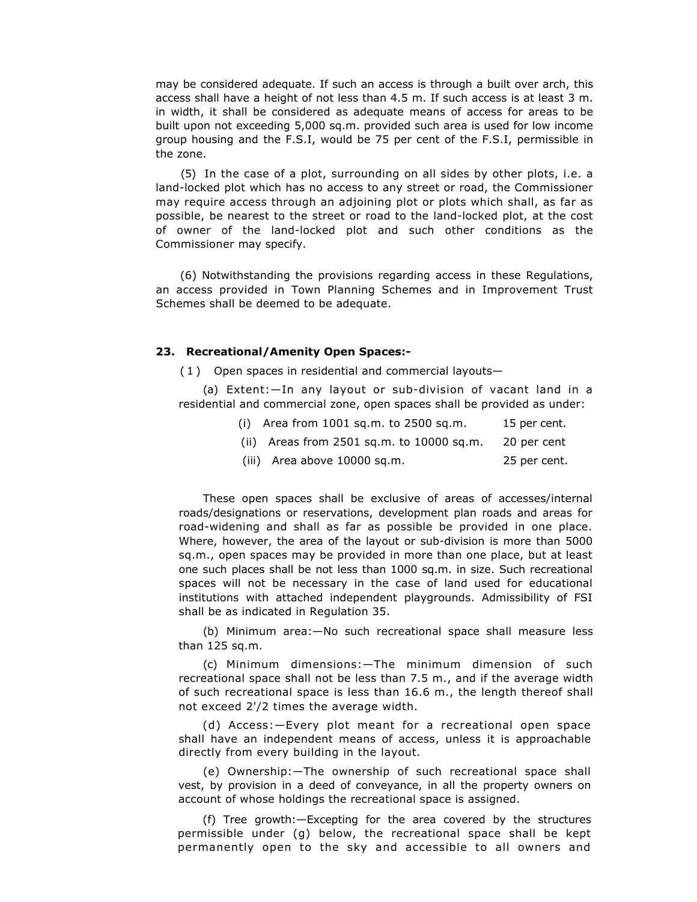may be considered adequate. If such an access is through a built over arch, this access shall have a height of not less than 4.5 m. If such access is at least 3 m. in width, it shall be considered as adequate means of access for areas to be built upon not exceeding 5,000 sq.m. provided such area is used for low income group housing and the F.S.I, would be 75 per cent of the F.S.I, permissible in the zone.

(5) In the case of a plot, surrounding on all sides by other plots, i.e. a land-locked plot which has no access to any street or road, the Commissioner may require access through an adjoining plot or plots which shall, as far as possible, be nearest to the street or road to the land-locked plot, at the cost of owner of the land-locked plot and such other conditions as the Commissioner may specify.

(6) Notwithstanding the provisions regarding access in these Regulations, an access provided in Town Planning Schemes and in Improvement Trust Schemes shall be deemed to be adequate.

## **23. Recreational/Amenity Open Spaces:-**

( 1 ) Open spaces in residential and commercial layouts—

(a) Extent:—In any layout or sub-division of vacant land in a residential and commercial zone, open spaces shall be provided as under:

| (i) Area from $1001$ sq.m. to $2500$ sq.m.    | 15 per cent. |
|-----------------------------------------------|--------------|
| (ii) Areas from $2501$ sq.m. to $10000$ sq.m. | 20 ner cent  |

|  | $\mu$ , $\mu$ and $\mu$ and $\mu$ and $\mu$ and $\mu$ and $\mu$ are $\mu$ and $\mu$ and $\mu$ are $\mu$ and $\mu$ |  |  |  |
|--|-------------------------------------------------------------------------------------------------------------------|--|--|--|
|  | .                                                                                                                 |  |  |  |

(iii) Area above 10000 sq.m. 25 per cent.

These open spaces shall be exclusive of areas of accesses/internal roads/designations or reservations, development plan roads and areas for road-widening and shall as far as possible be provided in one place. Where, however, the area of the layout or sub-division is more than 5000 sq.m., open spaces may be provided in more than one place, but at least one such places shall be not less than 1000 sq.m. in size. Such recreational spaces will not be necessary in the case of land used for educational institutions with attached independent playgrounds. Admissibility of FSI shall be as indicated in Regulation 35.

(b) Minimum area:—No such recreational space shall measure less than 125 sq.m.

(c) Minimum dimensions:—The minimum dimension of such recreational space shall not be less than 7.5 m., and if the average width of such recreational space is less than 16.6 m., the length thereof shall not exceed 2'/2 times the average width.

(d) Access:—Every plot meant for a recreational open space shall have an independent means of access, unless it is approachable directly from every building in the layout.

(e) Ownership:—The ownership of such recreational space shall vest, by provision in a deed of conveyance, in all the property owners on account of whose holdings the recreational space is assigned.

(f) Tree growth:—Excepting for the area covered by the structures permissible under (g) below, the recreational space shall be kept permanently open to the sky and accessible to all owners and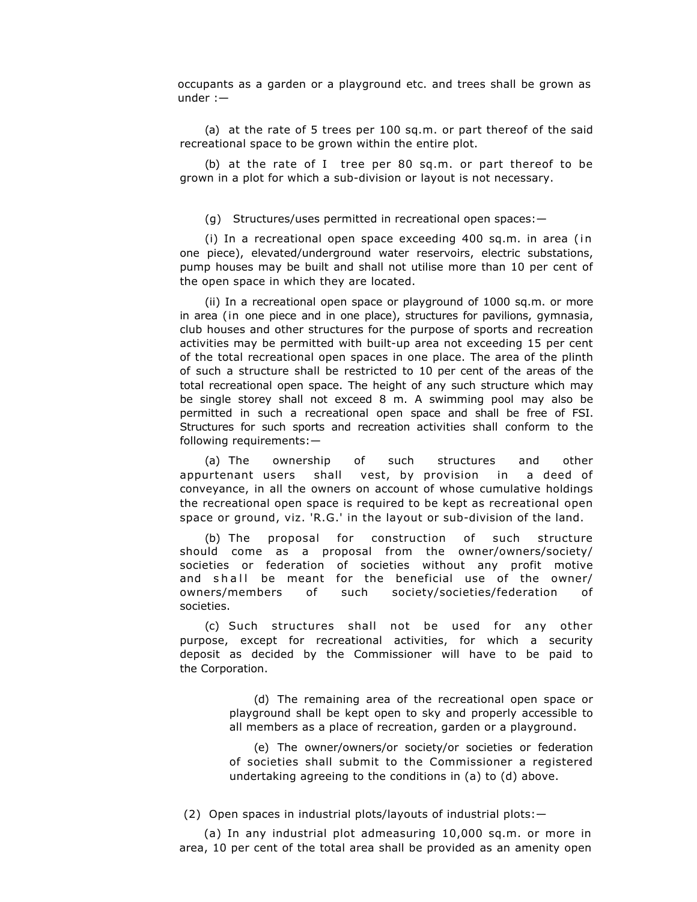occupants as a garden or a playground etc. and trees shall be grown as under :—

(a) at the rate of 5 trees per 100 sq.m. or part thereof of the said recreational space to be grown within the entire plot.

(b) at the rate of I tree per 80 sq.m. or part thereof to be grown in a plot for which a sub-division or layout is not necessary.

(g) Structures/uses permitted in recreational open spaces:—

(i) In a recreational open space exceeding 400 sq.m. in area (in one piece), elevated/underground water reservoirs, electric substations, pump houses may be built and shall not utilise more than 10 per cent of the open space in which they are located.

(ii) In a recreational open space or playground of 1000 sq.m. or more in area (in one piece and in one place), structures for pavilions, gymnasia, club houses and other structures for the purpose of sports and recreation activities may be permitted with built-up area not exceeding 15 per cent of the total recreational open spaces in one place. The area of the plinth of such a structure shall be restricted to 10 per cent of the areas of the total recreational open space. The height of any such structure which may be single storey shall not exceed 8 m. A swimming pool may also be permitted in such a recreational open space and shall be free of FSI. Structures for such sports and recreation activities shall conform to the following requirements:—

(a) The ownership of such structures and other appurtenant users shall vest, by provision in a deed of conveyance, in all the owners on account of whose cumulative holdings the recreational open space is required to be kept as recreational open space or ground, viz. 'R.G.' in the layout or sub-division of the land.

(b) The proposal for construction of such structure should come as a proposal from the owner/owners/society/ societies or federation of societies without any profit motive and shall be meant for the beneficial use of the owner/ owners/members of such society/societies/federation of societies.

(c) Such structures shall not be used for any other purpose, except for recreational activities, for which a security deposit as decided by the Commissioner will have to be paid to the Corporation.

> (d) The remaining area of the recreational open space or playground shall be kept open to sky and properly accessible to all members as a place of recreation, garden or a playground.

> (e) The owner/owners/or society/or societies or federation of societies shall submit to the Commissioner a registered undertaking agreeing to the conditions in (a) to (d) above.

(2) Open spaces in industrial plots/layouts of industrial plots:—

(a) In any industrial plot admeasuring 10,000 sq.m. or more in area, 10 per cent of the total area shall be provided as an amenity open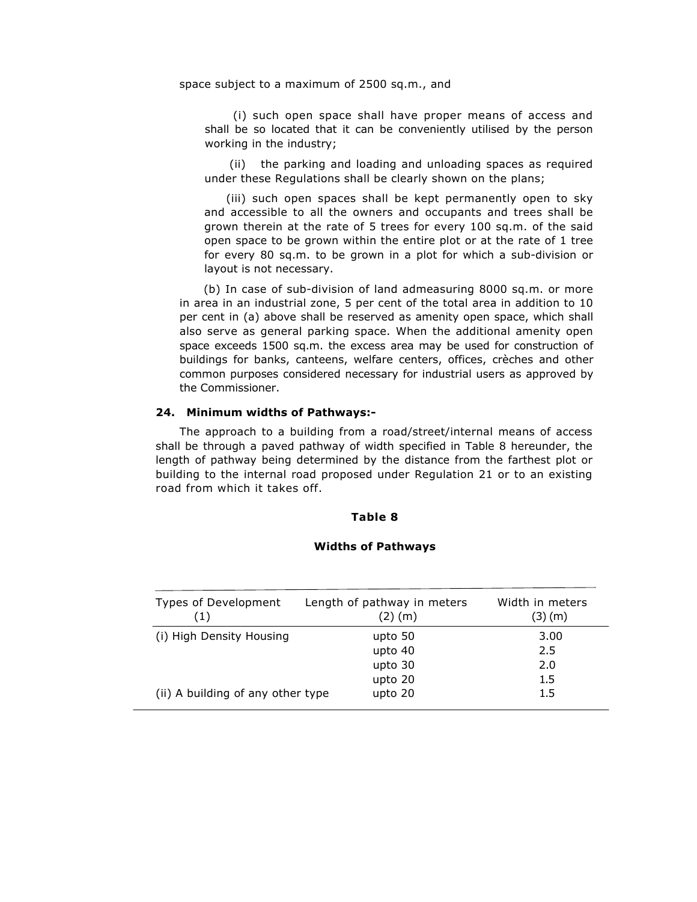space subject to a maximum of 2500 sq.m., and

(i) such open space shall have proper means of access and shall be so located that it can be conveniently utilised by the person working in the industry;

(ii) the parking and loading and unloading spaces as required under these Regulations shall be clearly shown on the plans;

(iii) such open spaces shall be kept permanently open to sky and accessible to all the owners and occupants and trees shall be grown therein at the rate of 5 trees for every 100 sq.m. of the said open space to be grown within the entire plot or at the rate of 1 tree for every 80 sq.m. to be grown in a plot for which a sub-division or layout is not necessary.

(b) In case of sub-division of land admeasuring 8000 sq.m. or more in area in an industrial zone, 5 per cent of the total area in addition to 10 per cent in (a) above shall be reserved as amenity open space, which shall also serve as general parking space. When the additional amenity open space exceeds 1500 sq.m. the excess area may be used for construction of buildings for banks, canteens, welfare centers, offices, crèches and other common purposes considered necessary for industrial users as approved by the Commissioner.

## **24. Minimum widths of Pathways:-**

The approach to a building from a road/street/internal means of access shall be through a paved pathway of width specified in Table 8 hereunder, the length of pathway being determined by the distance from the farthest plot or building to the internal road proposed under Regulation 21 or to an existing road from which it takes off.

## **Table 8**

#### **Widths of Pathways**

| Types of Development<br>(1)       | Length of pathway in meters<br>$(2)$ (m) | Width in meters<br>(3) (m) |
|-----------------------------------|------------------------------------------|----------------------------|
| (i) High Density Housing          | upto 50                                  | 3.00                       |
|                                   | upto 40                                  | 2.5                        |
|                                   | upto 30                                  | 2.0                        |
|                                   | upto 20                                  | $1.5\,$                    |
| (ii) A building of any other type | upto 20                                  | 1.5                        |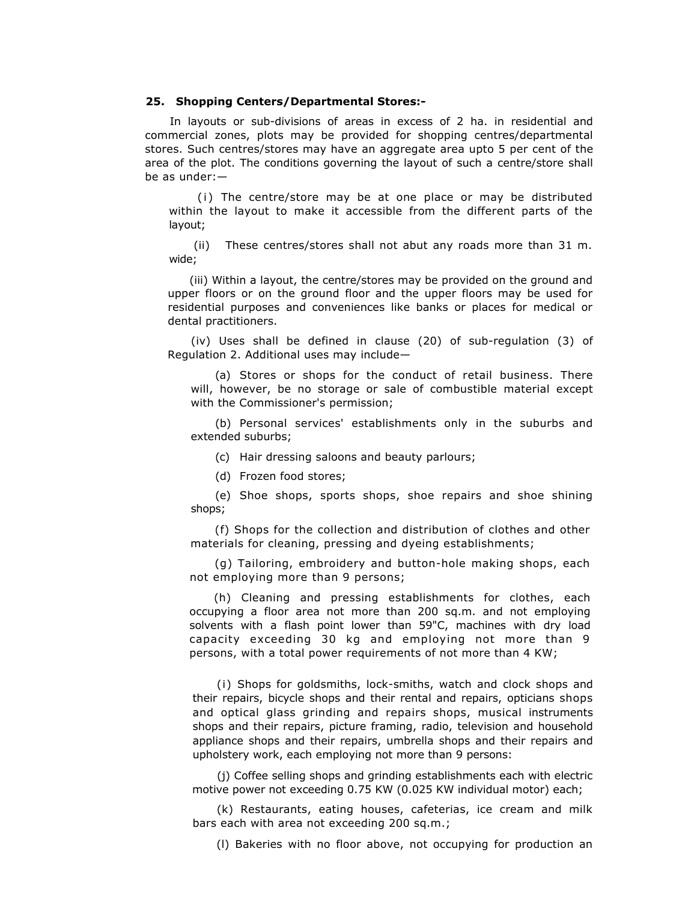## **25. Shopping Centers/Departmental Stores:-**

In layouts or sub-divisions of areas in excess of 2 ha. in residential and commercial zones, plots may be provided for shopping centres/departmental stores. Such centres/stores may have an aggregate area upto 5 per cent of the area of the plot. The conditions governing the layout of such a centre/store shall be as under:—

(i) The centre/store may be at one place or may be distributed within the layout to make it accessible from the different parts of the layout;

(ii) These centres/stores shall not abut any roads more than 31 m. wide;

(iii) Within a layout, the centre/stores may be provided on the ground and upper floors or on the ground floor and the upper floors may be used for residential purposes and conveniences like banks or places for medical or dental practitioners.

(iv) Uses shall be defined in clause (20) of sub-regulation (3) of Regulation 2. Additional uses may include—

(a) Stores or shops for the conduct of retail business. There will, however, be no storage or sale of combustible material except with the Commissioner's permission;

(b) Personal services' establishments only in the suburbs and extended suburbs;

(c) Hair dressing saloons and beauty parlours;

(d) Frozen food stores;

(e) Shoe shops, sports shops, shoe repairs and shoe shining shops;

(f) Shops for the collection and distribution of clothes and other materials for cleaning, pressing and dyeing establishments;

(g) Tailoring, embroidery and button-hole making shops, each not employing more than 9 persons;

(h) Cleaning and pressing establishments for clothes, each occupying a floor area not more than 200 sq.m. and not employing solvents with a flash point lower than 59"C, machines with dry load capacity exceeding 30 kg and employing not more than 9 persons, with a total power requirements of not more than 4 KW;

(i) Shops for goldsmiths, lock-smiths, watch and clock shops and their repairs, bicycle shops and their rental and repairs, opticians shops and optical glass grinding and repairs shops, musical instruments shops and their repairs, picture framing, radio, television and household appliance shops and their repairs, umbrella shops and their repairs and upholstery work, each employing not more than 9 persons:

(j) Coffee selling shops and grinding establishments each with electric motive power not exceeding 0.75 KW (0.025 KW individual motor) each;

(k) Restaurants, eating houses, cafeterias, ice cream and milk bars each with area not exceeding 200 sq.m.;

(l) Bakeries with no floor above, not occupying for production an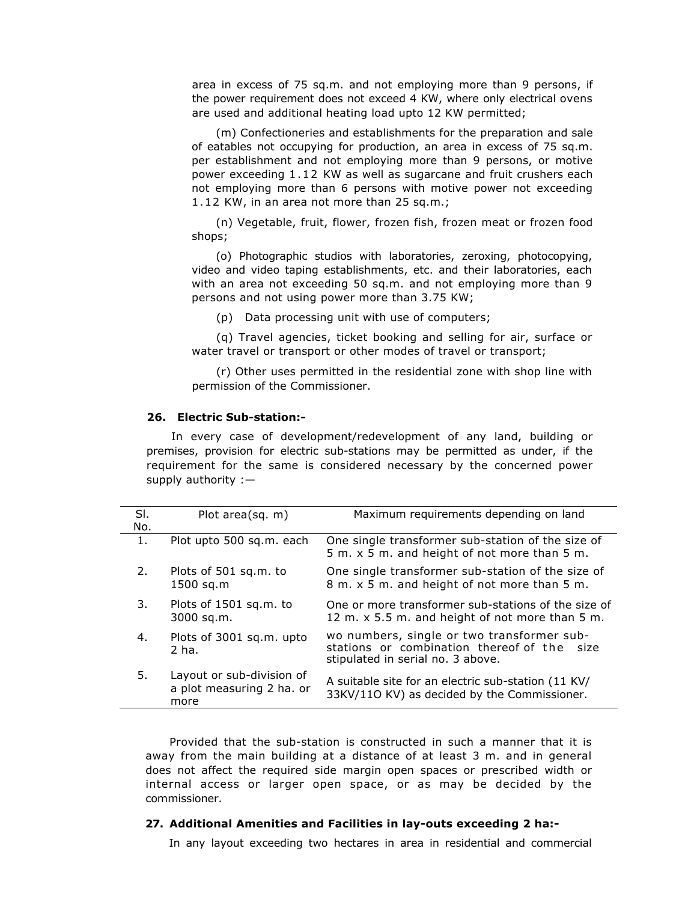area in excess of 75 sq.m. and not employing more than 9 persons, if the power requirement does not exceed 4 KW, where only electrical ovens are used and additional heating load upto 12 KW permitted;

(m) Confectioneries and establishments for the preparation and sale of eatables not occupying for production, an area in excess of 75 sq.m. per establishment and not employing more than 9 persons, or motive power exceeding 1 .12 KW as well as sugarcane and fruit crushers each not employing more than 6 persons with motive power not exceeding 1 .12 KW, in an area not more than 25 sq.m.;

(n) Vegetable, fruit, flower, frozen fish, frozen meat or frozen food shops;

(o) Photographic studios with laboratories, zeroxing, photocopying, video and video taping establishments, etc. and their laboratories, each with an area not exceeding 50 sq.m. and not employing more than 9 persons and not using power more than 3.75 KW;

(p) Data processing unit with use of computers;

(q) Travel agencies, ticket booking and selling for air, surface or water travel or transport or other modes of travel or transport;

(r) Other uses permitted in the residential zone with shop line with permission of the Commissioner.

## **26. Electric Sub-station:-**

In every case of development/redevelopment of any land, building or premises, provision for electric sub-stations may be permitted as under, if the requirement for the same is considered necessary by the concerned power supply authority :—

| SI. | Plot area(sq. m)                                               | Maximum requirements depending on land                                                                                         |
|-----|----------------------------------------------------------------|--------------------------------------------------------------------------------------------------------------------------------|
| No. |                                                                |                                                                                                                                |
| 1.  | Plot upto 500 sq.m. each                                       | One single transformer sub-station of the size of<br>5 m. x 5 m. and height of not more than 5 m.                              |
| 2.  | Plots of 501 sq.m. to<br>1500 sq.m                             | One single transformer sub-station of the size of<br>8 m. x 5 m. and height of not more than 5 m.                              |
| 3.  | Plots of 1501 sq.m. to<br>3000 sq.m.                           | One or more transformer sub-stations of the size of<br>12 m. x 5.5 m. and height of not more than 5 m.                         |
| 4.  | Plots of 3001 sq.m. upto<br>2 ha.                              | wo numbers, single or two transformer sub-<br>stations or combination thereof of the size<br>stipulated in serial no. 3 above. |
| 5.  | Layout or sub-division of<br>a plot measuring 2 ha. or<br>more | A suitable site for an electric sub-station (11 KV/<br>33KV/110 KV) as decided by the Commissioner.                            |

Provided that the sub-station is constructed in such a manner that it is away from the main building at a distance of at least 3 m. and in general does not affect the required side margin open spaces or prescribed width or internal access or larger open space, or as may be decided by the commissioner.

#### **27. Additional Amenities and Facilities in lay-outs exceeding 2 ha:-**

In any layout exceeding two hectares in area in residential and commercial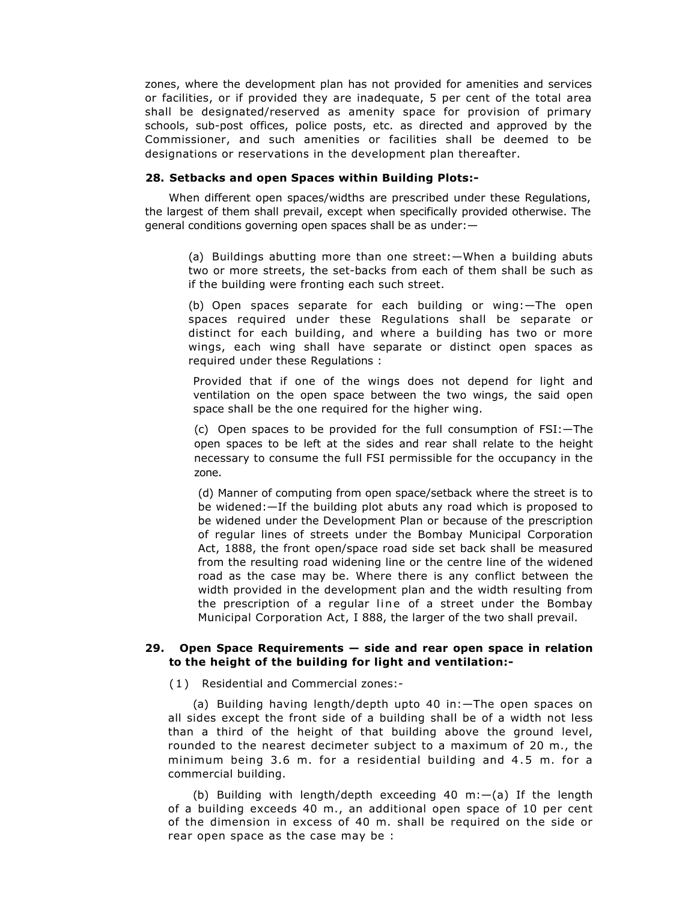zones, where the development plan has not provided for amenities and services or facilities, or if provided they are inadequate, 5 per cent of the total area shall be designated/reserved as amenity space for provision of primary schools, sub-post offices, police posts, etc. as directed and approved by the Commissioner, and such amenities or facilities shall be deemed to be designations or reservations in the development plan thereafter.

## **28. Setbacks and open Spaces within Building Plots:-**

When different open spaces/widths are prescribed under these Regulations, the largest of them shall prevail, except when specifically provided otherwise. The general conditions governing open spaces shall be as under:—

(a) Buildings abutting more than one street:—When a building abuts two or more streets, the set-backs from each of them shall be such as if the building were fronting each such street.

(b) Open spaces separate for each building or wing:—The open spaces required under these Regulations shall be separate or distinct for each building, and where a building has two or more wings, each wing shall have separate or distinct open spaces as required under these Regulations :

Provided that if one of the wings does not depend for light and ventilation on the open space between the two wings, the said open space shall be the one required for the higher wing.

(c) Open spaces to be provided for the full consumption of FSI:—The open spaces to be left at the sides and rear shall relate to the height necessary to consume the full FSI permissible for the occupancy in the zone.

(d) Manner of computing from open space/setback where the street is to be widened:—If the building plot abuts any road which is proposed to be widened under the Development Plan or because of the prescription of regular lines of streets under the Bombay Municipal Corporation Act, 1888, the front open/space road side set back shall be measured from the resulting road widening line or the centre line of the widened road as the case may be. Where there is any conflict between the width provided in the development plan and the width resulting from the prescription of a regular line of a street under the Bombay Municipal Corporation Act, I 888, the larger of the two shall prevail.

## **29. Open Space Requirements — side and rear open space in relation to the height of the building for light and ventilation:-**

( 1 ) Residential and Commercial zones:-

(a) Building having length/depth upto 40 in:—The open spaces on all sides except the front side of a building shall be of a width not less than a third of the height of that building above the ground level, rounded to the nearest decimeter subject to a maximum of 20 m., the minimum being 3.6 m. for a residential building and 4.5 m. for a commercial building.

(b) Building with length/depth exceeding 40 m:—(a) If the length of a building exceeds 40 m., an additional open space of 10 per cent of the dimension in excess of 40 m. shall be required on the side or rear open space as the case may be :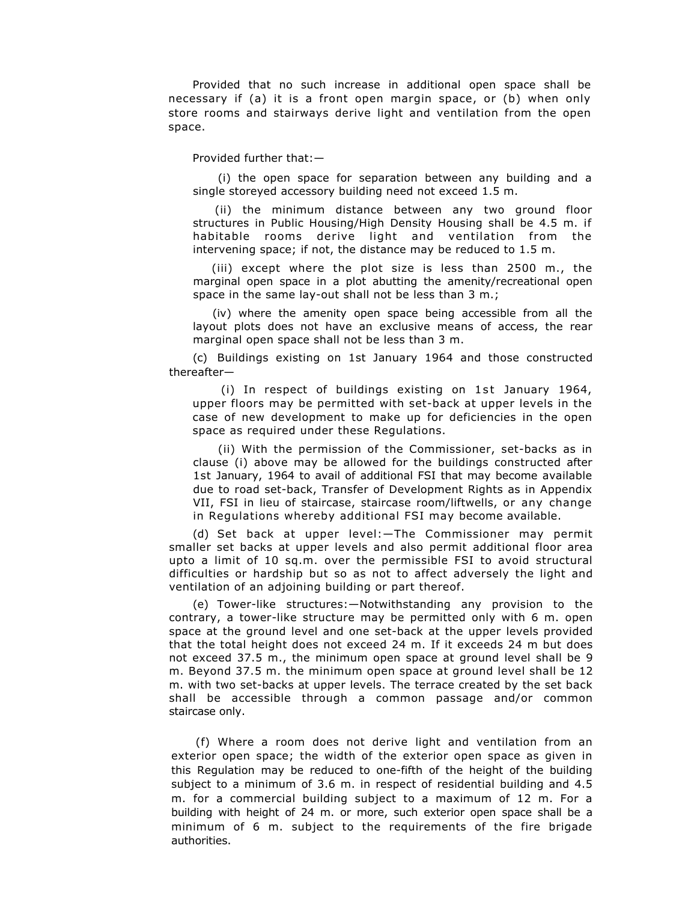Provided that no such increase in additional open space shall be necessary if (a) it is a front open margin space, or (b) when only store rooms and stairways derive light and ventilation from the open space.

Provided further that:—

(i) the open space for separation between any building and a single storeyed accessory building need not exceed 1.5 m.

(ii) the minimum distance between any two ground floor structures in Public Housing/High Density Housing shall be 4.5 m. if habitable rooms derive light and ventilation from the intervening space; if not, the distance may be reduced to 1.5 m.

(iii) except where the plot size is less than 2500 m., the marginal open space in a plot abutting the amenity/recreational open space in the same lay-out shall not be less than 3 m.;

(iv) where the amenity open space being accessible from all the layout plots does not have an exclusive means of access, the rear marginal open space shall not be less than 3 m.

(c) Buildings existing on 1st January 1964 and those constructed thereafter—

 $(i)$  In respect of buildings existing on 1st January 1964, upper floors may be permitted with set-back at upper levels in the case of new development to make up for deficiencies in the open space as required under these Regulations.

(ii) With the permission of the Commissioner, set-backs as in clause (i) above may be allowed for the buildings constructed after 1st January, 1964 to avail of additional FSI that may become available due to road set-back, Transfer of Development Rights as in Appendix VII, FSI in lieu of staircase, staircase room/liftwells, or any change in Regulations whereby additional FSI may become available.

(d) Set back at upper level:—The Commissioner may permit smaller set backs at upper levels and also permit additional floor area upto a limit of 10 sq.m. over the permissible FSI to avoid structural difficulties or hardship but so as not to affect adversely the light and ventilation of an adjoining building or part thereof.

(e) Tower-like structures:—Notwithstanding any provision to the contrary, a tower-like structure may be permitted only with 6 m. open space at the ground level and one set-back at the upper levels provided that the total height does not exceed 24 m. If it exceeds 24 m but does not exceed 37.5 m., the minimum open space at ground level shall be 9 m. Beyond 37.5 m. the minimum open space at ground level shall be 12 m. with two set-backs at upper levels. The terrace created by the set back shall be accessible through a common passage and/or common staircase only.

(f) Where a room does not derive light and ventilation from an exterior open space; the width of the exterior open space as given in this Regulation may be reduced to one-fifth of the height of the building subject to a minimum of 3.6 m. in respect of residential building and 4.5 m. for a commercial building subject to a maximum of 12 m. For a building with height of 24 m. or more, such exterior open space shall be a minimum of 6 m. subject to the requirements of the fire brigade authorities.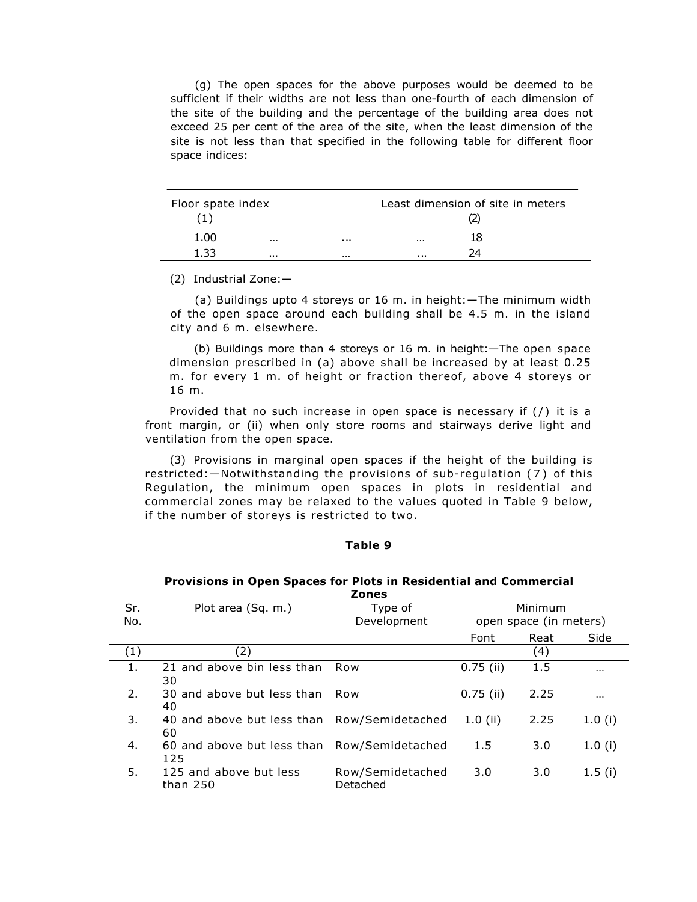(g) The open spaces for the above purposes would be deemed to be sufficient if their widths are not less than one-fourth of each dimension of the site of the building and the percentage of the building area does not exceed 25 per cent of the area of the site, when the least dimension of the site is not less than that specified in the following table for different floor space indices:

| Floor spate index |  |   | Least dimension of site in meters |    |  |
|-------------------|--|---|-----------------------------------|----|--|
| 1.00              |  | . |                                   | 18 |  |
| 1 ??              |  |   |                                   |    |  |

(2) Industrial Zone:—

(a) Buildings upto 4 storeys or 16 m. in height:—The minimum width of the open space around each building shall be 4.5 m. in the island city and 6 m. elsewhere.

(b) Buildings more than 4 storeys or 16 m. in height:—The open space dimension prescribed in (a) above shall be increased by at least 0.25 m. for every 1 m. of height or fraction thereof, above 4 storeys or 16 m.

Provided that no such increase in open space is necessary if  $(7)$  it is a front margin, or (ii) when only store rooms and stairways derive light and ventilation from the open space.

(3) Provisions in marginal open spaces if the height of the building is restricted:—Notwithstanding the provisions of sub-regulation (7) of this Regulation, the minimum open spaces in plots in residential and commercial zones may be relaxed to the values quoted in Table 9 below, if the number of storeys is restricted to two.

## **Table 9**

|            | <b>Zones</b>                                       |                              |             |                                   |          |  |  |
|------------|----------------------------------------------------|------------------------------|-------------|-----------------------------------|----------|--|--|
| Sr.<br>No. | Plot area (Sq. m.)                                 | Type of<br>Development       |             | Minimum<br>open space (in meters) |          |  |  |
|            |                                                    |                              | Font        | Reat                              | Side     |  |  |
| (1)        | (2)                                                |                              |             | (4)                               |          |  |  |
| 1.         | 21 and above bin less than<br>30                   | Row                          | $0.75$ (ii) | 1.5                               | $\cdots$ |  |  |
| 2.         | 30 and above but less than<br>40                   | Row                          | $0.75$ (ii) | 2.25                              | $\cdots$ |  |  |
| 3.         | 40 and above but less than Row/Semidetached<br>60  |                              | $1.0$ (ii)  | 2.25                              | 1.0(i)   |  |  |
| 4.         | 60 and above but less than Row/Semidetached<br>125 |                              | 1.5         | 3.0                               | 1.0(i)   |  |  |
| 5.         | 125 and above but less<br>than 250                 | Row/Semidetached<br>Detached | 3.0         | 3.0                               | 1.5(i)   |  |  |

# **Provisions in Open Spaces for Plots in Residential and Commercial**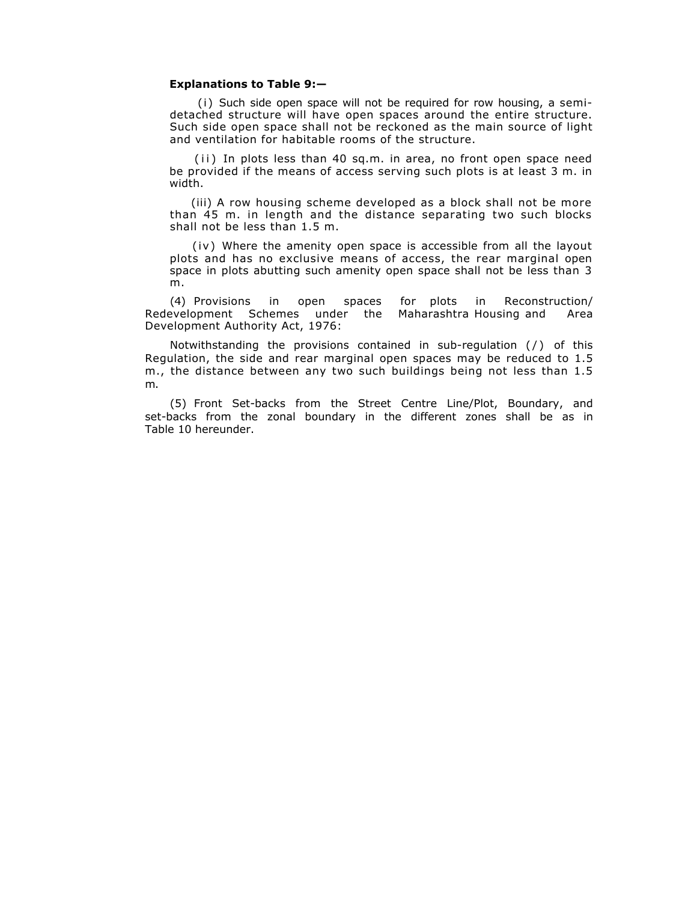#### **Explanations to Table 9:—**

(i) Such side open space will not be required for row housing, a semidetached structure will have open spaces around the entire structure. Such side open space shall not be reckoned as the main source of light and ventilation for habitable rooms of the structure.

(ii) In plots less than 40 sq.m. in area, no front open space need be provided if the means of access serving such plots is at least 3 m. in width.

(iii) A row housing scheme developed as a block shall not be more than 45 m. in length and the distance separating two such blocks shall not be less than 1.5 m.

(iv) Where the amenity open space is accessible from all the layout plots and has no exclusive means of access, the rear marginal open space in plots abutting such amenity open space shall not be less than 3 m.

(4) Provisions in open spaces for plots in Reconstruction/ Redevelopment Schemes under the Maharashtra Housing and Area Development Authority Act, 1976:

Notwithstanding the provisions contained in sub-regulation (/) of this Regulation, the side and rear marginal open spaces may be reduced to 1.5 m., the distance between any two such buildings being not less than 1.5 m.

(5) Front Set-backs from the Street Centre Line/Plot, Boundary, and set-backs from the zonal boundary in the different zones shall be as in Table 10 hereunder.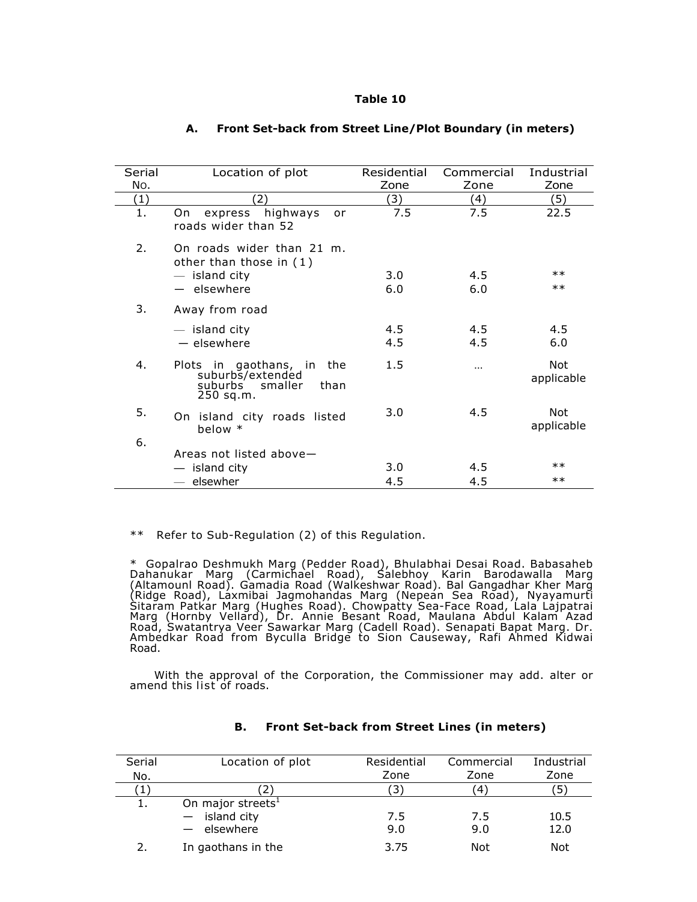### **Table 10**

| Serial | Location of plot                                                                         | Residential | Commercial | Industrial        |
|--------|------------------------------------------------------------------------------------------|-------------|------------|-------------------|
| No.    |                                                                                          | Zone        | Zone       | Zone              |
| (1)    | $\mathbf{2}$                                                                             | (3)         | (4)        | (5)               |
| 1.     | express highways<br>On l<br>or<br>roads wider than 52                                    | 7.5         | 7.5        | 22.5              |
| 2.     | On roads wider than 21 m.<br>other than those in (1)                                     |             |            |                   |
|        | $-$ island city                                                                          | 3.0         | 4.5        | $\ast\ast$        |
|        | $-$ elsewhere                                                                            | 6.0         | 6.0        | $***$             |
| 3.     | Away from road                                                                           |             |            |                   |
|        | $-$ island city                                                                          | 4.5         | 4.5        | 4.5               |
|        | - elsewhere                                                                              | 4.5         | 4.5        | 6.0               |
| 4.     | Plots in gaothans, in<br>the<br>suburbs/extended<br>suburbs smaller<br>than<br>250 sq.m. | 1.5         | $\cdots$   | Not<br>applicable |
| 5.     | On island city roads listed<br>below $*$                                                 | 3.0         | 4.5        | Not<br>applicable |
| 6.     | Areas not listed above-                                                                  |             |            |                   |
|        |                                                                                          | 3.0         | 4.5        | $***$             |
|        | — island city                                                                            |             |            | $***$             |
|        | elsewher                                                                                 | 4.5         | 4.5        |                   |

## **A. Front Set-back from Street Line/Plot Boundary (in meters)**

\*\* Refer to Sub-Regulation (2) of this Regulation.

\* Gopalrao Deshmukh Marg (Pedder Road), Bhulabhai Desai Road. Babasaheb Dahanukar Marg (Carmichael Road), Salebhoy Karin Barodawalla Marg (Altamounl Road). Gamadia Road (Walkeshwar Road). Bal Gangadhar Kher Marg (Ridge Road), Laxmibai Jagmohandas Marg (Nepean Sea Road), Nyayamurti Sitaram Patkar Marg (Hughes Road). Chowpatty Sea-Face Road, Lala Lajpatrai Marg (Hornby Vellard), Dr. Annie Besant Road, Maulana Abdul Kalam Azad Road, Swatantrya Veer Sawarkar Marg (Cadell Road). Senapati Bapat Marg. Dr. Ambedkar Road from Byculla Bridge to Sion Causeway, Rafi Ahmed Kidwai Road.

With the approval of the Corporation, the Commissioner may add. alter or amend this list of roads.

| Serial | Location of plot              | Residential           | Commercial | Industrial |
|--------|-------------------------------|-----------------------|------------|------------|
| No.    |                               | Zone                  | Zone       | Zone       |
| 1      |                               | $\mathbf{3}^{\prime}$ | 4          | כ          |
|        | On major streets <sup>1</sup> |                       |            |            |
|        | island city                   | 7.5                   | 7.5        | 10.5       |
|        | elsewhere                     | 9.0                   | 9.0        | 12.0       |
|        | In gaothans in the            | 3.75                  | Not        | Not        |

## **B. Front Set-back from Street Lines (in meters)**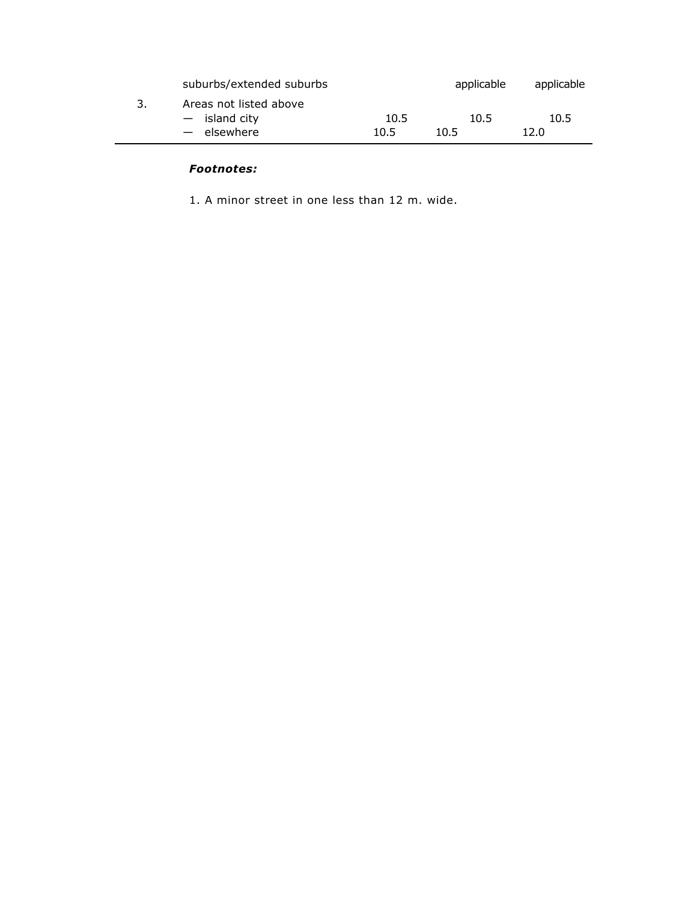|    | suburbs/extended suburbs                               |              | applicable   | applicable   |
|----|--------------------------------------------------------|--------------|--------------|--------------|
| З. | Areas not listed above<br>- island city<br>- elsewhere | 10.5<br>10.5 | 10.5<br>10.5 | 10.5<br>12.0 |
|    |                                                        |              |              |              |

## *Footnotes:*

1. A minor street in one less than 12 m. wide.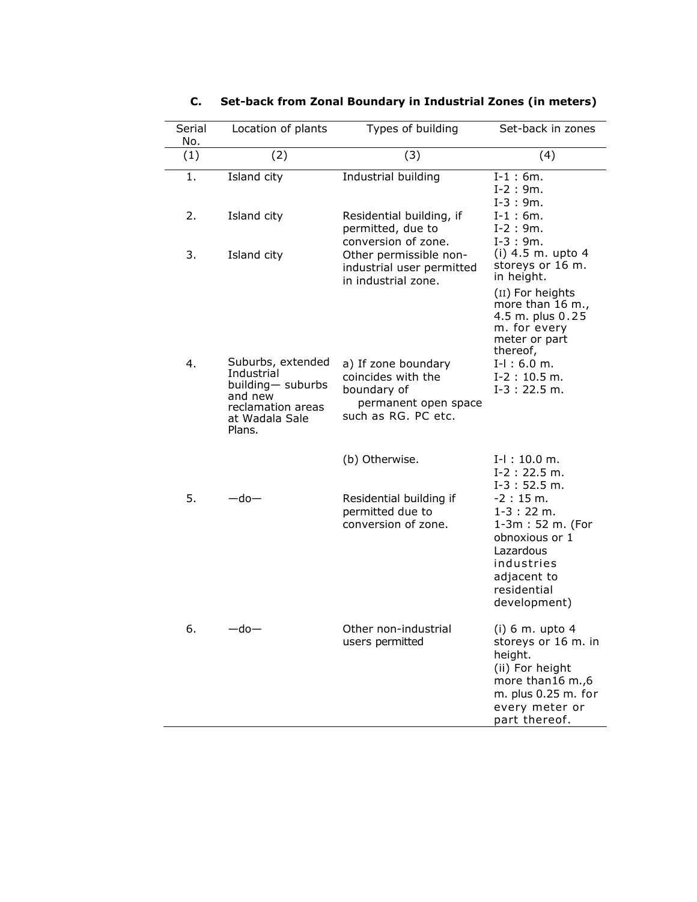| Serial<br>No. | Location of plants                                                                                               | Types of building                                                                                       | Set-back in zones                                                                                                                                                |
|---------------|------------------------------------------------------------------------------------------------------------------|---------------------------------------------------------------------------------------------------------|------------------------------------------------------------------------------------------------------------------------------------------------------------------|
| (1)           | (2)                                                                                                              | (3)                                                                                                     | (4)                                                                                                                                                              |
| 1.            | Island city                                                                                                      | Industrial building                                                                                     | $I-1:6m.$<br>$I-2:9m.$<br>$I-3:9m.$                                                                                                                              |
| 2.            | Island city                                                                                                      | Residential building, if<br>permitted, due to<br>conversion of zone.                                    | $I-1:6m.$<br>$I-2:9m.$<br>$I-3:9m.$                                                                                                                              |
| 3.            | Island city                                                                                                      | Other permissible non-<br>industrial user permitted<br>in industrial zone.                              | (i) $4.5$ m. upto $4$<br>storeys or 16 m.<br>in height.<br>(II) For heights<br>more than 16 m.,<br>4.5 m. plus 0.25<br>m. for every<br>meter or part<br>thereof, |
| 4.            | Suburbs, extended<br>Industrial<br>building- suburbs<br>and new<br>reclamation areas<br>at Wadala Sale<br>Plans. | a) If zone boundary<br>coincides with the<br>boundary of<br>permanent open space<br>such as RG. PC etc. | $I-I$ : 6.0 m.<br>$I-2: 10.5 m.$<br>$I-3:22.5 m.$                                                                                                                |
|               |                                                                                                                  | (b) Otherwise.                                                                                          | $I-I: 10.0 m.$<br>$I-2: 22.5 m.$<br>$I-3:52.5 m.$                                                                                                                |
| 5.            | $-$ do $-$                                                                                                       | Residential building if<br>permitted due to<br>conversion of zone.                                      | $-2:15m$ .<br>$1-3:22 \; m.$<br>1-3m: 52 m. (For<br>obnoxious or 1<br>Lazardous<br>industries<br>adjacent to<br>residential<br>development)                      |
| 6.            | $-$ do $-$                                                                                                       | Other non-industrial<br>users permitted                                                                 | $(i)$ 6 m. upto 4<br>storeys or 16 m. in<br>height.<br>(ii) For height<br>more than16 m.,6<br>m. plus 0.25 m. for<br>every meter or<br>part thereof.             |

# **C. Set-back from Zonal Boundary in Industrial Zones (in meters)**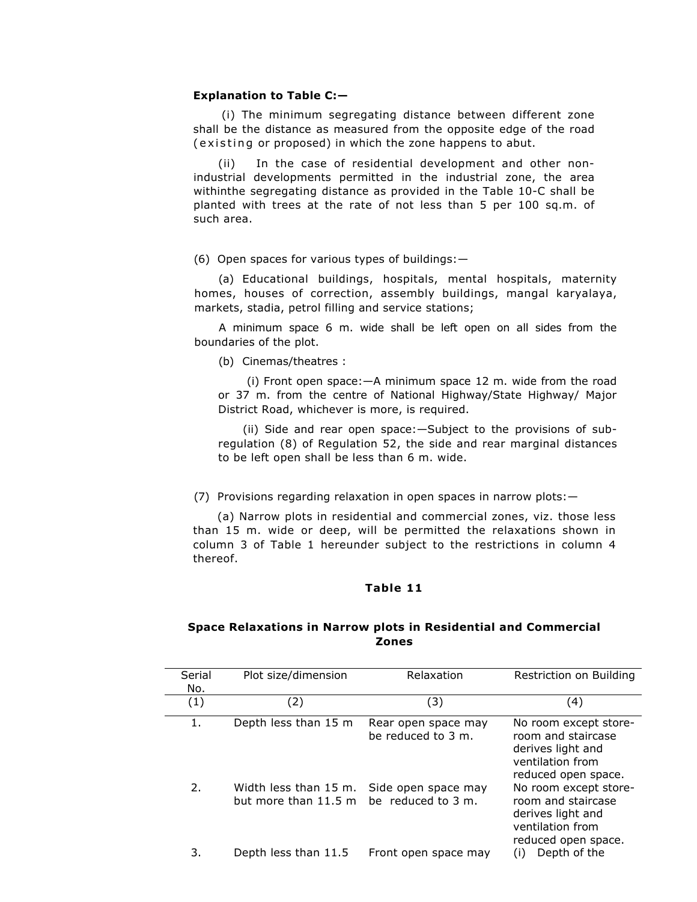#### **Explanation to Table C:—**

(i) The minimum segregating distance between different zone shall be the distance as measured from the opposite edge of the road (existing or proposed) in which the zone happens to abut.

(ii) In the case of residential development and other nonindustrial developments permitted in the industrial zone, the area withinthe segregating distance as provided in the Table 10-C shall be planted with trees at the rate of not less than 5 per 100 sq.m. of such area.

## (6) Open spaces for various types of buildings:—

(a) Educational buildings, hospitals, mental hospitals, maternity homes, houses of correction, assembly buildings, mangal karyalaya, markets, stadia, petrol filling and service stations;

A minimum space 6 m. wide shall be left open on all sides from the boundaries of the plot.

(b) Cinemas/theatres :

(i) Front open space:—A minimum space 12 m. wide from the road or 37 m. from the centre of National Highway/State Highway/ Major District Road, whichever is more, is required.

(ii) Side and rear open space:—Subject to the provisions of subregulation (8) of Regulation 52, the side and rear marginal distances to be left open shall be less than 6 m. wide.

(7) Provisions regarding relaxation in open spaces in narrow plots:—

(a) Narrow plots in residential and commercial zones, viz. those less than 15 m. wide or deep, will be permitted the relaxations shown in column 3 of Table 1 hereunder subject to the restrictions in column 4 thereof.

## **Table 11**

## **Space Relaxations in Narrow plots in Residential and Commercial Zones**

| Serial<br>No. | Plot size/dimension                           | Relaxation                                | Restriction on Building                                                                                     |
|---------------|-----------------------------------------------|-------------------------------------------|-------------------------------------------------------------------------------------------------------------|
| (1)           | (2)                                           | (3)                                       | (4)                                                                                                         |
| 1.            | Depth less than 15 m                          | Rear open space may<br>be reduced to 3 m. | No room except store-<br>room and staircase<br>derives light and<br>ventilation from<br>reduced open space. |
| 2.            | Width less than 15 m.<br>but more than 11.5 m | Side open space may<br>be reduced to 3 m. | No room except store-<br>room and staircase<br>derives light and<br>ventilation from<br>reduced open space. |
| 3.            | Depth less than 11.5                          | Front open space may                      | Depth of the<br>(i)                                                                                         |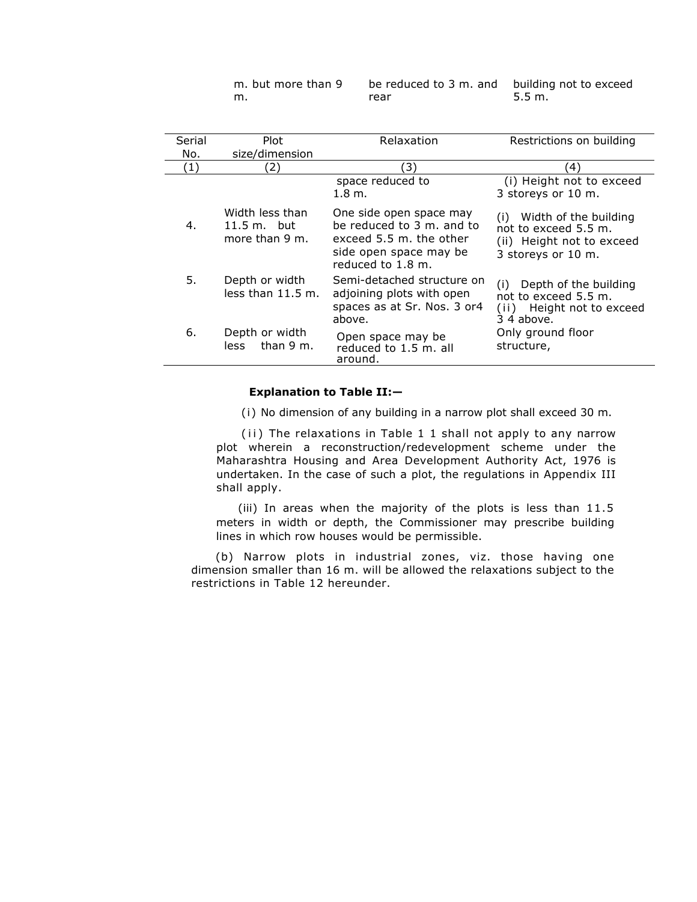m. but more than 9 m.

be reduced to 3 m. and building not to exceed rear 5.5 m.

| Serial | <b>Plot</b>                                                 | Relaxation                                                                                                                     | Restrictions on building                                                                                |
|--------|-------------------------------------------------------------|--------------------------------------------------------------------------------------------------------------------------------|---------------------------------------------------------------------------------------------------------|
| No.    | size/dimension                                              |                                                                                                                                |                                                                                                         |
| (1)    | 2)                                                          | 3)                                                                                                                             | 4)                                                                                                      |
|        |                                                             | space reduced to<br>$1.8 \; \mathrm{m}$ .                                                                                      | (i) Height not to exceed<br>3 storeys or 10 m.                                                          |
| 4.     | Width less than<br>$11.5 \text{ m}$ , but<br>more than 9 m. | One side open space may<br>be reduced to 3 m. and to<br>exceed 5.5 m, the other<br>side open space may be<br>reduced to 1.8 m. | Width of the building<br>(i)<br>not to exceed 5.5 m.<br>(ii) Height not to exceed<br>3 storeys or 10 m. |
| 5.     | Depth or width<br>less than 11.5 m.                         | Semi-detached structure on<br>adjoining plots with open<br>spaces as at Sr. Nos. 3 or4<br>above.                               | Depth of the building<br>(i)<br>not to exceed 5.5 m.<br>(ii) Height not to exceed<br>$34$ above.        |
| 6.     | Depth or width<br>than 9 m.<br>less.                        | Open space may be<br>reduced to 1.5 m. all<br>around.                                                                          | Only ground floor<br>structure,                                                                         |

## **Explanation to Table II:—**

(i) No dimension of any building in a narrow plot shall exceed 30 m.

(ii) The relaxations in Table 1 1 shall not apply to any narrow plot wherein a reconstruction/redevelopment scheme under the Maharashtra Housing and Area Development Authority Act, 1976 is undertaken. In the case of such a plot, the regulations in Appendix III shall apply.

(iii) In areas when the majority of the plots is less than 11.5 meters in width or depth, the Commissioner may prescribe building lines in which row houses would be permissible.

(b) Narrow plots in industrial zones, viz. those having one dimension smaller than 16 m. will be allowed the relaxations subject to the restrictions in Table 12 hereunder.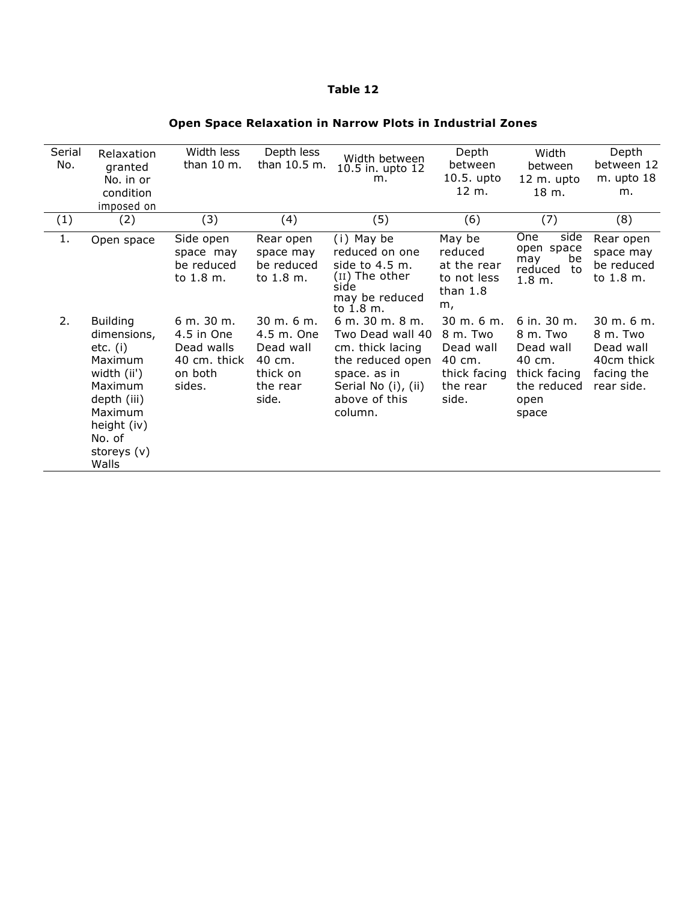## **Table 12**

# **Open Space Relaxation in Narrow Plots in Industrial Zones**

| Serial<br>No. | Relaxation<br>granted<br>No. in or<br>condition<br>imposed on                                                                                                | Width less<br>than 10 m.                                                    | Depth less<br>than 10.5 m.                                                                    | Width between<br>10.5 in. upto 12<br>m.                                                                                                        | Depth<br>between<br>10.5. upto<br>12 m.                                                         | Width<br>between<br>12 m. upto<br>18 m.                                                          | Depth<br>between 12<br>m. upto 18<br>m.                                                  |
|---------------|--------------------------------------------------------------------------------------------------------------------------------------------------------------|-----------------------------------------------------------------------------|-----------------------------------------------------------------------------------------------|------------------------------------------------------------------------------------------------------------------------------------------------|-------------------------------------------------------------------------------------------------|--------------------------------------------------------------------------------------------------|------------------------------------------------------------------------------------------|
| (1)           | (2)                                                                                                                                                          | (3)                                                                         | (4)                                                                                           | (5)                                                                                                                                            | (6)                                                                                             | (7)                                                                                              | (8)                                                                                      |
| 1.            | Open space                                                                                                                                                   | Side open<br>space may<br>be reduced<br>to 1.8 m.                           | Rear open<br>space may<br>be reduced<br>to 1.8 m.                                             | (i) May be<br>reduced on one<br>side to $4.5$ m.<br>(11) The other<br>side<br>may be reduced<br>to 1.8 m.                                      | May be<br>reduced<br>at the rear<br>to not less<br>than $1.8$<br>m,                             | <b>One</b><br>side<br>open space<br>may<br>be<br>reduced<br>to<br>1.8 m.                         | Rear open<br>space may<br>be reduced<br>to 1.8 m.                                        |
| 2.            | <b>Building</b><br>dimensions,<br>$etc.$ (i)<br>Maximum<br>width (ii')<br>Maximum<br>depth (iii)<br>Maximum<br>height (iv)<br>No. of<br>storeys (v)<br>Walls | 6 m. 30 m.<br>4.5 in One<br>Dead walls<br>40 cm. thick<br>on both<br>sides. | $30 \; \text{m}$ , 6 m,<br>4.5 m. One<br>Dead wall<br>40 cm.<br>thick on<br>the rear<br>side. | 6 m. 30 m. 8 m.<br>Two Dead wall 40<br>cm. thick lacing<br>the reduced open<br>space. as in<br>Serial No (i), (ii)<br>above of this<br>column. | $30 \; \text{m}$ , 6 m.<br>8 m. Two<br>Dead wall<br>40 cm.<br>thick facing<br>the rear<br>side. | $6$ in. 30 m.<br>8 m. Two<br>Dead wall<br>40 cm.<br>thick facing<br>the reduced<br>open<br>space | $30 \text{ m}$ , 6 m.<br>8 m. Two<br>Dead wall<br>40cm thick<br>facing the<br>rear side. |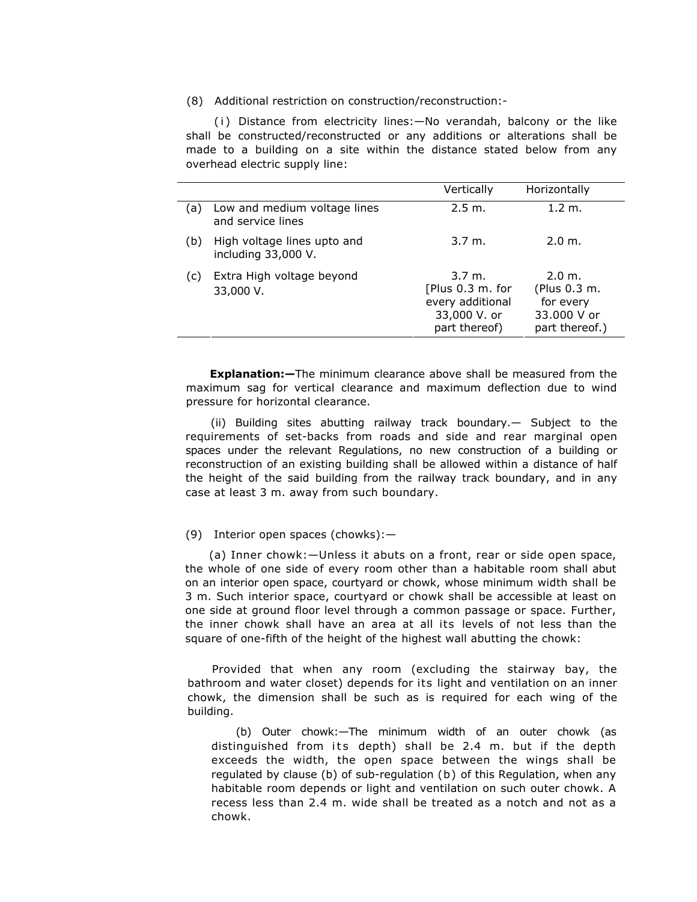#### (8) Additional restriction on construction/reconstruction:-

 $(i)$  Distance from electricity lines: $-No$  verandah, balcony or the like shall be constructed/reconstructed or any additions or alterations shall be made to a building on a site within the distance stated below from any overhead electric supply line:

|     |                                                    | Vertically                                                                                   | Horizontally                                                         |
|-----|----------------------------------------------------|----------------------------------------------------------------------------------------------|----------------------------------------------------------------------|
| (a) | Low and medium voltage lines<br>and service lines  | 2.5 m.                                                                                       | 1.2 m.                                                               |
| (b) | High voltage lines upto and<br>including 33,000 V. | $3.7 \; \text{m}$ .                                                                          | 2.0 m.                                                               |
| (C) | Extra High voltage beyond<br>33,000 V.             | $3.7 \; \text{m}$ .<br>[Plus 0.3 m. for<br>every additional<br>33,000 V. or<br>part thereof) | 2.0 m.<br>(Plus 0.3 m.<br>for every<br>33.000 V or<br>part thereof.) |

**Explanation:—**The minimum clearance above shall be measured from the maximum sag for vertical clearance and maximum deflection due to wind pressure for horizontal clearance.

(ii) Building sites abutting railway track boundary.— Subject to the requirements of set-backs from roads and side and rear marginal open spaces under the relevant Regulations, no new construction of a building or reconstruction of an existing building shall be allowed within a distance of half the height of the said building from the railway track boundary, and in any case at least 3 m. away from such boundary.

#### (9) Interior open spaces (chowks):—

(a) Inner chowk:—Unless it abuts on a front, rear or side open space, the whole of one side of every room other than a habitable room shall abut on an interior open space, courtyard or chowk, whose minimum width shall be 3 m. Such interior space, courtyard or chowk shall be accessible at least on one side at ground floor level through a common passage or space. Further, the inner chowk shall have an area at all its levels of not less than the square of one-fifth of the height of the highest wall abutting the chowk:

Provided that when any room (excluding the stairway bay, the bathroom and water closet) depends for its light and ventilation on an inner chowk, the dimension shall be such as is required for each wing of the building.

(b) Outer chowk:—The minimum width of an outer chowk (as distinguished from its depth) shall be 2.4 m. but if the depth exceeds the width, the open space between the wings shall be regulated by clause (b) of sub-regulation (b) of this Regulation, when any habitable room depends or light and ventilation on such outer chowk. A recess less than 2.4 m. wide shall be treated as a notch and not as a chowk.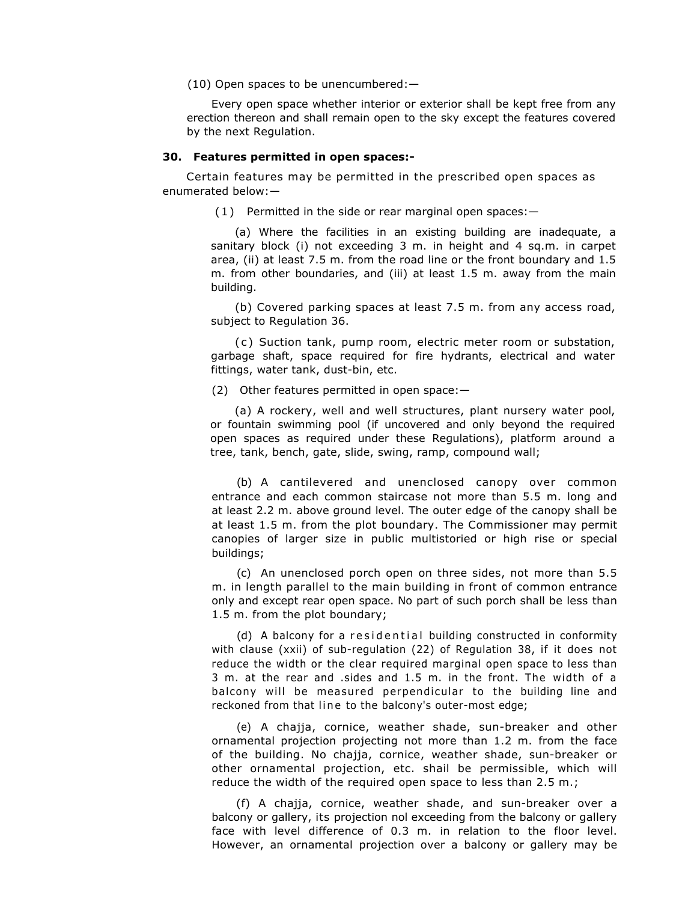(10) Open spaces to be unencumbered:—

Every open space whether interior or exterior shall be kept free from any erection thereon and shall remain open to the sky except the features covered by the next Regulation.

#### **30. Features permitted in open spaces:-**

Certain features may be permitted in the prescribed open spaces as enumerated below:—

 $(1)$  Permitted in the side or rear marginal open spaces:  $-$ 

(a) Where the facilities in an existing building are inadequate, a sanitary block (i) not exceeding 3 m. in height and 4 sq.m. in carpet area, (ii) at least 7.5 m. from the road line or the front boundary and 1.5 m. from other boundaries, and (iii) at least 1.5 m. away from the main building.

(b) Covered parking spaces at least 7.5 m. from any access road, subject to Regulation 36.

( c ) Suction tank, pump room, electric meter room or substation, garbage shaft, space required for fire hydrants, electrical and water fittings, water tank, dust-bin, etc.

(2) Other features permitted in open space:—

(a) A rockery, well and well structures, plant nursery water pool, or fountain swimming pool (if uncovered and only beyond the required open spaces as required under these Regulations), platform around a tree, tank, bench, gate, slide, swing, ramp, compound wall;

(b) A cantilevered and unenclosed canopy over common entrance and each common staircase not more than 5.5 m. long and at least 2.2 m. above ground level. The outer edge of the canopy shall be at least 1.5 m. from the plot boundary. The Commissioner may permit canopies of larger size in public multistoried or high rise or special buildings;

(c) An unenclosed porch open on three sides, not more than 5.5 m. in length parallel to the main building in front of common entrance only and except rear open space. No part of such porch shall be less than 1.5 m. from the plot boundary;

(d) A balcony for a residential building constructed in conformity with clause (xxii) of sub-regulation (22) of Regulation 38, if it does not reduce the width or the clear required marginal open space to less than 3 m. at the rear and .sides and 1.5 m. in the front. The width of a balcony will be measured perpendicular to the building line and reckoned from that line to the balcony's outer-most edge;

(e) A chajja, cornice, weather shade, sun-breaker and other ornamental projection projecting not more than 1.2 m. from the face of the building. No chajja, cornice, weather shade, sun-breaker or other ornamental projection, etc. shail be permissible, which will reduce the width of the required open space to less than 2.5 m.;

(f) A chajja, cornice, weather shade, and sun-breaker over a balcony or gallery, its projection nol exceeding from the balcony or gallery face with level difference of 0.3 m. in relation to the floor level. However, an ornamental projection over a balcony or gallery may be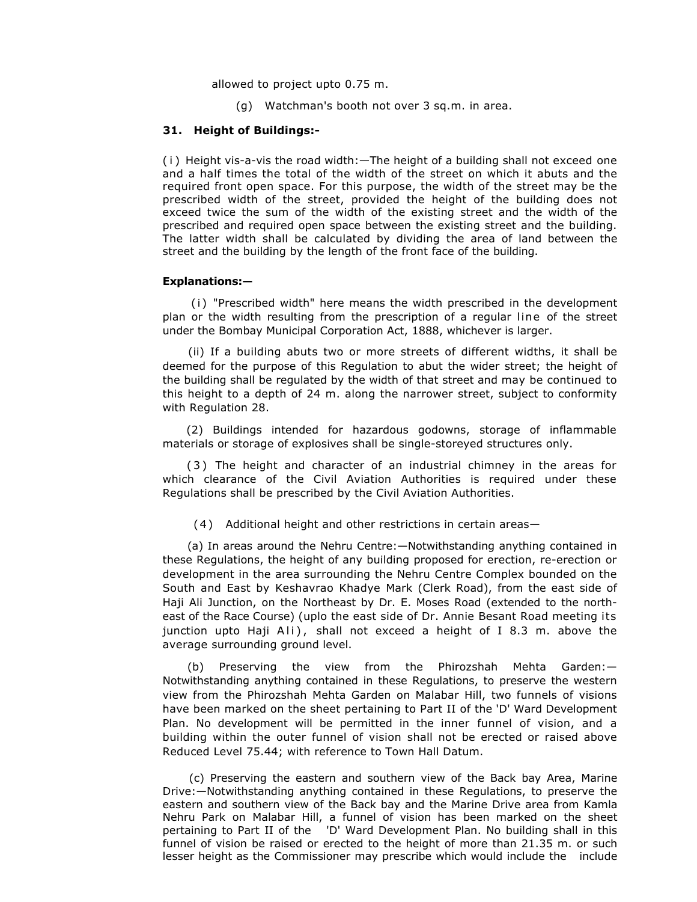allowed to project upto 0.75 m.

(g) Watchman's booth not over 3 sq.m. in area.

## **31. Height of Buildings:-**

( i ) Height vis-a-vis the road width:—The height of a building shall not exceed one and a half times the total of the width of the street on which it abuts and the required front open space. For this purpose, the width of the street may be the prescribed width of the street, provided the height of the building does not exceed twice the sum of the width of the existing street and the width of the prescribed and required open space between the existing street and the building. The latter width shall be calculated by dividing the area of land between the street and the building by the length of the front face of the building.

#### **Explanations:—**

(i) "Prescribed width" here means the width prescribed in the development plan or the width resulting from the prescription of a regular line of the street under the Bombay Municipal Corporation Act, 1888, whichever is larger.

(ii) If a building abuts two or more streets of different widths, it shall be deemed for the purpose of this Regulation to abut the wider street; the height of the building shall be regulated by the width of that street and may be continued to this height to a depth of 24 m. along the narrower street, subject to conformity with Regulation 28.

(2) Buildings intended for hazardous godowns, storage of inflammable materials or storage of explosives shall be single-storeyed structures only.

( 3 ) The height and character of an industrial chimney in the areas for which clearance of the Civil Aviation Authorities is required under these Regulations shall be prescribed by the Civil Aviation Authorities.

(4 ) Additional height and other restrictions in certain areas—

(a) In areas around the Nehru Centre:—Notwithstanding anything contained in these Regulations, the height of any building proposed for erection, re-erection or development in the area surrounding the Nehru Centre Complex bounded on the South and East by Keshavrao Khadye Mark (Clerk Road), from the east side of Haji Ali Junction, on the Northeast by Dr. E. Moses Road (extended to the northeast of the Race Course) (uplo the east side of Dr. Annie Besant Road meeting its junction upto Haji Ali), shall not exceed a height of I 8.3 m. above the average surrounding ground level.

(b) Preserving the view from the Phirozshah Mehta Garden:— Notwithstanding anything contained in these Regulations, to preserve the western view from the Phirozshah Mehta Garden on Malabar Hill, two funnels of visions have been marked on the sheet pertaining to Part II of the 'D' Ward Development Plan. No development will be permitted in the inner funnel of vision, and a building within the outer funnel of vision shall not be erected or raised above Reduced Level 75.44; with reference to Town Hall Datum.

 (c) Preserving the eastern and southern view of the Back bay Area, Marine Drive:—Notwithstanding anything contained in these Regulations, to preserve the eastern and southern view of the Back bay and the Marine Drive area from Kamla Nehru Park on Malabar Hill, a funnel of vision has been marked on the sheet pertaining to Part II of the 'D' Ward Development Plan. No building shall in this funnel of vision be raised or erected to the height of more than 21.35 m. or such lesser height as the Commissioner may prescribe which would include the include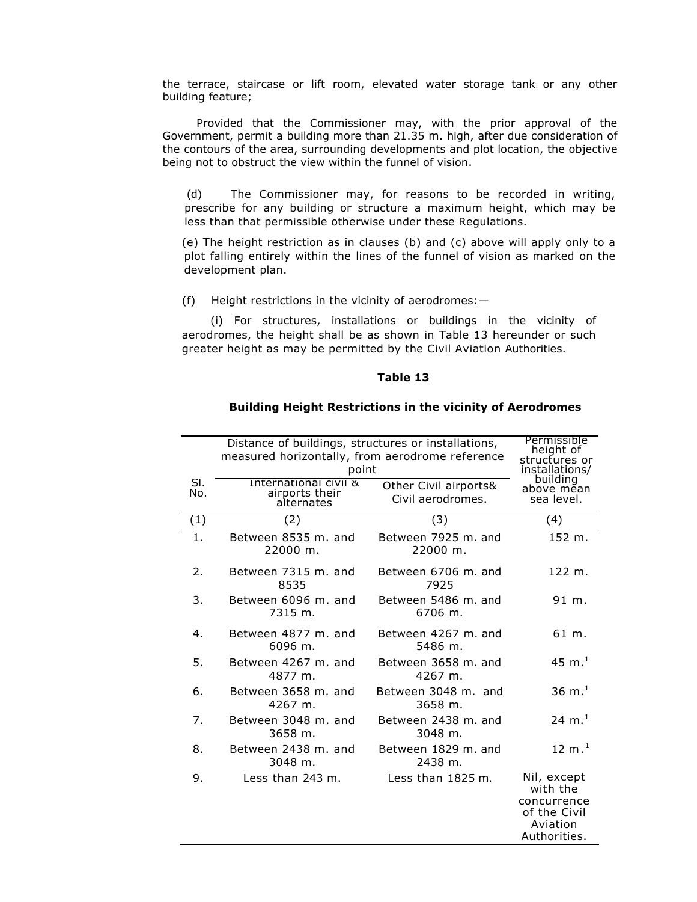the terrace, staircase or lift room, elevated water storage tank or any other building feature;

 Provided that the Commissioner may, with the prior approval of the Government, permit a building more than 21.35 m. high, after due consideration of the contours of the area, surrounding developments and plot location, the objective being not to obstruct the view within the funnel of vision.

(d) The Commissioner may, for reasons to be recorded in writing, prescribe for any building or structure a maximum height, which may be less than that permissible otherwise under these Regulations.

(e) The height restriction as in clauses (b) and (c) above will apply only to a plot falling entirely within the lines of the funnel of vision as marked on the development plan.

(f) Height restrictions in the vicinity of aerodromes:—

(i) For structures, installations or buildings in the vicinity of aerodromes, the height shall be as shown in Table 13 hereunder or such greater height as may be permitted by the Civil Aviation Authorities.

#### **Table 13**

#### **Building Height Restrictions in the vicinity of Aerodromes**

|            | Distance of buildings, structures or installations,<br>measured horizontally, from aerodrome reference<br>point | Permissible<br>height of<br>structures or<br>installations/ |                                                                                    |
|------------|-----------------------------------------------------------------------------------------------------------------|-------------------------------------------------------------|------------------------------------------------------------------------------------|
| SI.<br>No. | International civil &<br>airports their<br>alternates                                                           | Other Civil airports&<br>Civil aerodromes.                  | building<br>above mēan<br>sea level.                                               |
| (1)        | (2)                                                                                                             | (3)                                                         | (4)                                                                                |
| 1.         | Between 8535 m. and<br>22000 m.                                                                                 | Between 7925 m. and<br>22000 m.                             | 152 m.                                                                             |
| 2.         | Between 7315 m. and<br>8535                                                                                     | Between 6706 m. and<br>7925                                 | 122 m.                                                                             |
| 3.         | Between 6096 m. and<br>7315 m.                                                                                  | Between 5486 m. and<br>6706 m.                              | 91 m.                                                                              |
| 4.         | Between 4877 m. and<br>6096 m.                                                                                  | Between 4267 m. and<br>5486 m.                              | 61 m.                                                                              |
| 5.         | Between 4267 m. and<br>4877 m.                                                                                  | Between 3658 m. and<br>4267 m.                              | 45 m. $^{1}$                                                                       |
| 6.         | Between 3658 m. and<br>4267 m.                                                                                  | Between 3048 m. and<br>3658 m.                              | 36 m. $^{1}$                                                                       |
| 7.         | Between 3048 m. and<br>3658 m.                                                                                  | Between 2438 m. and<br>3048 m.                              | 24 m. <sup>1</sup>                                                                 |
| 8.         | Between 2438 m. and<br>3048 m.                                                                                  | Between 1829 m. and<br>2438 m.                              | $12 \text{ m.}^1$                                                                  |
| 9.         | Less than 243 m.                                                                                                | Less than 1825 m.                                           | Nil, except<br>with the<br>concurrence<br>of the Civil<br>Aviation<br>Authorities. |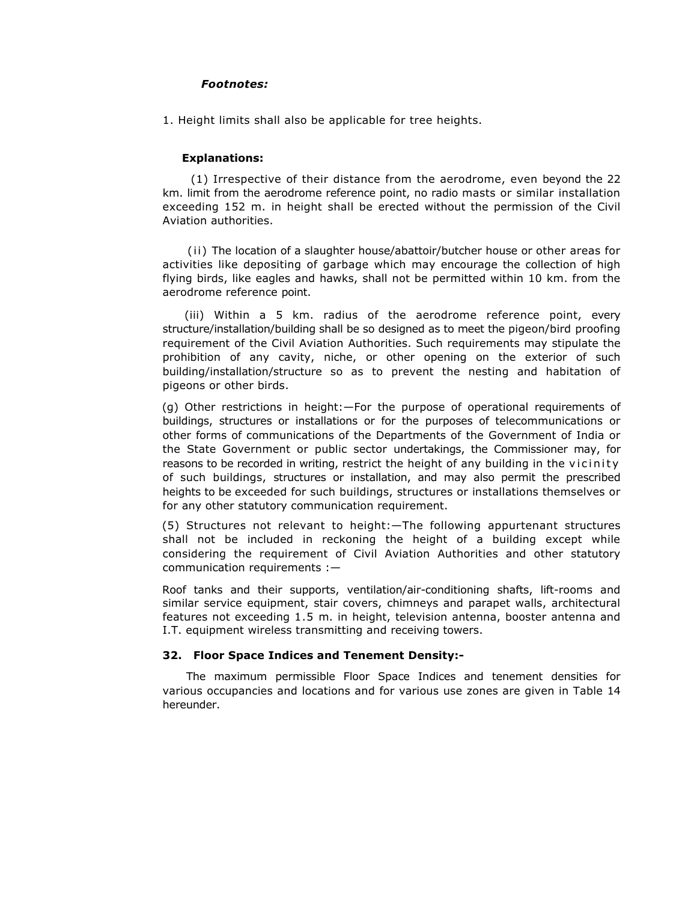## *Footnotes:*

1. Height limits shall also be applicable for tree heights.

## **Explanations:**

(1) Irrespective of their distance from the aerodrome, even beyond the 22 km. limit from the aerodrome reference point, no radio masts or similar installation exceeding 152 m. in height shall be erected without the permission of the Civil Aviation authorities.

(ii) The location of a slaughter house/abattoir/butcher house or other areas for activities like depositing of garbage which may encourage the collection of high flying birds, like eagles and hawks, shall not be permitted within 10 km. from the aerodrome reference point.

(iii) Within a 5 km. radius of the aerodrome reference point, every structure/installation/building shall be so designed as to meet the pigeon/bird proofing requirement of the Civil Aviation Authorities. Such requirements may stipulate the prohibition of any cavity, niche, or other opening on the exterior of such building/installation/structure so as to prevent the nesting and habitation of pigeons or other birds.

(g) Other restrictions in height:—For the purpose of operational requirements of buildings, structures or installations or for the purposes of telecommunications or other forms of communications of the Departments of the Government of India or the State Government or public sector undertakings, the Commissioner may, for reasons to be recorded in writing, restrict the height of any building in the vicinity of such buildings, structures or installation, and may also permit the prescribed heights to be exceeded for such buildings, structures or installations themselves or for any other statutory communication requirement.

(5) Structures not relevant to height:—The following appurtenant structures shall not be included in reckoning the height of a building except while considering the requirement of Civil Aviation Authorities and other statutory communication requirements :—

Roof tanks and their supports, ventilation/air-conditioning shafts, lift-rooms and similar service equipment, stair covers, chimneys and parapet walls, architectural features not exceeding 1.5 m. in height, television antenna, booster antenna and I.T. equipment wireless transmitting and receiving towers.

## **32. Floor Space Indices and Tenement Density:-**

The maximum permissible Floor Space Indices and tenement densities for various occupancies and locations and for various use zones are given in Table 14 hereunder.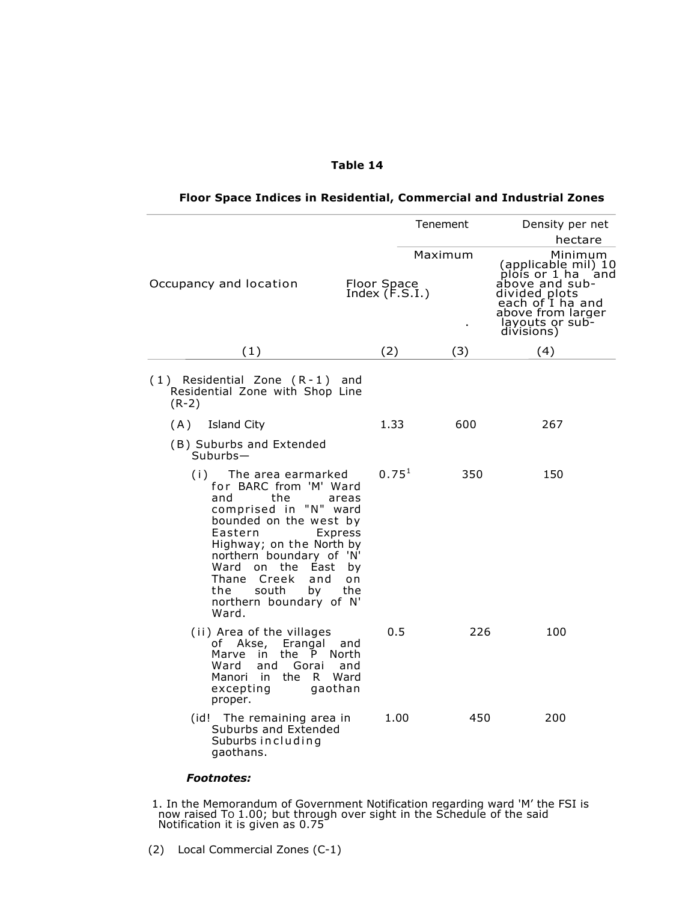|  | Table 14 |  |
|--|----------|--|
|--|----------|--|

|                                                                                                                                                                                                                                                                                                            |                                         | Tenement | Density per net<br>hectare                                                                                                                                          |
|------------------------------------------------------------------------------------------------------------------------------------------------------------------------------------------------------------------------------------------------------------------------------------------------------------|-----------------------------------------|----------|---------------------------------------------------------------------------------------------------------------------------------------------------------------------|
| Occupancy and location                                                                                                                                                                                                                                                                                     | Floor Space<br>Index (F.S.I.)           | Maximum  | Minimum<br>(applicable mil) 10<br>plois or 1 ha<br>and<br>above and sub-<br>divided plots<br>each of I ha and<br>above from larger<br>layouts or sub-<br>divisions) |
| (1)                                                                                                                                                                                                                                                                                                        | (2)                                     | (3)      | (4)                                                                                                                                                                 |
| $(1)$ Residential Zone $(R-1)$ and<br>Residential Zone with Shop Line<br>$(R-2)$                                                                                                                                                                                                                           |                                         |          |                                                                                                                                                                     |
| (A)<br><b>Island City</b>                                                                                                                                                                                                                                                                                  | 1.33                                    | 600      | 267                                                                                                                                                                 |
| (B) Suburbs and Extended<br>$Suburbs-$                                                                                                                                                                                                                                                                     |                                         |          |                                                                                                                                                                     |
| (i) The area earmarked<br>for BARC from 'M' Ward<br>the<br>and<br>comprised in "N" ward<br>bounded on the west by<br>Eastern<br>Express<br>Highway; on the North by<br>northern boundary of 'N'<br>Ward<br>on the<br>East<br>Thane Creek<br>and<br>south<br>by<br>the.<br>northern boundary of N'<br>Ward. | $0.75^{1}$<br>areas<br>by<br>o n<br>the | 350      | 150                                                                                                                                                                 |
| (ii) Area of the villages<br>of Akse, Erangal and<br>the P North<br>Marve in<br>Ward<br>and<br>Gorai and<br>Manori in<br>R Ward<br>the<br>excepting<br>gaothan<br>proper.                                                                                                                                  | 0.5                                     | 226      | 100                                                                                                                                                                 |
| (id! The remaining area in<br>Suburbs and Extended<br>Suburbs including<br>gaothans.                                                                                                                                                                                                                       | 1.00                                    | 450      | 200                                                                                                                                                                 |

## **Floor Space Indices in Residential, Commercial and Industrial Zones**

*Footnotes:* 

1. In the Memorandum of Government Notification regarding ward 'M' the FSI is now raised TO 1.00; but through over sight in the Schedule of the said Notification it is given as 0.75

(2) Local Commercial Zones (C-1)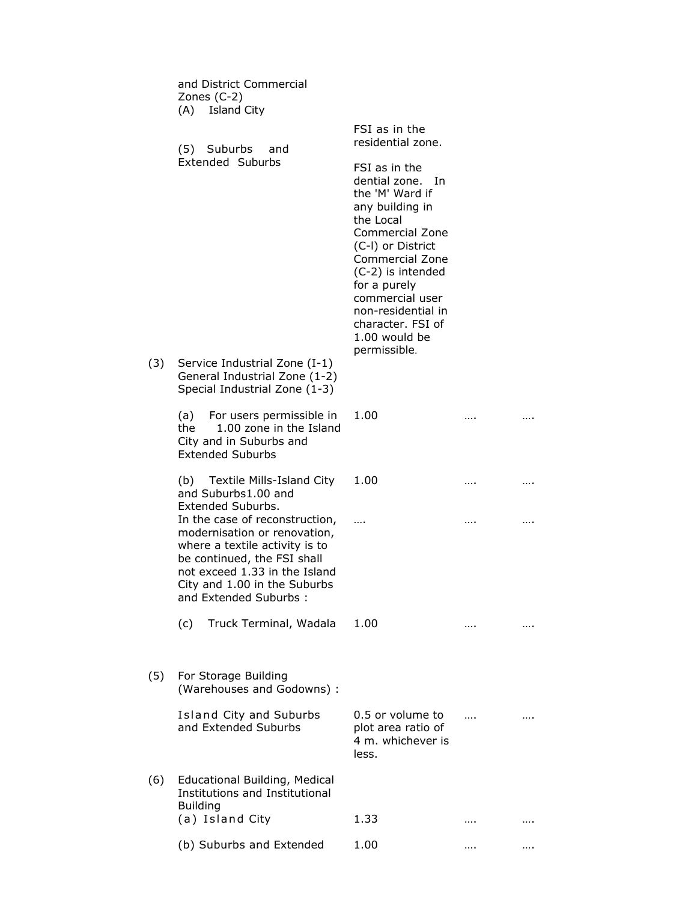|     | and District Commercial<br>Zones (C-2)<br>(A) Island City                                                                                                                                                                  |                                                                                                                                                                                                                                                                                            |      |
|-----|----------------------------------------------------------------------------------------------------------------------------------------------------------------------------------------------------------------------------|--------------------------------------------------------------------------------------------------------------------------------------------------------------------------------------------------------------------------------------------------------------------------------------------|------|
|     | (5) Suburbs<br>and                                                                                                                                                                                                         | FSI as in the<br>residential zone.                                                                                                                                                                                                                                                         |      |
|     | <b>Extended Suburbs</b>                                                                                                                                                                                                    | FSI as in the<br>dential zone. In<br>the 'M' Ward if<br>any building in<br>the Local<br>Commercial Zone<br>(C-I) or District<br><b>Commercial Zone</b><br>(C-2) is intended<br>for a purely<br>commercial user<br>non-residential in<br>character. FSI of<br>1.00 would be<br>permissible. |      |
| (3) | Service Industrial Zone (I-1)<br>General Industrial Zone (1-2)<br>Special Industrial Zone (1-3)                                                                                                                            |                                                                                                                                                                                                                                                                                            |      |
|     | (a) For users permissible in<br>1.00 zone in the Island<br>the<br>City and in Suburbs and<br><b>Extended Suburbs</b>                                                                                                       | 1.00                                                                                                                                                                                                                                                                                       |      |
|     | (b) Textile Mills-Island City<br>and Suburbs1.00 and<br>Extended Suburbs.                                                                                                                                                  | 1.00                                                                                                                                                                                                                                                                                       | <br> |
|     | In the case of reconstruction,<br>modernisation or renovation,<br>where a textile activity is to<br>be continued, the FSI shall<br>not exceed 1.33 in the Island<br>City and 1.00 in the Suburbs<br>and Extended Suburbs : | $\cdots$                                                                                                                                                                                                                                                                                   |      |
|     | (c)<br>Truck Terminal, Wadala                                                                                                                                                                                              | 1.00                                                                                                                                                                                                                                                                                       |      |
| (5) | For Storage Building<br>(Warehouses and Godowns) :                                                                                                                                                                         |                                                                                                                                                                                                                                                                                            |      |
|     | Island City and Suburbs<br>and Extended Suburbs                                                                                                                                                                            | 0.5 or volume to<br>plot area ratio of<br>4 m. whichever is<br>less.                                                                                                                                                                                                                       |      |
| (6) | Educational Building, Medical<br>Institutions and Institutional<br><b>Building</b>                                                                                                                                         |                                                                                                                                                                                                                                                                                            |      |
|     | (a) Island City                                                                                                                                                                                                            | 1.33                                                                                                                                                                                                                                                                                       |      |
|     | (b) Suburbs and Extended                                                                                                                                                                                                   | 1.00                                                                                                                                                                                                                                                                                       |      |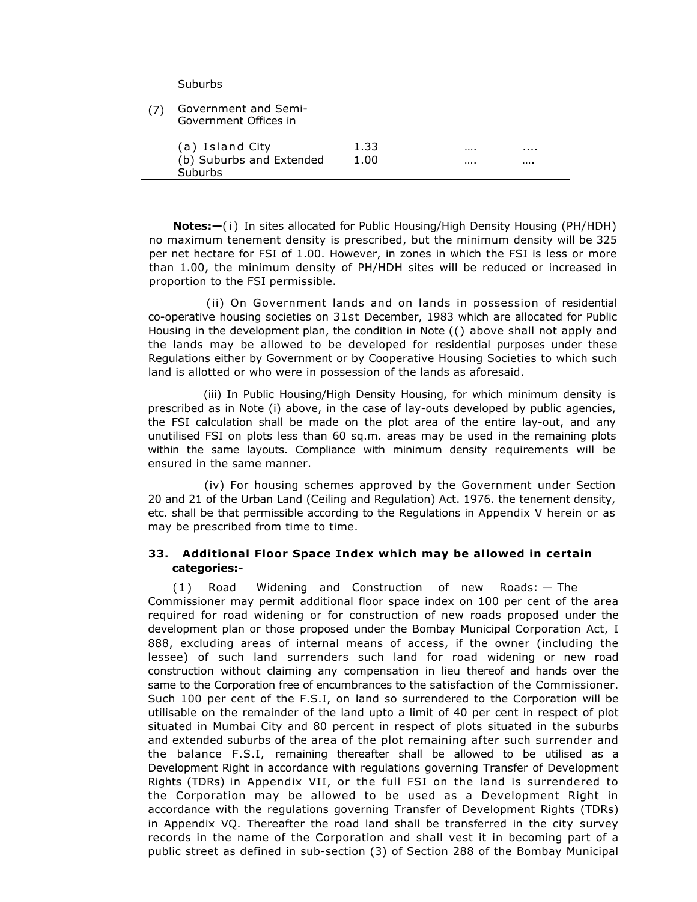Suburbs

| (7) | Government and Semi-<br>Government Offices in |      |       |
|-----|-----------------------------------------------|------|-------|
|     | (a) Island City                               | 1.33 | <br>. |
|     | (b) Suburbs and Extended                      | 1.00 | <br>  |
|     | Suburbs                                       |      |       |

**Notes:**  $-$ (i) In sites allocated for Public Housing/High Density Housing (PH/HDH) no maximum tenement density is prescribed, but the minimum density will be 325 per net hectare for FSI of 1.00. However, in zones in which the FSI is less or more than 1.00, the minimum density of PH/HDH sites will be reduced or increased in proportion to the FSI permissible.

(ii) On Government lands and on lands in possession of residential co-operative housing societies on 31st December, 1983 which are allocated for Public Housing in the development plan, the condition in Note (() above shall not apply and the lands may be allowed to be developed for residential purposes under these Regulations either by Government or by Cooperative Housing Societies to which such land is allotted or who were in possession of the lands as aforesaid.

(iii) In Public Housing/High Density Housing, for which minimum density is prescribed as in Note (i) above, in the case of lay-outs developed by public agencies, the FSI calculation shall be made on the plot area of the entire lay-out, and any unutilised FSI on plots less than 60 sq.m. areas may be used in the remaining plots within the same layouts. Compliance with minimum density requirements will be ensured in the same manner.

(iv) For housing schemes approved by the Government under Section 20 and 21 of the Urban Land (Ceiling and Regulation) Act. 1976. the tenement density, etc. shall be that permissible according to the Regulations in Appendix V herein or as may be prescribed from time to time.

## **33. Additional Floor Space Index which may be allowed in certain categories:-**

(1 ) Road Widening and Construction of new Roads: — The Commissioner may permit additional floor space index on 100 per cent of the area required for road widening or for construction of new roads proposed under the development plan or those proposed under the Bombay Municipal Corporation Act, I 888, excluding areas of internal means of access, if the owner (including the lessee) of such land surrenders such land for road widening or new road construction without claiming any compensation in lieu thereof and hands over the same to the Corporation free of encumbrances to the satisfaction of the Commissioner. Such 100 per cent of the F.S.I, on land so surrendered to the Corporation will be utilisable on the remainder of the land upto a limit of 40 per cent in respect of plot situated in Mumbai City and 80 percent in respect of plots situated in the suburbs and extended suburbs of the area of the plot remaining after such surrender and the balance F.S.I, remaining thereafter shall be allowed to be utilised as a Development Right in accordance with regulations governing Transfer of Development Rights (TDRs) in Appendix VII, or the full FSI on the land is surrendered to the Corporation may be allowed to be used as a Development Right in accordance with the regulations governing Transfer of Development Rights (TDRs) in Appendix VQ. Thereafter the road land shall be transferred in the city survey records in the name of the Corporation and shall vest it in becoming part of a public street as defined in sub-section (3) of Section 288 of the Bombay Municipal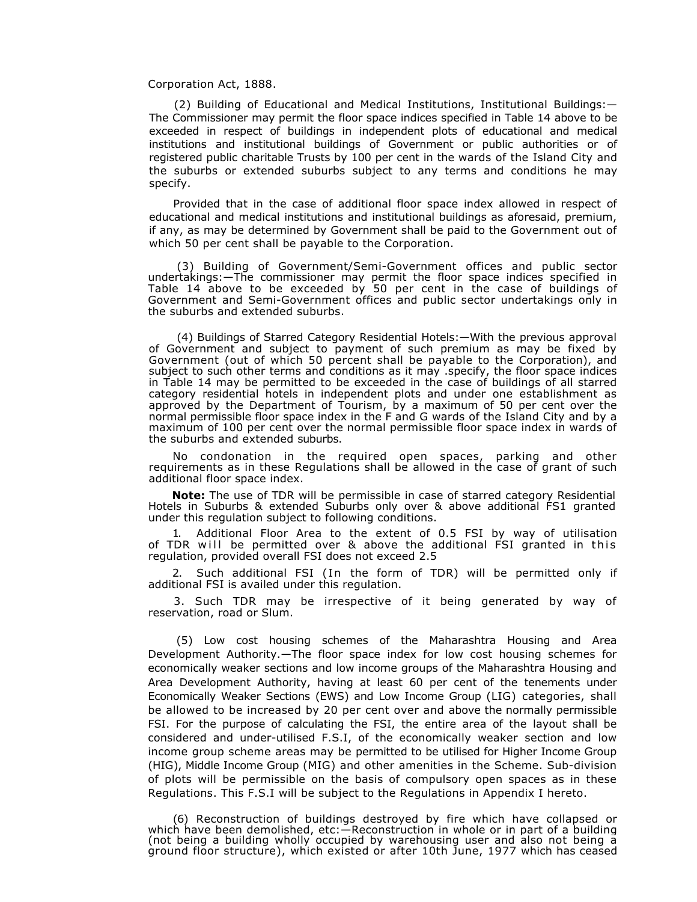Corporation Act, 1888.

(2) Building of Educational and Medical Institutions, Institutional Buildings:— The Commissioner may permit the floor space indices specified in Table 14 above to be exceeded in respect of buildings in independent plots of educational and medical institutions and institutional buildings of Government or public authorities or of registered public charitable Trusts by 100 per cent in the wards of the Island City and the suburbs or extended suburbs subject to any terms and conditions he may specify.

Provided that in the case of additional floor space index allowed in respect of educational and medical institutions and institutional buildings as aforesaid, premium, if any, as may be determined by Government shall be paid to the Government out of which 50 per cent shall be payable to the Corporation.

(3) Building of Government/Semi-Government offices and public sector undertakings:—The commissioner may permit the floor space indices specified in Table 14 above to be exceeded by 50 per cent in the case of buildings of Government and Semi-Government offices and public sector undertakings only in the suburbs and extended suburbs.

 (4) Buildings of Starred Category Residential Hotels:—With the previous approval of Government and subject to payment of such premium as may be fixed by Government (out of which 50 percent shall be payable to the Corporation), and subject to such other terms and conditions as it may .specify, the floor space indices in Table 14 may be permitted to be exceeded in the case of buildings of all starred category residential hotels in independent plots and under one establishment as approved by the Department of Tourism, by a maximum of 50 per cent over the normal permissible floor space index in the F and G wards of the Island City and by a maximum of 100 per cent over the normal permissible floor space index in wards of the suburbs and extended suburbs.

No condonation in the required open spaces, parking and other requirements as in these Regulations shall be allowed in the case of grant of such additional floor space index.

**Note:** The use of TDR will be permissible in case of starred category Residential Hotels in Suburbs & extended Suburbs only over & above additional FS1 granted under this regulation subject to following conditions.

1. Additional Floor Area to the extent of 0.5 FSI by way of utilisation of TDR will be permitted over & above the additional FSI granted in this regulation, provided overall FSI does not exceed 2.5

2. Such additional FSI (In the form of TDR) will be permitted only if additional FSI is availed under this regulation.

3. Such TDR may be irrespective of it being generated by way of reservation, road or Slum.

 (5) Low cost housing schemes of the Maharashtra Housing and Area Development Authority.—The floor space index for low cost housing schemes for economically weaker sections and low income groups of the Maharashtra Housing and Area Development Authority, having at least 60 per cent of the tenements under Economically Weaker Sections (EWS) and Low Income Group (LIG) categories, shall be allowed to be increased by 20 per cent over and above the normally permissible FSI. For the purpose of calculating the FSI, the entire area of the layout shall be considered and under-utilised F.S.I, of the economically weaker section and low income group scheme areas may be permitted to be utilised for Higher Income Group (HIG), Middle Income Group (MIG) and other amenities in the Scheme. Sub-division of plots will be permissible on the basis of compulsory open spaces as in these Regulations. This F.S.I will be subject to the Regulations in Appendix I hereto.

(6) Reconstruction of buildings destroyed by fire which have collapsed or which have been demolished, etc:—Reconstruction in whole or in part of a building (not being a building wholly occupied by warehousing user and also not being a ground floor structure), which existed or after 10th June, 1977 which has ceased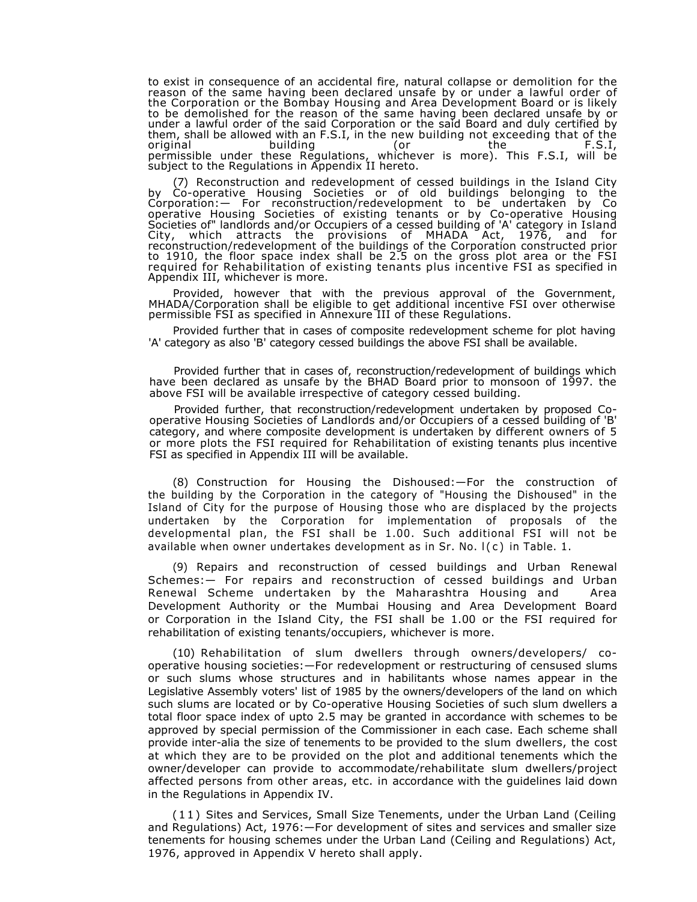to exist in consequence of an accidental fire, natural collapse or demolition for the reason of the same having been declared unsafe by or under a lawful order of the Corporation or the Bombay Housing and Area Development Board or is likely to be demolished for the reason of the same having been declared unsafe by or under a lawful order of the said Corporation or the said Board and duly certified by them, shall be allowed with an F.S.I, in the new building not exceeding that of the original building (or the F.S.I, permissible under these Regulations, whichever is more). This F.S.I, will be subject to the Regulations in Appendix II hereto.

(7) Reconstruction and redevelopment of cessed buildings in the Island City by Co-operative Housing Societies or of old buildings belonging to the Corporation:— For reconstruction/redevelopment to be undertaken by Co operative Housing Societies of existing tenants or by Co-operative Housing Societies of" landlords and/or Occupiers of a cessed building of 'A' category in Island City, which attracts the provisions of MHADA Act, 1976, and for reconstruction/redevelopment of the buildings of the Corporation constructed prior to 1910, the floor space index shall be 2.5 on the gross plot area or the FSI required for Rehabilitation of existing tenants plus incentive FSI as specified in Appendix III, whichever is more.

Provided, however that with the previous approval of the Government, MHADA/Corporation shall be eligible to get additional incentive FSI over otherwise permissible FSI as specified in Annexure III of these Regulations.

Provided further that in cases of composite redevelopment scheme for plot having 'A' category as also 'B' category cessed buildings the above FSI shall be available.

Provided further that in cases of, reconstruction/redevelopment of buildings which have been declared as unsafe by the BHAD Board prior to monsoon of 1997. the above FSI will be available irrespective of category cessed building.

Provided further, that reconstruction/redevelopment undertaken by proposed Cooperative Housing Societies of Landlords and/or Occupiers of a cessed building of 'B' category, and where composite development is undertaken by different owners of 5 or more plots the FSI required for Rehabilitation of existing tenants plus incentive FSI as specified in Appendix III will be available.

(8) Construction for Housing the Dishoused:—For the construction of the building by the Corporation in the category of "Housing the Dishoused" in the Island of City for the purpose of Housing those who are displaced by the projects undertaken by the Corporation for implementation of proposals of the developmental plan, the FSI shall be 1.00. Such additional FSI will not be available when owner undertakes development as in  $Sr.$  No.  $I(c)$  in Table. 1.

(9) Repairs and reconstruction of cessed buildings and Urban Renewal Schemes:— For repairs and reconstruction of cessed buildings and Urban Renewal Scheme undertaken by the Maharashtra Housing and Area Development Authority or the Mumbai Housing and Area Development Board or Corporation in the Island City, the FSI shall be 1.00 or the FSI required for rehabilitation of existing tenants/occupiers, whichever is more.

(10) Rehabilitation of slum dwellers through owners/developers/ cooperative housing societies:—For redevelopment or restructuring of censused slums or such slums whose structures and in habilitants whose names appear in the Legislative Assembly voters' list of 1985 by the owners/developers of the land on which such slums are located or by Co-operative Housing Societies of such slum dwellers a total floor space index of upto 2.5 may be granted in accordance with schemes to be approved by special permission of the Commissioner in each case. Each scheme shall provide inter-alia the size of tenements to be provided to the slum dwellers, the cost at which they are to be provided on the plot and additional tenements which the owner/developer can provide to accommodate/rehabilitate slum dwellers/project affected persons from other areas, etc. in accordance with the guidelines laid down in the Regulations in Appendix IV.

( 1 1 ) Sites and Services, Small Size Tenements, under the Urban Land (Ceiling and Regulations) Act, 1976:—For development of sites and services and smaller size tenements for housing schemes under the Urban Land (Ceiling and Regulations) Act, 1976, approved in Appendix V hereto shall apply.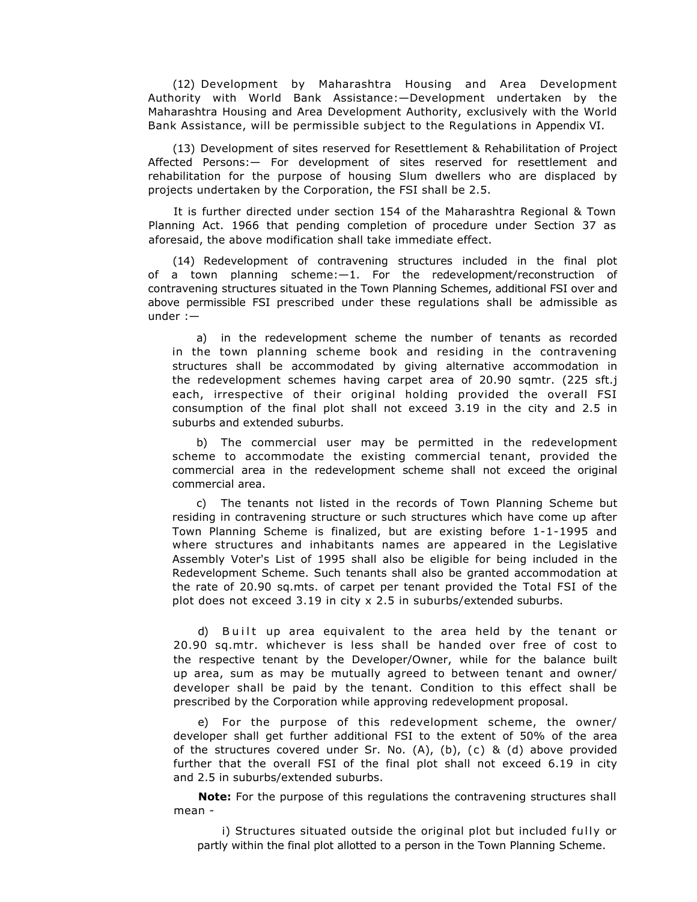(12) Development by Maharashtra Housing and Area Development Authority with World Bank Assistance:—Development undertaken by the Maharashtra Housing and Area Development Authority, exclusively with the World Bank Assistance, will be permissible subject to the Regulations in Appendix VI.

(13) Development of sites reserved for Resettlement & Rehabilitation of Project Affected Persons:— For development of sites reserved for resettlement and rehabilitation for the purpose of housing Slum dwellers who are displaced by projects undertaken by the Corporation, the FSI shall be 2.5.

It is further directed under section 154 of the Maharashtra Regional & Town Planning Act. 1966 that pending completion of procedure under Section 37 as aforesaid, the above modification shall take immediate effect.

(14) Redevelopment of contravening structures included in the final plot of a town planning scheme:—1. For the redevelopment/reconstruction of contravening structures situated in the Town Planning Schemes, additional FSI over and above permissible FSI prescribed under these regulations shall be admissible as under :—

a) in the redevelopment scheme the number of tenants as recorded in the town planning scheme book and residing in the contravening structures shall be accommodated by giving alternative accommodation in the redevelopment schemes having carpet area of 20.90 sqmtr. (225 sft.j each, irrespective of their original holding provided the overall FSI consumption of the final plot shall not exceed 3.19 in the city and 2.5 in suburbs and extended suburbs.

b) The commercial user may be permitted in the redevelopment scheme to accommodate the existing commercial tenant, provided the commercial area in the redevelopment scheme shall not exceed the original commercial area.

c) The tenants not listed in the records of Town Planning Scheme but residing in contravening structure or such structures which have come up after Town Planning Scheme is finalized, but are existing before 1-1-1995 and where structures and inhabitants names are appeared in the Legislative Assembly Voter's List of 1995 shall also be eligible for being included in the Redevelopment Scheme. Such tenants shall also be granted accommodation at the rate of 20.90 sq.mts. of carpet per tenant provided the Total FSI of the plot does not exceed 3.19 in city x 2.5 in suburbs/extended suburbs.

d) Built up area equivalent to the area held by the tenant or 20.90 sq.mtr. whichever is less shall be handed over free of cost to the respective tenant by the Developer/Owner, while for the balance built up area, sum as may be mutually agreed to between tenant and owner/ developer shall be paid by the tenant. Condition to this effect shall be prescribed by the Corporation while approving redevelopment proposal.

e) For the purpose of this redevelopment scheme, the owner/ developer shall get further additional FSI to the extent of 50% of the area of the structures covered under Sr. No.  $(A)$ ,  $(b)$ ,  $(c)$  &  $(d)$  above provided further that the overall FSI of the final plot shall not exceed 6.19 in city and 2.5 in suburbs/extended suburbs.

**Note:** For the purpose of this regulations the contravening structures shall mean -

i) Structures situated outside the original plot but included fully or partly within the final plot allotted to a person in the Town Planning Scheme.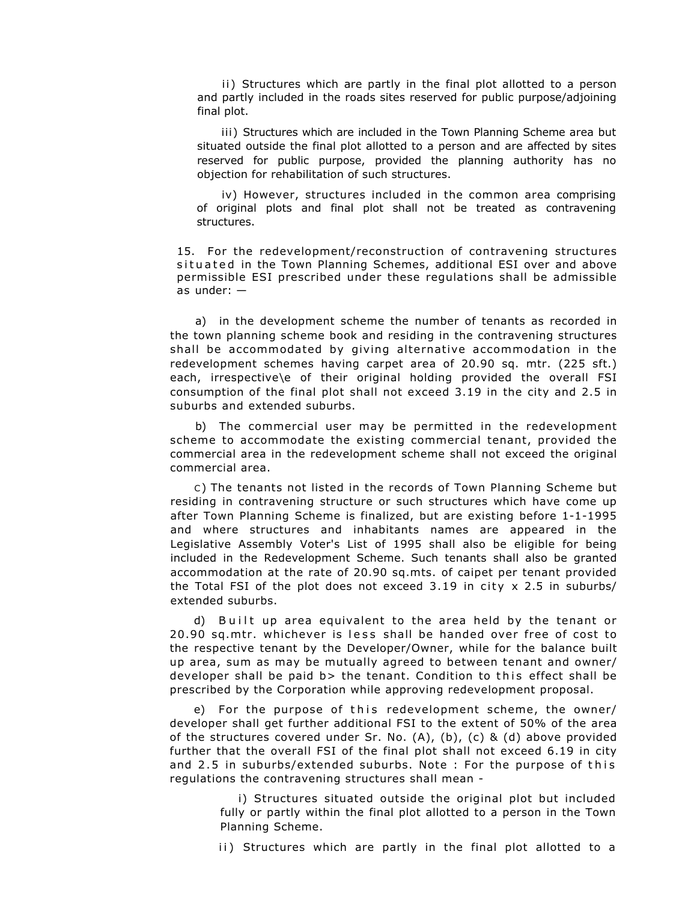ii) Structures which are partly in the final plot allotted to a person and partly included in the roads sites reserved for public purpose/adjoining final plot.

iii) Structures which are included in the Town Planning Scheme area but situated outside the final plot allotted to a person and are affected by sites reserved for public purpose, provided the planning authority has no objection for rehabilitation of such structures.

iv) However, structures included in the common area comprising of original plots and final plot shall not be treated as contravening structures.

15. For the redevelopment/reconstruction of contravening structures situated in the Town Planning Schemes, additional ESI over and above permissible ESI prescribed under these regulations shall be admissible as under: —

a) in the development scheme the number of tenants as recorded in the town planning scheme book and residing in the contravening structures shall be accommodated by giving alternative accommodation in the redevelopment schemes having carpet area of 20.90 sq. mtr. (225 sft.) each, irrespective\e of their original holding provided the overall FSI consumption of the final plot shall not exceed 3.19 in the city and 2.5 in suburbs and extended suburbs.

b) The commercial user may be permitted in the redevelopment scheme to accommodate the existing commercial tenant, provided the commercial area in the redevelopment scheme shall not exceed the original commercial area.

C) The tenants not listed in the records of Town Planning Scheme but residing in contravening structure or such structures which have come up after Town Planning Scheme is finalized, but are existing before 1-1-1995 and where structures and inhabitants names are appeared in the Legislative Assembly Voter's List of 1995 shall also be eligible for being included in the Redevelopment Scheme. Such tenants shall also be granted accommodation at the rate of 20.90 sq.mts. of caipet per tenant provided the Total FSI of the plot does not exceed 3.19 in city  $x$  2.5 in suburbs/ extended suburbs.

d) Built up area equivalent to the area held by the tenant or 20.90 sq.mtr. whichever is less shall be handed over free of cost to the respective tenant by the Developer/Owner, while for the balance built up area, sum as may be mutually agreed to between tenant and owner/ developer shall be paid b> the tenant. Condition to this effect shall be prescribed by the Corporation while approving redevelopment proposal.

e) For the purpose of this redevelopment scheme, the owner/ developer shall get further additional FSI to the extent of 50% of the area of the structures covered under Sr. No.  $(A)$ ,  $(b)$ ,  $(c)$  &  $(d)$  above provided further that the overall FSI of the final plot shall not exceed 6.19 in city and 2.5 in suburbs/extended suburbs. Note : For the purpose of this regulations the contravening structures shall mean -

> i) Structures situated outside the original plot but included fully or partly within the final plot allotted to a person in the Town Planning Scheme.

> ii) Structures which are partly in the final plot allotted to a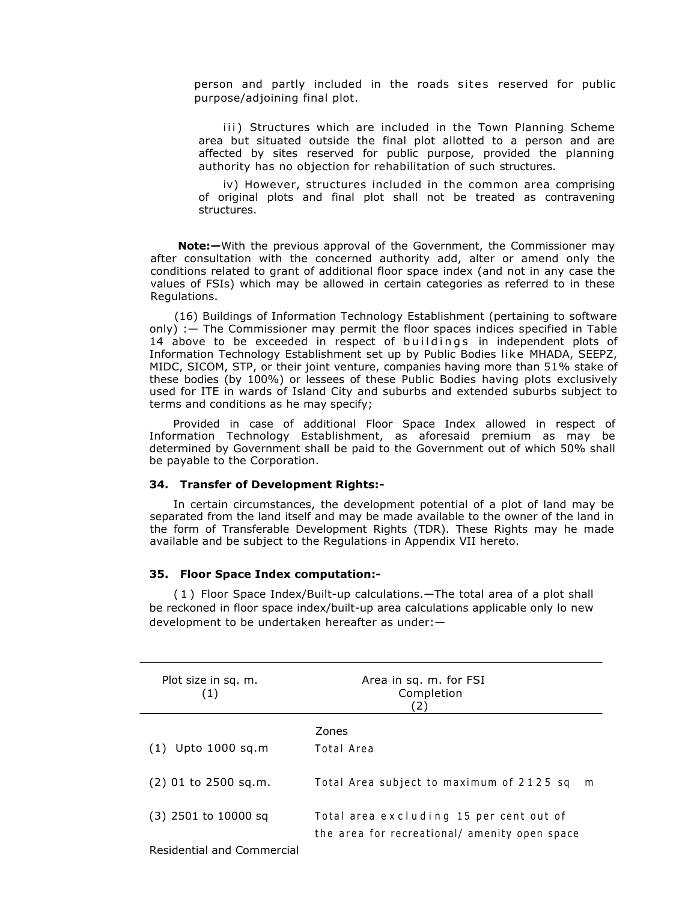person and partly included in the roads sites reserved for public purpose/adjoining final plot.

iii) Structures which are included in the Town Planning Scheme area but situated outside the final plot allotted to a person and are affected by sites reserved for public purpose, provided the planning authority has no objection for rehabilitation of such structures.

iv) However, structures included in the common area comprising of original plots and final plot shall not be treated as contravening structures.

**Note:—**With the previous approval of the Government, the Commissioner may after consultation with the concerned authority add, alter or amend only the conditions related to grant of additional floor space index (and not in any case the values of FSIs) which may be allowed in certain categories as referred to in these Regulations.

(16) Buildings of Information Technology Establishment (pertaining to software only) :— The Commissioner may permit the floor spaces indices specified in Table 14 above to be exceeded in respect of buildings in independent plots of Information Technology Establishment set up by Public Bodies like MHADA, SEEPZ, MIDC, SICOM, STP, or their joint venture, companies having more than 51% stake of these bodies (by 100%) or lessees of these Public Bodies having plots exclusively used for ITE in wards of Island City and suburbs and extended suburbs subject to terms and conditions as he may specify;

Provided in case of additional Floor Space Index allowed in respect of Information Technology Establishment, as aforesaid premium as may be determined by Government shall be paid to the Government out of which 50% shall be payable to the Corporation.

# **34. Transfer of Development Rights:-**

In certain circumstances, the development potential of a plot of land may be separated from the land itself and may be made available to the owner of the land in the form of Transferable Development Rights (TDR). These Rights may he made available and be subject to the Regulations in Appendix VII hereto.

#### **35. Floor Space Index computation:-**

( 1 ) Floor Space Index/Built-up calculations.—The total area of a plot shall be reckoned in floor space index/built-up area calculations applicable only lo new development to be undertaken hereafter as under:—

| Plot size in sq. m.        | Area in sq. m. for FSI<br>Completion<br>(2)                                              |
|----------------------------|------------------------------------------------------------------------------------------|
| Upto 1000 sq.m<br>(1)      | <b>Zones</b><br>Total Area                                                               |
| $(2)$ 01 to 2500 sq.m.     | Total Area subject to maximum of 2125 sq<br>m                                            |
| (3) 2501 to 10000 sq       | Total area excluding 15 per cent out of<br>the area for recreational/ amenity open space |
| Residential and Commercial |                                                                                          |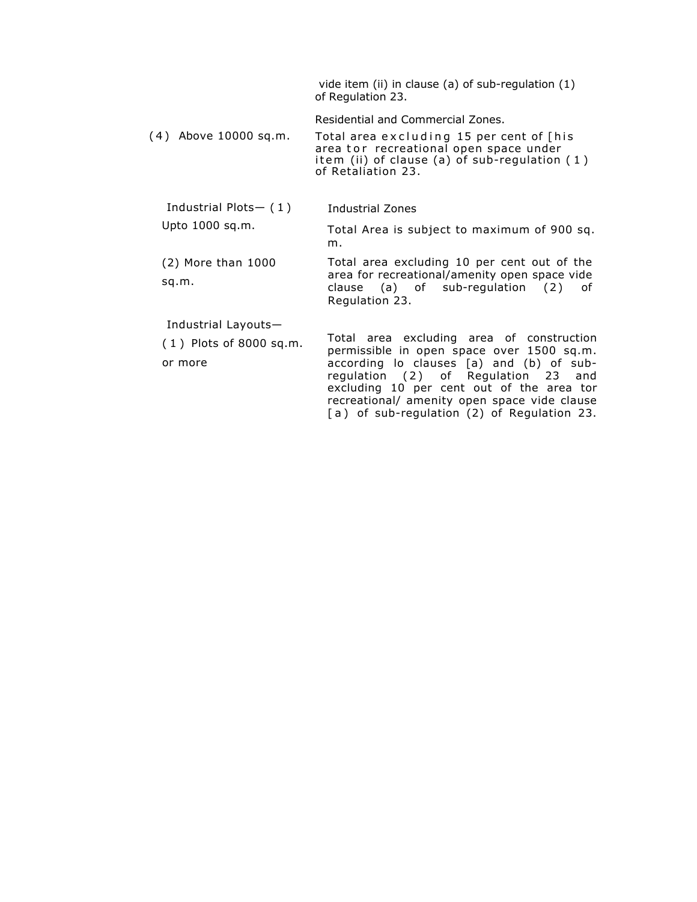|                                                             | vide item (ii) in clause (a) of sub-regulation (1)<br>of Regulation 23.                                                                                                                                                                                                                                               |
|-------------------------------------------------------------|-----------------------------------------------------------------------------------------------------------------------------------------------------------------------------------------------------------------------------------------------------------------------------------------------------------------------|
| (4) Above 10000 sq.m.                                       | Residential and Commercial Zones.<br>Total area excluding 15 per cent of [his<br>area tor recreational open space under<br>item (ii) of clause (a) of sub-regulation $(1)$<br>of Retaliation 23.                                                                                                                      |
| Industrial Plots- $(1)$                                     | Industrial Zones                                                                                                                                                                                                                                                                                                      |
| Upto 1000 sq.m.                                             | Total Area is subject to maximum of 900 sq.<br>m.                                                                                                                                                                                                                                                                     |
| $(2)$ More than 1000<br>sq.m.                               | Total area excluding 10 per cent out of the<br>area for recreational/amenity open space vide<br>clause (a) of sub-regulation (2)<br>0f<br>Regulation 23.                                                                                                                                                              |
| Industrial Layouts-<br>$(1)$ Plots of 8000 sq.m.<br>or more | Total area excluding area of construction<br>permissible in open space over 1500 sq.m.<br>according lo clauses [a) and (b) of sub-<br>regulation (2) of Regulation 23 and<br>excluding 10 per cent out of the area tor<br>recreational/ amenity open space vide clause<br>[a) of sub-regulation (2) of Regulation 23. |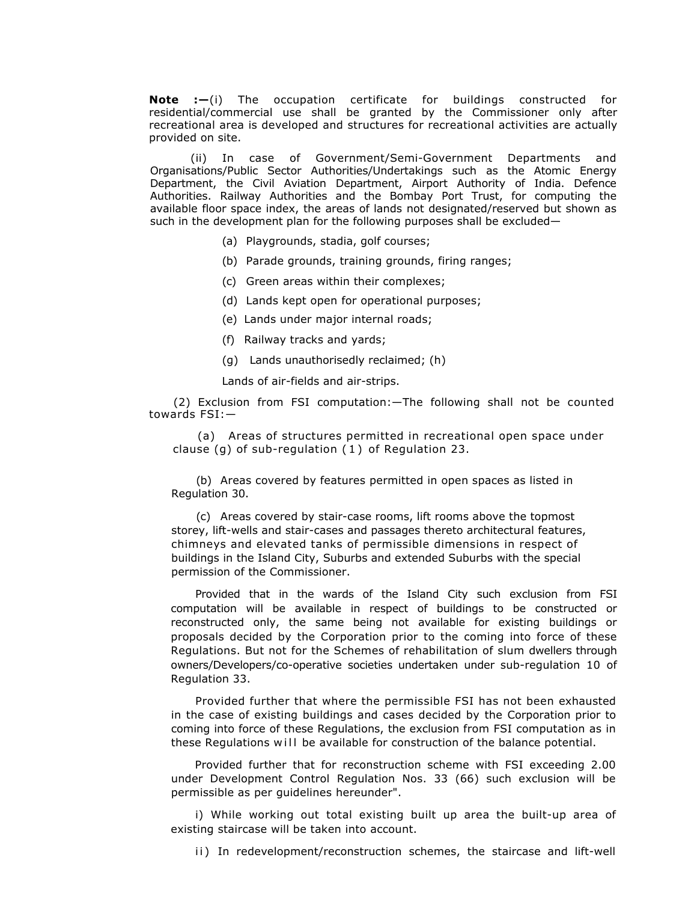**Note :—**(i) The occupation certificate for buildings constructed for residential/commercial use shall be granted by the Commissioner only after recreational area is developed and structures for recreational activities are actually provided on site.

 (ii) In case of Government/Semi-Government Departments and Organisations/Public Sector Authorities/Undertakings such as the Atomic Energy Department, the Civil Aviation Department, Airport Authority of India. Defence Authorities. Railway Authorities and the Bombay Port Trust, for computing the available floor space index, the areas of lands not designated/reserved but shown as such in the development plan for the following purposes shall be excluded—

- (a) Playgrounds, stadia, golf courses;
- (b) Parade grounds, training grounds, firing ranges;
- (c) Green areas within their complexes;
- (d) Lands kept open for operational purposes;
- (e) Lands under major internal roads;
- (f) Railway tracks and yards;
- (g) Lands unauthorisedly reclaimed; (h)

Lands of air-fields and air-strips.

(2) Exclusion from FSI computation:—The following shall not be counted towards FSI:—

(a) Areas of structures permitted in recreational open space under clause (g) of sub-regulation ( 1 ) of Regulation 23.

(b) Areas covered by features permitted in open spaces as listed in Regulation 30.

(c) Areas covered by stair-case rooms, lift rooms above the topmost storey, lift-wells and stair-cases and passages thereto architectural features, chimneys and elevated tanks of permissible dimensions in respect of buildings in the Island City, Suburbs and extended Suburbs with the special permission of the Commissioner.

Provided that in the wards of the Island City such exclusion from FSI computation will be available in respect of buildings to be constructed or reconstructed only, the same being not available for existing buildings or proposals decided by the Corporation prior to the coming into force of these Regulations. But not for the Schemes of rehabilitation of slum dwellers through owners/Developers/co-operative societies undertaken under sub-regulation 10 of Regulation 33.

Provided further that where the permissible FSI has not been exhausted in the case of existing buildings and cases decided by the Corporation prior to coming into force of these Regulations, the exclusion from FSI computation as in these Regulations will be available for construction of the balance potential.

Provided further that for reconstruction scheme with FSI exceeding 2.00 under Development Control Regulation Nos. 33 (66) such exclusion will be permissible as per guidelines hereunder".

i) While working out total existing built up area the built-up area of existing staircase will be taken into account.

ii) In redevelopment/reconstruction schemes, the staircase and lift-well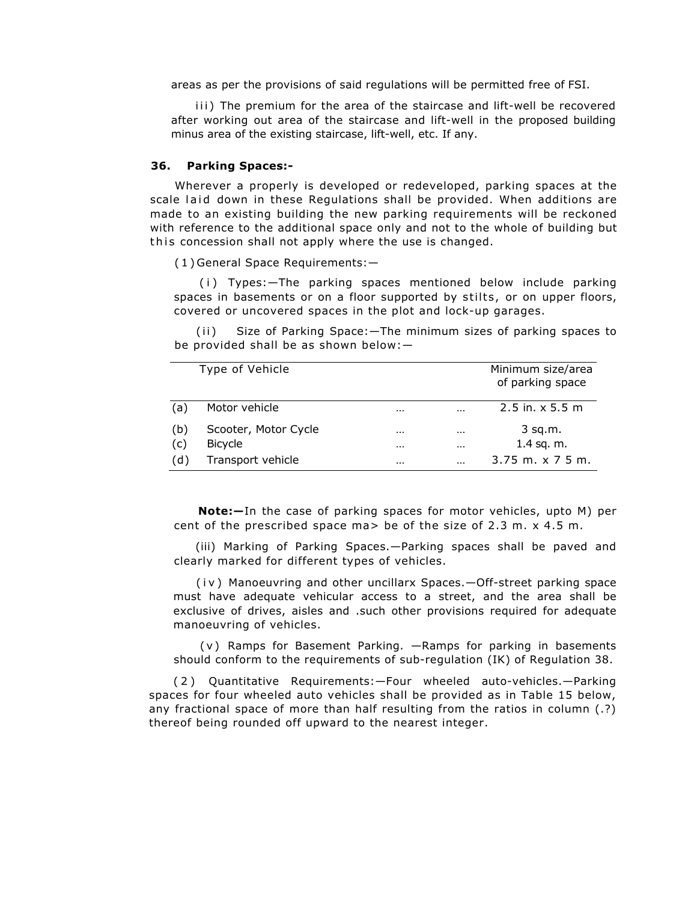areas as per the provisions of said regulations will be permitted free of FSI.

iii) The premium for the area of the staircase and lift-well be recovered after working out area of the staircase and lift-well in the proposed building minus area of the existing staircase, lift-well, etc. If any.

### **36. Parking Spaces:-**

Wherever a properly is developed or redeveloped, parking spaces at the scale laid down in these Regulations shall be provided. When additions are made to an existing building the new parking requirements will be reckoned with reference to the additional space only and not to the whole of building but this concession shall not apply where the use is changed.

( 1 ) General Space Requirements:—

(i) Types: - The parking spaces mentioned below include parking spaces in basements or on a floor supported by stilts, or on upper floors, covered or uncovered spaces in the plot and lock-up garages.

(ii) Size of Parking Space: - The minimum sizes of parking spaces to be provided shall be as shown below:—

|            | Type of Vehicle                        |                      |                      | Minimum size/area<br>of parking space |
|------------|----------------------------------------|----------------------|----------------------|---------------------------------------|
| (a)        | Motor vehicle                          | $\cdots$             | $\cdots$             | $2.5$ in. $x$ 5.5 m                   |
| (b)<br>(c) | Scooter, Motor Cycle<br><b>Bicycle</b> | $\cdots$<br>$\cdots$ | $\cdots$<br>$\cdots$ | $3$ sq.m.<br>$1.4$ sq. m.             |
| (d)        | Transport vehicle                      | $\cdots$             | $\cdots$             | $3.75$ m. $x$ 7 5 m.                  |

**Note:—**In the case of parking spaces for motor vehicles, upto M) per cent of the prescribed space ma> be of the size of 2.3 m. x 4.5 m.

(iii) Marking of Parking Spaces.—Parking spaces shall be paved and clearly marked for different types of vehicles.

(iv) Manoeuvring and other uncillarx Spaces. - Off-street parking space must have adequate vehicular access to a street, and the area shall be exclusive of drives, aisles and .such other provisions required for adequate manoeuvring of vehicles.

( v ) Ramps for Basement Parking. —Ramps for parking in basements should conform to the requirements of sub-regulation (IK) of Regulation 38.

(2) Quantitative Requirements:—Four wheeled auto-vehicles.—Parking spaces for four wheeled auto vehicles shall be provided as in Table 15 below, any fractional space of more than half resulting from the ratios in column (.?) thereof being rounded off upward to the nearest integer.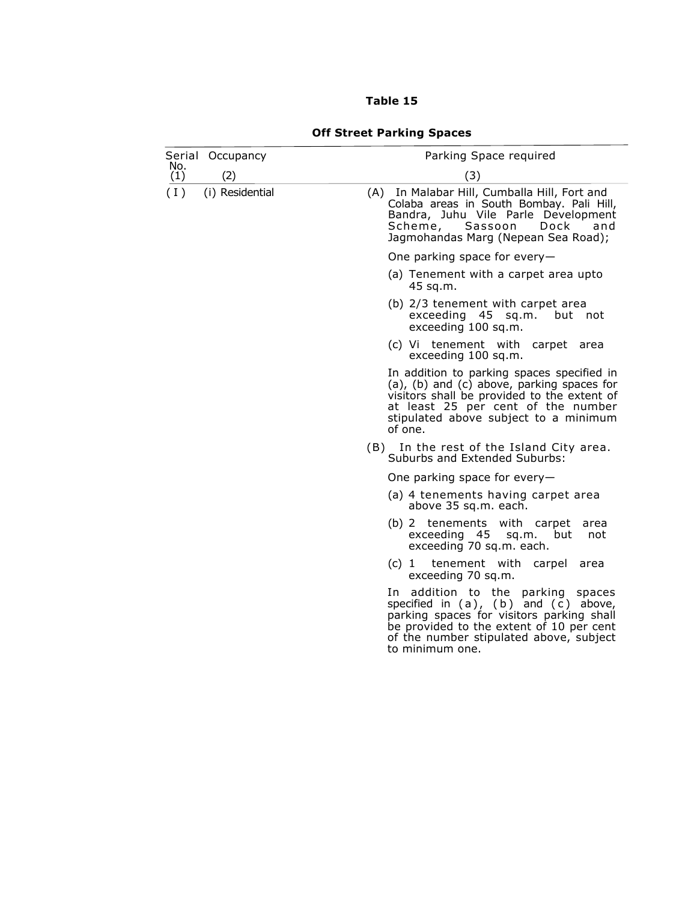# **Table 15**

|            | Serial Occupancy | Parking Space required                                                                                                                                                                                                                     |
|------------|------------------|--------------------------------------------------------------------------------------------------------------------------------------------------------------------------------------------------------------------------------------------|
| No.<br>(1) | (2)              | (3)                                                                                                                                                                                                                                        |
| (1)        | (i) Residential  | (A) In Malabar Hill, Cumballa Hill, Fort and<br>Colaba areas in South Bombay. Pali Hill,<br>Bandra, Juhu Vile Parle Development<br>Scheme, Sassoon<br>Dock<br>and<br>Jagmohandas Marg (Nepean Sea Road);                                   |
|            |                  | One parking space for every-                                                                                                                                                                                                               |
|            |                  | (a) Tenement with a carpet area upto<br>45 sq.m.                                                                                                                                                                                           |
|            |                  | (b) 2/3 tenement with carpet area<br>exceeding 45 sq.m.<br>but not<br>exceeding 100 sq.m.                                                                                                                                                  |
|            |                  | (c) Vi tenement with carpet<br>area<br>exceeding 100 sq.m.                                                                                                                                                                                 |
|            |                  | In addition to parking spaces specified in<br>(a), (b) and (c) above, parking spaces for<br>visitors shall be provided to the extent of<br>at least 25 per cent of the number<br>stipulated above subject to a minimum<br>of one.          |
|            |                  | (B) In the rest of the Island City area.<br>Suburbs and Extended Suburbs:                                                                                                                                                                  |
|            |                  | One parking space for every-                                                                                                                                                                                                               |
|            |                  | (a) 4 tenements having carpet area<br>above 35 sq.m. each.                                                                                                                                                                                 |
|            |                  | (b) 2 tenements with carpet<br>area<br>exceeding 45<br>sq.m.<br>but<br>not<br>exceeding 70 sq.m. each.                                                                                                                                     |
|            |                  | tenement with carpel<br>$(c)$ 1<br>area<br>exceeding 70 sq.m.                                                                                                                                                                              |
|            |                  | In addition to the parking<br>spaces<br>specified in $(a)$ , $(b)$ and $(c)$ above,<br>parking spaces for visitors parking shall<br>be provided to the extent of 10 per cent<br>of the number stipulated above, subject<br>to minimum one. |

# **Off Street Parking Spaces**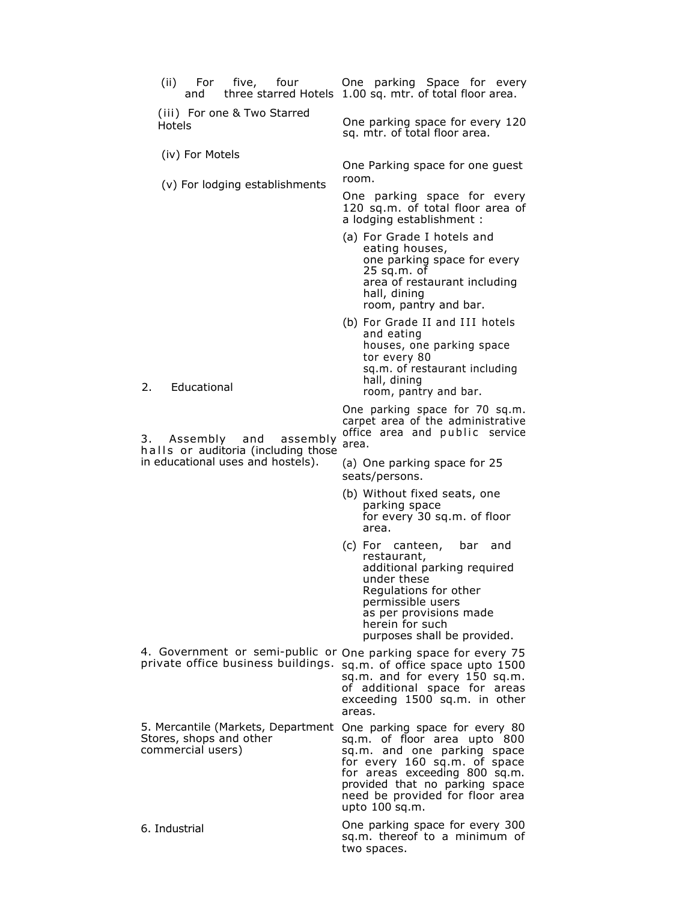| (ii) For five, four<br>and                                                                           | One parking Space for every<br>three starred Hotels 1.00 sq. mtr. of total floor area.                                                                                                                                                                |
|------------------------------------------------------------------------------------------------------|-------------------------------------------------------------------------------------------------------------------------------------------------------------------------------------------------------------------------------------------------------|
| (iii) For one & Two Starred<br>Hotels                                                                | One parking space for every 120<br>sq. mtr. of total floor area.                                                                                                                                                                                      |
| (iv) For Motels                                                                                      | One Parking space for one guest<br>room.                                                                                                                                                                                                              |
| (v) For lodging establishments                                                                       | One parking space for every<br>120 sq.m. of total floor area of<br>a lodging establishment :                                                                                                                                                          |
|                                                                                                      | (a) For Grade I hotels and<br>eating houses,<br>one parking space for every<br>$25$ sq.m. of<br>area of restaurant including<br>hall, dining<br>room, pantry and bar.                                                                                 |
| Educational<br>2.                                                                                    | (b) For Grade II and III hotels<br>and eating<br>houses, one parking space<br>tor every 80<br>sq.m. of restaurant including<br>hall, dining<br>room, pantry and bar.                                                                                  |
| Assembly and<br>assembly<br>halls or auditoria (including those                                      | One parking space for 70 sq.m.<br>carpet area of the administrative<br>office area and public service<br>area.                                                                                                                                        |
| in educational uses and hostels).                                                                    | (a) One parking space for 25<br>seats/persons.                                                                                                                                                                                                        |
|                                                                                                      | (b) Without fixed seats, one<br>parking space<br>for every 30 sq.m. of floor<br>area.                                                                                                                                                                 |
|                                                                                                      | (c) For canteen,<br>bar and<br>restaurant,<br>additional parking required<br>under these<br>Regulations for other<br>permissible users<br>as per provisions made<br>herein for such<br>purposes shall be provided.                                    |
| 4. Government or semi-public or One parking space for every 75<br>private office business buildings. | sq.m. of office space upto 1500<br>sq.m. and for every 150 sq.m.<br>of additional space for areas<br>exceeding 1500 sq.m. in other<br>areas.                                                                                                          |
| 5. Mercantile (Markets, Department<br>Stores, shops and other<br>commercial users)                   | One parking space for every 80<br>sq.m. of floor area upto 800<br>sq.m. and one parking space<br>for every 160 sq.m. of space<br>for areas exceeding 800 sq.m.<br>provided that no parking space<br>need be provided for floor area<br>upto 100 sq.m. |
| 6. Industrial                                                                                        | One parking space for every 300<br>sq.m. thereof to a minimum of<br>two spaces.                                                                                                                                                                       |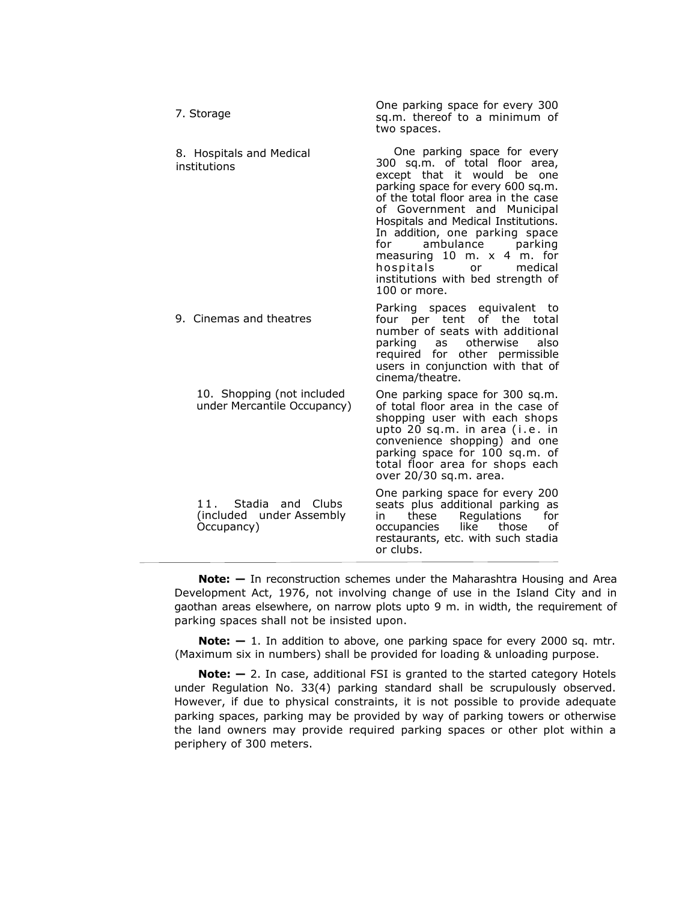| 7. Storage                                                         | One parking space for every 300<br>sq.m. thereof to a minimum of<br>two spaces.                                                                                                                                                                                                                                                                                                                                                           |
|--------------------------------------------------------------------|-------------------------------------------------------------------------------------------------------------------------------------------------------------------------------------------------------------------------------------------------------------------------------------------------------------------------------------------------------------------------------------------------------------------------------------------|
| 8. Hospitals and Medical<br>institutions                           | One parking space for every<br>300 sq.m. of total floor area,<br>except that it would be<br>one<br>parking space for every 600 sq.m.<br>of the total floor area in the case<br>of Government and Municipal<br>Hospitals and Medical Institutions.<br>In addition, one parking space<br>ambulance<br>for<br>parking<br>measuring $10$ m. $x$ 4 m. for<br>medical<br>hospitals<br>or<br>institutions with bed strength of<br>$100$ or more. |
| 9. Cinemas and theatres                                            | Parking spaces equivalent to<br>four per tent of the total<br>number of seats with additional<br>parking as<br>otherwise<br>also<br>required for other permissible<br>users in conjunction with that of<br>cinema/theatre.                                                                                                                                                                                                                |
| 10. Shopping (not included<br>under Mercantile Occupancy)          | One parking space for 300 sq.m.<br>of total floor area in the case of<br>shopping user with each shops<br>upto 20 sq.m. in area (i.e. in<br>convenience shopping) and one<br>parking space for 100 sq.m. of<br>total floor area for shops each<br>over 20/30 sq.m. area.                                                                                                                                                                  |
| 11. Stadia<br>and Clubs<br>(included under Assembly)<br>Occupancy) | One parking space for every 200<br>seats plus additional parking as<br>Regulations<br>these<br>for<br>in<br>occupancies<br>like<br>those<br>οf<br>restaurants, etc. with such stadia<br>or clubs.                                                                                                                                                                                                                                         |

**Note:**  $-$  In reconstruction schemes under the Maharashtra Housing and Area Development Act, 1976, not involving change of use in the Island City and in gaothan areas elsewhere, on narrow plots upto 9 m. in width, the requirement of parking spaces shall not be insisted upon.

**Note:**  $- 1$ . In addition to above, one parking space for every 2000 sq. mtr. (Maximum six in numbers) shall be provided for loading & unloading purpose.

**Note: -** 2. In case, additional FSI is granted to the started category Hotels under Regulation No. 33(4) parking standard shall be scrupulously observed. However, if due to physical constraints, it is not possible to provide adequate parking spaces, parking may be provided by way of parking towers or otherwise the land owners may provide required parking spaces or other plot within a periphery of 300 meters.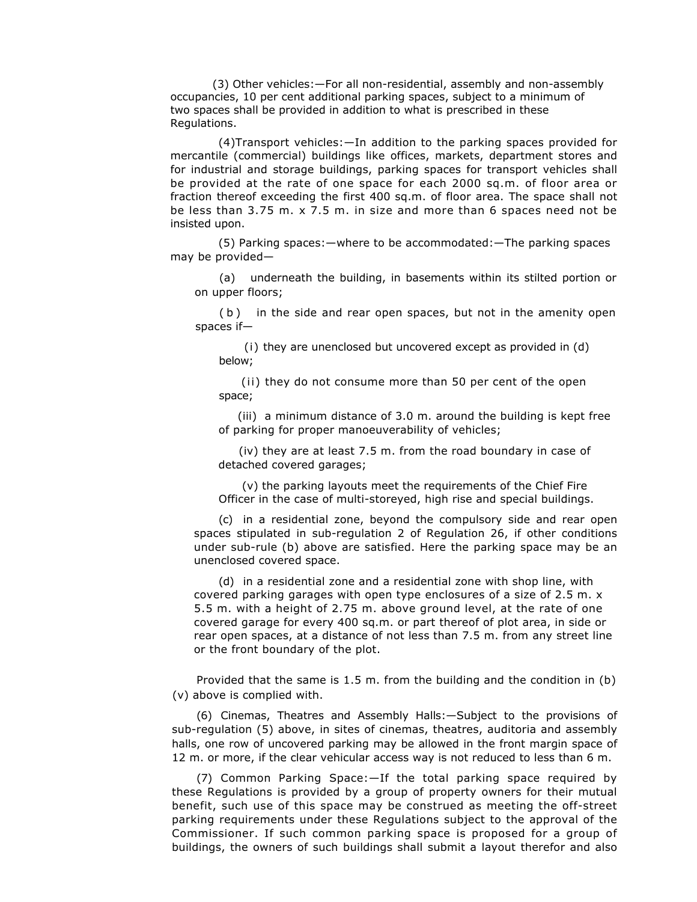(3) Other vehicles:—For all non-residential, assembly and non-assembly occupancies, 10 per cent additional parking spaces, subject to a minimum of two spaces shall be provided in addition to what is prescribed in these Regulations.

(4)Transport vehicles:—In addition to the parking spaces provided for mercantile (commercial) buildings like offices, markets, department stores and for industrial and storage buildings, parking spaces for transport vehicles shall be provided at the rate of one space for each 2000 sq.m. of floor area or fraction thereof exceeding the first 400 sq.m. of floor area. The space shall not be less than 3.75 m. x 7.5 m. in size and more than 6 spaces need not be insisted upon.

(5) Parking spaces:—where to be accommodated:—The parking spaces may be provided—

(a) underneath the building, in basements within its stilted portion or on upper floors;

(b) in the side and rear open spaces, but not in the amenity open spaces if—

(i) they are unenclosed but uncovered except as provided in (d) below;

(ii) they do not consume more than 50 per cent of the open space;

(iii) a minimum distance of 3.0 m. around the building is kept free of parking for proper manoeuverability of vehicles;

(iv) they are at least 7.5 m. from the road boundary in case of detached covered garages;

(v) the parking layouts meet the requirements of the Chief Fire Officer in the case of multi-storeyed, high rise and special buildings.

(c) in a residential zone, beyond the compulsory side and rear open spaces stipulated in sub-regulation 2 of Regulation 26, if other conditions under sub-rule (b) above are satisfied. Here the parking space may be an unenclosed covered space.

(d) in a residential zone and a residential zone with shop line, with covered parking garages with open type enclosures of a size of 2.5 m. x 5.5 m. with a height of 2.75 m. above ground level, at the rate of one covered garage for every 400 sq.m. or part thereof of plot area, in side or rear open spaces, at a distance of not less than 7.5 m. from any street line or the front boundary of the plot.

Provided that the same is 1.5 m. from the building and the condition in (b) (v) above is complied with.

(6) Cinemas, Theatres and Assembly Halls:—Subject to the provisions of sub-regulation (5) above, in sites of cinemas, theatres, auditoria and assembly halls, one row of uncovered parking may be allowed in the front margin space of 12 m. or more, if the clear vehicular access way is not reduced to less than 6 m.

(7) Common Parking Space:—If the total parking space required by these Regulations is provided by a group of property owners for their mutual benefit, such use of this space may be construed as meeting the off-street parking requirements under these Regulations subject to the approval of the Commissioner. If such common parking space is proposed for a group of buildings, the owners of such buildings shall submit a layout therefor and also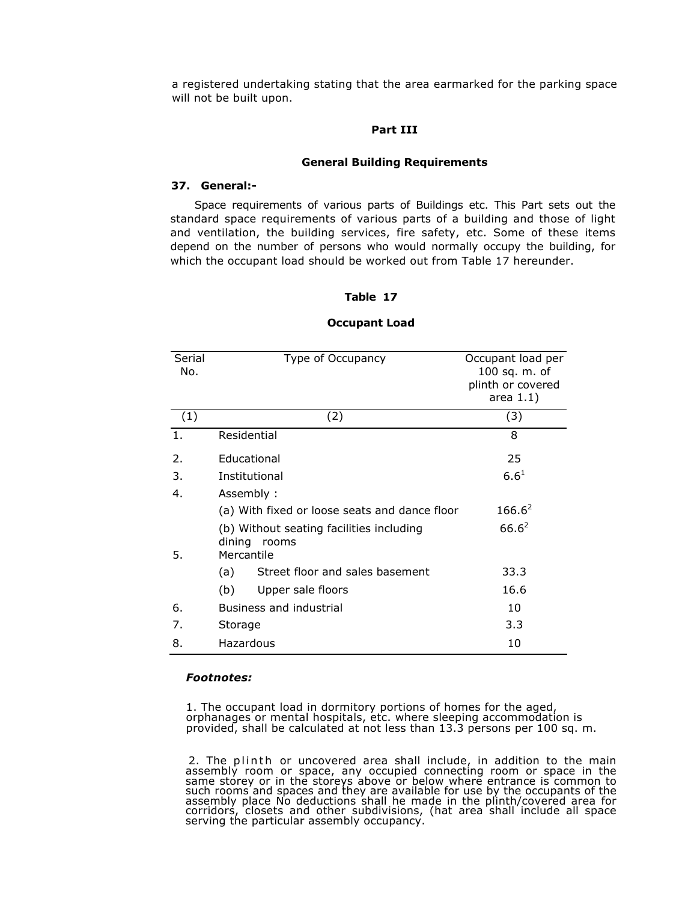a registered undertaking stating that the area earmarked for the parking space will not be built upon.

## **Part III**

### **General Building Requirements**

# **37. General:-**

Space requirements of various parts of Buildings etc. This Part sets out the standard space requirements of various parts of a building and those of light and ventilation, the building services, fire safety, etc. Some of these items depend on the number of persons who would normally occupy the building, for which the occupant load should be worked out from Table 17 hereunder.

# **Table 17**

| Serial<br>No. | Type of Occupancy                                                         | Occupant load per<br>100 sq. m. of<br>plinth or covered<br>area $1.1)$ |
|---------------|---------------------------------------------------------------------------|------------------------------------------------------------------------|
| (1)           | (2)                                                                       | (3)                                                                    |
| 1.            | Residential                                                               | 8                                                                      |
| 2.            | Educational                                                               | 25                                                                     |
| 3.            | Institutional                                                             | $6.6^{1}$                                                              |
| 4.            | Assembly:                                                                 |                                                                        |
|               | (a) With fixed or loose seats and dance floor                             | $166.6^2$                                                              |
| 5.            | (b) Without seating facilities including<br>dining<br>rooms<br>Mercantile | $66.6^2$                                                               |
|               | Street floor and sales basement<br>(a)                                    | 33.3                                                                   |
|               | (b)<br>Upper sale floors                                                  | 16.6                                                                   |
| 6.            | Business and industrial                                                   | 10                                                                     |
| 7.            | Storage                                                                   | 3.3                                                                    |
| 8.            | Hazardous                                                                 | 10                                                                     |

### **Occupant Load**

### *Footnotes:*

1. The occupant load in dormitory portions of homes for the aged, orphanages or mental hospitals, etc. where sleeping accommodation is provided, shall be calculated at not less than 13.3 persons per 100 sq. m.

2. The plinth or uncovered area shall include, in addition to the main assembly room or space, any occupied connecting room or space in the same storey or in the storeys above or below where entrance is common to such room assembly place No deductions shall he made in the plinth/covered area for corridors, closets and other subdivisions, (hat area shall include all space serving the particular assembly occupancy.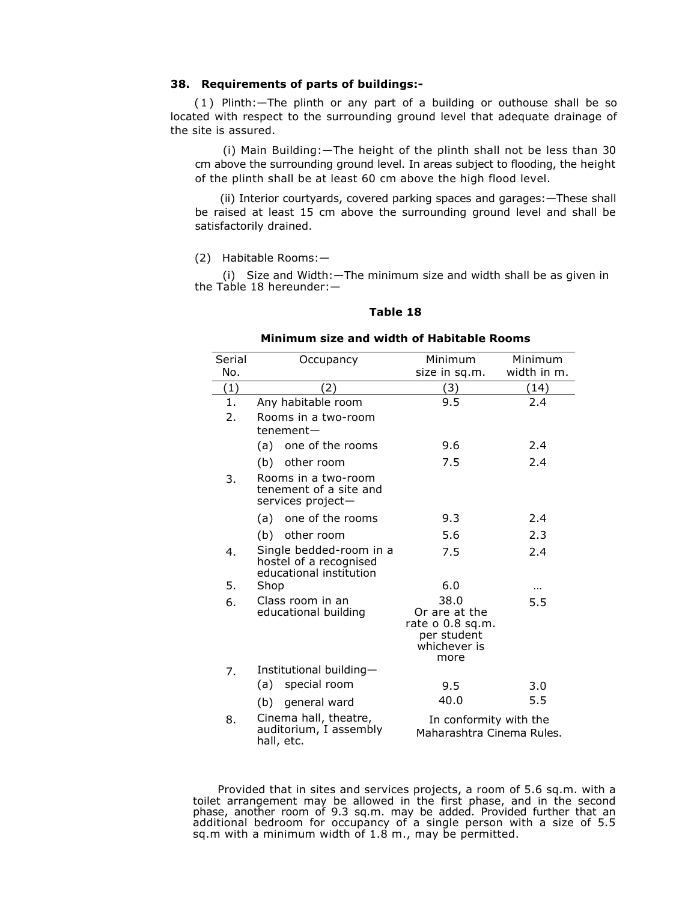# **38. Requirements of parts of buildings:-**

(1) Plinth:—The plinth or any part of a building or outhouse shall be so located with respect to the surrounding ground level that adequate drainage of the site is assured.

(i) Main Building:—The height of the plinth shall not be less than 30 cm above the surrounding ground level. In areas subject to flooding, the height of the plinth shall be at least 60 cm above the high flood level.

(ii) Interior courtyards, covered parking spaces and garages:—These shall be raised at least 15 cm above the surrounding ground level and shall be satisfactorily drained.

(2)Habitable Rooms:—

(i) Size and Width:—The minimum size and width shall be as given in the Table 18 hereunder:—

### **Table 18**

# **Minimum size and width of Habitable Rooms**

| Serial<br>No. | Occupancy                                                                    | Minimum<br>size in sq.m.                                                           | Minimum<br>width in m. |
|---------------|------------------------------------------------------------------------------|------------------------------------------------------------------------------------|------------------------|
| (1)           | (2)                                                                          | (3)                                                                                | (14)                   |
| 1.            | Any habitable room                                                           | 9.5                                                                                | 2.4                    |
| 2.            | Rooms in a two-room<br>tenement-                                             |                                                                                    |                        |
|               | (a) one of the rooms                                                         | 9.6                                                                                | 2.4                    |
|               | (b) other room                                                               | 7.5                                                                                | 2.4                    |
| 3.            | Rooms in a two-room<br>tenement of a site and<br>services project-           |                                                                                    |                        |
|               | one of the rooms<br>(a)                                                      | 9.3                                                                                | 2.4                    |
|               | (b) other room                                                               | 5.6                                                                                | 2.3                    |
| 4.            | Single bedded-room in a<br>hostel of a recognised<br>educational institution | 7.5                                                                                | 2.4                    |
| 5.            | Shop                                                                         | 6.0                                                                                |                        |
| 6.            | Class room in an<br>educational building                                     | 38.0<br>Or are at the<br>rate $o$ 0.8 sq.m.<br>per student<br>whichever is<br>more | 5.5                    |
| 7.            | Institutional building-                                                      |                                                                                    |                        |
|               | special room<br>(a)                                                          | 9.5                                                                                | 3.0                    |
|               | general ward<br>(b)                                                          | 40.0                                                                               | 5.5                    |
| 8.            | Cinema hall, theatre,<br>auditorium, I assembly<br>hall, etc.                | In conformity with the<br>Maharashtra Cinema Rules.                                |                        |

Provided that in sites and services projects, a room of 5.6 sq.m. with a toilet arrangement may be allowed in the first phase, and in the second phase, another room of 9.3 sq.m. may be added. Provided further that an additional bedroom for occupancy of a single person with a size of 5.5 sq.m with a minimum width of 1.8 m., may be permitted.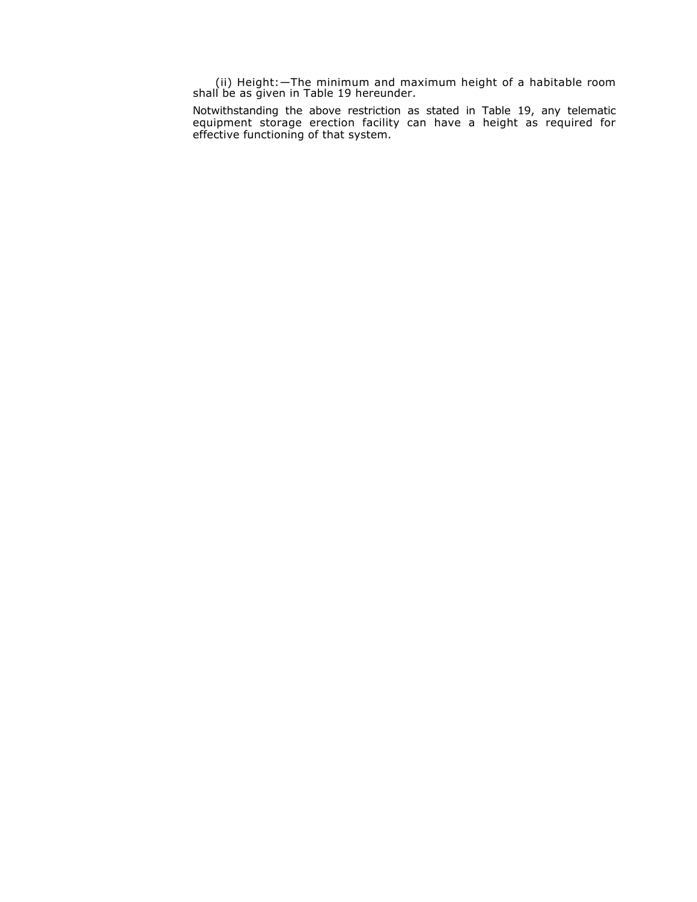(ii) Height:—The minimum and maximum height of a habitable room shall be as given in Table 19 hereunder.

Notwithstanding the above restriction as stated in Table 19, any telematic equipment storage erection facility can have a height as required for effective functioning of that system.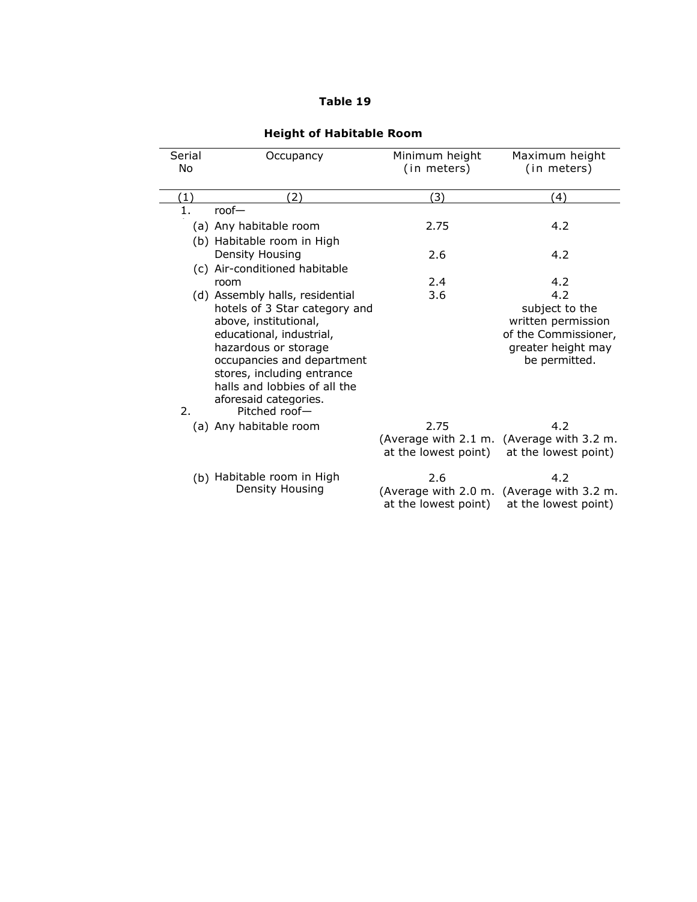# **Table 19**

| Serial<br>No | Occupancy                       | Minimum height<br>(in meters) | Maximum height<br>(in meters)             |
|--------------|---------------------------------|-------------------------------|-------------------------------------------|
| (1)          | (2)                             | (3)                           | (4)                                       |
| 1.           | $root-$                         |                               |                                           |
|              | (a) Any habitable room          | 2.75                          | 4.2                                       |
|              | (b) Habitable room in High      |                               |                                           |
|              | Density Housing                 | 2.6                           | 4.2                                       |
|              | (c) Air-conditioned habitable   |                               |                                           |
|              | room                            | 2.4                           | 4.2                                       |
|              | (d) Assembly halls, residential | 3.6                           | 4.2                                       |
|              | hotels of 3 Star category and   |                               | subject to the                            |
|              | above, institutional,           |                               | written permission                        |
|              | educational, industrial,        |                               | of the Commissioner,                      |
|              | hazardous or storage            |                               | greater height may                        |
|              | occupancies and department      |                               | be permitted.                             |
|              | stores, including entrance      |                               |                                           |
|              | halls and lobbies of all the    |                               |                                           |
|              | aforesaid categories.           |                               |                                           |
| 2.           | Pitched roof-                   |                               |                                           |
|              | (a) Any habitable room          | 2.75                          | 4.2                                       |
|              |                                 | (Average with 2.1 m.          | (Average with 3.2 m.                      |
|              |                                 | at the lowest point)          | at the lowest point)                      |
|              | (b) Habitable room in High      | 2.6                           | 4.2                                       |
|              | Density Housing                 |                               | (Average with 2.0 m. (Average with 3.2 m. |
|              |                                 | at the lowest point)          | at the lowest point)                      |

# **Height of Habitable Room**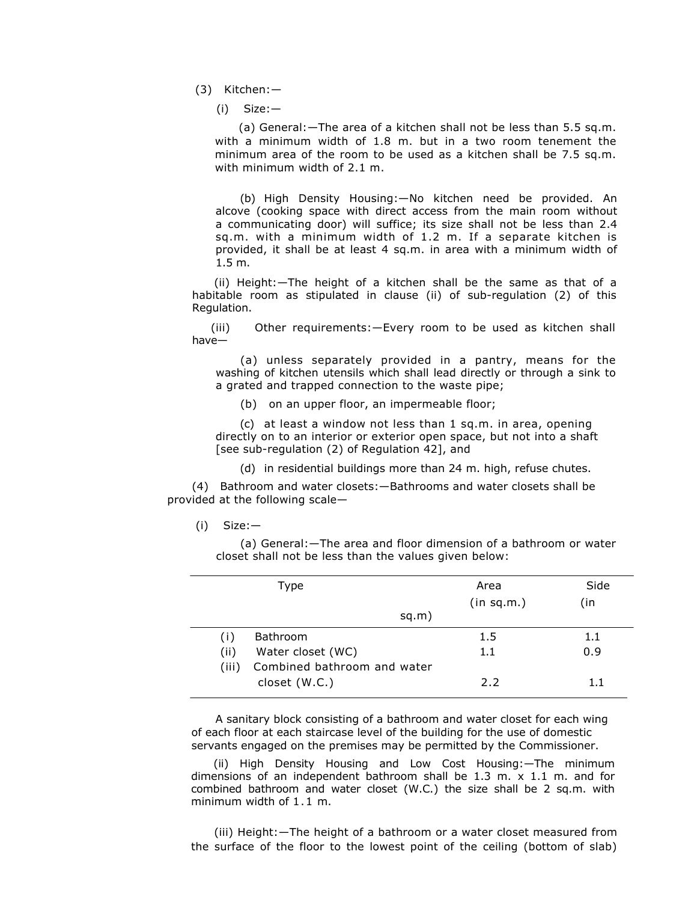(3) Kitchen:—

(i) Size:—

(a) General:—The area of a kitchen shall not be less than 5.5 sq.m. with a minimum width of 1.8 m. but in a two room tenement the minimum area of the room to be used as a kitchen shall be 7.5 sq.m. with minimum width of 2.1 m.

(b) High Density Housing:—No kitchen need be provided. An alcove (cooking space with direct access from the main room without a communicating door) will suffice; its size shall not be less than 2.4 sq.m. with a minimum width of 1.2 m. If a separate kitchen is provided, it shall be at least 4 sq.m. in area with a minimum width of 1.5 m.

(ii) Height:—The height of a kitchen shall be the same as that of a habitable room as stipulated in clause (ii) of sub-regulation (2) of this Regulation.

(iii) Other requirements:—Every room to be used as kitchen shall have—

(a) unless separately provided in a pantry, means for the washing of kitchen utensils which shall lead directly or through a sink to a grated and trapped connection to the waste pipe;

(b) on an upper floor, an impermeable floor;

(c) at least a window not less than 1 sq.m. in area, opening directly on to an interior or exterior open space, but not into a shaft [see sub-regulation (2) of Regulation 42], and

(d) in residential buildings more than 24 m. high, refuse chutes.

(4)Bathroom and water closets:—Bathrooms and water closets shall be provided at the following scale—

(i) Size:—

(a) General:—The area and floor dimension of a bathroom or water closet shall not be less than the values given below:

| Type                                 | Area       | Side |
|--------------------------------------|------------|------|
|                                      | (in sq.m.) | (in  |
| sq.m)                                |            |      |
| Bathroom                             | 1.5        | 1.1  |
| Water closet (WC)<br>(ii)            | 1.1        | 0.9  |
| Combined bathroom and water<br>(iii) |            |      |
| closet (W.C.)                        | 2.2        | 11   |
|                                      |            |      |

A sanitary block consisting of a bathroom and water closet for each wing of each floor at each staircase level of the building for the use of domestic servants engaged on the premises may be permitted by the Commissioner.

(ii) High Density Housing and Low Cost Housing:—The minimum dimensions of an independent bathroom shall be 1.3 m. x 1.1 m. and for combined bathroom and water closet (W.C.) the size shall be 2 sq.m. with minimum width of 1.1 m.

 (iii) Height:—The height of a bathroom or a water closet measured from the surface of the floor to the lowest point of the ceiling (bottom of slab)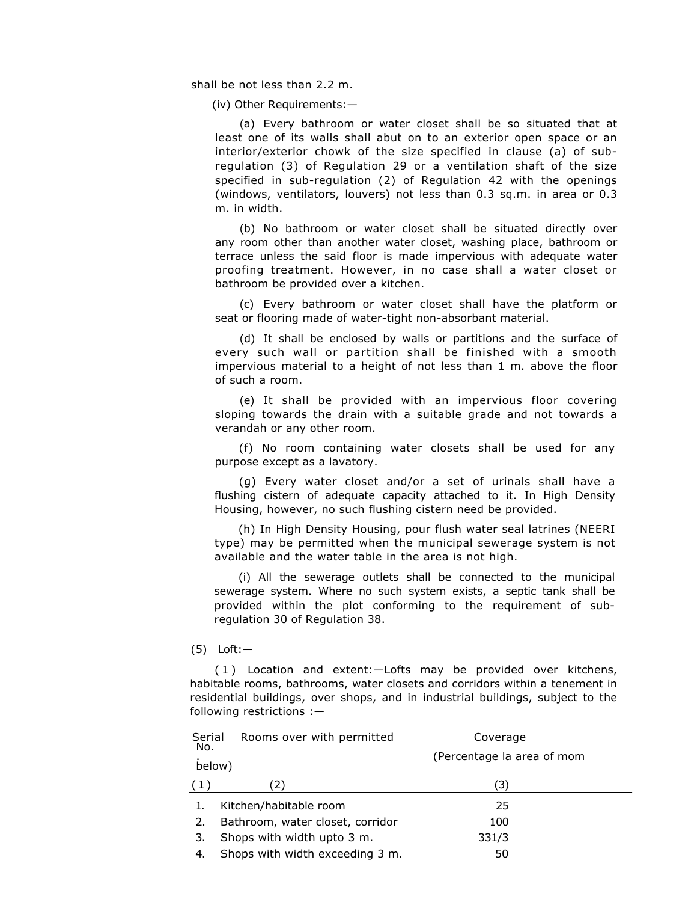shall be not less than 2.2 m.

(iv) Other Requirements:—

(a) Every bathroom or water closet shall be so situated that at least one of its walls shall abut on to an exterior open space or an interior/exterior chowk of the size specified in clause (a) of subregulation (3) of Regulation 29 or a ventilation shaft of the size specified in sub-regulation (2) of Regulation 42 with the openings (windows, ventilators, louvers) not less than 0.3 sq.m. in area or 0.3 m. in width.

(b) No bathroom or water closet shall be situated directly over any room other than another water closet, washing place, bathroom or terrace unless the said floor is made impervious with adequate water proofing treatment. However, in no case shall a water closet or bathroom be provided over a kitchen.

(c) Every bathroom or water closet shall have the platform or seat or flooring made of water-tight non-absorbant material.

(d) It shall be enclosed by walls or partitions and the surface of every such wall or partition shall be finished with a smooth impervious material to a height of not less than 1 m. above the floor of such a room.

(e) It shall be provided with an impervious floor covering sloping towards the drain with a suitable grade and not towards a verandah or any other room.

(f) No room containing water closets shall be used for any purpose except as a lavatory.

(g) Every water closet and/or a set of urinals shall have a flushing cistern of adequate capacity attached to it. In High Density Housing, however, no such flushing cistern need be provided.

(h) In High Density Housing, pour flush water seal latrines (NEERI type) may be permitted when the municipal sewerage system is not available and the water table in the area is not high.

(i) All the sewerage outlets shall be connected to the municipal sewerage system. Where no such system exists, a septic tank shall be provided within the plot conforming to the requirement of subregulation 30 of Regulation 38.

(5) Loft:—

( 1 ) Location and extent:—Lofts may be provided over kitchens, habitable rooms, bathrooms, water closets and corridors within a tenement in residential buildings, over shops, and in industrial buildings, subject to the following restrictions :—

| Serial<br>No. | Rooms over with permitted        | Coverage<br>(Percentage la area of mom |
|---------------|----------------------------------|----------------------------------------|
| below)        |                                  |                                        |
| (1)           | 2)                               | (3)                                    |
|               | Kitchen/habitable room           | 25                                     |
| 2.            | Bathroom, water closet, corridor | 100                                    |
| 3.            | Shops with width upto 3 m.       | 331/3                                  |
| 4.            | Shops with width exceeding 3 m.  | 50                                     |
|               |                                  |                                        |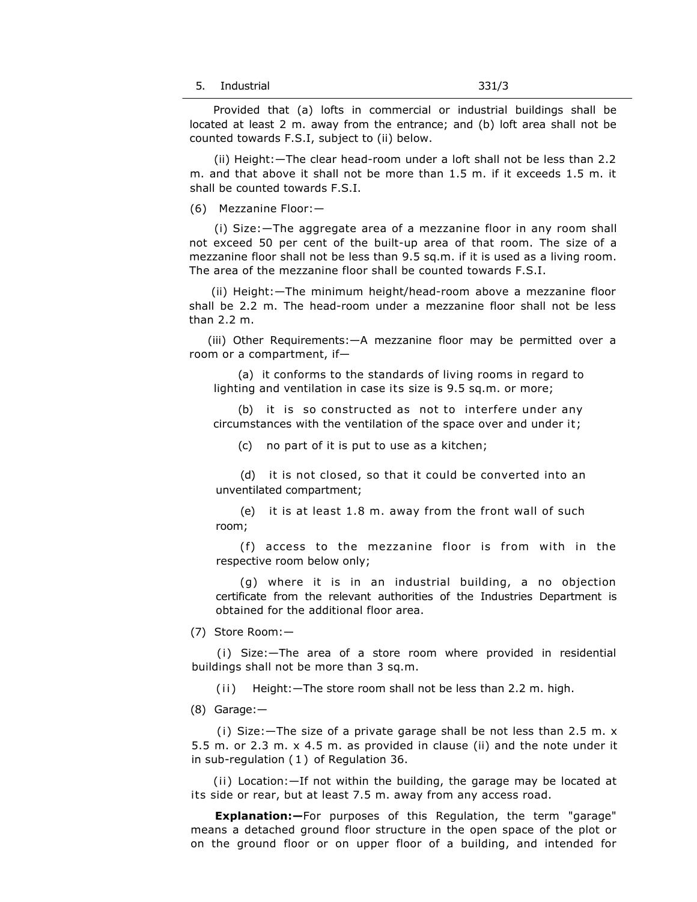Provided that (a) lofts in commercial or industrial buildings shall be located at least 2 m. away from the entrance; and (b) loft area shall not be counted towards F.S.I, subject to (ii) below.

(ii) Height:—The clear head-room under a loft shall not be less than 2.2 m. and that above it shall not be more than 1.5 m. if it exceeds 1.5 m. it shall be counted towards F.S.I.

(6) Mezzanine Floor:—

(i) Size:—The aggregate area of a mezzanine floor in any room shall not exceed 50 per cent of the built-up area of that room. The size of a mezzanine floor shall not be less than 9.5 sq.m. if it is used as a living room. The area of the mezzanine floor shall be counted towards F.S.I.

(ii) Height:—The minimum height/head-room above a mezzanine floor shall be 2.2 m. The head-room under a mezzanine floor shall not be less than 2.2 m.

(iii) Other Requirements:—A mezzanine floor may be permitted over a room or a compartment, if—

(a) it conforms to the standards of living rooms in regard to lighting and ventilation in case its size is 9.5 sq.m. or more;

(b) it is so constructed as not to interfere under any circumstances with the ventilation of the space over and under it;

(c) no part of it is put to use as a kitchen;

(d) it is not closed, so that it could be converted into an unventilated compartment;

(e) it is at least 1.8 m. away from the front wall of such room;

(f) access to the mezzanine floor is from with in the respective room below only;

(g) where it is in an industrial building, a no objection certificate from the relevant authorities of the Industries Department is obtained for the additional floor area.

(7) Store Room:—

(i) Size:—The area of a store room where provided in residential buildings shall not be more than 3 sq.m.

(ii) Height: - The store room shall not be less than 2.2 m. high.

(8) Garage:—

(i) Size:—The size of a private garage shall be not less than 2.5 m. x 5.5 m. or 2.3 m. x 4.5 m. as provided in clause (ii) and the note under it in sub-regulation ( 1 ) of Regulation 36.

(ii) Location:—If not within the building, the garage may be located at its side or rear, but at least 7.5 m. away from any access road.

**Explanation:—**For purposes of this Regulation, the term "garage" means a detached ground floor structure in the open space of the plot or on the ground floor or on upper floor of a building, and intended for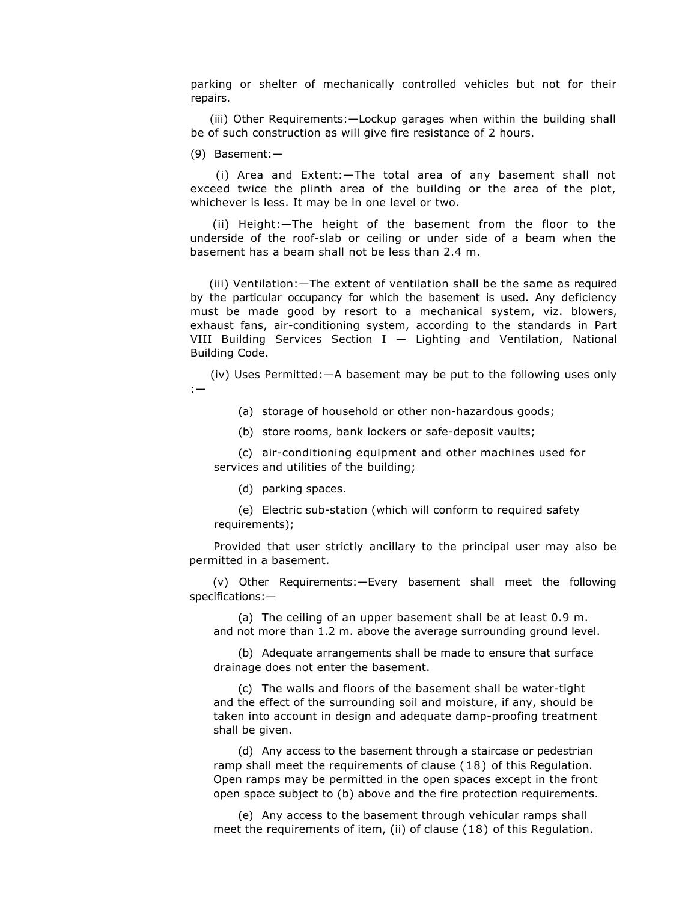parking or shelter of mechanically controlled vehicles but not for their repairs.

(iii) Other Requirements:—Lockup garages when within the building shall be of such construction as will give fire resistance of 2 hours.

(9) Basement:—

(i) Area and Extent:—The total area of any basement shall not exceed twice the plinth area of the building or the area of the plot, whichever is less. It may be in one level or two.

(ii) Height:—The height of the basement from the floor to the underside of the roof-slab or ceiling or under side of a beam when the basement has a beam shall not be less than 2.4 m.

(iii) Ventilation:—The extent of ventilation shall be the same as required by the particular occupancy for which the basement is used. Any deficiency must be made good by resort to a mechanical system, viz. blowers, exhaust fans, air-conditioning system, according to the standards in Part VIII Building Services Section I — Lighting and Ventilation, National Building Code.

(iv) Uses Permitted:—A basement may be put to the following uses only :—

(a) storage of household or other non-hazardous goods;

(b) store rooms, bank lockers or safe-deposit vaults;

(c) air-conditioning equipment and other machines used for services and utilities of the building;

(d) parking spaces.

(e) Electric sub-station (which will conform to required safety requirements);

Provided that user strictly ancillary to the principal user may also be permitted in a basement.

(v) Other Requirements:—Every basement shall meet the following specifications:—

(a) The ceiling of an upper basement shall be at least 0.9 m. and not more than 1.2 m. above the average surrounding ground level.

(b) Adequate arrangements shall be made to ensure that surface drainage does not enter the basement.

(c) The walls and floors of the basement shall be water-tight and the effect of the surrounding soil and moisture, if any, should be taken into account in design and adequate damp-proofing treatment shall be given.

(d) Any access to the basement through a staircase or pedestrian ramp shall meet the requirements of clause (18) of this Regulation. Open ramps may be permitted in the open spaces except in the front open space subject to (b) above and the fire protection requirements.

(e) Any access to the basement through vehicular ramps shall meet the requirements of item, (ii) of clause (18) of this Regulation.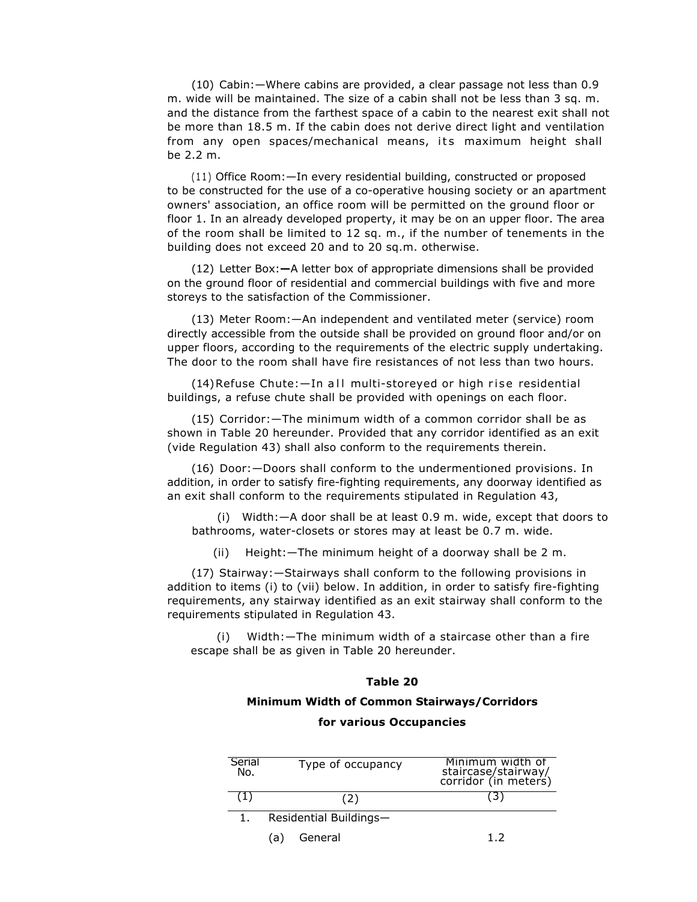(10) Cabin:—Where cabins are provided, a clear passage not less than 0.9 m. wide will be maintained. The size of a cabin shall not be less than 3 sq. m. and the distance from the farthest space of a cabin to the nearest exit shall not be more than 18.5 m. If the cabin does not derive direct light and ventilation from any open spaces/mechanical means, its maximum height shall be 2.2 m.

(11) Office Room:—In every residential building, constructed or proposed to be constructed for the use of a co-operative housing society or an apartment owners' association, an office room will be permitted on the ground floor or floor 1. In an already developed property, it may be on an upper floor. The area of the room shall be limited to 12 sq. m., if the number of tenements in the building does not exceed 20 and to 20 sq.m. otherwise.

(12) Letter Box:**—**A letter box of appropriate dimensions shall be provided on the ground floor of residential and commercial buildings with five and more storeys to the satisfaction of the Commissioner.

(13) Meter Room:—An independent and ventilated meter (service) room directly accessible from the outside shall be provided on ground floor and/or on upper floors, according to the requirements of the electric supply undertaking. The door to the room shall have fire resistances of not less than two hours.

 $(14)$ Refuse Chute: $-$ In all multi-storeyed or high rise residential buildings, a refuse chute shall be provided with openings on each floor.

(15) Corridor:—The minimum width of a common corridor shall be as shown in Table 20 hereunder. Provided that any corridor identified as an exit (vide Regulation 43) shall also conform to the requirements therein.

(16) Door:—Doors shall conform to the undermentioned provisions. In addition, in order to satisfy fire-fighting requirements, any doorway identified as an exit shall conform to the requirements stipulated in Regulation 43,

(i) Width:—A door shall be at least 0.9 m. wide, except that doors to bathrooms, water-closets or stores may at least be 0.7 m. wide.

(ii) Height:—The minimum height of a doorway shall be 2 m.

(17)Stairway:—Stairways shall conform to the following provisions in addition to items (i) to (vii) below. In addition, in order to satisfy fire-fighting requirements, any stairway identified as an exit stairway shall conform to the requirements stipulated in Regulation 43.

(i) Width:—The minimum width of a staircase other than a fire escape shall be as given in Table 20 hereunder.

# **Table 20**

# **Minimum Width of Common Stairways/Corridors**

# **for various Occupancies**

| Serial<br>No. | Type of occupancy      | Minimum width of<br>staircase/stairway/<br>corridor (in meters) |
|---------------|------------------------|-----------------------------------------------------------------|
|               | (2)                    |                                                                 |
|               | Residential Buildings- |                                                                 |
|               | General<br>(a)         | 17                                                              |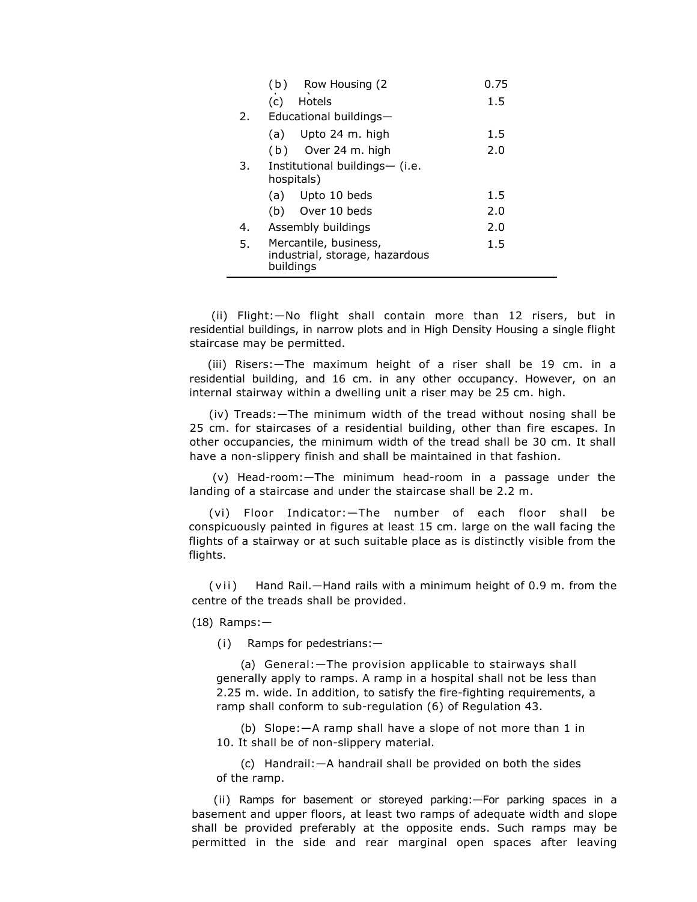|    | Row Housing (2<br>(b)                       | 0.75 |  |  |  |  |  |
|----|---------------------------------------------|------|--|--|--|--|--|
|    | Hotels<br>(c)                               | 1.5  |  |  |  |  |  |
| 2. | Educational buildings-                      |      |  |  |  |  |  |
|    | $(a)$ Upto 24 m. high                       | 1.5  |  |  |  |  |  |
|    | Over 24 m. high<br>(b)                      | 2.0  |  |  |  |  |  |
| 3. | Institutional buildings— (i.e.              |      |  |  |  |  |  |
|    | hospitals)                                  |      |  |  |  |  |  |
|    | Upto 10 beds<br>(a)                         | 1.5  |  |  |  |  |  |
|    | Over 10 beds<br>(b)                         | 2.0  |  |  |  |  |  |
| 4. | Assembly buildings                          | 2.0  |  |  |  |  |  |
| 5. | Mercantile, business,                       | 1.5  |  |  |  |  |  |
|    | industrial, storage, hazardous<br>buildings |      |  |  |  |  |  |

(ii) Flight:—No flight shall contain more than 12 risers, but in residential buildings, in narrow plots and in High Density Housing a single flight staircase may be permitted.

(iii) Risers:—The maximum height of a riser shall be 19 cm. in a residential building, and 16 cm. in any other occupancy. However, on an internal stairway within a dwelling unit a riser may be 25 cm. high.

(iv) Treads:—The minimum width of the tread without nosing shall be 25 cm. for staircases of a residential building, other than fire escapes. In other occupancies, the minimum width of the tread shall be 30 cm. It shall have a non-slippery finish and shall be maintained in that fashion.

(v) Head-room:—The minimum head-room in a passage under the landing of a staircase and under the staircase shall be 2.2 m.

(vi) Floor Indicator:—The number of each floor shall be conspicuously painted in figures at least 15 cm. large on the wall facing the flights of a stairway or at such suitable place as is distinctly visible from the flights.

(vii) Hand Rail.—Hand rails with a minimum height of 0.9 m. from the centre of the treads shall be provided.

(18) Ramps:—

(i) Ramps for pedestrians:—

(a) General:—The provision applicable to stairways shall generally apply to ramps. A ramp in a hospital shall not be less than 2.25 m. wide. In addition, to satisfy the fire-fighting requirements, a ramp shall conform to sub-regulation (6) of Regulation 43.

(b) Slope:—A ramp shall have a slope of not more than 1 in 10. It shall be of non-slippery material.

(c) Handrail:—A handrail shall be provided on both the sides of the ramp.

(ii) Ramps for basement or storeyed parking:—For parking spaces in a basement and upper floors, at least two ramps of adequate width and slope shall be provided preferably at the opposite ends. Such ramps may be permitted in the side and rear marginal open spaces after leaving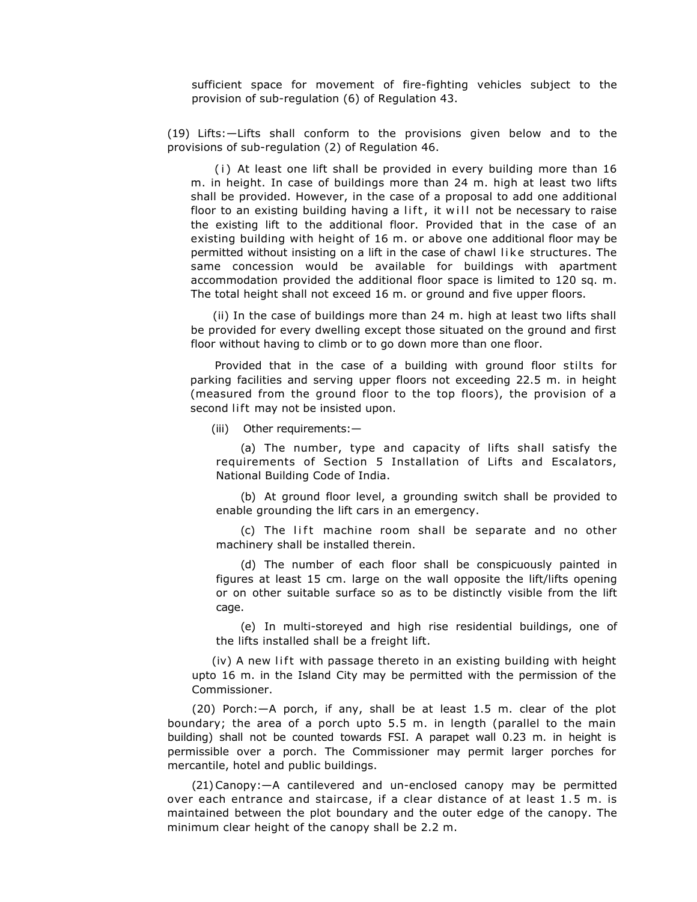sufficient space for movement of fire-fighting vehicles subject to the provision of sub-regulation (6) of Regulation 43.

(19) Lifts:—Lifts shall conform to the provisions given below and to the provisions of sub-regulation (2) of Regulation 46.

(i) At least one lift shall be provided in every building more than 16 m. in height. In case of buildings more than 24 m. high at least two lifts shall be provided. However, in the case of a proposal to add one additional floor to an existing building having a lift, it will not be necessary to raise the existing lift to the additional floor. Provided that in the case of an existing building with height of 16 m. or above one additional floor may be permitted without insisting on a lift in the case of chawl like structures. The same concession would be available for buildings with apartment accommodation provided the additional floor space is limited to 120 sq. m. The total height shall not exceed 16 m. or ground and five upper floors.

(ii) In the case of buildings more than 24 m. high at least two lifts shall be provided for every dwelling except those situated on the ground and first floor without having to climb or to go down more than one floor.

Provided that in the case of a building with ground floor stilts for parking facilities and serving upper floors not exceeding 22.5 m. in height (measured from the ground floor to the top floors), the provision of a second lift may not be insisted upon.

(iii) Other requirements:—

(a) The number, type and capacity of lifts shall satisfy the requirements of Section 5 Installation of Lifts and Escalators, National Building Code of India.

(b) At ground floor level, a grounding switch shall be provided to enable grounding the lift cars in an emergency.

(c) The lift machine room shall be separate and no other machinery shall be installed therein.

(d) The number of each floor shall be conspicuously painted in figures at least 15 cm. large on the wall opposite the lift/lifts opening or on other suitable surface so as to be distinctly visible from the lift cage.

(e) In multi-storeyed and high rise residential buildings, one of the lifts installed shall be a freight lift.

 $(iv)$  A new lift with passage thereto in an existing building with height upto 16 m. in the Island City may be permitted with the permission of the Commissioner.

(20) Porch:—A porch, if any, shall be at least 1.5 m. clear of the plot boundary; the area of a porch upto 5.5 m. in length (parallel to the main building) shall not be counted towards FSI. A parapet wall 0.23 m. in height is permissible over a porch. The Commissioner may permit larger porches for mercantile, hotel and public buildings.

(21)Canopy:—A cantilevered and un-enclosed canopy may be permitted over each entrance and staircase, if a clear distance of at least 1.5 m. is maintained between the plot boundary and the outer edge of the canopy. The minimum clear height of the canopy shall be 2.2 m.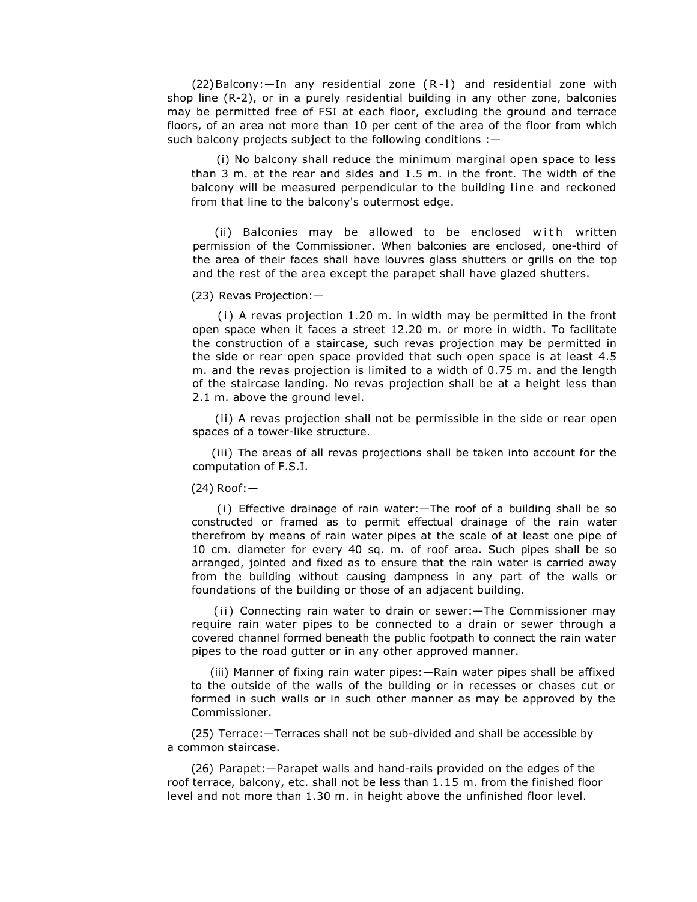$(22)$ Balcony: $-$ In any residential zone  $(R - I)$  and residential zone with shop line (R-2), or in a purely residential building in any other zone, balconies may be permitted free of FSI at each floor, excluding the ground and terrace floors, of an area not more than 10 per cent of the area of the floor from which such balcony projects subject to the following conditions :-

(i) No balcony shall reduce the minimum marginal open space to less than 3 m. at the rear and sides and 1.5 m. in the front. The width of the balcony will be measured perpendicular to the building line and reckoned from that line to the balcony's outermost edge.

(ii) Balconies may be allowed to be enclosed with written permission of the Commissioner. When balconies are enclosed, one-third of the area of their faces shall have louvres glass shutters or grills on the top and the rest of the area except the parapet shall have glazed shutters.

(23)Revas Projection:—

 $(i)$  A revas projection 1.20 m. in width may be permitted in the front open space when it faces a street 12.20 m. or more in width. To facilitate the construction of a staircase, such revas projection may be permitted in the side or rear open space provided that such open space is at least 4.5 m. and the revas projection is limited to a width of 0.75 m. and the length of the staircase landing. No revas projection shall be at a height less than 2.1 m. above the ground level.

(ii) A revas projection shall not be permissible in the side or rear open spaces of a tower-like structure.

(iii) The areas of all revas projections shall be taken into account for the computation of F.S.I.

(24) Roof:—

(i ) Effective drainage of rain water:—The roof of a building shall be so constructed or framed as to permit effectual drainage of the rain water therefrom by means of rain water pipes at the scale of at least one pipe of 10 cm. diameter for every 40 sq. m. of roof area. Such pipes shall be so arranged, jointed and fixed as to ensure that the rain water is carried away from the building without causing dampness in any part of the walls or foundations of the building or those of an adjacent building.

(ii) Connecting rain water to drain or sewer: - The Commissioner may require rain water pipes to be connected to a drain or sewer through a covered channel formed beneath the public footpath to connect the rain water pipes to the road gutter or in any other approved manner.

(iii) Manner of fixing rain water pipes:—Rain water pipes shall be affixed to the outside of the walls of the building or in recesses or chases cut or formed in such walls or in such other manner as may be approved by the Commissioner.

(25) Terrace:—Terraces shall not be sub-divided and shall be accessible by a common staircase.

(26) Parapet:—Parapet walls and hand-rails provided on the edges of the roof terrace, balcony, etc. shall not be less than 1.15 m. from the finished floor level and not more than 1.30 m. in height above the unfinished floor level.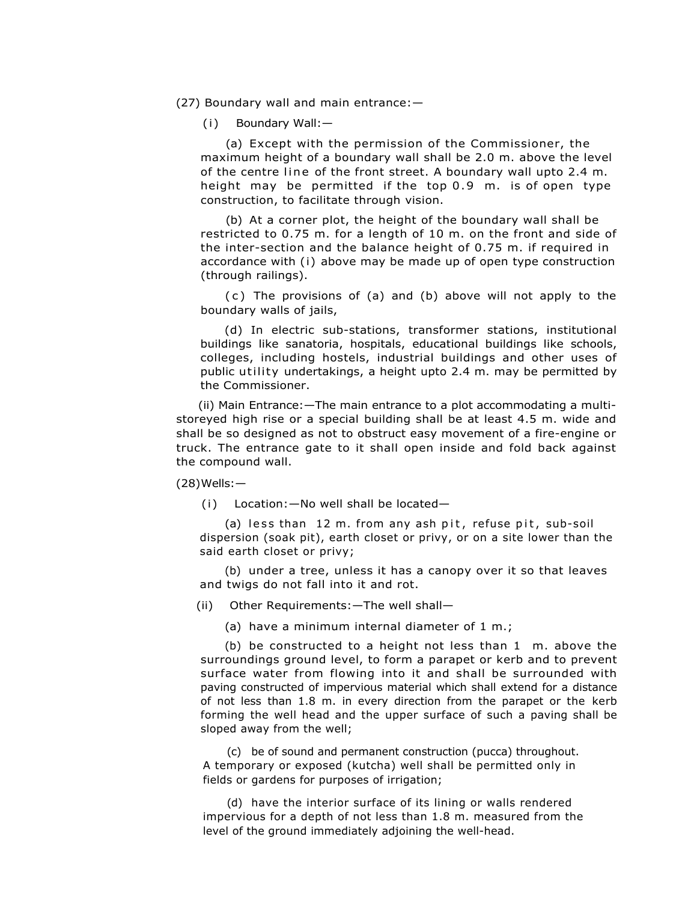(27)Boundary wall and main entrance:—

(i) Boundary Wall:—

(a) Except with the permission of the Commissioner, the maximum height of a boundary wall shall be 2.0 m. above the level of the centre line of the front street. A boundary wall upto 2.4 m. height may be permitted if the top 0.9 m. is of open type construction, to facilitate through vision.

(b) At a corner plot, the height of the boundary wall shall be restricted to 0.75 m. for a length of 10 m. on the front and side of the inter-section and the balance height of 0.75 m. if required in accordance with (i) above may be made up of open type construction (through railings).

(c) The provisions of (a) and (b) above will not apply to the boundary walls of jails,

(d) In electric sub-stations, transformer stations, institutional buildings like sanatoria, hospitals, educational buildings like schools, colleges, including hostels, industrial buildings and other uses of public utility undertakings, a height upto 2.4 m. may be permitted by the Commissioner.

(ii) Main Entrance:—The main entrance to a plot accommodating a multistoreyed high rise or a special building shall be at least 4.5 m. wide and shall be so designed as not to obstruct easy movement of a fire-engine or truck. The entrance gate to it shall open inside and fold back against the compound wall.

(28)Wells:—

(i) Location:—No well shall be located—

(a) less than  $12$  m. from any ash pit, refuse pit, sub-soil dispersion (soak pit), earth closet or privy, or on a site lower than the said earth closet or privy;

(b) under a tree, unless it has a canopy over it so that leaves and twigs do not fall into it and rot.

(ii) Other Requirements:—The well shall—

(a) have a minimum internal diameter of 1 m.;

(b) be constructed to a height not less than 1 m. above the surroundings ground level, to form a parapet or kerb and to prevent surface water from flowing into it and shall be surrounded with paving constructed of impervious material which shall extend for a distance of not less than 1.8 m. in every direction from the parapet or the kerb forming the well head and the upper surface of such a paving shall be sloped away from the well;

(c) be of sound and permanent construction (pucca) throughout. A temporary or exposed (kutcha) well shall be permitted only in fields or gardens for purposes of irrigation;

(d) have the interior surface of its lining or walls rendered impervious for a depth of not less than 1.8 m. measured from the level of the ground immediately adjoining the well-head.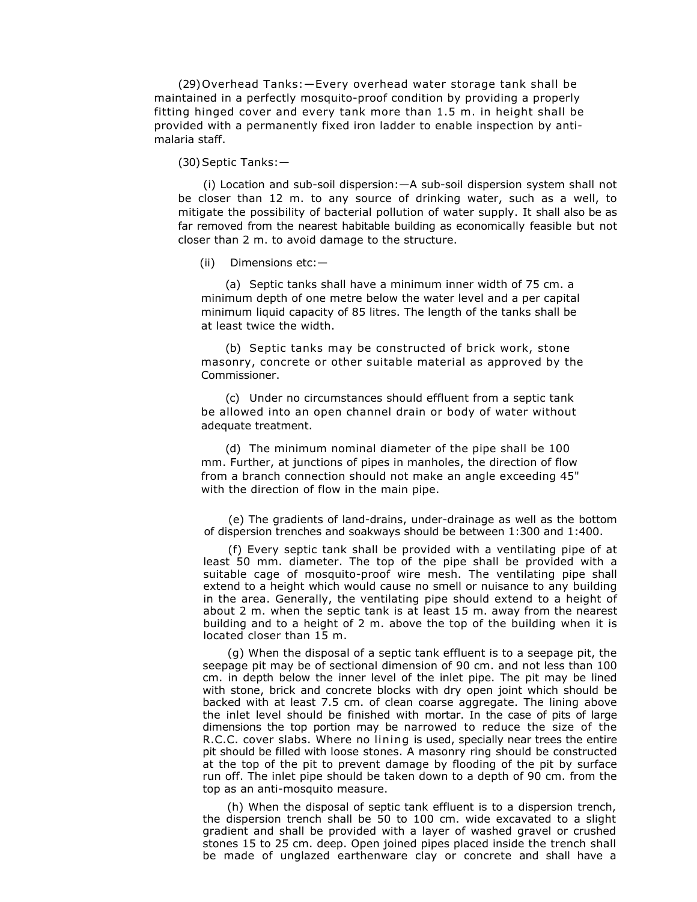(29)Overhead Tanks:—Every overhead water storage tank shall be maintained in a perfectly mosquito-proof condition by providing a properly fitting hinged cover and every tank more than 1.5 m. in height shall be provided with a permanently fixed iron ladder to enable inspection by antimalaria staff.

(30)Septic Tanks:—

(i) Location and sub-soil dispersion:—A sub-soil dispersion system shall not be closer than 12 m. to any source of drinking water, such as a well, to mitigate the possibility of bacterial pollution of water supply. It shall also be as far removed from the nearest habitable building as economically feasible but not closer than 2 m. to avoid damage to the structure.

(ii) Dimensions etc:—

(a) Septic tanks shall have a minimum inner width of 75 cm. a minimum depth of one metre below the water level and a per capital minimum liquid capacity of 85 litres. The length of the tanks shall be at least twice the width.

(b) Septic tanks may be constructed of brick work, stone masonry, concrete or other suitable material as approved by the Commissioner.

(c) Under no circumstances should effluent from a septic tank be allowed into an open channel drain or body of water without adequate treatment.

(d) The minimum nominal diameter of the pipe shall be 100 mm. Further, at junctions of pipes in manholes, the direction of flow from a branch connection should not make an angle exceeding 45" with the direction of flow in the main pipe.

(e) The gradients of land-drains, under-drainage as well as the bottom of dispersion trenches and soakways should be between 1:300 and 1:400.

(f) Every septic tank shall be provided with a ventilating pipe of at least 50 mm. diameter. The top of the pipe shall be provided with a suitable cage of mosquito-proof wire mesh. The ventilating pipe shall extend to a height which would cause no smell or nuisance to any building in the area. Generally, the ventilating pipe should extend to a height of about 2 m. when the septic tank is at least 15 m. away from the nearest building and to a height of 2 m. above the top of the building when it is located closer than 15 m.

(g) When the disposal of a septic tank effluent is to a seepage pit, the seepage pit may be of sectional dimension of 90 cm. and not less than 100 cm. in depth below the inner level of the inlet pipe. The pit may be lined with stone, brick and concrete blocks with dry open joint which should be backed with at least 7.5 cm. of clean coarse aggregate. The lining above the inlet level should be finished with mortar. In the case of pits of large dimensions the top portion may be narrowed to reduce the size of the R.C.C. cover slabs. Where no lining is used, specially near trees the entire pit should be filled with loose stones. A masonry ring should be constructed at the top of the pit to prevent damage by flooding of the pit by surface run off. The inlet pipe should be taken down to a depth of 90 cm. from the top as an anti-mosquito measure.

(h) When the disposal of septic tank effluent is to a dispersion trench, the dispersion trench shall be 50 to 100 cm. wide excavated to a slight gradient and shall be provided with a layer of washed gravel or crushed stones 15 to 25 cm. deep. Open joined pipes placed inside the trench shall be made of unglazed earthenware clay or concrete and shall have a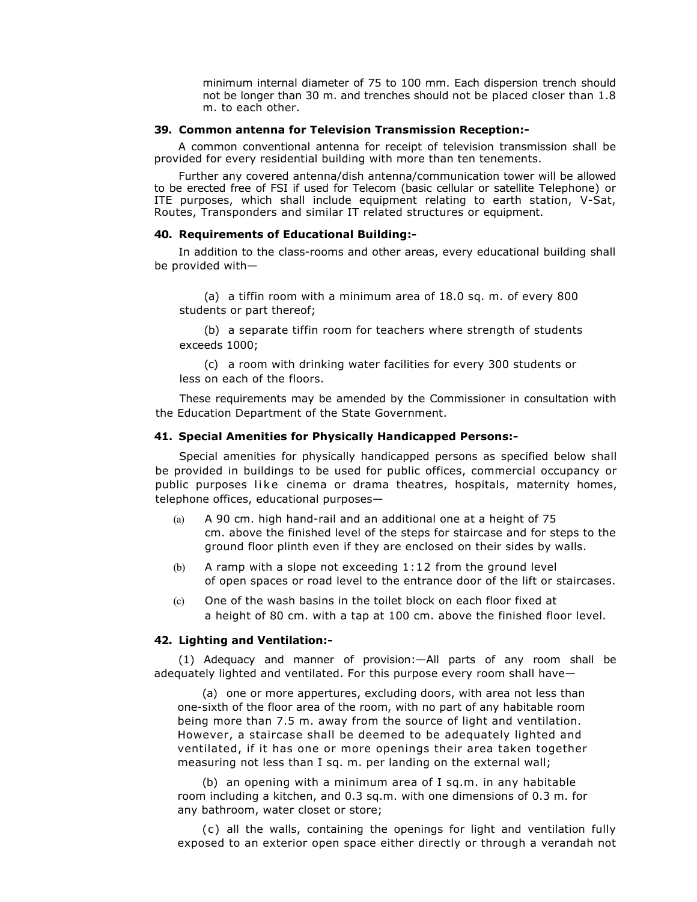minimum internal diameter of 75 to 100 mm. Each dispersion trench should not be longer than 30 m. and trenches should not be placed closer than 1.8 m. to each other.

### **39. Common antenna for Television Transmission Reception:-**

A common conventional antenna for receipt of television transmission shall be provided for every residential building with more than ten tenements.

Further any covered antenna/dish antenna/communication tower will be allowed to be erected free of FSI if used for Telecom (basic cellular or satellite Telephone) or ITE purposes, which shall include equipment relating to earth station, V-Sat, Routes, Transponders and similar IT related structures or equipment.

### **40. Requirements of Educational Building:-**

In addition to the class-rooms and other areas, every educational building shall be provided with—

(a) a tiffin room with a minimum area of 18.0 sq. m. of every 800 students or part thereof;

(b) a separate tiffin room for teachers where strength of students exceeds 1000;

(c) a room with drinking water facilities for every 300 students or less on each of the floors.

These requirements may be amended by the Commissioner in consultation with the Education Department of the State Government.

# **41. Special Amenities for Physically Handicapped Persons:-**

Special amenities for physically handicapped persons as specified below shall be provided in buildings to be used for public offices, commercial occupancy or public purposes like cinema or drama theatres, hospitals, maternity homes, telephone offices, educational purposes—

- (a) A 90 cm. high hand-rail and an additional one at a height of 75 cm. above the finished level of the steps for staircase and for steps to the ground floor plinth even if they are enclosed on their sides by walls.
- (b) A ramp with a slope not exceeding 1:12 from the ground level of open spaces or road level to the entrance door of the lift or staircases.
- (c) One of the wash basins in the toilet block on each floor fixed at a height of 80 cm. with a tap at 100 cm. above the finished floor level.

# **42. Lighting and Ventilation:-**

(1) Adequacy and manner of provision:—All parts of any room shall be adequately lighted and ventilated. For this purpose every room shall have—

(a) one or more appertures, excluding doors, with area not less than one-sixth of the floor area of the room, with no part of any habitable room being more than 7.5 m. away from the source of light and ventilation. However, a staircase shall be deemed to be adequately lighted and ventilated, if it has one or more openings their area taken together measuring not less than I sq. m. per landing on the external wall;

(b) an opening with a minimum area of I sq.m. in any habitable room including a kitchen, and 0.3 sq.m. with one dimensions of 0.3 m. for any bathroom, water closet or store;

(c) all the walls, containing the openings for light and ventilation fully exposed to an exterior open space either directly or through a verandah not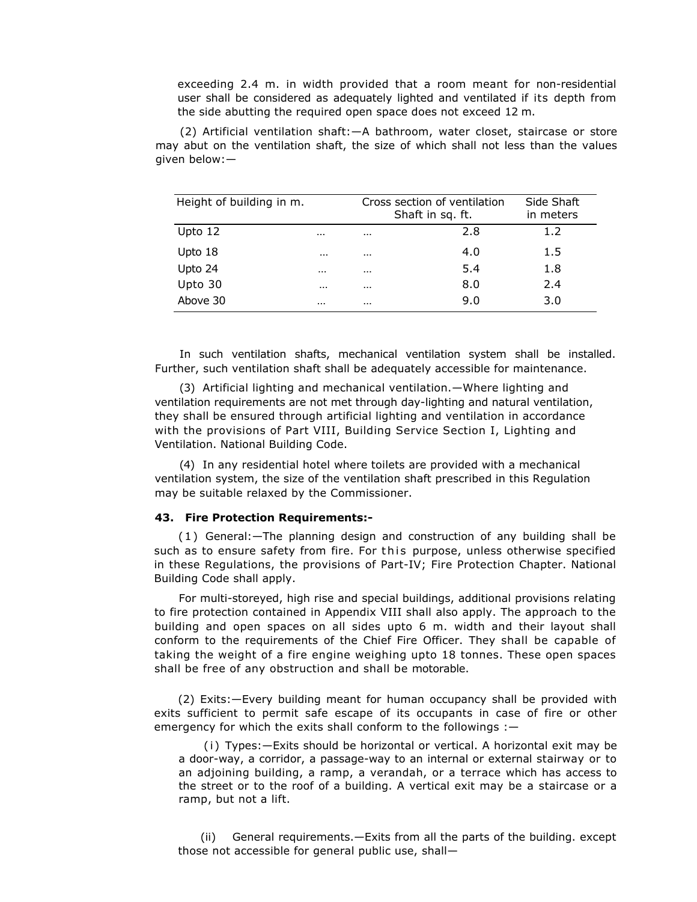exceeding 2.4 m. in width provided that a room meant for non-residential user shall be considered as adequately lighted and ventilated if its depth from the side abutting the required open space does not exceed 12 m.

(2) Artificial ventilation shaft:—A bathroom, water closet, staircase or store may abut on the ventilation shaft, the size of which shall not less than the values given below:—

| Height of building in m. |          |          | Cross section of ventilation<br>Shaft in sq. ft. | Side Shaft<br>in meters |  |
|--------------------------|----------|----------|--------------------------------------------------|-------------------------|--|
| Upto 12                  | $\cdots$ | $\cdots$ | 2.8                                              | 1.2                     |  |
| Upto 18                  | $\cdots$ | $\cdots$ | 4.0                                              | 1.5                     |  |
| Upto 24                  | $\cdots$ | $\cdots$ | 5.4                                              | 1.8                     |  |
| Upto 30                  | $\cdots$ | $\cdots$ | 8.0                                              | 2.4                     |  |
| Above 30                 | $\cdots$ | $\cdots$ | 9.0                                              | 3.0                     |  |

In such ventilation shafts, mechanical ventilation system shall be installed. Further, such ventilation shaft shall be adequately accessible for maintenance.

(3) Artificial lighting and mechanical ventilation.—Where lighting and ventilation requirements are not met through day-lighting and natural ventilation, they shall be ensured through artificial lighting and ventilation in accordance with the provisions of Part VIII, Building Service Section I, Lighting and Ventilation. National Building Code.

(4) In any residential hotel where toilets are provided with a mechanical ventilation system, the size of the ventilation shaft prescribed in this Regulation may be suitable relaxed by the Commissioner.

#### **43. Fire Protection Requirements:-**

(1) General:—The planning design and construction of any building shall be such as to ensure safety from fire. For this purpose, unless otherwise specified in these Regulations, the provisions of Part-IV; Fire Protection Chapter. National Building Code shall apply.

For multi-storeyed, high rise and special buildings, additional provisions relating to fire protection contained in Appendix VIII shall also apply. The approach to the building and open spaces on all sides upto 6 m. width and their layout shall conform to the requirements of the Chief Fire Officer. They shall be capable of taking the weight of a fire engine weighing upto 18 tonnes. These open spaces shall be free of any obstruction and shall be motorable.

(2) Exits:—Every building meant for human occupancy shall be provided with exits sufficient to permit safe escape of its occupants in case of fire or other emergency for which the exits shall conform to the followings :-

(i) Types:-Exits should be horizontal or vertical. A horizontal exit may be a door-way, a corridor, a passage-way to an internal or external stairway or to an adjoining building, a ramp, a verandah, or a terrace which has access to the street or to the roof of a building. A vertical exit may be a staircase or a ramp, but not a lift.

(ii) General requirements.—Exits from all the parts of the building. except those not accessible for general public use, shall—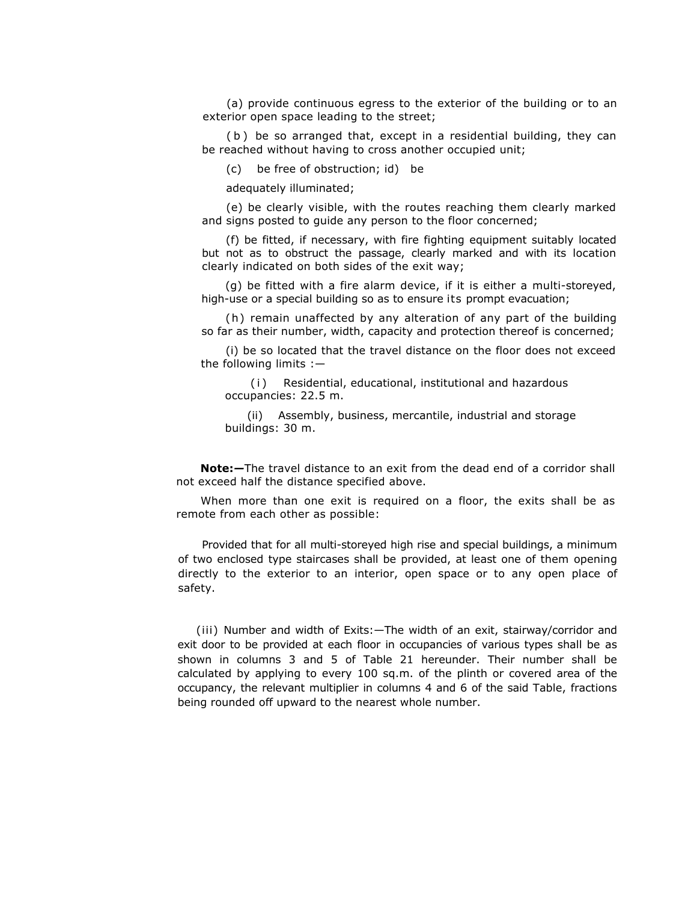(a) provide continuous egress to the exterior of the building or to an exterior open space leading to the street;

( b ) be so arranged that, except in a residential building, they can be reached without having to cross another occupied unit;

(c) be free of obstruction; id) be

adequately illuminated;

(e) be clearly visible, with the routes reaching them clearly marked and signs posted to guide any person to the floor concerned;

(f) be fitted, if necessary, with fire fighting equipment suitably located but not as to obstruct the passage, clearly marked and with its location clearly indicated on both sides of the exit way;

(g) be fitted with a fire alarm device, if it is either a multi-storeyed, high-use or a special building so as to ensure its prompt evacuation;

(h) remain unaffected by any alteration of any part of the building so far as their number, width, capacity and protection thereof is concerned;

(i) be so located that the travel distance on the floor does not exceed the following limits :—

( i ) Residential, educational, institutional and hazardous occupancies: 22.5 m.

(ii) Assembly, business, mercantile, industrial and storage buildings: 30 m.

**Note:***—*The travel distance to an exit from the dead end of a corridor shall not exceed half the distance specified above.

When more than one exit is required on a floor, the exits shall be as remote from each other as possible:

Provided that for all multi-storeyed high rise and special buildings, a minimum of two enclosed type staircases shall be provided, at least one of them opening directly to the exterior to an interior, open space or to any open place of safety.

(iii) Number and width of Exits:—The width of an exit, stairway/corridor and exit door to be provided at each floor in occupancies of various types shall be as shown in columns 3 and 5 of Table 21 hereunder. Their number shall be calculated by applying to every 100 sq.m. of the plinth or covered area of the occupancy, the relevant multiplier in columns 4 and 6 of the said Table, fractions being rounded off upward to the nearest whole number.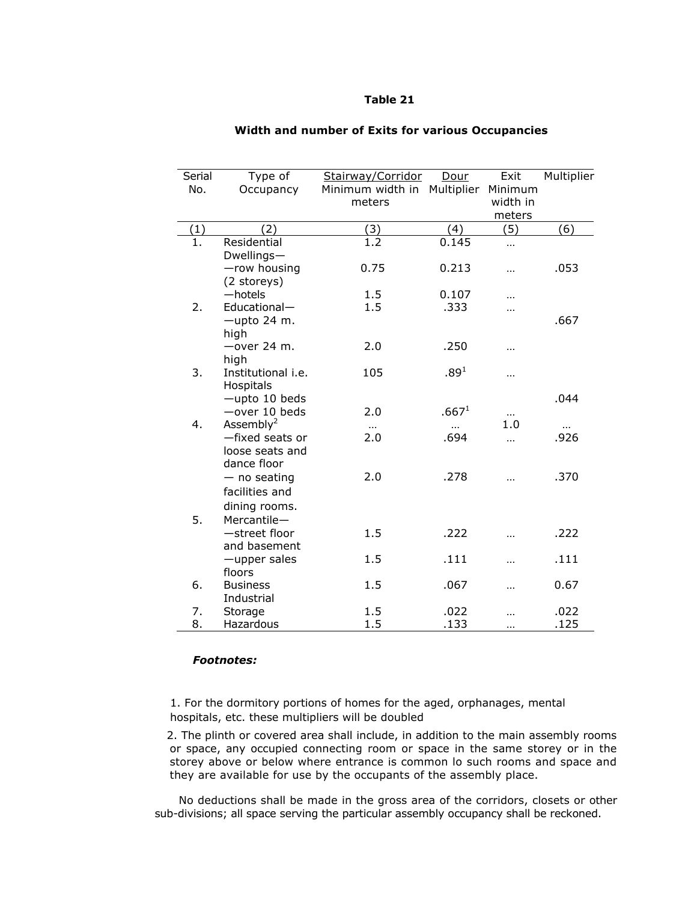# **Table 21**

| Serial | Type of                    | Stairway/Corridor | Dour              | Exit                 | Multiplier |
|--------|----------------------------|-------------------|-------------------|----------------------|------------|
| No.    | Occupancy                  | Minimum width in  | Multiplier        | Minimum              |            |
|        |                            | meters            |                   | width in             |            |
|        |                            |                   |                   | meters               |            |
| (1)    | (2)                        | (3)               | (4)               | (5)                  | (6)        |
| 1.     | Residential<br>Dwellings-  | 1.2               | 0.145             | $\ddot{\phantom{a}}$ |            |
|        | -row housing               | 0.75              | 0.213             | $\cdots$             | .053       |
|        | (2 storeys)                |                   |                   |                      |            |
|        | $-$ hotels                 | 1.5               | 0.107             |                      |            |
| 2.     | Educational-               | 1.5               | .333              | .                    |            |
|        | -upto 24 m.<br>high        |                   |                   |                      | .667       |
|        | $-$ over 24 m.             | 2.0               | .250              |                      |            |
|        | high                       |                   |                   |                      |            |
| 3.     | Institutional i.e.         | 105               | .89 <sup>1</sup>  | $\cdots$             |            |
|        | Hospitals<br>-upto 10 beds |                   |                   |                      | .044       |
|        | $-$ over 10 beds           | 2.0               | .667 <sup>1</sup> |                      |            |
| 4.     | Assembly $^2$              |                   |                   | <br>1.0              |            |
|        | -fixed seats or            | $\cdots$<br>2.0   | $\cdots$<br>.694  | .                    | .926       |
|        | loose seats and            |                   |                   |                      |            |
|        | dance floor                |                   |                   |                      |            |
|        | $-$ no seating             | 2.0               | .278              | $\cdots$             | .370       |
|        | facilities and             |                   |                   |                      |            |
|        | dining rooms.              |                   |                   |                      |            |
| 5.     | Mercantile-                |                   |                   |                      |            |
|        | -street floor              | 1.5               | .222              |                      | .222       |
|        | and basement               |                   |                   |                      |            |
|        | -upper sales               | 1.5               | .111              | $\ddotsc$            | .111       |
|        | floors                     |                   |                   |                      |            |
| 6.     | <b>Business</b>            | 1.5               | .067              |                      | 0.67       |
|        | Industrial                 |                   |                   |                      |            |
| 7.     | Storage                    | 1.5               | .022              |                      | .022       |
| 8.     | Hazardous                  | 1.5               | .133              |                      | .125       |

## **Width and number of Exits for various Occupancies**

# *Footnotes:*

1. For the dormitory portions of homes for the aged, orphanages, mental hospitals, etc. these multipliers will be doubled

 2. The plinth or covered area shall include, in addition to the main assembly rooms or space, any occupied connecting room or space in the same storey or in the storey above or below where entrance is common lo such rooms and space and they are available for use by the occupants of the assembly place.

No deductions shall be made in the gross area of the corridors, closets or other sub-divisions; all space serving the particular assembly occupancy shall be reckoned.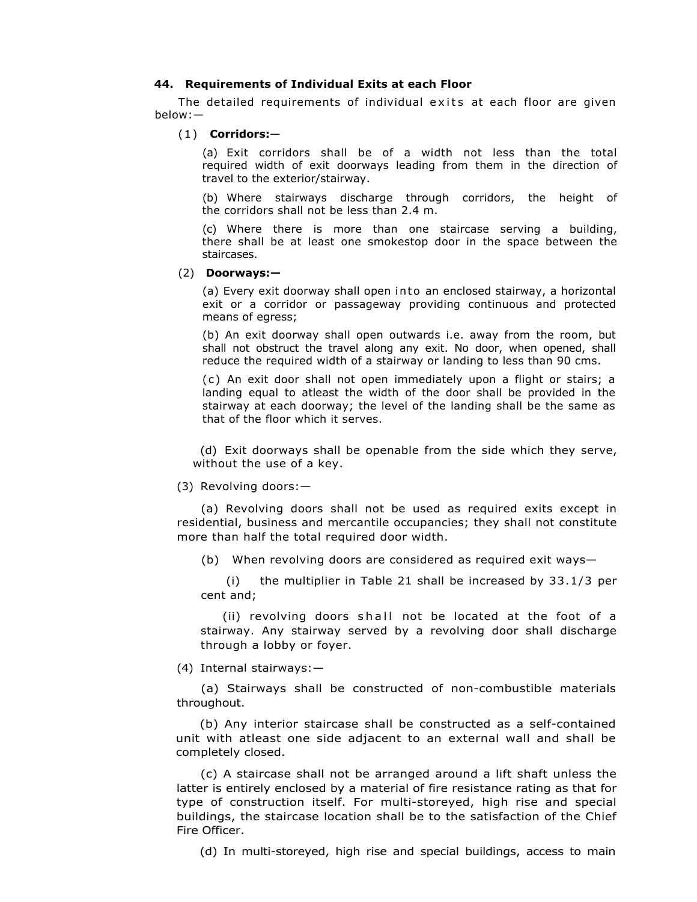# **44. Requirements of Individual Exits at each Floor**

The detailed requirements of individual exits at each floor are given below:—

## (1) **Corridors:**—

(a) Exit corridors shall be of a width not less than the total required width of exit doorways leading from them in the direction of travel to the exterior/stairway.

(b) Where stairways discharge through corridors, the height of the corridors shall not be less than 2.4 m.

(c) Where there is more than one staircase serving a building, there shall be at least one smokestop door in the space between the staircases.

### (2) **Doorways:—**

(a) Every exit doorway shall open into an enclosed stairway, a horizontal exit or a corridor or passageway providing continuous and protected means of egress;

(b) An exit doorway shall open outwards i.e. away from the room, but shall not obstruct the travel along any exit. No door, when opened, shall reduce the required width of a stairway or landing to less than 90 cms.

( c ) An exit door shall not open immediately upon a flight or stairs; a landing equal to atleast the width of the door shall be provided in the stairway at each doorway; the level of the landing shall be the same as that of the floor which it serves.

 (d) Exit doorways shall be openable from the side which they serve, without the use of a key.

#### (3) Revolving doors:—

(a) Revolving doors shall not be used as required exits except in residential, business and mercantile occupancies; they shall not constitute more than half the total required door width.

(b) When revolving doors are considered as required exit ways—

(i) the multiplier in Table 21 shall be increased by 33.1/3 per cent and;

(ii) revolving doors shall not be located at the foot of a stairway. Any stairway served by a revolving door shall discharge through a lobby or foyer.

(4) Internal stairways:—

(a) Stairways shall be constructed of non-combustible materials throughout.

(b) Any interior staircase shall be constructed as a self-contained unit with atleast one side adjacent to an external wall and shall be completely closed.

(c) A staircase shall not be arranged around a lift shaft unless the latter is entirely enclosed by a material of fire resistance rating as that for type of construction itself. For multi-storeyed, high rise and special buildings, the staircase location shall be to the satisfaction of the Chief Fire Officer.

(d) In multi-storeyed, high rise and special buildings, access to main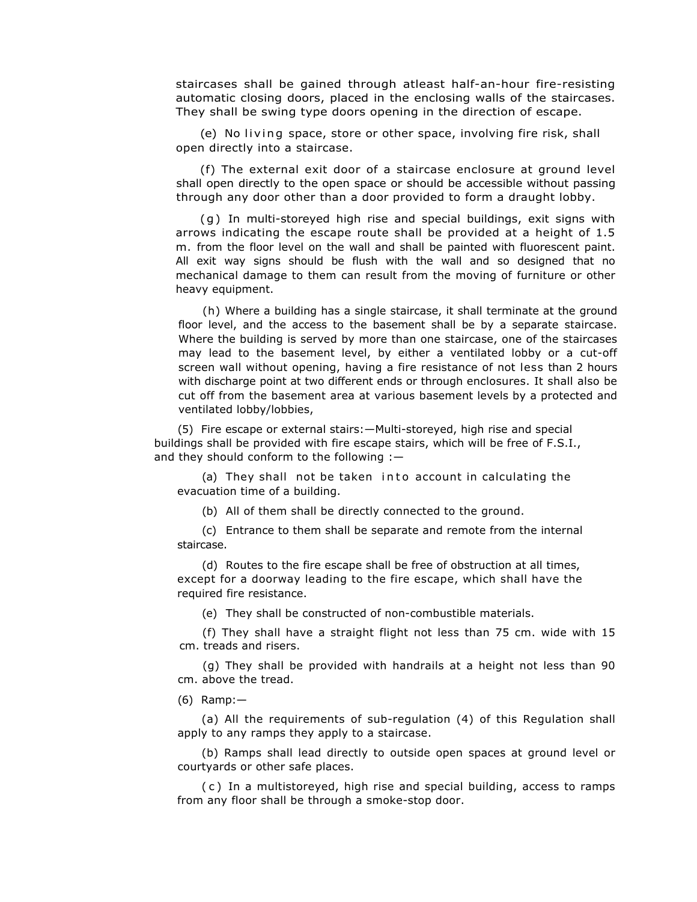staircases shall be gained through atleast half-an-hour fire-resisting automatic closing doors, placed in the enclosing walls of the staircases. They shall be swing type doors opening in the direction of escape.

(e) No living space, store or other space, involving fire risk, shall open directly into a staircase.

(f) The external exit door of a staircase enclosure at ground level shall open directly to the open space or should be accessible without passing through any door other than a door provided to form a draught lobby.

( g ) In multi-storeyed high rise and special buildings, exit signs with arrows indicating the escape route shall be provided at a height of 1.5 m. from the floor level on the wall and shall be painted with fluorescent paint. All exit way signs should be flush with the wall and so designed that no mechanical damage to them can result from the moving of furniture or other heavy equipment.

(h) Where a building has a single staircase, it shall terminate at the ground floor level, and the access to the basement shall be by a separate staircase. Where the building is served by more than one staircase, one of the staircases may lead to the basement level, by either a ventilated lobby or a cut-off screen wall without opening, having a fire resistance of not less than 2 hours with discharge point at two different ends or through enclosures. It shall also be cut off from the basement area at various basement levels by a protected and ventilated lobby/lobbies,

(5) Fire escape or external stairs:—Multi-storeyed, high rise and special buildings shall be provided with fire escape stairs, which will be free of F.S.I., and they should conform to the following :—

(a) They shall not be taken into account in calculating the evacuation time of a building.

(b) All of them shall be directly connected to the ground.

(c) Entrance to them shall be separate and remote from the internal staircase.

(d) Routes to the fire escape shall be free of obstruction at all times, except for a doorway leading to the fire escape, which shall have the required fire resistance.

(e) They shall be constructed of non-combustible materials.

(f) They shall have a straight flight not less than 75 cm. wide with 15 cm. treads and risers.

(g) They shall be provided with handrails at a height not less than 90 cm. above the tread.

(6) Ramp:—

(a) All the requirements of sub-regulation (4) of this Regulation shall apply to any ramps they apply to a staircase.

(b) Ramps shall lead directly to outside open spaces at ground level or courtyards or other safe places.

( c ) In a multistoreyed, high rise and special building, access to ramps from any floor shall be through a smoke-stop door.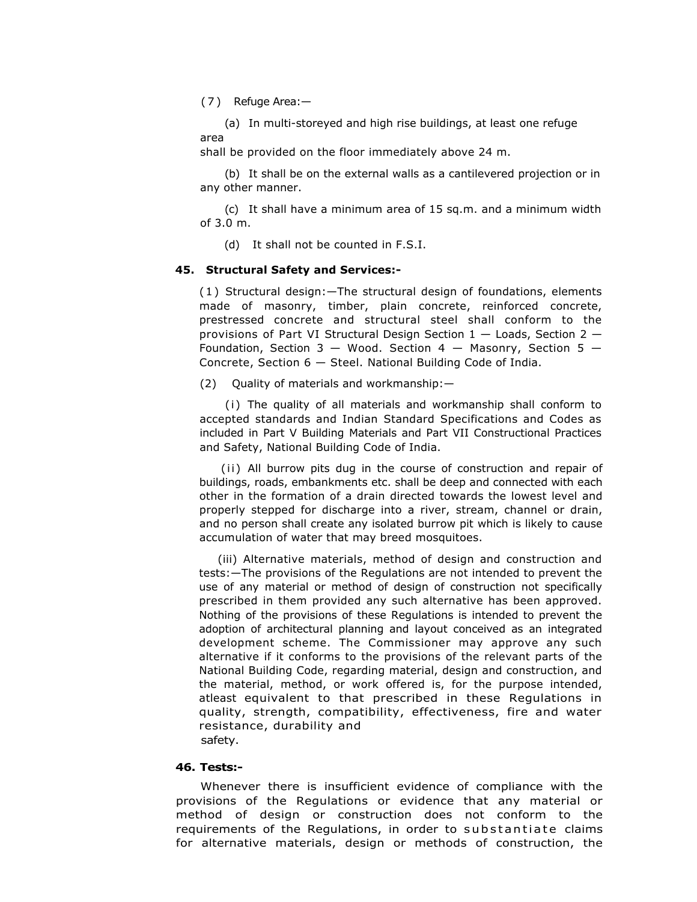(7)Refuge Area:—

(a) In multi-storeyed and high rise buildings, at least one refuge area

shall be provided on the floor immediately above 24 m.

(b) It shall be on the external walls as a cantilevered projection or in any other manner.

(c) It shall have a minimum area of 15 sq.m. and a minimum width of 3.0 m.

(d) It shall not be counted in F.S.I.

### **45. Structural Safety and Services:-**

(1) Structural design:—The structural design of foundations, elements made of masonry, timber, plain concrete, reinforced concrete, prestressed concrete and structural steel shall conform to the provisions of Part VI Structural Design Section 1 — Loads, Section 2 — Foundation, Section  $3 -$  Wood. Section  $4 -$  Masonry, Section  $5 -$ Concrete, Section 6 — Steel. National Building Code of India.

(2) Quality of materials and workmanship:—

(i) The quality of all materials and workmanship shall conform to accepted standards and Indian Standard Specifications and Codes as included in Part V Building Materials and Part VII Constructional Practices and Safety, National Building Code of India.

(ii) All burrow pits dug in the course of construction and repair of buildings, roads, embankments etc. shall be deep and connected with each other in the formation of a drain directed towards the lowest level and properly stepped for discharge into a river, stream, channel or drain, and no person shall create any isolated burrow pit which is likely to cause accumulation of water that may breed mosquitoes.

(iii) Alternative materials, method of design and construction and tests:—The provisions of the Regulations are not intended to prevent the use of any material or method of design of construction not specifically prescribed in them provided any such alternative has been approved. Nothing of the provisions of these Regulations is intended to prevent the adoption of architectural planning and layout conceived as an integrated development scheme. The Commissioner may approve any such alternative if it conforms to the provisions of the relevant parts of the National Building Code, regarding material, design and construction, and the material, method, or work offered is, for the purpose intended, atleast equivalent to that prescribed in these Regulations in quality, strength, compatibility, effectiveness, fire and water resistance, durability and safety.

### **46. Tests:-**

Whenever there is insufficient evidence of compliance with the provisions of the Regulations or evidence that any material or method of design or construction does not conform to the requirements of the Requlations, in order to substantiate claims for alternative materials, design or methods of construction, the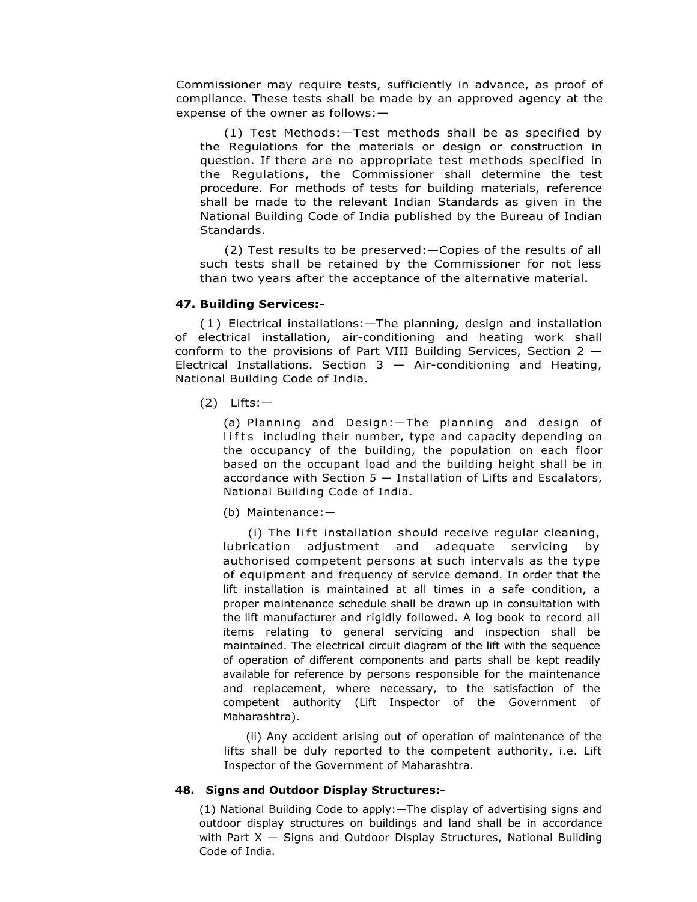Commissioner may require tests, sufficiently in advance, as proof of compliance. These tests shall be made by an approved agency at the expense of the owner as follows:—

(1) Test Methods:—Test methods shall be as specified by the Regulations for the materials or design or construction in question. If there are no appropriate test methods specified in the Regulations, the Commissioner shall determine the test procedure. For methods of tests for building materials, reference shall be made to the relevant Indian Standards as given in the National Building Code of India published by the Bureau of Indian Standards.

(2) Test results to be preserved:—Copies of the results of all such tests shall be retained by the Commissioner for not less than two years after the acceptance of the alternative material.

# **47. Building Services:-**

(1) Electrical installations:—The planning, design and installation of electrical installation, air-conditioning and heating work shall conform to the provisions of Part VIII Building Services, Section  $2 -$ Electrical Installations. Section  $3 -$  Air-conditioning and Heating, National Building Code of India.

(2) Lifts:—

(a) Planning and Design:—The planning and design of lifts including their number, type and capacity depending on the occupancy of the building, the population on each floor based on the occupant load and the building height shall be in accordance with Section 5 — Installation of Lifts and Escalators, National Building Code of India.

(b) Maintenance:—

(i) The lift installation should receive regular cleaning, lubrication adjustment and adequate servicing by authorised competent persons at such intervals as the type of equipment and frequency of service demand. In order that the lift installation is maintained at all times in a safe condition, a proper maintenance schedule shall be drawn up in consultation with the lift manufacturer and rigidly followed. A log book to record all items relating to general servicing and inspection shall be maintained. The electrical circuit diagram of the lift with the sequence of operation of different components and parts shall be kept readily available for reference by persons responsible for the maintenance and replacement, where necessary, to the satisfaction of the competent authority (Lift Inspector of the Government of Maharashtra).

(ii) Any accident arising out of operation of maintenance of the lifts shall be duly reported to the competent authority, i.e. Lift Inspector of the Government of Maharashtra.

# **48. Signs and Outdoor Display Structures:-**

(1) National Building Code to apply:—The display of advertising signs and outdoor display structures on buildings and land shall be in accordance with Part  $X -$  Signs and Outdoor Display Structures, National Building Code of India.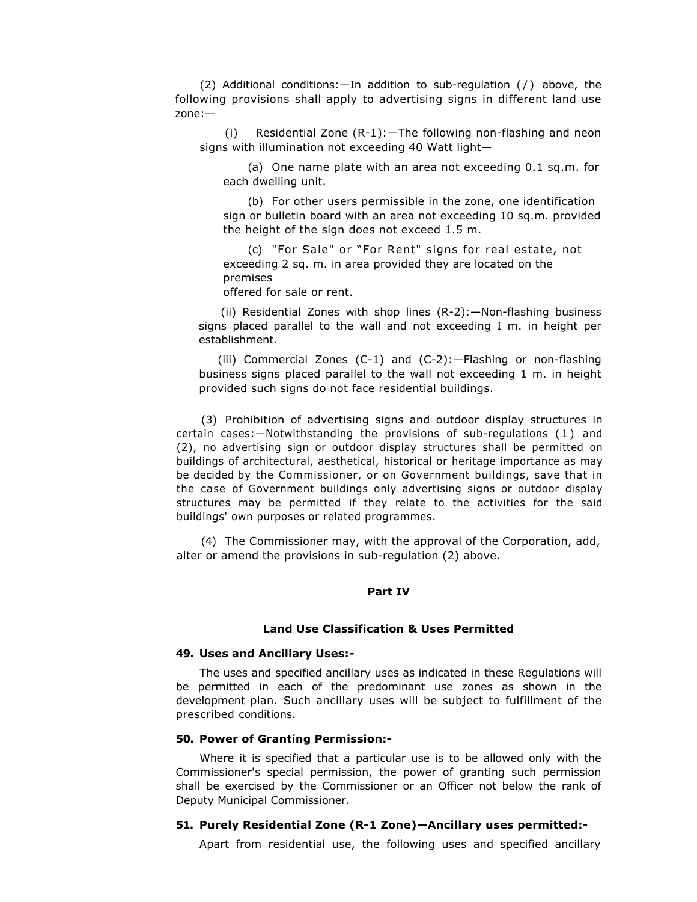(2) Additional conditions:—In addition to sub-regulation ( / ) above, the following provisions shall apply to advertising signs in different land use zone:—

(i) Residential Zone (R-1):—The following non-flashing and neon signs with illumination not exceeding 40 Watt light—

(a) One name plate with an area not exceeding 0.1 sq.m. for each dwelling unit.

(b) For other users permissible in the zone, one identification sign or bulletin board with an area not exceeding 10 sq.m. provided the height of the sign does not exceed 1.5 m.

(c) "For Sale" or "For Rent" signs for real estate, not exceeding 2 sq. m. in area provided they are located on the premises

offered for sale or rent.

(ii) Residential Zones with shop lines (R-2):—Non-flashing business signs placed parallel to the wall and not exceeding I m. in height per establishment.

(iii) Commercial Zones (C-1) and (C-2):—Flashing or non-flashing business signs placed parallel to the wall not exceeding 1 m. in height provided such signs do not face residential buildings.

(3) Prohibition of advertising signs and outdoor display structures in certain cases:—Notwithstanding the provisions of sub-regulations ( 1 ) and (2), no advertising sign or outdoor display structures shall be permitted on buildings of architectural, aesthetical, historical or heritage importance as may be decided by the Commissioner, or on Government buildings, save that in the case of Government buildings only advertising signs or outdoor display structures may be permitted if they relate to the activities for the said buildings' own purposes or related programmes.

(4) The Commissioner may, with the approval of the Corporation, add, alter or amend the provisions in sub-regulation (2) above.

### **Part IV**

# **Land Use Classification & Uses Permitted**

# **49. Uses and Ancillary Uses:-**

The uses and specified ancillary uses as indicated in these Regulations will be permitted in each of the predominant use zones as shown in the development plan. Such ancillary uses will be subject to fulfillment of the prescribed conditions.

# **50. Power of Granting Permission:-**

Where it is specified that a particular use is to be allowed only with the Commissioner's special permission, the power of granting such permission shall be exercised by the Commissioner or an Officer not below the rank of Deputy Municipal Commissioner.

# **51. Purely Residential Zone (R-1 Zone)—Ancillary uses permitted:-**

Apart from residential use, the following uses and specified ancillary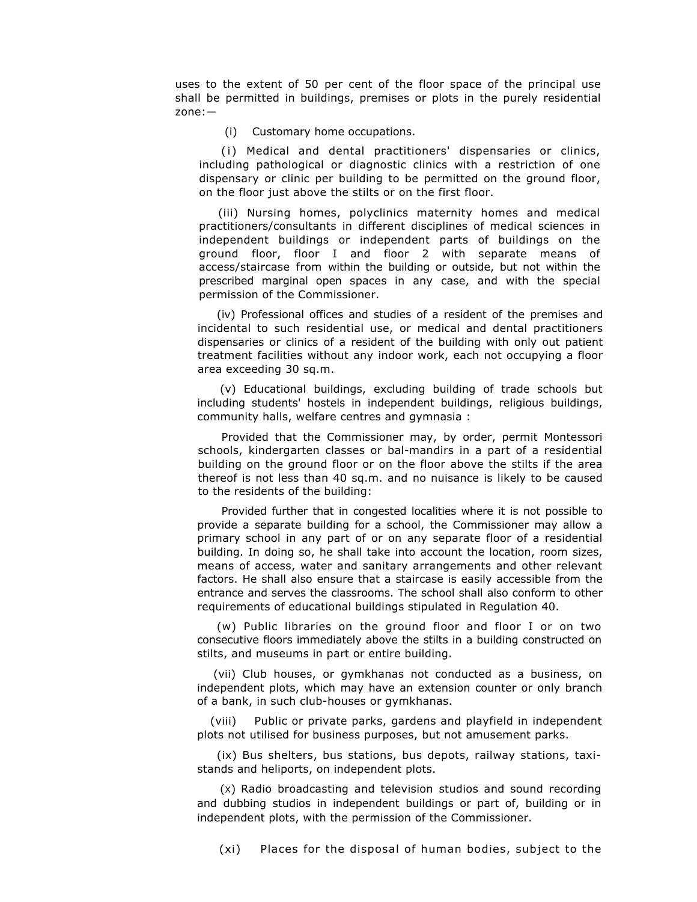uses to the extent of 50 per cent of the floor space of the principal use shall be permitted in buildings, premises or plots in the purely residential zone:—

(i) Customary home occupations.

(i) Medical and dental practitioners' dispensaries or clinics, including pathological or diagnostic clinics with a restriction of one dispensary or clinic per building to be permitted on the ground floor, on the floor just above the stilts or on the first floor.

(iii) Nursing homes, polyclinics maternity homes and medical practitioners/consultants in different disciplines of medical sciences in independent buildings or independent parts of buildings on the ground floor, floor I and floor 2 with separate means of access/staircase from within the building or outside, but not within the prescribed marginal open spaces in any case, and with the special permission of the Commissioner.

(iv) Professional offices and studies of a resident of the premises and incidental to such residential use, or medical and dental practitioners dispensaries or clinics of a resident of the building with only out patient treatment facilities without any indoor work, each not occupying a floor area exceeding 30 sq.m.

(v) Educational buildings, excluding building of trade schools but including students' hostels in independent buildings, religious buildings, community halls, welfare centres and gymnasia :

Provided that the Commissioner may, by order, permit Montessori schools, kindergarten classes or bal-mandirs in a part of a residential building on the ground floor or on the floor above the stilts if the area thereof is not less than 40 sq.m. and no nuisance is likely to be caused to the residents of the building:

Provided further that in congested localities where it is not possible to provide a separate building for a school, the Commissioner may allow a primary school in any part of or on any separate floor of a residential building. In doing so, he shall take into account the location, room sizes, means of access, water and sanitary arrangements and other relevant factors. He shall also ensure that a staircase is easily accessible from the entrance and serves the classrooms. The school shall also conform to other requirements of educational buildings stipulated in Regulation 40.

(w) Public libraries on the ground floor and floor I or on two consecutive floors immediately above the stilts in a building constructed on stilts, and museums in part or entire building.

(vii) Club houses, or gymkhanas not conducted as a business, on independent plots, which may have an extension counter or only branch of a bank, in such club-houses or gymkhanas.

(viii) Public or private parks, gardens and playfield in independent plots not utilised for business purposes, but not amusement parks.

(ix) Bus shelters, bus stations, bus depots, railway stations, taxistands and heliports, on independent plots.

(X) Radio broadcasting and television studios and sound recording and dubbing studios in independent buildings or part of, building or in independent plots, with the permission of the Commissioner.

(xi) Places for the disposal of human bodies, subject to the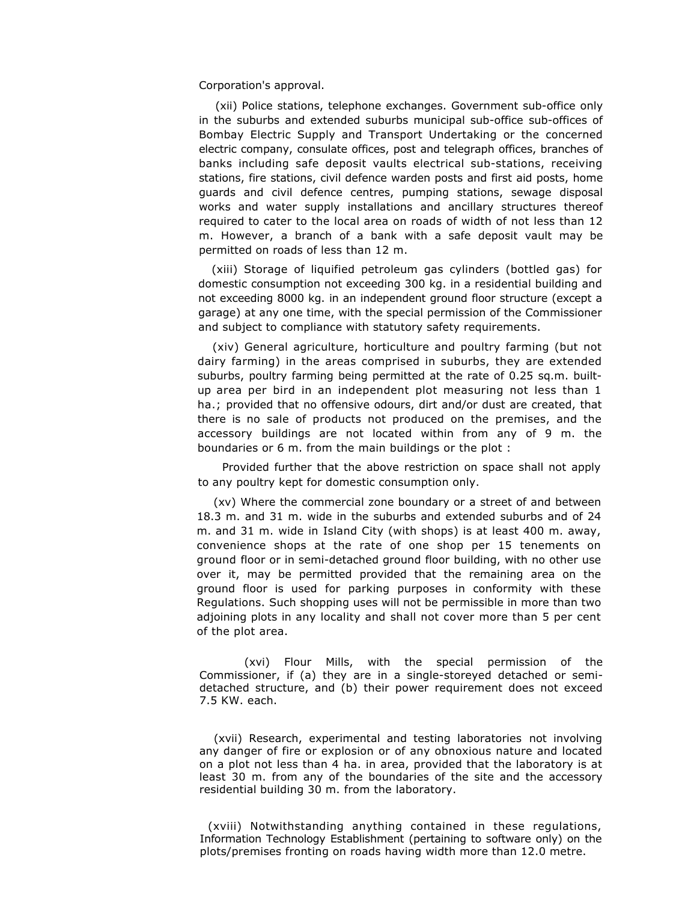Corporation's approval.

(xii) Police stations, telephone exchanges. Government sub-office only in the suburbs and extended suburbs municipal sub-office sub-offices of Bombay Electric Supply and Transport Undertaking or the concerned electric company, consulate offices, post and telegraph offices, branches of banks including safe deposit vaults electrical sub-stations, receiving stations, fire stations, civil defence warden posts and first aid posts, home guards and civil defence centres, pumping stations, sewage disposal works and water supply installations and ancillary structures thereof required to cater to the local area on roads of width of not less than 12 m. However, a branch of a bank with a safe deposit vault may be permitted on roads of less than 12 m.

(xiii) Storage of liquified petroleum gas cylinders (bottled gas) for domestic consumption not exceeding 300 kg. in a residential building and not exceeding 8000 kg. in an independent ground floor structure (except a garage) at any one time, with the special permission of the Commissioner and subject to compliance with statutory safety requirements.

(xiv) General agriculture, horticulture and poultry farming (but not dairy farming) in the areas comprised in suburbs, they are extended suburbs, poultry farming being permitted at the rate of 0.25 sq.m. builtup area per bird in an independent plot measuring not less than 1 ha.; provided that no offensive odours, dirt and/or dust are created, that there is no sale of products not produced on the premises, and the accessory buildings are not located within from any of 9 m. the boundaries or 6 m. from the main buildings or the plot :

Provided further that the above restriction on space shall not apply to any poultry kept for domestic consumption only.

(xv) Where the commercial zone boundary or a street of and between 18.3 m. and 31 m. wide in the suburbs and extended suburbs and of 24 m. and 31 m. wide in Island City (with shops) is at least 400 m. away, convenience shops at the rate of one shop per 15 tenements on ground floor or in semi-detached ground floor building, with no other use over it, may be permitted provided that the remaining area on the ground floor is used for parking purposes in conformity with these Regulations. Such shopping uses will not be permissible in more than two adjoining plots in any locality and shall not cover more than 5 per cent of the plot area.

 (xvi) Flour Mills, with the special permission of the Commissioner, if (a) they are in a single-storeyed detached or semidetached structure, and (b) their power requirement does not exceed 7.5 KW. each.

(xvii) Research, experimental and testing laboratories not involving any danger of fire or explosion or of any obnoxious nature and located on a plot not less than 4 ha. in area, provided that the laboratory is at least 30 m. from any of the boundaries of the site and the accessory residential building 30 m. from the laboratory.

(xviii) Notwithstanding anything contained in these regulations, Information Technology Establishment (pertaining to software only) on the plots/premises fronting on roads having width more than 12.0 metre.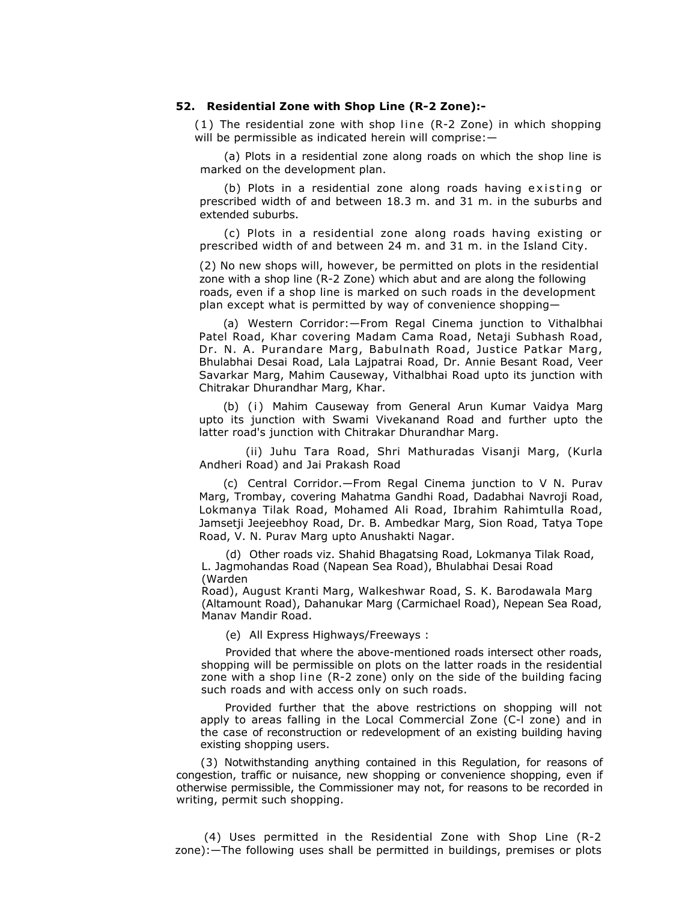# **52. Residential Zone with Shop Line (R-2 Zone):-**

(1) The residential zone with shop line (R-2 Zone) in which shopping will be permissible as indicated herein will comprise: -

(a) Plots in a residential zone along roads on which the shop line is marked on the development plan.

(b) Plots in a residential zone along roads having existing or prescribed width of and between 18.3 m. and 31 m. in the suburbs and extended suburbs.

(c) Plots in a residential zone along roads having existing or prescribed width of and between 24 m. and 31 m. in the Island City.

(2) No new shops will, however, be permitted on plots in the residential zone with a shop line (R-2 Zone) which abut and are along the following roads, even if a shop line is marked on such roads in the development plan except what is permitted by way of convenience shopping—

(a) Western Corridor:—From Regal Cinema junction to Vithalbhai Patel Road, Khar covering Madam Cama Road, Netaji Subhash Road, Dr. N. A. Purandare Marg, Babulnath Road, Justice Patkar Marg, Bhulabhai Desai Road, Lala Lajpatrai Road, Dr. Annie Besant Road, Veer Savarkar Marg, Mahim Causeway, Vithalbhai Road upto its junction with Chitrakar Dhurandhar Marg, Khar.

(b) (i) Mahim Causeway from General Arun Kumar Vaidya Marg upto its junction with Swami Vivekanand Road and further upto the latter road's junction with Chitrakar Dhurandhar Marg.

(ii) Juhu Tara Road, Shri Mathuradas Visanji Marg, (Kurla Andheri Road) and Jai Prakash Road

(c) Central Corridor.—From Regal Cinema junction to V N. Purav Marg, Trombay, covering Mahatma Gandhi Road, Dadabhai Navroji Road, Lokmanya Tilak Road, Mohamed Ali Road, Ibrahim Rahimtulla Road, Jamsetji Jeejeebhoy Road, Dr. B. Ambedkar Marg, Sion Road, Tatya Tope Road, V. N. Purav Marg upto Anushakti Nagar.

(d) Other roads viz. Shahid Bhagatsing Road, Lokmanya Tilak Road, L. Jagmohandas Road (Napean Sea Road), Bhulabhai Desai Road (Warden

Road), August Kranti Marg, Walkeshwar Road, S. K. Barodawala Marg (Altamount Road), Dahanukar Marg (Carmichael Road), Nepean Sea Road, Manav Mandir Road.

(e) All Express Highways/Freeways :

Provided that where the above-mentioned roads intersect other roads, shopping will be permissible on plots on the latter roads in the residential zone with a shop line (R-2 zone) only on the side of the building facing such roads and with access only on such roads.

Provided further that the above restrictions on shopping will not apply to areas falling in the Local Commercial Zone (C-l zone) and in the case of reconstruction or redevelopment of an existing building having existing shopping users.

(3) Notwithstanding anything contained in this Regulation, for reasons of congestion, traffic or nuisance, new shopping or convenience shopping, even if otherwise permissible, the Commissioner may not, for reasons to be recorded in writing, permit such shopping.

(4) Uses permitted in the Residential Zone with Shop Line (R-2 zone):—The following uses shall be permitted in buildings, premises or plots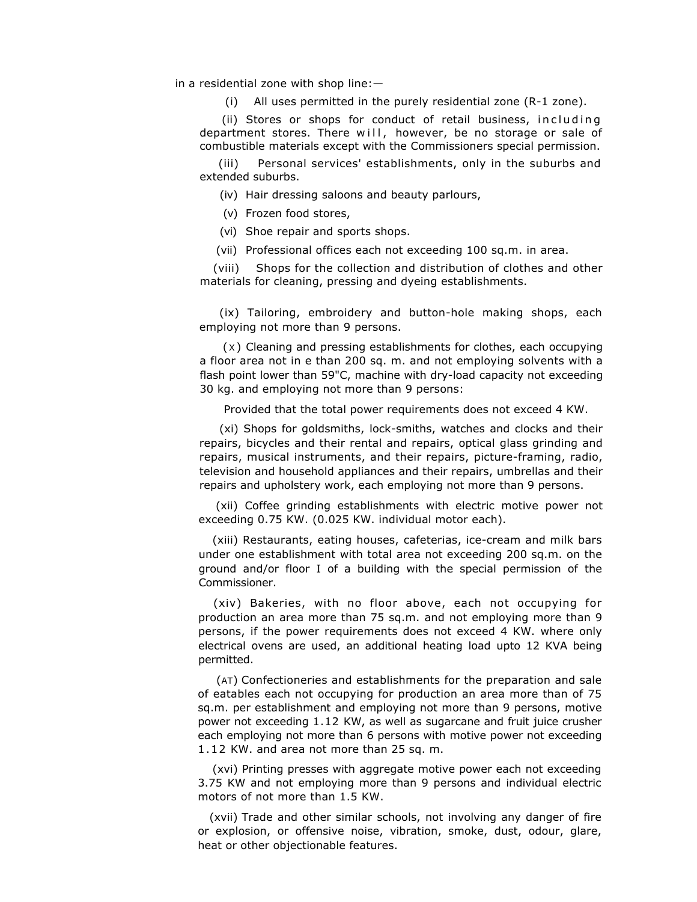in a residential zone with shop line:—

(i) All uses permitted in the purely residential zone (R-1 zone).

(ii) Stores or shops for conduct of retail business, including department stores. There will, however, be no storage or sale of combustible materials except with the Commissioners special permission.

(iii) Personal services' establishments, only in the suburbs and extended suburbs.

(iv) Hair dressing saloons and beauty parlours,

- (v) Frozen food stores,
- (vi) Shoe repair and sports shops.
- (vii) Professional offices each not exceeding 100 sq.m. in area.

(viii) Shops for the collection and distribution of clothes and other materials for cleaning, pressing and dyeing establishments.

(ix) Tailoring, embroidery and button-hole making shops, each employing not more than 9 persons.

(X) Cleaning and pressing establishments for clothes, each occupying a floor area not in e than 200 sq. m. and not employing solvents with a flash point lower than 59"C, machine with dry-load capacity not exceeding 30 kg. and employing not more than 9 persons:

Provided that the total power requirements does not exceed 4 KW.

(xi) Shops for goldsmiths, lock-smiths, watches and clocks and their repairs, bicycles and their rental and repairs, optical glass grinding and repairs, musical instruments, and their repairs, picture-framing, radio, television and household appliances and their repairs, umbrellas and their repairs and upholstery work, each employing not more than 9 persons.

(xii) Coffee grinding establishments with electric motive power not exceeding 0.75 KW. (0.025 KW. individual motor each).

(xiii) Restaurants, eating houses, cafeterias, ice-cream and milk bars under one establishment with total area not exceeding 200 sq.m. on the ground and/or floor I of a building with the special permission of the Commissioner.

(xiv) Bakeries, with no floor above, each not occupying for production an area more than 75 sq.m. and not employing more than 9 persons, if the power requirements does not exceed 4 KW. where only electrical ovens are used, an additional heating load upto 12 KVA being permitted.

(AT) Confectioneries and establishments for the preparation and sale of eatables each not occupying for production an area more than of 75 sq.m. per establishment and employing not more than 9 persons, motive power not exceeding 1.12 KW, as well as sugarcane and fruit juice crusher each employing not more than 6 persons with motive power not exceeding 1 .12 KW. and area not more than 25 sq. m.

(xvi) Printing presses with aggregate motive power each not exceeding 3.75 KW and not employing more than 9 persons and individual electric motors of not more than 1.5 KW.

(xvii) Trade and other similar schools, not involving any danger of fire or explosion, or offensive noise, vibration, smoke, dust, odour, glare, heat or other objectionable features.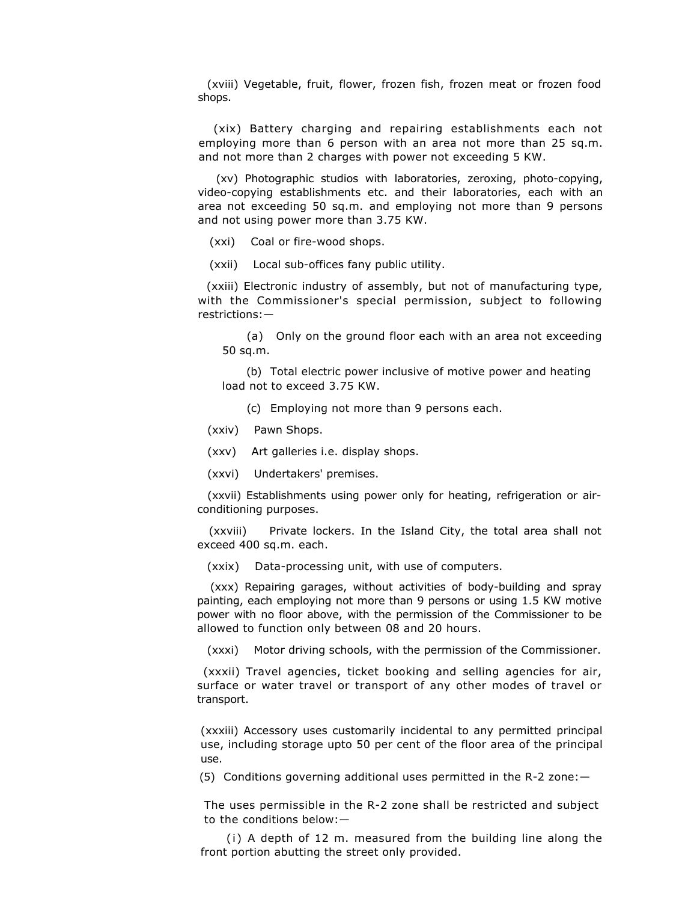(xviii) Vegetable, fruit, flower, frozen fish, frozen meat or frozen food shops.

(xix) Battery charging and repairing establishments each not employing more than 6 person with an area not more than 25 sq.m. and not more than 2 charges with power not exceeding 5 KW.

(xv) Photographic studios with laboratories, zeroxing, photo-copying, video-copying establishments etc. and their laboratories, each with an area not exceeding 50 sq.m. and employing not more than 9 persons and not using power more than 3.75 KW.

(xxi) Coal or fire-wood shops.

(xxii) Local sub-offices fany public utility.

(xxiii) Electronic industry of assembly, but not of manufacturing type, with the Commissioner's special permission, subject to following restrictions:—

(a) Only on the ground floor each with an area not exceeding 50 sq.m.

(b) Total electric power inclusive of motive power and heating load not to exceed 3.75 KW.

(c) Employing not more than 9 persons each.

(xxiv) Pawn Shops.

(xxv) Art galleries i.e. display shops.

(xxvi) Undertakers' premises.

 (xxvii) Establishments using power only for heating, refrigeration or airconditioning purposes.

 (xxviii) Private lockers. In the Island City, the total area shall not exceed 400 sq.m. each.

(xxix) Data-processing unit, with use of computers.

(xxx) Repairing garages, without activities of body-building and spray painting, each employing not more than 9 persons or using 1.5 KW motive power with no floor above, with the permission of the Commissioner to be allowed to function only between 08 and 20 hours.

(xxxi) Motor driving schools, with the permission of the Commissioner.

(xxxii) Travel agencies, ticket booking and selling agencies for air, surface or water travel or transport of any other modes of travel or transport.

(xxxiii) Accessory uses customarily incidental to any permitted principal use, including storage upto 50 per cent of the floor area of the principal use.

(5) Conditions governing additional uses permitted in the R-2 zone:—

The uses permissible in the R-2 zone shall be restricted and subject to the conditions below:—

(i) A depth of 12 m. measured from the building line along the front portion abutting the street only provided.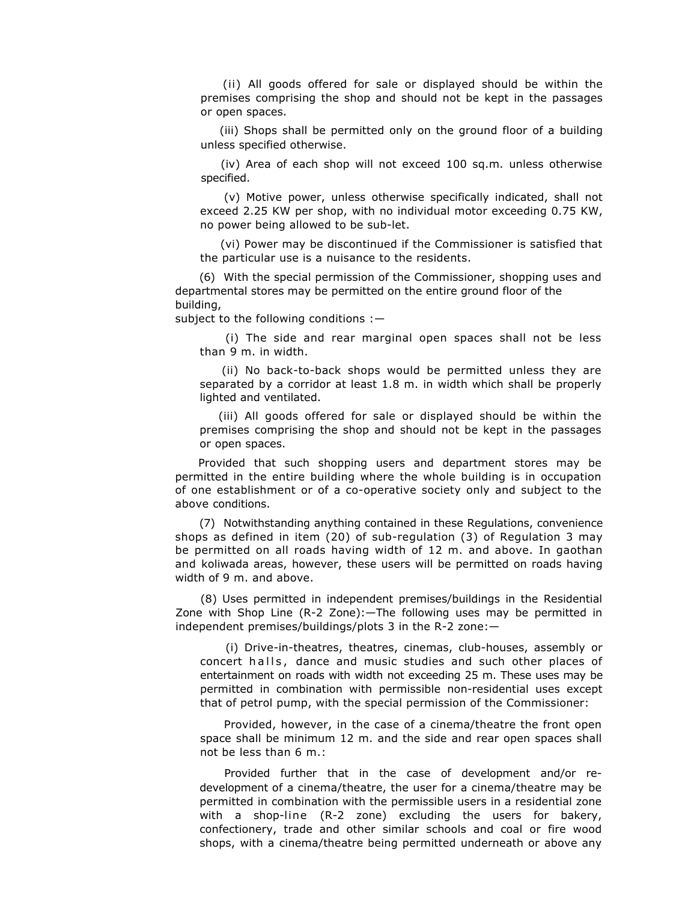(ii) All goods offered for sale or displayed should be within the premises comprising the shop and should not be kept in the passages or open spaces.

(iii) Shops shall be permitted only on the ground floor of a building unless specified otherwise.

(iv) Area of each shop will not exceed 100 sq.m. unless otherwise specified.

(v) Motive power, unless otherwise specifically indicated, shall not exceed 2.25 KW per shop, with no individual motor exceeding 0.75 KW, no power being allowed to be sub-let.

(vi) Power may be discontinued if the Commissioner is satisfied that the particular use is a nuisance to the residents.

(6) With the special permission of the Commissioner, shopping uses and departmental stores may be permitted on the entire ground floor of the building,

subject to the following conditions :—

(i) The side and rear marginal open spaces shall not be less than 9 m. in width.

(ii) No back-to-back shops would be permitted unless they are separated by a corridor at least 1.8 m. in width which shall be properly lighted and ventilated.

(iii) All goods offered for sale or displayed should be within the premises comprising the shop and should not be kept in the passages or open spaces.

Provided that such shopping users and department stores may be permitted in the entire building where the whole building is in occupation of one establishment or of a co-operative society only and subject to the above conditions.

(7) Notwithstanding anything contained in these Regulations, convenience shops as defined in item (20) of sub-regulation (3) of Regulation 3 may be permitted on all roads having width of 12 m. and above. In gaothan and koliwada areas, however, these users will be permitted on roads having width of 9 m. and above.

(8) Uses permitted in independent premises/buildings in the Residential Zone with Shop Line (R-2 Zone):—The following uses may be permitted in independent premises/buildings/plots 3 in the R-2 zone:—

(i) Drive-in-theatres, theatres, cinemas, club-houses, assembly or concert halls, dance and music studies and such other places of entertainment on roads with width not exceeding 25 m. These uses may be permitted in combination with permissible non-residential uses except that of petrol pump, with the special permission of the Commissioner:

Provided, however, in the case of a cinema/theatre the front open space shall be minimum 12 m. and the side and rear open spaces shall not be less than 6 m.:

Provided further that in the case of development and/or redevelopment of a cinema/theatre, the user for a cinema/theatre may be permitted in combination with the permissible users in a residential zone with a shop-line (R-2 zone) excluding the users for bakery, confectionery, trade and other similar schools and coal or fire wood shops, with a cinema/theatre being permitted underneath or above any